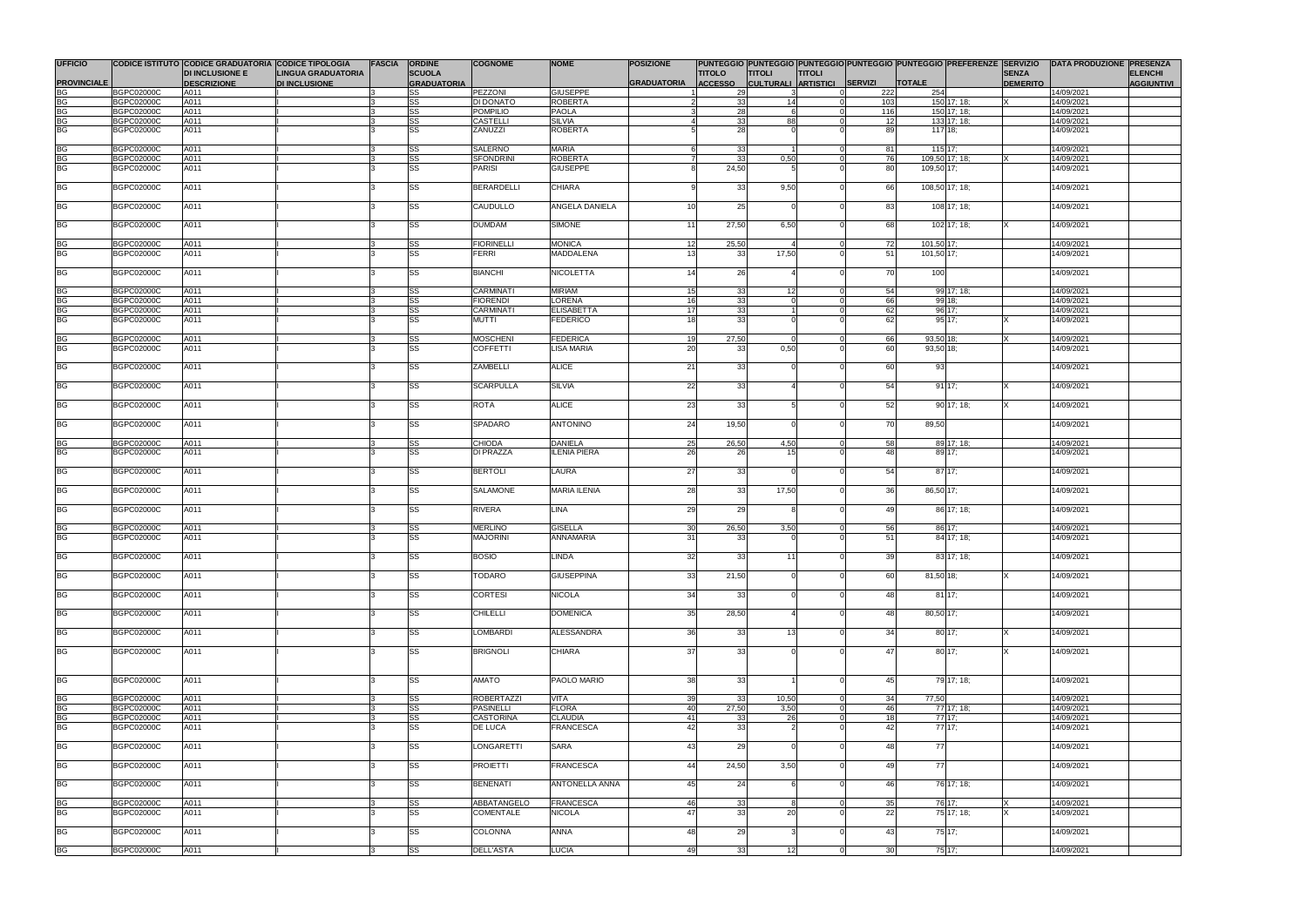| <b>UFFICIO</b>       |                                        | CODICE ISTITUTO CODICE GRADUATORIA CODICE TIPOLOGIA |                                                   | <b>FASCIA</b> | <b>ORDINE</b>                       | <b>COGNOME</b>                  | <b>NOME</b>                       | <b>POSIZIONE</b>   |                                 |                                              |               |          |                      | PUNTEGGIO PUNTEGGIO PUNTEGGIO PUNTEGGIO PUNTEGGIO PREFERENZE SERVIZIO   DATA PRODUZIONE PRESENZA |                          |                                     |
|----------------------|----------------------------------------|-----------------------------------------------------|---------------------------------------------------|---------------|-------------------------------------|---------------------------------|-----------------------------------|--------------------|---------------------------------|----------------------------------------------|---------------|----------|----------------------|--------------------------------------------------------------------------------------------------|--------------------------|-------------------------------------|
| <b>PROVINCIALE</b>   |                                        | <b>DI INCLUSIONE E</b><br><b>DESCRIZIONE</b>        | <b>LINGUA GRADUATORIA</b><br><b>DI INCLUSIONE</b> |               | <b>SCUOLA</b><br><b>GRADUATORIA</b> |                                 |                                   | <b>GRADUATORIA</b> | <b>TITOLO</b><br><b>ACCESSO</b> | <b>TITOLI</b><br>CULTURALI ARTISTICI SERVIZI | <b>TITOLI</b> |          | <b>TOTALE</b>        | <b>SENZA</b><br><b>DEMERITO</b>                                                                  |                          | <b>ELENCHI</b><br><b>AGGIUNTIVI</b> |
| <b>BG</b>            | <b>BGPC02000C</b>                      | A011                                                |                                                   |               | SS                                  | <b>PEZZONI</b>                  | <b>GIUSEPPE</b>                   |                    | 29                              | $\mathcal{R}$                                |               | 222      | 254                  |                                                                                                  | 14/09/2021               |                                     |
| BG                   | <b>BGPC02000C</b>                      | A011                                                |                                                   |               | <b>SS</b>                           | <b>DI DONATO</b>                | ROBERTA                           |                    | 33                              | 14                                           |               | 103      |                      | 150 17; 18;<br>ΙX                                                                                | 14/09/2021               |                                     |
|                      | <b>BGPC02000C</b>                      | A011                                                |                                                   |               | <b>SS</b>                           | <b>POMPILIO</b>                 | <b>PAOLA</b>                      |                    | 28                              |                                              |               | 116      |                      | 150 17; 18;                                                                                      | 14/09/2021               |                                     |
| BG<br>BG             | <b>BGPC02000C</b>                      | A011                                                |                                                   |               | <b>SS</b>                           | <b>CASTELLI</b>                 | <b>SILVIA</b>                     |                    | 33                              | 88                                           |               | 12       |                      | 133 17; 18;                                                                                      | 14/09/2021               |                                     |
| BG                   | <b>BGPC02000C</b>                      | A011                                                |                                                   |               | <b>SS</b>                           | ZANUZZI                         | <b>ROBERTA</b>                    |                    | 28                              |                                              |               | 89       | $\overline{117}$ 18; |                                                                                                  | 14/09/2021               |                                     |
|                      |                                        |                                                     |                                                   |               |                                     |                                 |                                   |                    |                                 |                                              |               |          |                      |                                                                                                  |                          |                                     |
| BG<br>BG             | <b>BGPC02000C</b><br><b>BGPC02000C</b> | A011<br>A011                                        |                                                   |               | SS<br><b>SS</b>                     | SALERNO<br><b>SFONDRINI</b>     | <b>MARIA</b><br><b>ROBERTA</b>    |                    | 33<br>33                        | 0,50                                         |               | 81<br>76 | 115 17;              | 109,50 17; 18;                                                                                   | 14/09/2021<br>14/09/2021 |                                     |
| <b>BG</b>            | <b>BGPC02000C</b>                      | A011                                                |                                                   |               | SS                                  | <b>PARISI</b>                   | <b>GIUSEPPE</b>                   |                    | 24,50                           |                                              |               | 80       | 109,50 17;           |                                                                                                  | 14/09/2021               |                                     |
|                      |                                        |                                                     |                                                   |               |                                     |                                 |                                   |                    |                                 |                                              |               |          |                      |                                                                                                  |                          |                                     |
| BG                   | <b>BGPC02000C</b>                      | A011                                                |                                                   |               | SS                                  | <b>BERARDELLI</b>               | <b>CHIARA</b>                     |                    | 33                              | 9,50                                         |               | 66       |                      | 108,50 17; 18;                                                                                   | 14/09/2021               |                                     |
|                      |                                        |                                                     |                                                   |               |                                     |                                 |                                   |                    |                                 |                                              |               |          |                      |                                                                                                  |                          |                                     |
| BG                   | <b>BGPC02000C</b>                      | A011                                                |                                                   |               | SS                                  | CAUDULLO                        | <b>ANGELA DANIELA</b>             | 10 <sup>1</sup>    | 25                              |                                              |               | 83       |                      | 108 17; 18;                                                                                      | 14/09/2021               |                                     |
| <b>BG</b>            | <b>BGPC02000C</b>                      | A011                                                |                                                   |               | <b>SS</b>                           | <b>DUMDAM</b>                   | SIMONE                            | 11                 | 27,50                           | 6,50                                         |               | 68       |                      | 102 17; 18;                                                                                      | 14/09/2021               |                                     |
|                      |                                        |                                                     |                                                   |               |                                     |                                 |                                   |                    |                                 |                                              |               |          |                      |                                                                                                  |                          |                                     |
| BG                   | <b>BGPC02000C</b>                      | A011                                                |                                                   |               | <b>SS</b>                           | <b>FIORINELLI</b>               | <b>MONICA</b>                     | 12                 | 25,50                           |                                              |               | 72       | 101,50 17;           |                                                                                                  | 14/09/2021               |                                     |
| <b>BG</b>            | <b>BGPC02000C</b>                      | A011                                                |                                                   |               | SS                                  | <b>FERRI</b>                    | <b>MADDALENA</b>                  | 13                 | 33                              | 17,50                                        |               | 51       | 101,50 17;           |                                                                                                  | 14/09/2021               |                                     |
|                      |                                        |                                                     |                                                   |               |                                     |                                 |                                   |                    |                                 |                                              |               |          |                      |                                                                                                  |                          |                                     |
| BG                   | <b>BGPC02000C</b>                      | A011                                                |                                                   |               | SS                                  | <b>BIANCHI</b>                  | <b>NICOLETTA</b>                  | 14                 | 26                              |                                              |               | 70       | 100                  |                                                                                                  | 14/09/2021               |                                     |
|                      | <b>BGPC02000C</b>                      | A011                                                |                                                   |               | SS                                  | <b>CARMINATI</b>                | <b>MIRIAM</b>                     | 15                 | 33                              | 12 <sup>1</sup>                              |               | 54       |                      | 99 17; 18;                                                                                       | 14/09/2021               |                                     |
|                      | <b>BGPC02000C</b>                      | A011                                                |                                                   |               | <b>SS</b>                           | <b>FIORENDI</b>                 | LORENA                            | 16                 | 33                              |                                              |               | 66       |                      | 99 18;                                                                                           | 14/09/2021               |                                     |
|                      | <b>BGPC02000C</b>                      | A011                                                |                                                   |               | SS                                  | CARMINATI                       | <b>ELISABETTA</b>                 | 17                 | 33                              |                                              |               | 62       |                      | 96 17;                                                                                           | 14/09/2021               |                                     |
| BG<br>BG<br>BG<br>BG | <b>BGPC02000C</b>                      | A011                                                |                                                   |               | <b>SS</b>                           | <b>MUTTI</b>                    | FEDERICO                          | 18                 | 33                              |                                              |               | 62       |                      | 95 17:                                                                                           | 14/09/2021               |                                     |
|                      |                                        |                                                     |                                                   |               |                                     |                                 |                                   |                    |                                 |                                              |               |          |                      |                                                                                                  |                          |                                     |
| BG<br>BG             | <b>BGPC02000C</b>                      | A011                                                |                                                   |               | <b>SS</b>                           | <b>MOSCHENI</b>                 | FEDERICA                          | 19                 | 27,50                           |                                              |               | 66       | 93,50 18;            | IX                                                                                               | 14/09/2021               |                                     |
|                      | <b>BGPC02000C</b>                      | A011                                                |                                                   |               | SS                                  | <b>COFFETTI</b>                 | <b>LISA MARIA</b>                 | 20                 | 33                              | 0,50                                         |               | 60       | 93,50 18;            |                                                                                                  | 14/09/2021               |                                     |
| <b>BG</b>            | <b>BGPC02000C</b>                      | A011                                                |                                                   |               | <b>SS</b>                           | ZAMBELLI                        | <b>ALICE</b>                      | 21                 | 33                              |                                              |               | 60       | 93                   |                                                                                                  | 14/09/2021               |                                     |
|                      |                                        |                                                     |                                                   |               |                                     |                                 |                                   |                    |                                 |                                              |               |          |                      |                                                                                                  |                          |                                     |
| <b>BG</b>            | <b>BGPC02000C</b>                      | A011                                                |                                                   |               | <b>SS</b>                           | <b>SCARPULLA</b>                | <b>SILVIA</b>                     | 22                 | 33                              |                                              |               | 54       |                      | 9117;                                                                                            | 14/09/2021               |                                     |
|                      |                                        |                                                     |                                                   |               |                                     |                                 |                                   |                    |                                 |                                              |               |          |                      |                                                                                                  |                          |                                     |
| <b>BG</b>            | <b>BGPC02000C</b>                      | A011                                                |                                                   |               | SS                                  | ROTA                            | <b>ALICE</b>                      | 23                 | 33                              |                                              |               | 52       |                      | 90 17; 18;                                                                                       | 14/09/2021               |                                     |
| BG                   | <b>BGPC02000C</b>                      | A011                                                |                                                   |               | SS                                  | SPADARO                         | <b>ANTONINO</b>                   | 24                 | 19,50                           |                                              |               | 70       | 89,50                |                                                                                                  | 14/09/2021               |                                     |
|                      |                                        |                                                     |                                                   |               |                                     |                                 |                                   |                    |                                 |                                              |               |          |                      |                                                                                                  |                          |                                     |
| BG                   | <b>BGPC02000C</b>                      | A011                                                |                                                   |               | SS                                  | <b>CHIODA</b>                   | <b>DANIELA</b>                    | 25                 | 26,50                           | 4,50                                         |               | 58       |                      | 89 17; 18;                                                                                       | 14/09/2021               |                                     |
| <b>BG</b>            | <b>BGPC02000C</b>                      | A011                                                |                                                   |               | <b>SS</b>                           | DI PRAZZA                       | <b>ILENIA PIERA</b>               | 26                 | 26                              | 15                                           |               | 48       |                      | 89 17;                                                                                           | 14/09/2021               |                                     |
|                      |                                        |                                                     |                                                   |               |                                     |                                 |                                   |                    |                                 |                                              |               |          |                      |                                                                                                  |                          |                                     |
| BG                   | <b>BGPC02000C</b>                      | A011                                                |                                                   |               | <b>SS</b>                           | <b>BERTOLI</b>                  | <b>LAURA</b>                      | 27                 | 33                              |                                              |               | 54       |                      | 87 17;                                                                                           | 14/09/2021               |                                     |
| BG                   | <b>BGPC02000C</b>                      | A011                                                |                                                   |               | <b>SS</b>                           | SALAMONE                        | <b>MARIA ILENIA</b>               | 28                 | 33                              | 17,50                                        |               | 36       | 86,50 17;            |                                                                                                  | 14/09/2021               |                                     |
|                      |                                        |                                                     |                                                   |               |                                     |                                 |                                   |                    |                                 |                                              |               |          |                      |                                                                                                  |                          |                                     |
| BG                   | <b>BGPC02000C</b>                      | A011                                                |                                                   |               | SS                                  | RIVERA                          | LINA                              | 29                 | 29                              |                                              |               | 49       |                      | 86 17; 18;                                                                                       | 14/09/2021               |                                     |
|                      |                                        |                                                     |                                                   |               |                                     |                                 |                                   |                    |                                 |                                              |               |          |                      |                                                                                                  |                          |                                     |
| <b>BG</b>            | <b>BGPC02000C</b>                      | A011                                                |                                                   |               | SS                                  | <b>MERLINO</b>                  | <b>GISELLA</b>                    | 30                 | 26,50                           | 3,50                                         |               | 56       |                      | 86 17;                                                                                           | 14/09/2021               |                                     |
| <b>BG</b>            | <b>BGPC02000C</b>                      | A011                                                |                                                   |               | <b>SS</b>                           | <b>MAJORINI</b>                 | ANNAMARIA                         | 31                 | 33                              |                                              |               | 51       |                      | 84 17; 18;                                                                                       | 14/09/2021               |                                     |
| <b>BG</b>            | <b>BGPC02000C</b>                      | A011                                                |                                                   |               | <b>SS</b>                           | <b>BOSIO</b>                    | <b>LINDA</b>                      | 32                 | 33                              | 11                                           |               | 39       |                      | 83 17; 18;                                                                                       | 14/09/2021               |                                     |
|                      |                                        |                                                     |                                                   |               |                                     |                                 |                                   |                    |                                 |                                              |               |          |                      |                                                                                                  |                          |                                     |
| <b>BG</b>            | <b>BGPC02000C</b>                      | A011                                                |                                                   |               | <b>SS</b>                           | <b>TODARO</b>                   | <b>GIUSEPPINA</b>                 | 33                 | 21,50                           |                                              |               | 60       | 81,50 18;            |                                                                                                  | 14/09/2021               |                                     |
|                      |                                        |                                                     |                                                   |               |                                     |                                 |                                   |                    |                                 |                                              |               |          |                      |                                                                                                  |                          |                                     |
| <b>BG</b>            | <b>BGPC02000C</b>                      | A011                                                |                                                   |               | SS                                  | <b>CORTESI</b>                  | <b>NICOLA</b>                     | 34                 | 33                              |                                              |               | 48       |                      | 8117;                                                                                            | 14/09/2021               |                                     |
| <b>BG</b>            | <b>BGPC02000C</b>                      | A011                                                |                                                   |               | <b>SS</b>                           | <b>CHILELLI</b>                 | <b>DOMENICA</b>                   | 35                 | 28,50                           |                                              |               | 48       | 80,50 17;            |                                                                                                  | 14/09/2021               |                                     |
|                      |                                        |                                                     |                                                   |               |                                     |                                 |                                   |                    |                                 |                                              |               |          |                      |                                                                                                  |                          |                                     |
| BG                   | <b>BGPC02000C</b>                      | A011                                                |                                                   |               | <b>SS</b>                           | <b>LOMBARDI</b>                 | ALESSANDRA                        | 36                 | 33                              | 13 <sup>1</sup>                              |               | 34       |                      | 80 17;                                                                                           | 14/09/2021               |                                     |
|                      |                                        |                                                     |                                                   |               |                                     |                                 |                                   |                    |                                 |                                              |               |          |                      |                                                                                                  |                          |                                     |
| BG                   | <b>BGPC02000C</b>                      | A011                                                |                                                   |               | <b>SS</b>                           | <b>BRIGNOLI</b>                 | <b>CHIARA</b>                     | 37                 | 33                              |                                              |               | 47       |                      | 80 17:                                                                                           | 14/09/2021               |                                     |
|                      |                                        |                                                     |                                                   |               |                                     |                                 |                                   |                    |                                 |                                              |               |          |                      |                                                                                                  |                          |                                     |
| <b>BG</b>            | <b>BGPC02000C</b>                      | A011                                                |                                                   |               | <b>SS</b>                           | <b>AMATO</b>                    | PAOLO MARIO                       | 38                 | 33                              |                                              |               | 45       |                      | 79 17; 18;                                                                                       | 14/09/2021               |                                     |
|                      |                                        |                                                     |                                                   |               |                                     |                                 |                                   |                    |                                 |                                              |               |          |                      |                                                                                                  |                          |                                     |
| BG                   | <b>BGPC02000C</b>                      | A011                                                |                                                   |               | SS                                  | <b>ROBERTAZZI</b>               | <b>VITA</b>                       | 39                 | 33                              | 10,50                                        |               | 34       | 77,50                |                                                                                                  | 14/09/2021               |                                     |
|                      | <b>BGPC02000C</b>                      | A011                                                |                                                   |               | SS                                  | <b>PASINELLI</b>                | <b>FLORA</b>                      | 40                 | 27,50                           | 3,50                                         |               | 46       |                      | 77 17; 18;                                                                                       | 14/09/2021               |                                     |
| BG<br>BG             | <b>BGPC02000C</b>                      | A011                                                |                                                   |               | <b>SS</b>                           | <b>CASTORINA</b>                | <b>CLAUDIA</b>                    | 41                 | 33                              | 26                                           |               | 18       |                      | 77 17:                                                                                           | 14/09/2021               |                                     |
| <b>BG</b>            | <b>BGPC02000C</b>                      | A011                                                |                                                   |               | SS                                  | <b>DE LUCA</b>                  | <b>FRANCESCA</b>                  | 42                 | 33                              |                                              |               | 42       |                      | 77 17;                                                                                           | 14/09/2021               |                                     |
| <b>BG</b>            | <b>BGPC02000C</b>                      | A011                                                |                                                   |               | <b>SS</b>                           | <b>LONGARETTI</b>               | <b>SARA</b>                       | 43                 | 29                              |                                              |               | 48       | 77                   |                                                                                                  | 14/09/2021               |                                     |
|                      |                                        |                                                     |                                                   |               |                                     |                                 |                                   |                    |                                 |                                              |               |          |                      |                                                                                                  |                          |                                     |
| BG                   | <b>BGPC02000C</b>                      | A011                                                |                                                   |               | <b>SS</b>                           | <b>PROIETTI</b>                 | <b>FRANCESCA</b>                  | 44                 | 24,50                           | 3,50                                         |               | 49       | 77                   |                                                                                                  | 14/09/2021               |                                     |
|                      |                                        |                                                     |                                                   |               |                                     |                                 |                                   |                    |                                 |                                              |               |          |                      |                                                                                                  |                          |                                     |
| <b>BG</b>            | <b>BGPC02000C</b>                      | A011                                                |                                                   |               | <b>SS</b>                           | <b>BENENATI</b>                 | <b>ANTONELLA ANNA</b>             | 45                 | 24                              |                                              |               | 46       |                      | 76 17; 18;                                                                                       | 14/09/2021               |                                     |
|                      |                                        |                                                     |                                                   |               |                                     |                                 |                                   |                    |                                 |                                              |               |          |                      |                                                                                                  |                          |                                     |
| BG<br>BG             | <b>BGPC02000C</b><br><b>BGPC02000C</b> | A011<br>A011                                        |                                                   |               | <b>SS</b><br>SS                     | ABBATANGELO<br><b>COMENTALE</b> | <b>FRANCESCA</b><br><b>NICOLA</b> | 46<br>47           | 33<br>33                        | 20                                           |               | 35<br>22 |                      | 76 17:<br>75 17; 18;                                                                             | 14/09/2021<br>14/09/2021 |                                     |
|                      |                                        |                                                     |                                                   |               |                                     |                                 |                                   |                    |                                 |                                              |               |          |                      |                                                                                                  |                          |                                     |
| <b>BG</b>            | <b>BGPC02000C</b>                      | A011                                                |                                                   |               | SS                                  | COLONNA                         | <b>ANNA</b>                       | 48                 | 29                              |                                              |               | 43       |                      | 75 17;                                                                                           | 14/09/2021               |                                     |
|                      |                                        |                                                     |                                                   |               |                                     |                                 |                                   |                    |                                 |                                              |               |          |                      |                                                                                                  |                          |                                     |
| BG                   | <b>BGPC02000C</b>                      | A011                                                |                                                   |               | $\overline{\text{ss}}$              | <b>DELL'ASTA</b>                | <b>LUCIA</b>                      | 49                 | 33                              | 12                                           |               | 30       |                      | $75$ 17;                                                                                         | 14/09/2021               |                                     |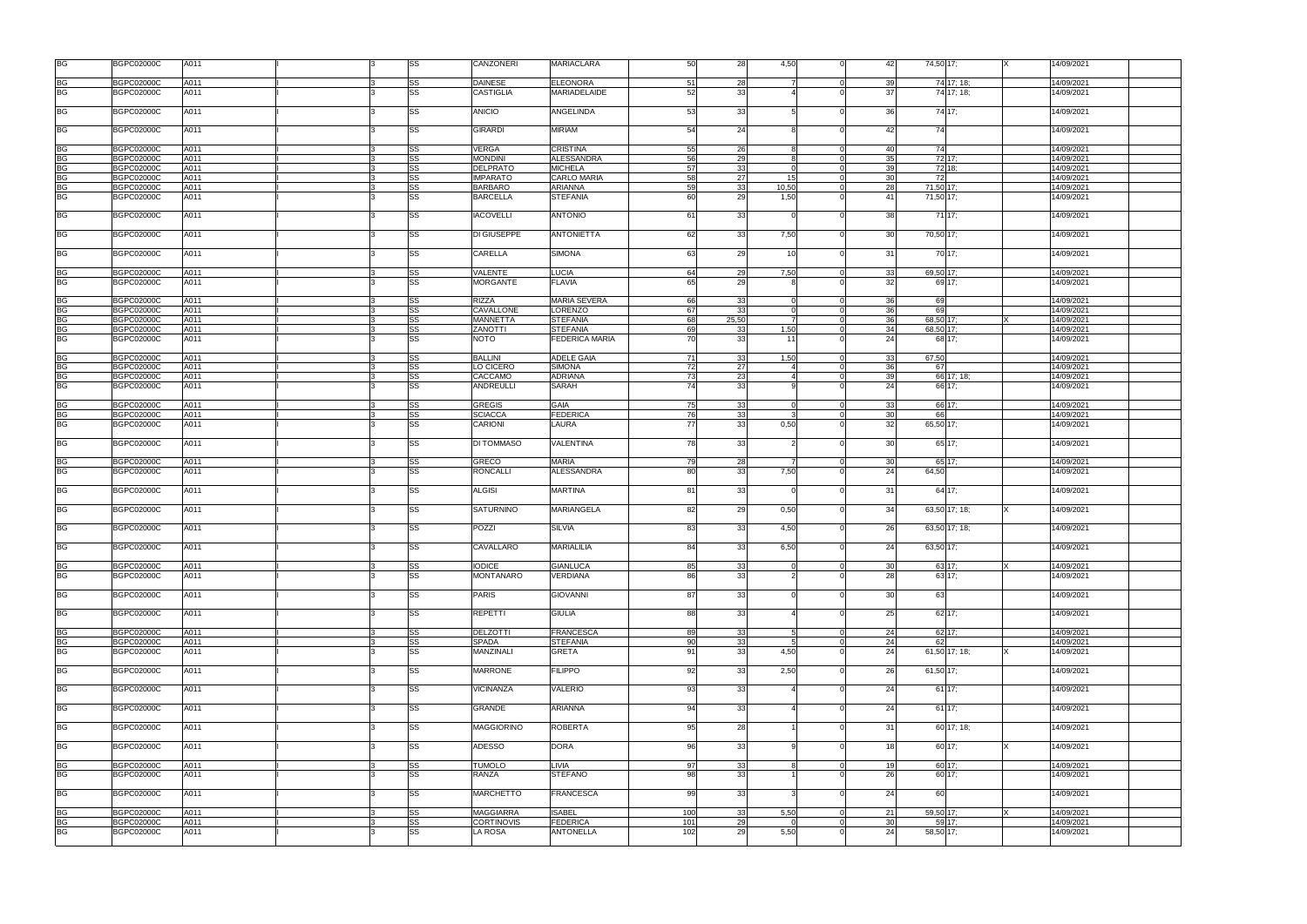| <b>BG</b>                         | <b>BGPC02000C</b>                      | A011         |  | SS              | <b>CANZONERI</b>                | 50<br><b>MARIACLARA</b>                       | 28              | 4,50  | 42                                | 74,50 17; |               | 14/09/2021               |
|-----------------------------------|----------------------------------------|--------------|--|-----------------|---------------------------------|-----------------------------------------------|-----------------|-------|-----------------------------------|-----------|---------------|--------------------------|
|                                   | <b>BGPC02000C</b>                      | A011         |  | <b>SS</b>       | <b>DAINESE</b>                  | <b>ELEONORA</b><br>51                         | 28              |       | 39<br>$\Omega$                    |           | 74 17; 18;    | 14/09/2021               |
| BG<br>BG                          | <b>BGPC02000C</b>                      | A011         |  | SS              | <b>CASTIGLIA</b>                | MARIADELAIDE<br>52                            | 33              |       | 37                                |           | 74 17; 18;    | 14/09/2021               |
| <b>BG</b>                         | <b>BGPC02000C</b>                      | A011         |  | <b>SS</b>       | <b>ANICIO</b>                   | 53<br><b>ANGELINDA</b>                        | 33              |       | 36<br>$\Omega$                    |           | 74 17:        | 14/09/2021               |
| BG                                | <b>BGPC02000C</b>                      | A011         |  | SS              | <b>GIRARDI</b>                  | <b>MIRIAM</b><br>54                           | 24              |       | 42                                | 74        |               | 14/09/2021               |
|                                   | <b>BGPC02000C</b>                      | A011         |  | <b>SS</b>       | <b>VERGA</b>                    | 55<br><b>CRISTINA</b>                         | 26              |       | 40<br>$\overline{0}$              | 74        |               | 14/09/2021               |
| BG<br>BG                          | <b>BGPC02000C</b>                      | A011         |  | SS              | <b>MONDINI</b>                  | 56<br><b>ALESSANDRA</b>                       | 29              |       | 35<br>$\overline{0}$              |           | 72 17:        | 14/09/2021               |
| <b>BG</b>                         | <b>BGPC02000C</b>                      | A011         |  | SS              | <b>DELPRATO</b>                 | <b>MICHELA</b><br>57                          | 33              |       | $\overline{0}$<br>39              |           | 72 18:        | 14/09/2021               |
|                                   |                                        |              |  |                 |                                 |                                               |                 |       |                                   |           |               |                          |
| <b>BG</b>                         | <b>BGPC02000C</b>                      | A011         |  | SS              | <b>IMPARATO</b>                 | CARLO MARIA<br>58                             | 27              | 15    | 30 <sup>1</sup><br>$\overline{0}$ | 72        |               | 14/09/2021               |
| BG                                | <b>BGPC02000C</b>                      | A011         |  | SS              | <b>BARBARO</b>                  | ARIANNA<br>59                                 | 33              | 10,50 | $\overline{0}$<br>28              | 71,50 17: |               | 14/09/2021               |
| <b>BG</b>                         | <b>BGPC02000C</b>                      | A011         |  | SS              | <b>BARCELLA</b>                 | <b>STEFANIA</b><br>60                         | 29              | 1,50  | 41<br>$\Omega$                    | 71,50 17; |               | 14/09/2021               |
| <b>BG</b>                         | <b>BGPC02000C</b>                      | A011         |  | SS              | <b>IACOVELLI</b>                | <b>ANTONIO</b><br>61                          | 33              |       | 38                                |           | 71 17;        | 14/09/2021               |
| <b>BG</b>                         | <b>BGPC02000C</b>                      | A011         |  | SS              | DI GIUSEPPE                     | 62<br><b>ANTONIETTA</b>                       | 33              | 7,50  | 30 <sup>1</sup><br>$\Omega$       | 70,50 17; |               | 14/09/2021               |
| <b>BG</b>                         | <b>BGPC02000C</b>                      | A011         |  | SS              | <b>CARELLA</b>                  | 63<br><b>SIMONA</b>                           | 29              | 10    | 31<br>$\Omega$                    |           | 70 17;        | 14/09/2021               |
| BG<br>BG                          | <b>BGPC02000C</b>                      | A011         |  | <b>SS</b>       | VALENTE                         | <b>LUCIA</b><br>64                            | 29              | 7,50  | 33<br>$\overline{0}$              | 69,50 17: |               | 14/09/2021               |
|                                   | <b>BGPC02000C</b>                      | A011         |  | <b>SS</b>       | <b>MORGANTE</b>                 | 65<br><b>FLAVIA</b>                           | 29              |       | 32                                |           | 69 17:        | 14/09/2021               |
|                                   | <b>BGPC02000C</b>                      | A011         |  | SS              | <b>RIZZA</b>                    | <b>MARIA SEVERA</b><br>66                     | 33              |       | 36<br>$\Omega$                    | 69        |               | 14/09/2021               |
| BG<br>BG<br>BG                    | <b>BGPC02000C</b>                      | A011         |  | <b>SS</b>       | CAVALLONE                       | <b>LORENZO</b><br>67                          | 33              |       | 36<br>$\Omega$                    | 69        |               | 14/09/2021               |
|                                   | <b>BGPC02000C</b>                      | A011         |  | SS              | <b>MANNETTA</b>                 | <b>STEFANIA</b><br>68                         | 25,50           |       | 36<br>$\Omega$                    | 68,50 17; |               | 14/09/2021               |
| <b>BG</b>                         | <b>BGPC02000C</b>                      | A011         |  | SS              | <b>ZANOTTI</b>                  | <b>STEFANIA</b><br>69                         | 33              | 1,50  | 34<br>$\Omega$                    | 68,50 17; |               | 14/09/2021               |
| <b>BG</b>                         | <b>BGPC02000C</b>                      | A011         |  | <b>SS</b>       | <b>NOTO</b>                     | <b>FEDERICA MARIA</b><br>70                   | 33              | 11    | 24                                |           | 68 17:        | 14/09/2021               |
|                                   |                                        |              |  |                 |                                 |                                               |                 |       |                                   |           |               |                          |
|                                   | <b>BGPC02000C</b>                      | A011         |  | <b>SS</b>       | <b>BALLINI</b>                  | <b>ADELE GAIA</b><br>71                       | 33              | 1,50  | 33<br>$\overline{0}$              | 67,50     |               | 14/09/2021               |
| BG<br>BG<br>BG                    | <b>BGPC02000C</b>                      | A011         |  | SS              | LO CICERO                       | <b>SIMONA</b><br>72                           | 27              |       | 36<br>$\overline{0}$              | 67        |               | 14/09/2021               |
|                                   | <b>BGPC02000C</b>                      | A011         |  | SS              | CACCAMO                         | <b>ADRIANA</b><br>73                          | 23              |       | 39<br>$\overline{0}$              |           | 66 17: 18:    | 14/09/2021               |
| <b>BG</b>                         | <b>BGPC02000C</b>                      | A011         |  | <b>SS</b>       | <b>ANDREULLI</b>                | SARAH<br>74                                   | 33              |       | 24<br>$\Omega$                    |           | 66 17;        | 14/09/2021               |
| <b>BG</b>                         | <b>BGPC02000C</b>                      | A011         |  | SS              | <b>GREGIS</b>                   | <b>GAIA</b><br>75                             | 33              |       | $\overline{0}$<br>33              |           | 66 17:        | 14/09/2021               |
| <b>BG</b>                         | <b>BGPC02000C</b>                      | A011         |  | SS              | <b>SCIACCA</b>                  | <b>FEDERICA</b><br>76                         | 33              |       | 30 <sup>1</sup><br>$\Omega$       | 66        |               | 14/09/2021               |
| <b>BG</b>                         | <b>BGPC02000C</b>                      | A011         |  | <b>SS</b>       | <b>CARIONI</b>                  | LAURA<br>77                                   | 33              | 0,50  | 32                                | 65,50 17; |               | 14/09/2021               |
| <b>BG</b>                         | <b>BGPC02000C</b>                      | A011         |  | SS              | <b>DI TOMMASO</b>               | <b>VALENTINA</b><br>78                        | 33              |       | 30                                |           | 65 17;        | 14/09/2021               |
|                                   |                                        |              |  |                 |                                 |                                               |                 |       |                                   |           |               |                          |
|                                   |                                        |              |  |                 |                                 |                                               |                 |       |                                   |           |               |                          |
| <b>BG</b><br><b>BG</b>            | <b>BGPC02000C</b><br><b>BGPC02000C</b> | A011<br>A011 |  | SS<br><b>SS</b> | <b>GRECO</b><br><b>RONCALLI</b> | <b>MARIA</b><br>79<br><b>ALESSANDRA</b><br>80 | 28<br>33        | 7,50  | 30<br>$\overline{0}$<br>24        | 64,50     | 65 17;        | 14/09/2021<br>14/09/2021 |
| <b>BG</b>                         | <b>BGPC02000C</b>                      | A011         |  | SS              | <b>ALGISI</b>                   | <b>MARTINA</b><br>81                          | 33              |       | 31<br>$\Omega$                    |           | 64 17;        | 14/09/2021               |
| <b>BG</b>                         | <b>BGPC02000C</b>                      | A011         |  | SS              | <b>SATURNINO</b>                | <b>MARIANGELA</b><br>82                       | 29              | 0,50  | 34<br>$\Omega$                    |           | 63,50 17; 18; | 14/09/2021               |
| <b>BG</b>                         | <b>BGPC02000C</b>                      | A011         |  | SS              | POZZI                           | 83<br><b>SILVIA</b>                           | 33              | 4,50  | 26                                |           | 63,50 17; 18; | 14/09/2021               |
| <b>BG</b>                         | <b>BGPC02000C</b>                      | A011         |  | <b>SS</b>       | CAVALLARO                       | <b>MARIALILIA</b><br>84                       | 33 <sup>1</sup> | 6,50  | 24<br>$\Omega$                    | 63,50 17; |               | 14/09/2021               |
|                                   |                                        |              |  |                 |                                 |                                               |                 |       | $\Omega$                          |           |               |                          |
| <b>BG</b>                         | <b>BGPC02000C</b>                      | A011         |  | SS              | <b>IODICE</b>                   | 85<br><b>GIANLUCA</b>                         | 33              |       | 30 <sup>1</sup>                   |           | 63 17:        | 14/09/2021               |
| <b>BG</b>                         | <b>BGPC02000C</b>                      | A011         |  | <b>SS</b>       | MONTANARO                       | 86<br>VERDIANA                                | 33              |       | 28                                |           | 63 17:        | 14/09/2021               |
| <b>BG</b>                         | <b>BGPC02000C</b>                      | A011         |  | <b>SS</b>       | <b>PARIS</b>                    | 87<br><b>GIOVANNI</b>                         | 33              |       | 30<br>$\Omega$                    | 63        |               | 14/09/2021               |
| <b>BG</b>                         | <b>BGPC02000C</b>                      | A011         |  | SS              | <b>REPETTI</b>                  | 88<br><b>GIULIA</b>                           | 33              |       | 25                                |           | $62$ 17;      | 14/09/2021               |
|                                   |                                        |              |  |                 |                                 |                                               |                 |       |                                   |           |               |                          |
| <b>BG</b>                         | <b>BGPC02000C</b>                      | A011         |  | <b>SS</b>       | <b>DELZOTTI</b>                 | <b>FRANCESCA</b><br>89                        | 33              |       | 24<br>$\overline{0}$              |           | 62 17:        | 14/09/2021               |
| <b>BG</b>                         | <b>BGPC02000C</b>                      | A011         |  | <b>SS</b>       | <b>SPADA</b>                    | -90<br><b>STEFANIA</b>                        | 33              |       | $\Omega$<br>24                    | 62        |               | 14/09/2021               |
| <b>BG</b>                         | <b>BGPC02000C</b>                      | A011         |  | SS              | <b>MANZINALI</b>                | <b>GRETA</b><br>91                            | 33              | 4,50  | 24<br>$\Omega$                    |           | 61,50 17; 18; | 14/09/2021               |
| <b>BG</b>                         | <b>BGPC02000C</b>                      | A011         |  | <b>SS</b>       | <b>MARRONE</b>                  | 92<br><b>FILIPPO</b>                          | 33              | 2,50  | $\Omega$<br>26                    | 61,50 17; |               | 14/09/2021               |
| <b>BG</b>                         | <b>BGPC02000C</b>                      | A011         |  | SS              | VICINANZA                       | 93<br><b>VALERIO</b>                          | 33              |       | 24                                |           | $61$ 17;      | 14/09/2021               |
| <b>BG</b>                         | <b>BGPC02000C</b>                      | A011         |  | <b>SS</b>       | <b>GRANDE</b>                   | 94<br>ARIANNA                                 | 33              |       | 24<br>$\Omega$                    |           | 61 17:        | 14/09/2021               |
| <b>BG</b>                         | <b>BGPC02000C</b>                      | A011         |  | SS              | <b>MAGGIORINO</b>               | 95<br><b>ROBERTA</b>                          | 28              |       | 31<br>$\Omega$                    |           | 60 17; 18;    | 14/09/2021               |
| <b>BG</b>                         | <b>BGPC02000C</b>                      | A011         |  | SS              | <b>ADESSO</b>                   | 96<br><b>DORA</b>                             | 33              |       | 18<br>$\Omega$                    |           | 60 17:        | 14/09/2021               |
|                                   | <b>BGPC02000C</b>                      |              |  |                 | <b>TUMOLO</b>                   | LIVIA<br>97                                   |                 |       | $\Omega$                          |           |               | 14/09/2021               |
| <b>BG</b>                         |                                        | A011         |  | SS              |                                 | -98                                           | 33              |       | 19                                |           | 60 17;        |                          |
| $\overline{\mathsf{B}\mathsf{G}}$ | <b>BGPC02000C</b>                      | A011         |  | <b>SS</b>       | RANZA                           | <b>STEFANO</b>                                | 33              |       | 26                                |           | 60 17;        | 14/09/2021               |
| <b>BG</b>                         | <b>BGPC02000C</b>                      | A011         |  | <b>SS</b>       | <b>MARCHETTO</b>                | 99<br><b>FRANCESCA</b>                        | 33              |       | 24<br>$\Omega$                    | 60        |               | 14/09/2021               |
| <b>BG</b>                         | <b>BGPC02000C</b>                      | A011         |  | SS              | <b>MAGGIARRA</b>                | <b>ISABEL</b><br>100                          | 33              | 5,50  | 21<br>$\overline{0}$              | 59,50 17: |               | 14/09/2021               |
| <b>BG</b>                         | <b>BGPC02000C</b>                      | A011         |  | SS              | <b>CORTINOVIS</b>               | <b>FEDERICA</b><br>101                        | 29              |       | 30 <sup>1</sup><br>$\overline{0}$ |           | 59 17:        | 14/09/2021               |
| <b>BG</b>                         | <b>BGPC02000C</b>                      | A011         |  | <b>SS</b>       | <b>LA ROSA</b>                  | 102<br><b>ANTONELLA</b>                       | 29              | 5,50  | 24<br>$\Omega$                    | 58,50 17; |               | 14/09/2021               |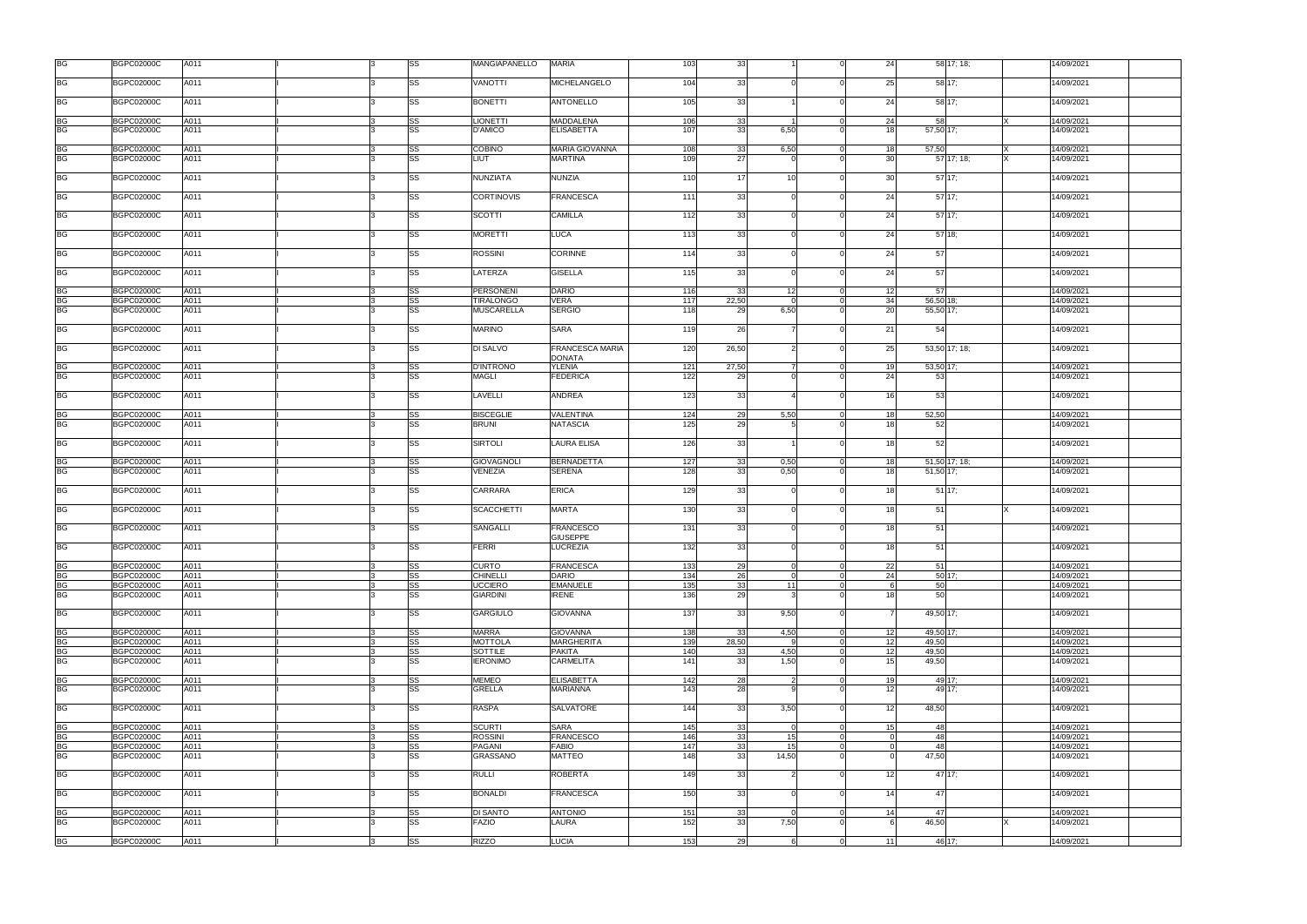| <b>BG</b>              | <b>BGPC02000C</b>                      | A011         |   | SS              | <b>MANGIAPANELLO</b>            | <b>MARIA</b>                            | 103        | 33                    | 24                               | 58 17; 18;       | 14/09/2021               |
|------------------------|----------------------------------------|--------------|---|-----------------|---------------------------------|-----------------------------------------|------------|-----------------------|----------------------------------|------------------|--------------------------|
| <b>BG</b>              | <b>BGPC02000C</b>                      | A011         |   | SS              | <b>VANOTTI</b>                  | MICHELANGELO                            | 104        | 33                    | 25                               | 58 17;           | 14/09/2021               |
| <b>BG</b>              | <b>BGPC02000C</b>                      | A011         |   | SS              | <b>BONETTI</b>                  | <b>ANTONELLO</b>                        | 105        | 33                    | 24                               | 58 17:           | 14/09/2021               |
| <b>BG</b>              | <b>BGPC02000C</b>                      | A011         |   | SS              | <b>LIONETTI</b>                 | <b>MADDALENA</b>                        | 106        | 33                    | 24                               | 58               | 14/09/2021               |
| BG                     | <b>BGPC02000C</b>                      | A011         |   | SS              | <b>D'AMICO</b>                  | <b>ELISABETTA</b>                       | 107        | 33<br>6,50            | 18                               | 57,50 17;        | 14/09/2021               |
| <b>BG</b>              | <b>BGPC02000C</b>                      | A011         |   | <b>SS</b>       | <b>COBINO</b>                   | <b>MARIA GIOVANNA</b>                   | 108        | 6,50<br>33            | 18<br>$\overline{0}$             | 57,50            | 14/09/2021               |
| <b>BG</b>              | <b>BGPC02000C</b>                      | A011         |   | <b>SS</b>       | LIUT                            | <b>MARTINA</b>                          | 109        | 27                    | 30 <sup>1</sup>                  | 57 17; 18;       | 4/09/2021                |
| <b>BG</b>              | <b>BGPC02000C</b>                      | A011         |   | <b>SS</b>       | NUNZIATA                        | <b>NUNZIA</b>                           | 110        | 17<br>10              | 30 <sup>l</sup><br>$\Omega$      | 57 17:           | 14/09/2021               |
| <b>BG</b>              | <b>BGPC02000C</b>                      | A011         |   | SS              | <b>CORTINOVIS</b>               | <b>FRANCESCA</b>                        | 111        | 33                    | 24<br>$\Omega$                   | $57$ 17;         | 14/09/2021               |
| <b>BG</b>              | <b>BGPC02000C</b>                      | A011         |   | SS              | <b>SCOTTI</b>                   | <b>CAMILLA</b>                          | 112        | 33                    | 24                               | 5717;            | 14/09/2021               |
| <b>BG</b>              | <b>BGPC02000C</b>                      | A011         |   | SS              | <b>MORETTI</b>                  | <b>LUCA</b>                             | 113        | 33                    | 24                               | $57$ 18;         | 14/09/2021               |
| <b>BG</b>              | <b>BGPC02000C</b>                      | A011         |   | SS              | <b>ROSSINI</b>                  | <b>CORINNE</b>                          | 114        | 33                    | 24                               | 57               | 14/09/2021               |
| <b>BG</b>              | <b>BGPC02000C</b>                      | A011         |   | <b>SS</b>       | LATERZA                         | <b>GISELLA</b>                          | 115        | 33                    | 24<br>$\Omega$                   | 57               | 14/09/2021               |
|                        | <b>BGPC02000C</b>                      | A011         |   | SS              | <b>PERSONENI</b>                | <b>DARIO</b>                            | 116        | 33<br>12              | 12                               | 57               | 14/09/2021               |
| BG<br>BG               | <b>BGPC02000C</b>                      | A011         |   | SS              | <b>TIRALONGO</b>                | <b>VERA</b>                             | 117        | 22,50                 | 34<br>$\Omega$                   | 56,50 18;        | 14/09/2021               |
| <b>BG</b>              | <b>BGPC02000C</b>                      | A011         |   | <b>SS</b>       | <b>MUSCARELLA</b>               | <b>SERGIO</b>                           | 118        | 29<br>6,50            | 20                               | 55,50 17;        | 14/09/2021               |
| <b>BG</b>              | <b>BGPC02000C</b>                      | A011         |   | SS              | <b>MARINO</b>                   | <b>SARA</b>                             | 119        | 26                    | 21                               | 54               | 4/09/2021                |
| <b>BG</b>              | <b>BGPC02000C</b>                      | A011         |   | <b>SS</b>       | DI SALVO                        | <b>FRANCESCA MARIA</b><br><b>DONATA</b> | 120        | 26,50                 | 25<br>$\Omega$                   | 53,50 17; 18;    | 14/09/2021               |
| BG                     | <b>BGPC02000C</b>                      | A011         |   | SS              | <b>D'INTRONO</b>                | <b>YLENIA</b>                           | 121        | 27,50                 | 19<br>$\overline{0}$             | 53,50 17;        | 14/09/2021               |
| <b>BG</b>              | <b>BGPC02000C</b>                      | A011         |   | <b>SS</b>       | <b>MAGLI</b>                    | <b>FEDERICA</b>                         | 122        | 29                    | 24                               | 53               | 14/09/2021               |
| BG                     | <b>BGPC02000C</b>                      | A011         |   | <b>SS</b>       | LAVELLI                         | ANDREA                                  | 123        | 33                    | 16<br>$\Omega$                   | 53               | 14/09/2021               |
| <b>BG</b>              | <b>BGPC02000C</b>                      | A011         |   | <b>SS</b>       | <b>BISCEGLIE</b>                | VALENTINA                               | 124        | 29<br>5,50            | 18<br>$\Omega$                   | 52,50            | 14/09/2021               |
| <b>BG</b>              | <b>BGPC02000C</b>                      | A011         |   | <b>SS</b>       | <b>BRUNI</b>                    | <b>NATASCIA</b>                         | 125        | 29                    | 18                               | 52               | 14/09/2021               |
| BG                     | <b>BGPC02000C</b>                      | A011         |   | SS              | <b>SIRTOLI</b>                  | <b>LAURA ELISA</b>                      | 126        | 33                    | 18                               | 52               | 14/09/2021               |
| <b>BG</b>              | <b>BGPC02000C</b>                      | A011         |   | SS              | <b>GIOVAGNOLI</b>               | <b>BERNADETTA</b>                       | 127        | 33<br>0,50            | 18<br>$\overline{0}$             | 51,50 17; 18;    | 14/09/2021               |
| <b>BG</b>              | <b>BGPC02000C</b>                      | A011         |   | <b>SS</b>       | <b>VENEZIA</b>                  | <b>SERENA</b>                           | 128        | 33<br>0,50            | 18                               | 51,50 17;        | 14/09/2021               |
| <b>BG</b>              | <b>BGPC02000C</b>                      | A011         |   | SS              | <b>CARRARA</b>                  | <b>ERICA</b>                            | 129        | 33                    | 18<br>$\Omega$                   | $51$ 17;         | 14/09/2021               |
| <b>BG</b>              | <b>BGPC02000C</b>                      | A011         |   | SS              | <b>SCACCHETTI</b>               | <b>MARTA</b>                            | 130        | 33                    | 18<br>$\Omega$                   | 51               | 14/09/2021               |
| <b>BG</b>              | <b>BGPC02000C</b>                      |              |   |                 |                                 |                                         |            |                       |                                  |                  |                          |
| <b>BG</b>              |                                        | A011         |   | SS              | SANGALLI                        | <b>FRANCESCO</b>                        | 131        | 33                    | 18                               | 51               | 14/09/2021               |
|                        | <b>BGPC02000C</b>                      | A011         |   | <b>SS</b>       | <b>FERRI</b>                    | <b>GIUSEPPE</b><br><b>LUCREZIA</b>      | 132        | 33                    | 18<br>$\Omega$                   | 51               | 14/09/2021               |
| <b>BG</b>              | <b>BGPC02000C</b>                      | A011         |   | SS              | <b>CURTO</b>                    | <b>FRANCESCA</b>                        | 133        | 29                    | 22<br>$\overline{0}$             | 51               | 14/09/2021               |
| BG                     | <b>BGPC02000C</b>                      | A011         |   | SS              | <b>CHINELLI</b>                 | <b>DARIO</b>                            | 134        | 26                    | 24<br>$\overline{0}$             | 50 17:           | 14/09/2021               |
| <b>BG</b>              | <b>BGPC02000C</b>                      | A011         |   | <b>SS</b>       | <b>UCCIERO</b>                  | <b>EMANUELE</b>                         | 135        | 33<br>$111$           | $\overline{0}$<br>-6             | 50               | 14/09/2021               |
| <b>BG</b>              | <b>BGPC02000C</b>                      | A011         |   | <b>SS</b>       | <b>GIARDINI</b>                 | <b>IRENE</b>                            | 136        | 29                    | 18                               | 50               | 14/09/2021               |
| BG                     | <b>BGPC02000C</b>                      | A011         |   | <b>SS</b>       | <b>GARGIULO</b>                 | <b>GIOVANNA</b>                         | 137        | 33<br>9,50            |                                  | 49,50 17;        | 14/09/2021               |
| <b>BG</b>              | <b>BGPC02000C</b>                      | A011         |   | <b>SS</b>       | <b>MARRA</b>                    | <b>GIOVANNA</b>                         | 138        | 33<br>4,50            | $\overline{0}$<br>12             | 49,50 17;        | 14/09/2021               |
| <b>BG</b>              | <b>BGPC02000C</b>                      | A011         |   | <b>SS</b>       | <b>MOTTOLA</b>                  | <b>MARGHERITA</b>                       | 139        | 28,50                 | 12<br>$\Omega$                   | 49.50            | 14/09/2021               |
| <b>BG</b>              | <b>BGPC02000C</b>                      | A011         |   | SS              | <b>SOTTILE</b>                  | <b>PAKITA</b>                           | 140        | 4,50<br>33            | 12<br>$\Omega$                   | 49,50            | 14/09/2021               |
| <b>BG</b>              | <b>BGPC02000C</b>                      | A011         |   | <b>SS</b>       | <b>IERONIMO</b>                 | <b>CARMELITA</b>                        | 141        | 33<br>1,50            | 15                               | 49,50            | 14/09/2021               |
|                        |                                        |              |   |                 |                                 |                                         |            |                       | $\Omega$                         |                  |                          |
| BG<br>BG               | <b>BGPC02000C</b><br><b>BGPC02000C</b> | A011<br>A011 |   | <b>SS</b><br>SS | <b>MEMEO</b><br><b>GRELLA</b>   | <b>ELISABETTA</b><br><b>MARIANNA</b>    | 142<br>143 | 28<br>28              | 19<br>12                         | 49 17:<br>49 17: | 14/09/2021<br>14/09/2021 |
| BG                     | <b>BGPC02000C</b>                      | A011         |   | <b>SS</b>       | <b>RASPA</b>                    | <b>SALVATORE</b>                        | 144        | 33<br>3,50            | 12<br>$\Omega$                   | 48,50            | 14/09/2021               |
|                        | <b>BGPC02000C</b>                      | A011         |   | SS              | <b>SCURTI</b>                   | <b>SARA</b>                             | 145        | 33                    | 15<br>$\overline{0}$             | 48               | 14/09/2021               |
| BG                     | <b>BGPC02000C</b>                      | A011         |   | SS              | <b>ROSSINI</b>                  | <b>FRANCESCO</b>                        | 146        | 33<br>15 <sup>1</sup> | $\Omega$<br>$\Omega$             | 48               | 14/09/2021               |
| BG                     | <b>BGPC02000C</b>                      | A011         |   | <b>SS</b>       | PAGANI                          | <b>FABIO</b>                            | 147        | 33<br>15 <sup>1</sup> | $\Omega$                         | 48               | 14/09/2021               |
| <b>BG</b><br><b>BG</b> | <b>BGPC02000C</b>                      | A011         |   | SS              | GRASSANO                        | <b>MATTEO</b>                           | 148        | 33<br>14,50           |                                  | 47,50            | 14/09/2021               |
| BG                     | <b>BGPC02000C</b>                      | A011         |   | <b>SS</b>       | <b>RULLI</b>                    | <b>ROBERTA</b>                          | 149        | 33                    | 12                               | 47 17:           | 14/09/2021               |
| BG                     | <b>BGPC02000C</b>                      | A011         |   | <b>SS</b>       | <b>BONALDI</b>                  | <b>FRANCESCA</b>                        | 150        | 33                    | 14<br>$\Omega$                   | 47               | 14/09/2021               |
|                        |                                        |              |   |                 |                                 |                                         |            |                       |                                  |                  |                          |
| BG<br><b>BG</b>        | <b>BGPC02000C</b><br><b>BGPC02000C</b> | A011<br>A011 |   | SS<br><b>SS</b> | <b>DI SANTO</b><br><b>FAZIO</b> | <b>ANTONIO</b><br>LAURA                 | 151<br>152 | 33<br>33<br>7,50      | 14<br>$\overline{0}$<br>$\Omega$ | 47<br>46,50      | 14/09/2021<br>14/09/2021 |
| BG                     | <b>BGPC02000C</b>                      | A011         | 3 | SS              | <b>RIZZO</b>                    | <b>LUCIA</b>                            | 153        | 29                    | $\overline{0}$<br>11             | 46 17;           | 14/09/2021               |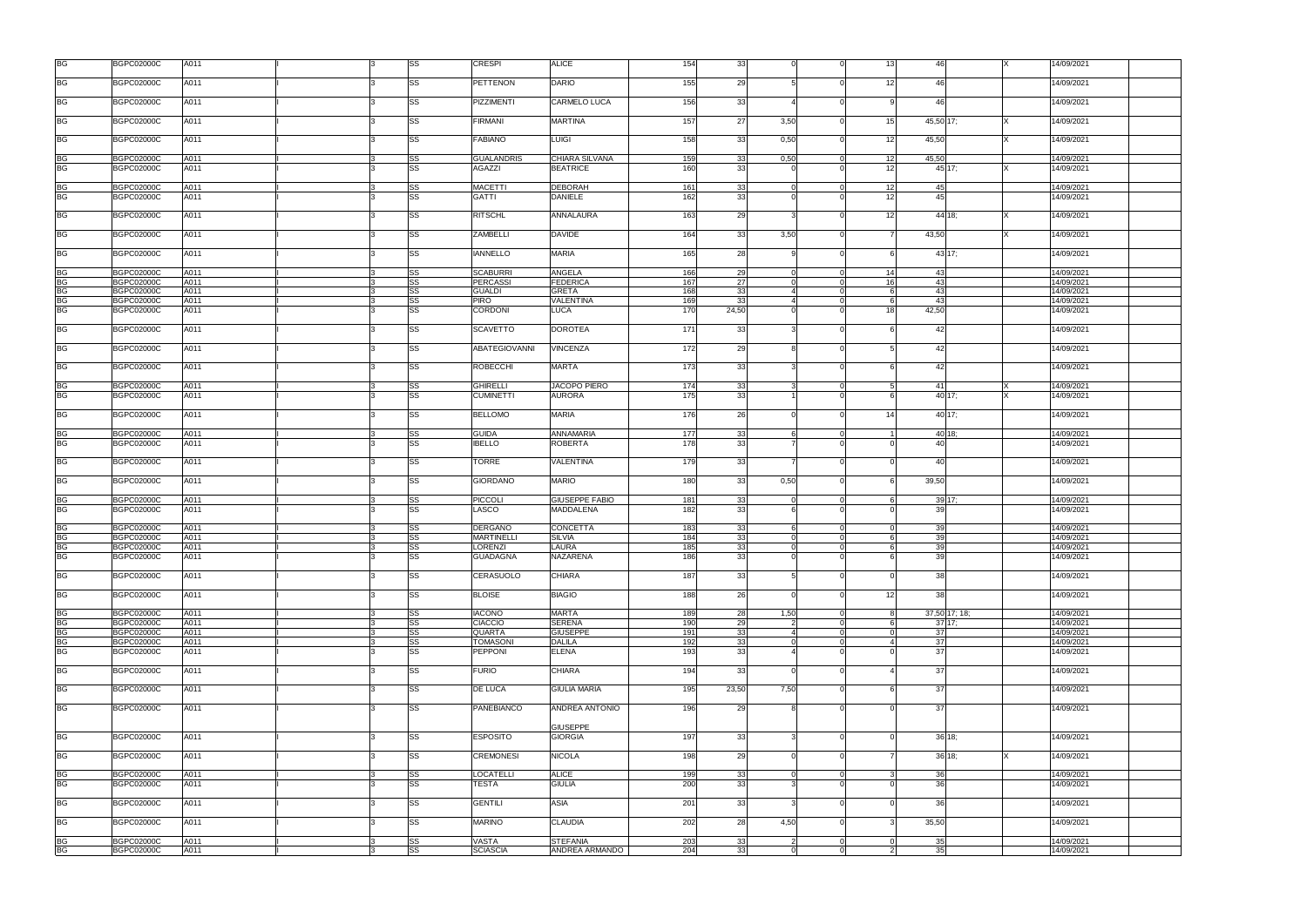| <b>BG</b>              | <b>BGPC02000C</b> | A011 |              | SS        | <b>CRESPI</b>        | <b>ALICE</b>          | 154 | 33    |               |                | 13              | 46            | 14/09/2021 |  |
|------------------------|-------------------|------|--------------|-----------|----------------------|-----------------------|-----|-------|---------------|----------------|-----------------|---------------|------------|--|
| <b>BG</b>              | <b>BGPC02000C</b> | A011 |              | SS        | <b>PETTENON</b>      | <b>DARIO</b>          | 155 | 29    |               |                | 12              | 46            | 14/09/2021 |  |
| <b>BG</b>              | <b>BGPC02000C</b> | A011 |              | SS        | <b>PIZZIMENTI</b>    | <b>CARMELO LUCA</b>   | 156 | 33    |               |                |                 | 46            | 14/09/2021 |  |
| <b>BG</b>              | <b>BGPC02000C</b> | A011 |              | <b>SS</b> | <b>FIRMANI</b>       | <b>MARTINA</b>        | 157 | 27    | 3,50          |                | 15              | 45,50 17;     | 14/09/2021 |  |
|                        | <b>BGPC02000C</b> |      |              | SS        | <b>FABIANO</b>       | <b>LUIGI</b>          | 158 | 33    |               |                | 12              |               | 14/09/2021 |  |
| <b>BG</b>              |                   | A011 |              |           |                      |                       |     |       | 0,50          |                |                 | 45,50         |            |  |
| BG                     | <b>BGPC02000C</b> | A011 |              | SS        | <b>GUALANDRIS</b>    | CHIARA SILVANA        | 159 | 33    | 0,50          | $\overline{0}$ | 12              | 45,50         | 14/09/2021 |  |
| <b>BG</b>              | <b>BGPC02000C</b> | A011 |              | SS        | <b>AGAZZI</b>        | <b>BEATRICE</b>       | 160 | 33    |               |                | 12              | 45 17:        | 14/09/2021 |  |
|                        | <b>BGPC02000C</b> | A011 |              |           | <b>MACETTI</b>       | <b>DEBORAH</b>        | 161 | 33    | $\Omega$      | $\Omega$       | 12              | 45            | 14/09/2021 |  |
| BG<br><b>BG</b>        | <b>BGPC02000C</b> | A011 |              | SS<br>SS  | <b>GATTI</b>         | <b>DANIELE</b>        | 162 | 33    |               |                | 12              | 45            | 14/09/2021 |  |
| <b>BG</b>              | <b>BGPC02000C</b> | A011 |              | SS        | <b>RITSCHL</b>       | ANNALAURA             | 163 | 29    |               |                | 12              | 44 18:        | 14/09/2021 |  |
|                        |                   |      |              |           |                      |                       |     |       |               |                |                 |               |            |  |
| <b>BG</b>              | <b>BGPC02000C</b> | A011 |              | SS        | <b>ZAMBELLI</b>      | <b>DAVIDE</b>         | 164 | 33    | 3,50          | $\Omega$       |                 | 43,50         | 14/09/2021 |  |
| <b>BG</b>              | <b>BGPC02000C</b> | A011 |              | SS        | <b>IANNELLO</b>      | <b>MARIA</b>          | 165 | 28    |               |                |                 | 43 17:        | 14/09/2021 |  |
|                        | <b>BGPC02000C</b> | A011 |              | SS        | <b>SCABURRI</b>      | <b>ANGELA</b>         | 166 | 29    |               |                | 14              | 43            | 14/09/2021 |  |
| <b>BG</b><br><b>BG</b> | <b>BGPC02000C</b> | A011 |              | SS        | <b>PERCASSI</b>      | <b>FEDERICA</b>       | 167 | 27    |               |                | 16 <sup>1</sup> | 43            | 14/09/2021 |  |
| <b>BG</b>              | <b>BGPC02000C</b> | A011 |              | SS        | <b>GUALDI</b>        | <b>GRETA</b>          | 168 | 33    |               |                |                 | 43            | 14/09/2021 |  |
|                        |                   |      |              |           |                      |                       |     |       |               |                |                 |               |            |  |
| <b>BG</b>              | <b>BGPC02000C</b> | A011 |              | SS<br>SS  | <b>PIRO</b>          | <b>VALENTINA</b>      | 169 | 33    |               |                |                 | 43            | 14/09/2021 |  |
| <b>BG</b>              | <b>BGPC02000C</b> | A011 |              |           | CORDONI              | <b>LUCA</b>           | 170 | 24,50 |               |                | 18              | 42,50         | 14/09/2021 |  |
| <b>BG</b>              | <b>BGPC02000C</b> | A011 |              | SS        | <b>SCAVETTO</b>      | <b>DOROTEA</b>        | 171 | 33    |               |                |                 | 42            | 14/09/2021 |  |
| <b>BG</b>              | <b>BGPC02000C</b> | A011 | l3           | SS        | <b>ABATEGIOVANNI</b> | <b>VINCENZA</b>       | 172 | 29    |               | $\Omega$       |                 | 42            | 14/09/2021 |  |
|                        |                   |      | l3           |           |                      |                       |     | 33    |               | $\Omega$       |                 |               |            |  |
| <b>BG</b>              | <b>BGPC02000C</b> | A011 |              | SS        | <b>ROBECCHI</b>      | MARTA                 | 173 |       |               |                |                 | 42            | 14/09/2021 |  |
| <b>BG</b>              | <b>BGPC02000C</b> | A011 |              | SS        | <b>GHIRELLI</b>      | <b>JACOPO PIERO</b>   | 174 | 33    | $\mathcal{B}$ | $\Omega$       |                 | 41            | 14/09/2021 |  |
| <b>BG</b>              | <b>BGPC02000C</b> | A011 |              | SS        | <b>CUMINETTI</b>     | <b>AURORA</b>         | 175 | 33    |               |                |                 | 40 17:        | 14/09/2021 |  |
| BG                     | <b>BGPC02000C</b> | A011 |              | SS        | <b>BELLOMO</b>       | <b>MARIA</b>          | 176 | 26    |               |                | 14I             | 40 17:        | 14/09/2021 |  |
|                        |                   |      |              |           |                      |                       |     |       |               |                |                 |               |            |  |
| BG                     | <b>BGPC02000C</b> | A011 | 3            | SS        | <b>GUIDA</b>         | <b>ANNAMARIA</b>      | 177 | 33    |               | $\Omega$       |                 | 40 18;<br>4(  | 14/09/2021 |  |
| <b>BG</b>              | <b>BGPC02000C</b> | A011 |              | SS        | <b>IBELLO</b>        | ROBERTA               | 178 | 33    |               |                |                 |               | 14/09/2021 |  |
| <b>BG</b>              | <b>BGPC02000C</b> | A011 |              | SS        | <b>TORRE</b>         | VALENTINA             | 179 | 33    |               |                |                 | 40            | 14/09/2021 |  |
| <b>BG</b>              | <b>BGPC02000C</b> | A011 |              | SS        | <b>GIORDANO</b>      | <b>MARIO</b>          | 180 | 33    | 0,50          |                |                 | 39,50         | 14/09/2021 |  |
|                        |                   |      |              |           |                      |                       |     |       |               |                |                 |               |            |  |
| BG                     | <b>BGPC02000C</b> | A011 | R            | SS        | <b>PICCOLI</b>       | <b>GIUSEPPE FABIO</b> | 181 | 33    |               | $\Omega$       |                 | 39 17;        | 14/09/2021 |  |
| <b>BG</b>              | <b>BGPC02000C</b> | A011 |              | SS        | LASCO                | <b>MADDALENA</b>      | 182 | 33    |               |                |                 | 39            | 14/09/2021 |  |
|                        |                   |      |              |           |                      |                       |     |       |               |                |                 |               |            |  |
| <b>BG</b>              | <b>BGPC02000C</b> | A011 |              | SS        | <b>DERGANO</b>       | <b>CONCETTA</b>       | 183 | 33    |               |                |                 | 39            | 14/09/2021 |  |
| <b>BG</b>              | <b>BGPC02000C</b> | A011 |              | SS        | <b>MARTINELLI</b>    | <b>SILVIA</b>         | 184 | 33    |               | $\Omega$       |                 | 39            | 14/09/2021 |  |
| <b>BG</b>              | <b>BGPC02000C</b> | A011 |              | SS        | LORENZI              | <b>LAURA</b>          | 185 | 33    | $\Omega$      |                | <b>6</b>        | 39            | 14/09/2021 |  |
|                        |                   |      |              |           |                      |                       |     |       |               |                |                 |               |            |  |
| <b>BG</b>              | <b>BGPC02000C</b> | A011 | R            | SS        | <b>GUADAGNA</b>      | NAZARENA              | 186 | 33    |               |                |                 | 39            | 14/09/2021 |  |
| <b>BG</b>              | <b>BGPC02000C</b> | A011 |              | SS        | CERASUOLO            | CHIARA                | 187 | 33    |               |                |                 | 38            | 14/09/2021 |  |
|                        |                   |      |              |           |                      |                       |     |       |               |                |                 |               |            |  |
| <b>BG</b>              | <b>BGPC02000C</b> | A011 |              | SS        | <b>BLOISE</b>        | <b>BIAGIO</b>         | 188 | 26    |               |                | 12              | 38            | 14/09/2021 |  |
| <b>BG</b>              | <b>BGPC02000C</b> | A011 |              | SS        | <b>IACONO</b>        | <b>MARTA</b>          | 189 | 28    | 1,50          | $\Omega$       |                 | 37,50 17; 18; | 14/09/2021 |  |
| <b>BG</b>              | <b>BGPC02000C</b> | A011 | 13           | SS        | <b>CIACCIO</b>       | <b>SERENA</b>         | 190 | 29    | 2             | $\overline{0}$ | 6               | 37'17         | 14/09/2021 |  |
|                        |                   |      |              |           |                      |                       |     |       |               |                |                 |               |            |  |
| <b>BG</b>              | <b>BGPC02000C</b> | A011 |              | SS        | <b>QUARTA</b>        | <b>GIUSEPPE</b>       | 191 | 33    |               | $\Omega$       |                 | 37            | 14/09/2021 |  |
| <b>BG</b>              | <b>BGPC02000C</b> | A011 | R            | SS        | <b>TOMASONI</b>      | <b>DALILA</b>         | 192 | 33    | $\Omega$      | $\Omega$       |                 | 37            | 14/09/2021 |  |
| <b>BG</b>              | <b>BGPC02000C</b> | A011 |              | SS        | PEPPONI              | <b>ELENA</b>          | 193 | 33    |               |                |                 | 37            | 14/09/2021 |  |
| <b>BG</b>              | <b>BGPC02000C</b> | A011 | $\mathbf{R}$ | SS        | <b>FURIO</b>         | <b>CHIARA</b>         | 194 | 33    | $\Omega$      | $\Omega$       |                 | 37            | 14/09/2021 |  |
|                        |                   |      |              |           |                      |                       |     |       |               |                |                 |               |            |  |
| <b>BG</b>              | <b>BGPC02000C</b> | A011 |              | SS        | DE LUCA              | <b>GIULIA MARIA</b>   | 195 | 23,50 | 7,50          |                |                 | 37            | 14/09/2021 |  |
| <b>BG</b>              | <b>BGPC02000C</b> | A011 |              | SS        | <b>PANEBIANCO</b>    | ANDREA ANTONIO        | 196 | 29    |               |                |                 | 37            | 14/09/2021 |  |
|                        |                   |      |              |           |                      |                       |     |       |               |                |                 |               |            |  |
|                        |                   |      |              |           |                      | <b>GIUSEPPE</b>       |     |       |               |                |                 |               |            |  |
| <b>BG</b>              | <b>BGPC02000C</b> | A011 | l3           | <b>SS</b> | <b>ESPOSITO</b>      | <b>GIORGIA</b>        | 197 | 33    |               | $\Omega$       |                 | 36 18:        | 14/09/2021 |  |
|                        |                   |      |              |           |                      |                       |     |       |               |                |                 |               |            |  |
| <b>BG</b>              | <b>BGPC02000C</b> | A011 |              | SS        | <b>CREMONESI</b>     | <b>NICOLA</b>         | 198 | 29    |               |                |                 | 36 18:        | 14/09/2021 |  |
|                        |                   |      |              |           |                      |                       |     |       |               |                |                 |               |            |  |
| <b>BG</b>              | <b>BGPC02000C</b> | A011 | l3           | SS        | <b>LOCATELLI</b>     | <b>ALICE</b>          | 199 | 33    | $\Omega$      | $\Omega$       |                 | 36            | 14/09/2021 |  |
| <b>BG</b>              | <b>BGPC02000C</b> | A011 |              | SS        | <b>TESTA</b>         | <b>GIULIA</b>         | 200 | 33    |               |                |                 | 36            | 14/09/2021 |  |
|                        |                   |      |              |           |                      |                       |     |       |               |                |                 |               |            |  |
| <b>BG</b>              | <b>BGPC02000C</b> | A011 |              | SS        | <b>GENTILI</b>       | <b>ASIA</b>           | 201 | 33    |               | $\Omega$       |                 | 36            | 14/09/2021 |  |
| <b>BG</b>              | <b>BGPC02000C</b> | A011 |              | SS        | <b>MARINO</b>        | <b>CLAUDIA</b>        | 202 | 28    | 4,50          | $\Omega$       |                 | 35,50         | 14/09/2021 |  |
|                        |                   |      |              |           |                      |                       |     |       |               |                |                 |               |            |  |
|                        | <b>BGPC02000C</b> | A011 | 13           | SS        | VASTA                | <b>STEFANIA</b>       | 203 | 33    |               | $\Omega$       |                 | 35            | 14/09/2021 |  |
| $rac{BG}{BG}$          | <b>BGPC02000C</b> | A011 |              | SS        | <b>SCIASCIA</b>      | ANDREA ARMANDO        | 204 | 33    | $\Omega$      |                |                 | 35            | 14/09/2021 |  |
|                        |                   |      |              |           |                      |                       |     |       |               |                |                 |               |            |  |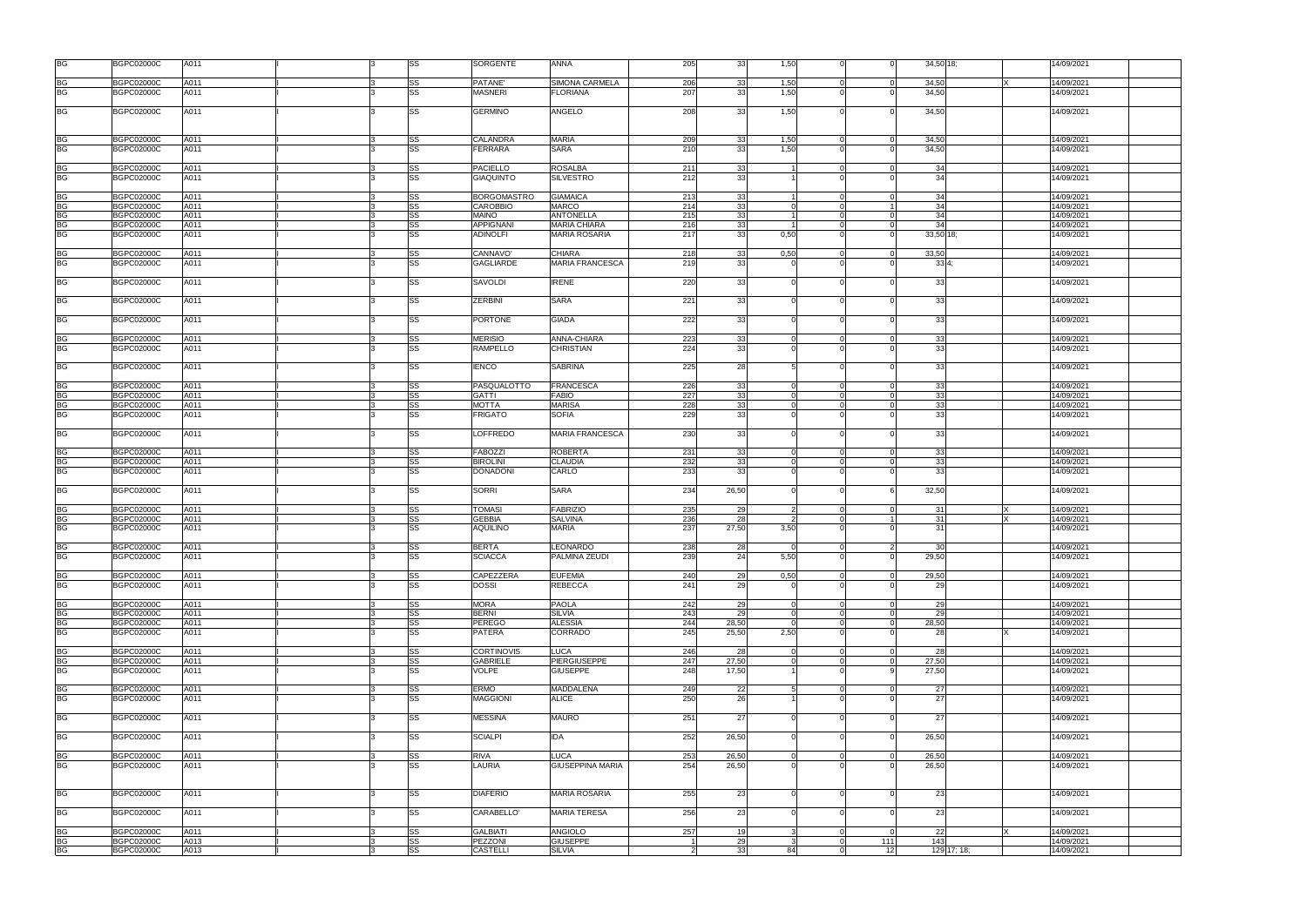| <b>BG</b>              | <b>BGPC02000C</b>                      | A011         |  | SS        | SORGENTE                          | <b>ANNA</b>                     | 205            | 33             | 1,50             | $\Omega$                | $\Omega$             | 34,50 18;   | 14/09/2021               |
|------------------------|----------------------------------------|--------------|--|-----------|-----------------------------------|---------------------------------|----------------|----------------|------------------|-------------------------|----------------------|-------------|--------------------------|
| BG                     | <b>BGPC02000C</b>                      | A011         |  | SS        | PATANE'                           | SIMONA CARMELA                  | 206            | 33             | 1,50             | $\Omega$                | $\cap$               | 34,50       | 14/09/2021               |
| <b>BG</b>              | <b>BGPC02000C</b>                      | A011         |  | SS        | <b>MASNERI</b>                    | <b>FLORIANA</b>                 | 207            | 33             | 1,50             | $\Omega$                |                      | 34,50       | 14/09/2021               |
| <b>BG</b>              | <b>BGPC02000C</b>                      | A011         |  | SS        | <b>GERMINO</b>                    | <b>ANGELO</b>                   | 208            | 33             | 1,50             | $\Omega$                |                      | 34,50       | 14/09/2021               |
| BG                     | <b>BGPC02000C</b>                      | A011         |  | SS        | CALANDRA                          | <b>MARIA</b>                    | 209            | 33             | 1,50             | $\overline{0}$          | $\Omega$             | 34,50       | 14/09/2021               |
| <b>BG</b>              | <b>BGPC02000C</b>                      | A011         |  | SS        | <b>FERRARA</b>                    | <b>SARA</b>                     | 210            | 33             | 1,50             |                         |                      | 34,50       | 14/09/2021               |
|                        |                                        |              |  |           |                                   |                                 |                |                |                  |                         |                      |             |                          |
| BG                     | <b>BGPC02000C</b>                      | A011         |  | SS        | <b>PACIELLO</b>                   | <b>ROSALBA</b>                  | 211            | 33             |                  | $\Omega$<br>$\Omega$    |                      | 34          | 14/09/2021               |
| <b>BG</b>              | <b>BGPC02000C</b>                      | A011         |  | SS        | <b>GIAQUINTO</b>                  | <b>SILVESTRO</b>                | 212            | 33             |                  |                         |                      | 34          | 14/09/2021               |
| <b>BG</b>              | <b>BGPC02000C</b>                      | A011         |  | SS        | <b>BORGOMASTRO</b>                | <b>GIAMAICA</b>                 | 213            | 33             |                  | $\Omega$                |                      | 34          | 14/09/2021               |
| <b>BG</b>              | <b>BGPC02000C</b>                      | A011         |  | SS        | <b>CAROBBIO</b>                   | <b>MARCO</b>                    | 214            | 33             |                  | $\Omega$                |                      | 34          | 14/09/2021               |
| <b>BG</b>              | <b>BGPC02000C</b>                      | A011         |  | SS        | <b>MAINO</b>                      | <b>ANTONELLA</b>                | 215            | 33             | $\overline{1}$   | $\overline{0}$          | $\Omega$             | 34          | 14/09/2021               |
| <b>BG</b>              | <b>BGPC02000C</b>                      | A011         |  | SS        | <b>APPIGNANI</b>                  | <b>MARIA CHIARA</b>             | 216            | 33             | $\overline{1}$   | $\Omega$                | $\Omega$             | 34          | 14/09/2021               |
| <b>BG</b>              | <b>BGPC02000C</b>                      | A011         |  | SS        | <b>ADINOLFI</b>                   | <b>MARIA ROSARIA</b>            | 217            | 33             | 0,50             | $\Omega$                |                      | 33,50 18;   | 14/09/2021               |
| BG                     | <b>BGPC02000C</b>                      | A011         |  | SS        | CANNAVO'                          | <b>CHIARA</b>                   | 218            | 33             | 0.50             | $\Omega$                | $\Omega$             | 33.50       | 14/09/2021               |
| <b>BG</b>              | <b>BGPC02000C</b>                      | A011         |  | SS        | <b>GAGLIARDE</b>                  | <b>MARIA FRANCESCA</b>          | 219            | 33             |                  | $\Omega$                |                      | 334:        | 14/09/2021               |
| <b>BG</b>              | <b>BGPC02000C</b>                      | A011         |  | SS        | SAVOLDI                           | <b>IRENE</b>                    | 220            | 33             |                  | $\Omega$                |                      | 33          | 14/09/2021               |
| <b>BG</b>              | <b>BGPC02000C</b>                      | A011         |  | SS        | <b>ZERBINI</b>                    | <b>SARA</b>                     | 221            | 33             |                  | $\Omega$                |                      | 33          | 14/09/2021               |
| <b>BG</b>              | <b>BGPC02000C</b>                      | A011         |  | SS        | <b>PORTONE</b>                    | <b>GIADA</b>                    | 222            | 33             |                  | $\Omega$                |                      | 33          | 14/09/2021               |
|                        |                                        |              |  |           |                                   |                                 |                |                |                  | $\Omega$                |                      |             |                          |
| <b>BG</b><br><b>BG</b> | <b>BGPC02000C</b><br><b>BGPC02000C</b> | A011<br>A011 |  | SS<br>SS  | <b>MERISIO</b><br><b>RAMPELLO</b> | ANNA-CHIARA<br><b>CHRISTIAN</b> | 223<br>224     | 33<br>33       |                  |                         |                      | 33<br>33    | 14/09/2021<br>14/09/2021 |
|                        |                                        |              |  |           |                                   |                                 |                |                |                  |                         |                      |             |                          |
| <b>BG</b>              | <b>BGPC02000C</b>                      | A011         |  | SS        | <b>IENCO</b>                      | <b>SABRINA</b>                  | 225            | 28             |                  |                         |                      | 33          | 14/09/2021               |
| <b>BG</b>              | <b>BGPC02000C</b>                      | A011         |  | SS        | PASQUALOTTO                       | FRANCESCA                       | 226            | 33             |                  | $\mathbf 0$             | $\Omega$             | 33          | 14/09/2021               |
| <b>BG</b>              | <b>BGPC02000C</b>                      | A011         |  | SS        | <b>GATTI</b>                      | <b>FABIO</b>                    | 227            | 33             |                  | $\Omega$                |                      | 33          | 14/09/2021               |
| <b>BG</b>              | <b>BGPC02000C</b>                      | A011         |  | SS        | <b>MOTTA</b>                      | <b>MARISA</b>                   | 228            | 33             |                  | $\Omega$                |                      | 33          | 14/09/2021               |
| <b>BG</b>              | <b>BGPC02000C</b>                      | A011         |  | SS        | <b>FRIGATO</b>                    | <b>SOFIA</b>                    | 229            | 33             |                  | $\Omega$                |                      | 33          | 14/09/2021               |
| <b>BG</b>              | <b>BGPC02000C</b>                      | A011         |  | SS        | <b>LOFFREDO</b>                   | <b>MARIA FRANCESCA</b>          | 230            | 33             |                  | $\Omega$                |                      | 33          | 14/09/2021               |
| <b>BG</b>              | <b>BGPC02000C</b>                      | A011         |  | SS        | <b>FABOZZI</b>                    | <b>ROBERTA</b>                  | 231            | 33             | $\Omega$         | $\overline{0}$          | $\Omega$             | 33          | 14/09/2021               |
| <b>BG</b>              | <b>BGPC02000C</b>                      | A011         |  | SS        | <b>BIROLINI</b>                   | <b>CLAUDIA</b>                  | 232            | 33             | $\Omega$         | $\Omega$                | $\Omega$             | 33          | 14/09/2021               |
| <b>BG</b>              | <b>BGPC02000C</b>                      | A011         |  | SS        | <b>DONADONI</b>                   | CARLO                           | 233            | 33             |                  |                         |                      | 33          | 14/09/2021               |
| <b>BG</b>              | <b>BGPC02000C</b>                      | A011         |  | SS        | <b>SORRI</b>                      | <b>SARA</b>                     | 234            | 26,50          |                  | $\Omega$                |                      | 32,50       | 14/09/2021               |
| BG                     | <b>BGPC02000C</b>                      | A011         |  | SS        | <b>TOMASI</b>                     | <b>FABRIZIO</b>                 | 235            | 29             |                  | $\Omega$                |                      | -31         | 14/09/2021               |
| <b>BG</b>              | <b>BGPC02000C</b>                      | A011         |  | SS        | <b>GEBBIA</b>                     | <b>SALVINA</b>                  | 236            | 28             |                  | $\Omega$                |                      | 31          | 14/09/2021               |
| <b>BG</b>              | <b>BGPC02000C</b>                      | A011         |  | SS        | <b>AQUILINO</b>                   | <b>MARIA</b>                    | 237            | 27,50          | 3,50             |                         |                      | 31          | 14/09/2021               |
| <b>BG</b>              | <b>BGPC02000C</b>                      | A011         |  | SS        | <b>BERTA</b>                      | LEONARDO                        | 238            | 28             | $\Omega$         | $\Omega$                |                      | 30          | 14/09/2021               |
| <b>BG</b>              | <b>BGPC02000C</b>                      | A011         |  | SS        | <b>SCIACCA</b>                    | PALMINA ZEUDI                   | 239            | 24             | 5,50             | $\Omega$                |                      | 29,50       | 14/09/2021               |
| BG                     | <b>BGPC02000C</b>                      | A011         |  | SS        | CAPEZZERA                         | <b>EUFEMIA</b>                  | 240            | 29             | 0,50             | $\Omega$                |                      | 29,50       | 14/09/2021               |
| <b>BG</b>              | BGPC02000C                             | A011         |  | SS        | <b>DOSSI</b>                      | <b>REBECCA</b>                  | 241            | 29             |                  |                         |                      | 29          | 14/09/2021               |
|                        |                                        |              |  |           |                                   |                                 |                |                |                  |                         |                      |             |                          |
| <b>BG</b>              | <b>BGPC02000C</b>                      | A011         |  | SS        | <b>MORA</b>                       | <b>PAOLA</b>                    | 242            | 29             |                  | $\Omega$                | $\Omega$             | 29          | 14/09/2021               |
| <b>BG</b>              | <b>BGPC02000C</b>                      | A011         |  | SS        | <b>BERNI</b>                      | <b>SILVIA</b><br><b>ALESSIA</b> | 243            | 29             | $\Omega$         | $\Omega$                | $\Omega$<br>$\Omega$ | 29          | 14/09/2021               |
| BG<br><b>BG</b>        | <b>BGPC02000C</b><br><b>BGPC02000C</b> | A011<br>A011 |  | SS<br>SS  | <b>PEREGO</b><br><b>PATERA</b>    | CORRADO                         | 244<br>245     | 28,50<br>25,50 | $\Omega$<br>2,50 | $\Omega$<br>$\Omega$    |                      | 28,50<br>28 | 14/09/2021<br>14/09/2021 |
|                        |                                        |              |  |           |                                   |                                 |                |                |                  |                         |                      |             |                          |
| <b>BG</b>              | <b>BGPC02000C</b>                      | A011         |  | SS        | <b>CORTINOVIS</b>                 | <b>LUCA</b>                     | 246            | 28             |                  | $\Omega$                | $\Omega$             | 28          | 14/09/2021               |
| <b>BG</b>              | <b>BGPC02000C</b>                      | A011         |  | SS        | <b>GABRIELE</b>                   | <b>PIERGIUSEPPE</b>             | 247            | 27,50          |                  | $\Omega$                |                      | 27,50       | 14/09/2021               |
| <b>BG</b>              | <b>BGPC02000C</b>                      | A011         |  | <b>SS</b> | VOLPE                             | <b>GIUSEPPE</b>                 | 248            | 17,50          |                  | $\Omega$                |                      | 27,50       | 14/09/2021               |
| <b>BG</b>              | <b>BGPC02000C</b>                      | A011         |  | SS        | <b>ERMO</b>                       | <b>MADDALENA</b>                | 249            | 22             | $5 \mid$         | $\overline{0}$          | $\Omega$             | 27          | 14/09/2021               |
| <b>BG</b>              | <b>BGPC02000C</b>                      | A011         |  | <b>SS</b> | <b>MAGGIONI</b>                   | <b>ALICE</b>                    | 250            | 26             |                  | $\Omega$                |                      | 27          | 14/09/2021               |
| <b>BG</b>              | <b>BGPC02000C</b>                      | A011         |  | SS        | <b>MESSINA</b>                    | <b>MAURO</b>                    | 251            | 27             |                  | $\Omega$                |                      | 27          | 14/09/2021               |
| <b>BG</b>              | <b>BGPC02000C</b>                      | A011         |  | SS        | <b>SCIALPI</b>                    | <b>IDA</b>                      | 252            | 26,50          |                  | $\Omega$                |                      | 26,50       | 14/09/2021               |
| $rac{BG}{BG}$          | <b>BGPC02000C</b>                      | A011         |  | SS        | <b>RIVA</b>                       | <b>LUCA</b>                     | 253            | 26,50          |                  | $\Omega$                |                      | 26,50       | 14/09/2021               |
|                        | <b>BGPC02000C</b>                      | A011         |  | SS        | LAURIA                            | <b>GIUSEPPINA MARIA</b>         | 254            | 26,50          |                  |                         |                      | 26,50       | 14/09/2021               |
| <b>BG</b>              | <b>BGPC02000C</b>                      | A011         |  | SS        | <b>DIAFERIO</b>                   | <b>MARIA ROSARIA</b>            | 255            | 23             |                  | $\Omega$                |                      | 23          | 14/09/2021               |
| <b>BG</b>              | <b>BGPC02000C</b>                      | A011         |  | SS        | CARABELLO'                        | <b>MARIA TERESA</b>             | 256            | 23             |                  | $\Omega$                |                      | 23          | 14/09/2021               |
|                        |                                        |              |  |           | <b>GALBIATI</b>                   | <b>ANGIOLO</b>                  |                |                |                  |                         |                      |             |                          |
| <b>BG</b>              | <b>BGPC02000C</b><br><b>BGPC02000C</b> | A011<br>A013 |  | SS<br>SS  | PEZZONI                           | <b>GIUSEPPE</b>                 | 257            | 19<br>29       | $\mathcal{R}$    | $\Omega$<br>$\mathbf 0$ | 111                  | 22<br>143   | 14/09/2021<br>14/09/2021 |
| BG<br>BG               | <b>BGPC02000C</b>                      | A013         |  | SS        | <b>CASTELLI</b>                   | <b>SILVIA</b>                   | $\overline{2}$ | 33             | 84               | $\overline{0}$          | 12                   | 129 17; 18; | 14/09/2021               |
|                        |                                        |              |  |           |                                   |                                 |                |                |                  |                         |                      |             |                          |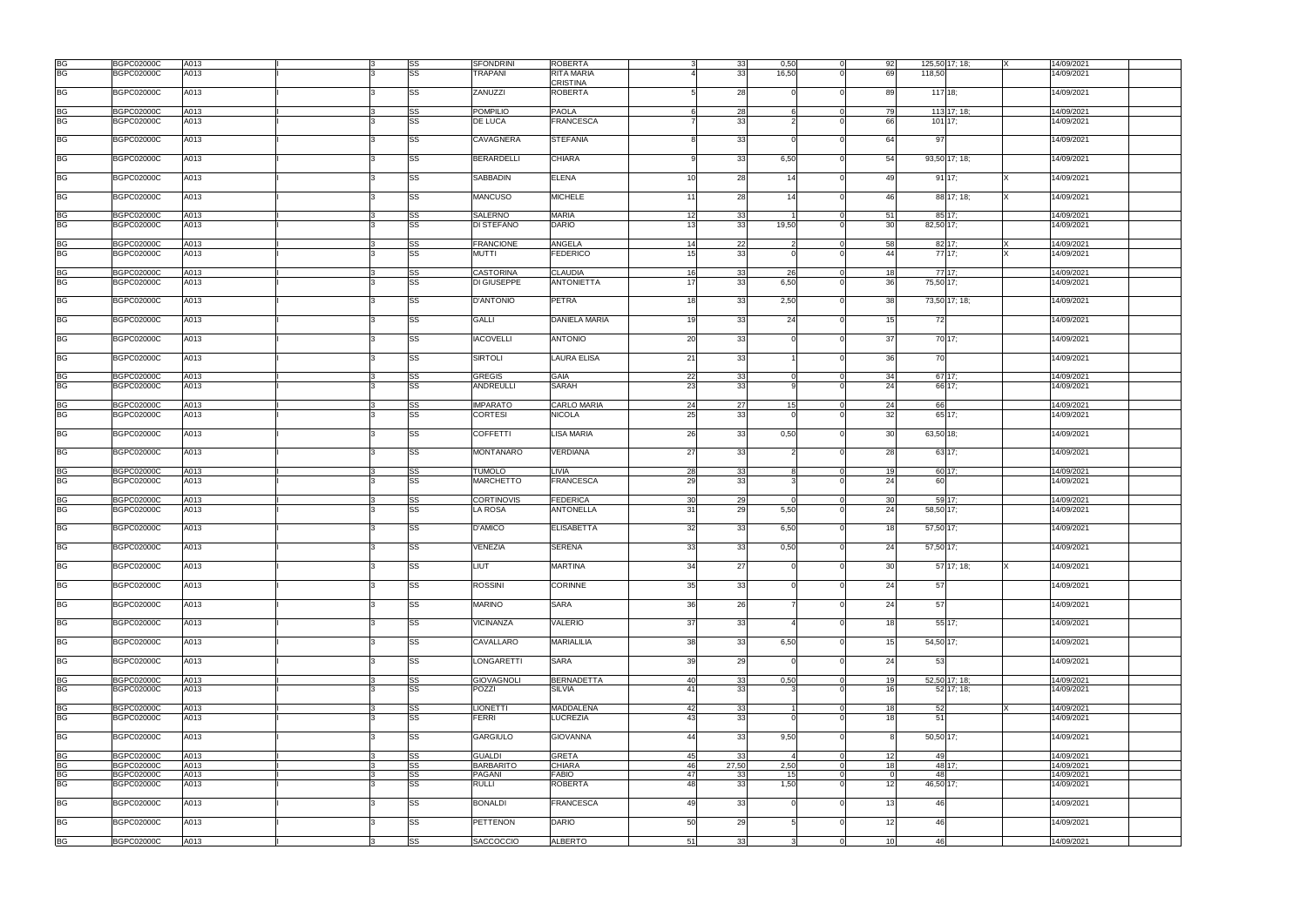|           | <b>BGPC02000C</b> | A013 |  | SS        | <b>SFONDRINI</b>  | <b>ROBERTA</b>                  | 33    | 0,50  | 92<br>$\Omega$              |           | 125,50 17; 18; | 14/09/2021 |  |
|-----------|-------------------|------|--|-----------|-------------------|---------------------------------|-------|-------|-----------------------------|-----------|----------------|------------|--|
| BG<br>BG  |                   |      |  |           |                   |                                 |       |       |                             |           |                |            |  |
|           | <b>BGPC02000C</b> | A013 |  | <b>SS</b> | <b>TRAPANI</b>    | <b>RITA MARIA</b>               | 33    | 16,50 | 69                          | 118,50    |                | 14/09/2021 |  |
|           |                   |      |  |           |                   | <b>CRISTINA</b>                 |       |       |                             |           |                |            |  |
| <b>BG</b> | <b>BGPC02000C</b> | A013 |  | SS        | ZANUZZI           | <b>ROBERTA</b>                  | 28    |       | 89<br>$\Omega$              | 117 18;   |                | 14/09/2021 |  |
|           |                   |      |  |           |                   |                                 |       |       |                             |           |                |            |  |
|           |                   |      |  |           |                   |                                 |       |       |                             |           |                |            |  |
| <b>BG</b> | <b>BGPC02000C</b> | A013 |  | <b>SS</b> | <b>POMPILIO</b>   | <b>PAOLA</b>                    | 28    |       | 79<br>$\Omega$              |           | 113 17: 18:    | 14/09/2021 |  |
| <b>BG</b> | <b>BGPC02000C</b> | A013 |  | SS        | <b>DE LUCA</b>    | <b>FRANCESCA</b>                | 33    |       | 66                          |           | 101 17:        | 14/09/2021 |  |
|           |                   |      |  |           |                   |                                 |       |       |                             |           |                |            |  |
| <b>BG</b> | <b>BGPC02000C</b> |      |  |           | CAVAGNERA         | <b>STEFANIA</b>                 |       |       |                             | 97        |                |            |  |
|           |                   | A013 |  | SS        |                   |                                 | 33    |       | 64                          |           |                | 14/09/2021 |  |
|           |                   |      |  |           |                   |                                 |       |       |                             |           |                |            |  |
| <b>BG</b> | <b>BGPC02000C</b> | A013 |  | SS        | <b>BERARDELLI</b> | <b>CHIARA</b>                   | 33    | 6,50  | 54                          |           | 93,50 17; 18;  | 14/09/2021 |  |
|           |                   |      |  |           |                   |                                 |       |       |                             |           |                |            |  |
|           |                   |      |  |           |                   |                                 |       |       |                             |           |                |            |  |
| <b>BG</b> | <b>BGPC02000C</b> | A013 |  | SS        | <b>SABBADIN</b>   | <b>ELENA</b><br>10 <sup>1</sup> | 28    | 14    | 49<br>$\Omega$              |           | 9117;          | 14/09/2021 |  |
|           |                   |      |  |           |                   |                                 |       |       |                             |           |                |            |  |
| <b>BG</b> | <b>BGPC02000C</b> | A013 |  | <b>SS</b> | <b>MANCUSO</b>    | <b>MICHELE</b><br>11            | 28    | 14    | 46<br>$\Omega$              |           | 88 17; 18;     | 14/09/2021 |  |
|           |                   |      |  |           |                   |                                 |       |       |                             |           |                |            |  |
|           |                   |      |  |           | <b>SALERNO</b>    | <b>MARIA</b>                    |       |       | $\Omega$                    |           |                |            |  |
| BG<br>BG  | <b>BGPC02000C</b> | A013 |  | SS        |                   | 12                              | 33    |       | 51                          |           | 85 17;         | 14/09/2021 |  |
|           | <b>BGPC02000C</b> | A013 |  | <b>SS</b> | <b>DI STEFANO</b> | <b>DARIO</b><br>13              | 33    | 19,50 | 30                          | 82,50 17; |                | 14/09/2021 |  |
|           |                   |      |  |           |                   |                                 |       |       |                             |           |                |            |  |
| BG        | <b>BGPC02000C</b> | A013 |  | SS        | <b>FRANCIONE</b>  | ANGELA<br>14                    | 22    |       | 58<br>$\Omega$              |           | 82 17:         | 14/09/2021 |  |
| <b>BG</b> | <b>BGPC02000C</b> | A013 |  | <b>SS</b> | MUTTI             | <b>FEDERICO</b><br>15           | 33    |       | 44                          |           | 77 17:         | 14/09/2021 |  |
|           |                   |      |  |           |                   |                                 |       |       |                             |           |                |            |  |
|           |                   |      |  |           |                   |                                 |       |       |                             |           |                |            |  |
| <b>BG</b> | <b>BGPC02000C</b> | A013 |  | <b>SS</b> | <b>CASTORINA</b>  | <b>CLAUDIA</b><br><b>16</b>     | 33    | -261  | $\Omega$<br>18              |           | 77 17:         | 14/09/2021 |  |
| <b>BG</b> | <b>BGPC02000C</b> | A013 |  | SS        | DI GIUSEPPE       | 17<br><b>ANTONIETTA</b>         | 33    | 6,50  | 36<br>$\Omega$              | 75,50 17; |                | 14/09/2021 |  |
|           |                   |      |  |           |                   |                                 |       |       |                             |           |                |            |  |
|           |                   |      |  |           |                   |                                 |       |       |                             |           |                |            |  |
| <b>BG</b> | <b>BGPC02000C</b> | A013 |  | SS        | <b>D'ANTONIO</b>  | PETRA<br>18                     | 33    | 2,50  | 38                          |           | 73,50 17; 18;  | 14/09/2021 |  |
|           |                   |      |  |           |                   |                                 |       |       |                             |           |                |            |  |
| <b>BG</b> | <b>BGPC02000C</b> | A013 |  | <b>SS</b> | <b>GALLI</b>      | <b>DANIELA MARIA</b><br>19      | 33    | 24    | 15<br>$\Omega$              | 72        |                | 14/09/2021 |  |
|           |                   |      |  |           |                   |                                 |       |       |                             |           |                |            |  |
| <b>BG</b> |                   | A013 |  |           | <b>IACOVELLI</b>  | 20<br><b>ANTONIO</b>            | 33    |       | 37                          |           | 70 17;         |            |  |
|           | <b>BGPC02000C</b> |      |  | SS        |                   |                                 |       |       |                             |           |                | 14/09/2021 |  |
|           |                   |      |  |           |                   |                                 |       |       |                             |           |                |            |  |
| <b>BG</b> | <b>BGPC02000C</b> | A013 |  | SS        | <b>SIRTOLI</b>    | 21<br><b>LAURA ELISA</b>        | 33    |       | 36<br>$\Omega$              | 70        |                | 14/09/2021 |  |
|           |                   |      |  |           |                   |                                 |       |       |                             |           |                |            |  |
|           | <b>BGPC02000C</b> | A013 |  |           | <b>GREGIS</b>     | <b>GAIA</b>                     |       |       |                             | $67$ 17;  |                | 14/09/2021 |  |
| BG<br>BG  |                   |      |  | SS        |                   | 22                              | 33    |       | 34                          |           |                |            |  |
|           | <b>BGPC02000C</b> | A013 |  | SS        | <b>ANDREULLI</b>  | <b>SARAH</b><br>23              | 33    |       | 24                          |           | 66 17;         | 14/09/2021 |  |
|           |                   |      |  |           |                   |                                 |       |       |                             |           |                |            |  |
|           | <b>BGPC02000C</b> | A013 |  | SS        | <b>IMPARATO</b>   | <b>CARLO MARIA</b><br>24        | 27    | 15    | 24<br>$\overline{0}$        | 66        |                | 14/09/2021 |  |
| BG<br>BG  |                   | A013 |  | SS        | <b>CORTESI</b>    | <b>NICOLA</b><br>25             | 33    |       |                             |           | 65 17:         |            |  |
|           | <b>BGPC02000C</b> |      |  |           |                   |                                 |       |       | 32                          |           |                | 14/09/2021 |  |
|           |                   |      |  |           |                   |                                 |       |       |                             |           |                |            |  |
| <b>BG</b> | <b>BGPC02000C</b> | A013 |  | <b>SS</b> | <b>COFFETTI</b>   | <b>LISA MARIA</b><br>26         | 33    | 0,50  | 30 <sup>1</sup><br>$\Omega$ | 63,50 18; |                | 14/09/2021 |  |
|           |                   |      |  |           |                   |                                 |       |       |                             |           |                |            |  |
| <b>BG</b> |                   | A013 |  | SS        | <b>MONTANARO</b>  | 27<br><b>VERDIANA</b>           | 33    |       | 28<br>$\Omega$              |           | 63 17:         | 14/09/2021 |  |
|           | <b>BGPC02000C</b> |      |  |           |                   |                                 |       |       |                             |           |                |            |  |
|           |                   |      |  |           |                   |                                 |       |       |                             |           |                |            |  |
| <b>BG</b> | <b>BGPC02000C</b> | A013 |  | <b>SS</b> | <b>TUMOLO</b>     | LIVIA<br>28                     | 33    |       | 19<br>$\overline{0}$        |           | 60 17:         | 14/09/2021 |  |
| <b>BG</b> | <b>BGPC02000C</b> | A013 |  | SS        | <b>MARCHETTO</b>  | <b>FRANCESCA</b><br>29          | 33    |       | 24<br>$\Omega$              | 60        |                | 14/09/2021 |  |
|           |                   |      |  |           |                   |                                 |       |       |                             |           |                |            |  |
|           |                   |      |  |           |                   |                                 |       |       |                             |           |                |            |  |
| <b>BG</b> | <b>BGPC02000C</b> | A013 |  | SS        | <b>CORTINOVIS</b> | <b>FEDERICA</b><br>30           | 29    |       | 30<br>$\Omega$              |           | 59 17:         | 14/09/2021 |  |
| <b>BG</b> | <b>BGPC02000C</b> | A013 |  | <b>SS</b> | <b>LA ROSA</b>    | 31<br><b>ANTONELLA</b>          | 29    | 5,50  | 24<br>$\Omega$              | 58,50 17; |                | 14/09/2021 |  |
|           |                   |      |  |           |                   |                                 |       |       |                             |           |                |            |  |
| <b>BG</b> | <b>BGPC02000C</b> | A013 |  | SS        | <b>D'AMICO</b>    | 32<br><b>ELISABETTA</b>         | 33    | 6,50  | 18                          | 57,50 17; |                | 14/09/2021 |  |
|           |                   |      |  |           |                   |                                 |       |       |                             |           |                |            |  |
|           |                   |      |  |           |                   |                                 |       |       |                             |           |                |            |  |
| <b>BG</b> | <b>BGPC02000C</b> | A013 |  | SS        | VENEZIA           | 33<br><b>SERENA</b>             | 33    | 0,50  | 24<br>$\Omega$              | 57,50 17; |                | 14/09/2021 |  |
|           |                   |      |  |           |                   |                                 |       |       |                             |           |                |            |  |
| <b>BG</b> | <b>BGPC02000C</b> | A013 |  | SS        | LIUT              | <b>MARTINA</b><br>34            | 27    |       | 30 <sup>1</sup><br>$\Omega$ |           | 57 17; 18;     | 14/09/2021 |  |
|           |                   |      |  |           |                   |                                 |       |       |                             |           |                |            |  |
|           |                   |      |  |           |                   |                                 |       |       |                             |           |                |            |  |
| <b>BG</b> | <b>BGPC02000C</b> | A013 |  | <b>SS</b> | <b>ROSSINI</b>    | <b>CORINNE</b><br>35            | 33    |       | 24                          | 57        |                | 14/09/2021 |  |
|           |                   |      |  |           |                   |                                 |       |       |                             |           |                |            |  |
| <b>BG</b> | <b>BGPC02000C</b> | A013 |  | <b>SS</b> | <b>MARINO</b>     | <b>SARA</b><br>36               | 26    |       | 24                          | 57        |                | 14/09/2021 |  |
|           |                   |      |  |           |                   |                                 |       |       |                             |           |                |            |  |
|           |                   |      |  |           |                   |                                 |       |       |                             |           |                |            |  |
| <b>BG</b> | <b>BGPC02000C</b> | A013 |  | SS        | <b>VICINANZA</b>  | <b>VALERIO</b><br>37            | 33    |       | 18                          |           | 55 17;         | 14/09/2021 |  |
|           |                   |      |  |           |                   |                                 |       |       |                             |           |                |            |  |
| <b>BG</b> | <b>BGPC02000C</b> | A013 |  | SS        | CAVALLARO         | <b>MARIALILIA</b><br>38         | 33    | 6,50  | 15                          | 54,50 17; |                | 14/09/2021 |  |
|           |                   |      |  |           |                   |                                 |       |       |                             |           |                |            |  |
| <b>BG</b> | <b>BGPC02000C</b> |      |  |           | <b>LONGARETTI</b> | 39<br><b>SARA</b>               | 29    |       | 24<br>$\Omega$              | -53       |                | 14/09/2021 |  |
|           |                   | A013 |  | SS        |                   |                                 |       |       |                             |           |                |            |  |
|           |                   |      |  |           |                   |                                 |       |       |                             |           |                |            |  |
|           | <b>BGPC02000C</b> | A013 |  | <b>SS</b> | <b>GIOVAGNOLI</b> | <b>BERNADETTA</b><br>40         | 33    | 0,50  | 19<br>$\Omega$              |           | 52,50 17; 18;  | 14/09/2021 |  |
| BG<br>BG  | <b>BGPC02000C</b> | A013 |  | SS        | <b>POZZI</b>      | <b>SILVIA</b><br>41             | 33    |       | 16<br>$\Omega$              |           | 52 17; 18;     | 14/09/2021 |  |
|           |                   |      |  |           |                   |                                 |       |       |                             |           |                |            |  |
|           |                   |      |  |           |                   |                                 |       |       |                             |           |                |            |  |
| <b>BG</b> | <b>BGPC02000C</b> | A013 |  | <b>SS</b> | <b>LIONETTI</b>   | <b>MADDALENA</b><br>42          | 33    |       | 18<br>$\overline{0}$        | 52        |                | 14/09/2021 |  |
| <b>BG</b> | <b>BGPC02000C</b> | A013 |  | <b>SS</b> | <b>FERRI</b>      | <b>LUCREZIA</b><br>43           | 33    |       | 18 <sup>1</sup><br>$\Omega$ | 51        |                | 14/09/2021 |  |
|           |                   |      |  |           |                   |                                 |       |       |                             |           |                |            |  |
| <b>BG</b> | <b>BGPC02000C</b> | A013 |  | <b>SS</b> | <b>GARGIULO</b>   | <b>GIOVANNA</b><br>44           | 33    | 9,50  | $\Omega$                    | 50,50 17; |                | 14/09/2021 |  |
|           |                   |      |  |           |                   |                                 |       |       |                             |           |                |            |  |
|           |                   |      |  |           |                   |                                 |       |       |                             |           |                |            |  |
| BG        | <b>BGPC02000C</b> | A013 |  | SS        | <b>GUALDI</b>     | <b>GRETA</b><br>45              | 33    |       | $\overline{0}$<br>12        | 49        |                | 14/09/2021 |  |
| <b>BG</b> | <b>BGPC02000C</b> | A013 |  | SS        | <b>BARBARITO</b>  | <b>CHIARA</b><br>46             | 27,50 | 2,50  | 18<br>$\Omega$              |           | 48 17;         | 14/09/2021 |  |
|           | <b>BGPC02000C</b> | A013 |  | SS        | <b>PAGANI</b>     | <b>FABIO</b><br>47              | 33    | 15    | $\Omega$                    | 48        |                | 14/09/2021 |  |
| BG<br>BG  | <b>BGPC02000C</b> |      |  | <b>SS</b> | <b>RULLI</b>      | ROBERTA<br>48                   | 33    | 1,50  | 12                          |           |                |            |  |
|           |                   | A013 |  |           |                   |                                 |       |       |                             | 46,50 17; |                | 14/09/2021 |  |
|           |                   |      |  |           |                   |                                 |       |       |                             |           |                |            |  |
| <b>BG</b> | <b>BGPC02000C</b> | A013 |  | SS        | <b>BONALDI</b>    | <b>FRANCESCA</b><br>49          | 33    |       | 13<br>$\Omega$              | 46        |                | 14/09/2021 |  |
|           |                   |      |  |           |                   |                                 |       |       |                             |           |                |            |  |
| <b>BG</b> | <b>BGPC02000C</b> | A013 |  | <b>SS</b> | <b>PETTENON</b>   | <b>DARIO</b><br>50              | 29    |       | 12 <sup>1</sup>             | 46        |                | 14/09/2021 |  |
|           |                   |      |  |           |                   |                                 |       |       |                             |           |                |            |  |
|           |                   |      |  |           |                   |                                 |       |       |                             |           |                |            |  |
| <b>BG</b> | <b>BGPC02000C</b> | A013 |  | SS        | <b>SACCOCCIO</b>  | <b>ALBERTO</b><br>51            | 33    |       | 10<br>$\Omega$              | 46        |                | 14/09/2021 |  |
|           |                   |      |  |           |                   |                                 |       |       |                             |           |                |            |  |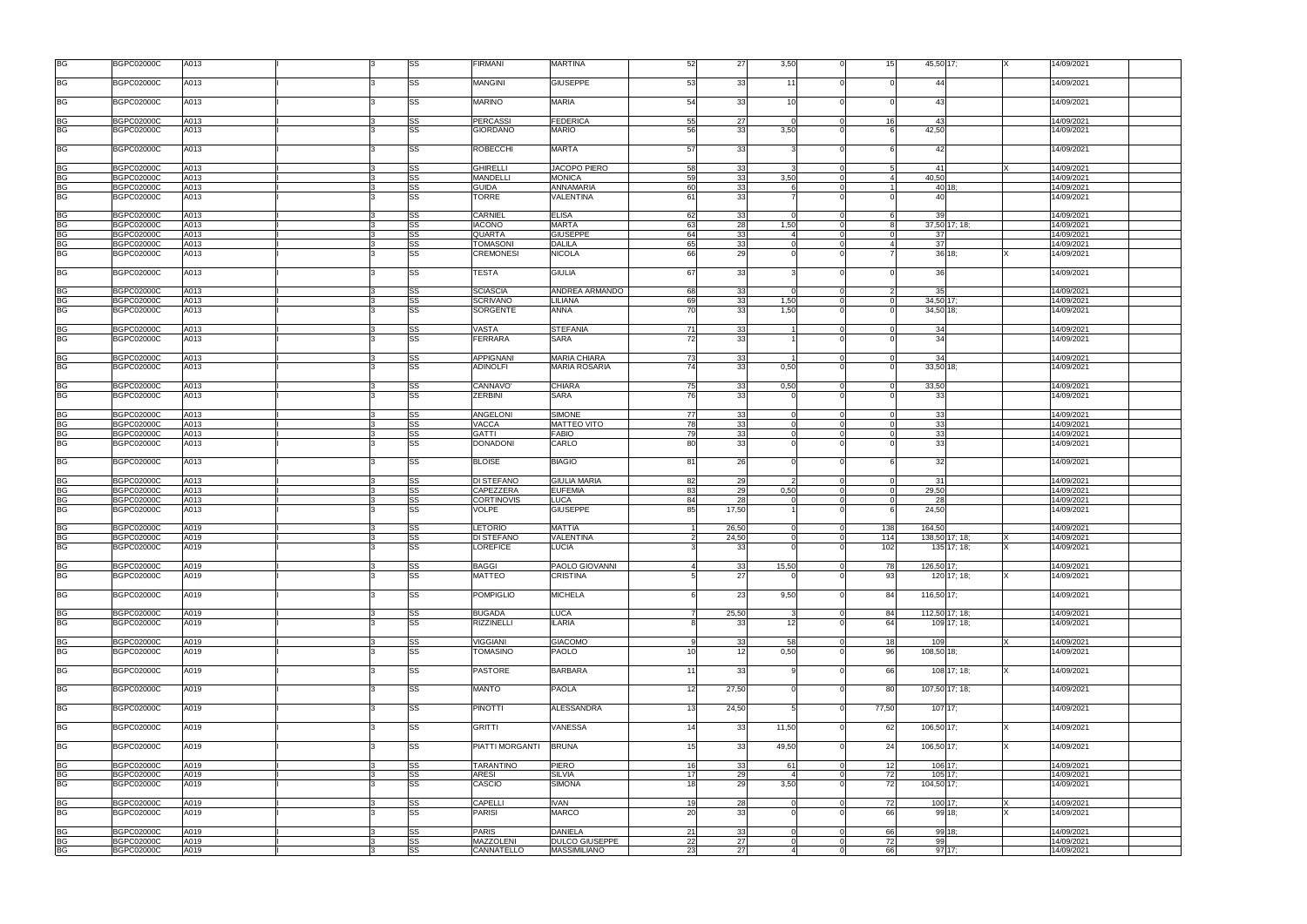| <b>BG</b>              | <b>BGPC02000C</b>                      | A013         |  | <b>SS</b>       | <b>FIRMANI</b>                      | <b>MARTINA</b>                    | 52             | 27             | 3,50            |                      | 15         | 45,50 17;                | 14/09/2021               |
|------------------------|----------------------------------------|--------------|--|-----------------|-------------------------------------|-----------------------------------|----------------|----------------|-----------------|----------------------|------------|--------------------------|--------------------------|
| <b>BG</b>              | <b>BGPC02000C</b>                      | A013         |  | SS              | <b>MANGINI</b>                      | <b>GIUSEPPE</b>                   | 53             | 33             | 11              |                      |            | 44                       | 14/09/2021               |
| <b>BG</b>              | <b>BGPC02000C</b>                      | A013         |  | <b>SS</b>       | <b>MARINO</b>                       | <b>MARIA</b>                      | 54             | 33             | 10              |                      |            | 43                       | 14/09/2021               |
| <b>BG</b>              | <b>BGPC02000C</b>                      | A013         |  | SS              | <b>PERCASSI</b>                     | <b>FEDERICA</b>                   | 55             | 27             |                 |                      | 16         | -43                      | 14/09/2021               |
| <b>BG</b>              | <b>BGPC02000C</b>                      | A013         |  | <b>SS</b>       | GIORDANO                            | <b>MARIO</b>                      | 56             | 33             | 3,50            |                      |            | 42,50                    | 4/09/2021                |
| <b>BG</b>              | <b>BGPC02000C</b>                      | A013         |  | <b>SS</b>       | <b>ROBECCHI</b>                     | <b>MARTA</b>                      | 57             | 33             |                 | $\Omega$             |            | 42                       | 14/09/2021               |
| <b>BG</b>              | <b>BGPC02000C</b>                      | A013         |  | <b>SS</b>       | <b>GHIRELLI</b>                     | JACOPO PIERO                      | 58             | 33             |                 | $\overline{0}$       | -5         | 41                       | 14/09/2021               |
| <b>BG</b>              | <b>BGPC02000C</b>                      | A013         |  | <b>SS</b>       | <b>MANDELLI</b>                     | <b>MONICA</b>                     | 59             | 33             | 3.50            | $\Omega$             |            | 40,50                    | 14/09/2021               |
| BG                     | <b>BGPC02000C</b>                      | A013         |  | SS              | <b>GUIDA</b>                        | ANNAMARIA                         | 60             | 33             |                 | $\Omega$             |            | 40 18:                   | 14/09/2021               |
| <b>BG</b>              | <b>BGPC02000C</b>                      | A013         |  | <b>SS</b>       | TORRE                               | VALENTINA                         | 61             | 33             |                 | $\Omega$             |            | 40                       | 14/09/2021               |
| BG                     | <b>BGPC02000C</b>                      | A013         |  | <b>SS</b>       | <b>CARNIEL</b>                      | <b>ELISA</b>                      | 62             | 33             |                 | $\Omega$             |            | 39                       | 14/09/2021               |
|                        | <b>BGPC02000C</b>                      | A013         |  | SS              | <b>IACONO</b>                       | <b>MARTA</b>                      | 63             | 28             | 1,50            | $\overline{0}$       | 8          | 37,50 17; 18;            | 14/09/2021               |
| BG<br>BG<br>BG         | <b>BGPC02000C</b>                      | A013         |  | <b>SS</b>       | <b>QUARTA</b>                       | <b>GIUSEPPE</b>                   | 64             | 33             |                 | $\Omega$<br>$\Omega$ |            | 37                       | 14/09/2021               |
| <b>BG</b>              | <b>BGPC02000C</b><br><b>BGPC02000C</b> | A013<br>A013 |  | <b>SS</b><br>SS | <b>TOMASONI</b><br><b>CREMONESI</b> | <b>DALILA</b><br><b>NICOLA</b>    | 65<br>66       | 33<br>29       |                 |                      |            | 37<br>36 18:             | 14/09/2021<br>4/09/2021  |
|                        |                                        |              |  |                 |                                     |                                   |                |                |                 |                      |            |                          |                          |
| <b>BG</b>              | <b>BGPC02000C</b>                      | A013         |  | <b>SS</b>       | TESTA                               | <b>GIULIA</b>                     | 67             | 33             |                 |                      |            | 36                       | 14/09/2021               |
|                        | BGPC02000C                             | A013         |  | SS              | <b>SCIASCIA</b>                     | ANDREA ARMANDO                    | 68             | 33             |                 |                      |            | 35                       | 14/09/2021               |
| BG<br>BG               | <b>BGPC02000C</b>                      | A013         |  | <b>SS</b>       | <b>SCRIVANO</b>                     | LILIANA                           | 69             | 33             | 1,50            | $\Omega$             | $\Omega$   | 34,50 17;                | 14/09/2021               |
| <b>BG</b>              | <b>BGPC02000C</b>                      | A013         |  | <b>SS</b>       | <b>SORGENTE</b>                     | ANNA                              | 70             | 33             | 1,50            |                      |            | 34,50 18;                | 14/09/2021               |
|                        |                                        |              |  |                 |                                     |                                   |                |                |                 |                      |            |                          |                          |
| <b>BG</b><br><b>BG</b> | <b>BGPC02000C</b>                      | A013         |  | SS              | <b>VASTA</b>                        | <b>STEFANIA</b>                   | 71             | 33             |                 | $\Omega$             | $\Omega$   | 34                       | 14/09/2021               |
|                        | <b>BGPC02000C</b>                      | A013         |  | <b>SS</b>       | <b>FERRARA</b>                      | <b>SARA</b>                       | 72             | 33             |                 |                      |            | 34                       | 14/09/2021               |
|                        | <b>BGPC02000C</b>                      | A013         |  | SS              | <b>APPIGNANI</b>                    | <b>MARIA CHIARA</b>               | 73             | 33             |                 | $\Omega$             |            | 34                       | 14/09/2021               |
| BG<br>BG               | <b>BGPC02000C</b>                      | A013         |  | <b>SS</b>       | <b>ADINOLFI</b>                     | <b>MARIA ROSARIA</b>              | 74             | 33             | 0,50            | $\Omega$             |            | 33,50 18;                | 14/09/2021               |
|                        |                                        |              |  |                 |                                     |                                   |                |                |                 |                      |            |                          |                          |
| BG<br>BG               | <b>BGPC02000C</b>                      | A013         |  | <b>SS</b>       | CANNAVO'                            | <b>CHIARA</b>                     | 75             | 33             | 0,50            | $\overline{0}$       | $\Omega$   | 33,50                    | 14/09/2021               |
|                        | <b>BGPC02000C</b>                      | A013         |  | SS              | <b>ZERBINI</b>                      | <b>SARA</b>                       | 76             | 33             |                 |                      |            | 33                       | 4/09/2021                |
| <b>BG</b>              | <b>BGPC02000C</b>                      | A013         |  | SS              | <b>ANGELONI</b>                     | SIMONE                            | 77             | 33             |                 | $\Omega$             | $\Omega$   | 33                       | 14/09/2021               |
| <b>BG</b>              | <b>BGPC02000C</b>                      | A013         |  | SS              | <b>VACCA</b>                        | MATTEO VITO                       | 78             | 33             |                 | $\overline{0}$       | $\Omega$   | 33                       | 14/09/2021               |
| <b>BG</b>              | BGPC02000C                             | A013         |  | <b>SS</b>       | <b>GATTI</b>                        | <b>FABIO</b>                      | 79             | 33             |                 | $\Omega$             |            | 33                       | 14/09/2021               |
| <b>BG</b>              | <b>BGPC02000C</b>                      | A013         |  | SS              | <b>DONADONI</b>                     | CARLO                             | 80             | 33             |                 |                      |            | 33                       | 14/09/2021               |
|                        |                                        |              |  |                 |                                     |                                   |                |                |                 |                      |            |                          |                          |
| <b>BG</b>              | <b>BGPC02000C</b>                      | A013         |  | <b>SS</b>       | <b>BLOISE</b>                       | <b>BIAGIO</b>                     | 81             | 26             |                 |                      |            | 32                       | 14/09/2021               |
| <b>BG</b>              | <b>BGPC02000C</b>                      | A013         |  | SS              | <b>DI STEFANO</b>                   | <b>GIULIA MARIA</b>               | 82             | 29             |                 | $\Omega$             |            | -31                      | 14/09/2021               |
| <b>BG</b>              | <b>BGPC02000C</b>                      | A013         |  | <b>SS</b>       | CAPEZZERA                           | <b>EUFEMIA</b>                    | 83             | 29             | 0,50            | $\Omega$             | $\Omega$   | 29,50                    | 14/09/2021               |
| <b>BG</b>              | <b>BGPC02000C</b>                      | A013         |  | <b>SS</b>       | <b>CORTINOVIS</b>                   | <b>LUCA</b>                       | 84             | 28             |                 | $\Omega$             | $\Omega$   | 28                       | 14/09/2021               |
| <b>BG</b>              | <b>BGPC02000C</b>                      | A013         |  | <b>SS</b>       | VOLPE                               | <b>GIUSEPPE</b>                   | 85             | 17,50          |                 |                      |            | 24,50                    | 14/09/2021               |
|                        |                                        |              |  |                 |                                     |                                   |                |                |                 |                      |            |                          |                          |
| BG<br>BG<br>BG         | <b>BGPC02000C</b><br><b>BGPC02000C</b> | A019<br>A019 |  | SS<br><b>SS</b> | <b>LETORIO</b><br><b>DI STEFANO</b> | <b>MATTIA</b><br><b>VALENTINA</b> | $\mathcal{D}$  | 26,50<br>24,50 |                 | $\Omega$             | 138<br>114 | 164,50<br>138,50 17; 18; | 14/09/2021<br>14/09/2021 |
|                        | <b>BGPC02000C</b>                      | A019         |  | <b>SS</b>       | <b>LOREFICE</b>                     | <b>LUCIA</b>                      | $\overline{3}$ | 33             | $\Omega$        | $\Omega$             | 102        | 135 17; 18;              | 14/09/2021               |
|                        |                                        |              |  |                 |                                     |                                   |                |                |                 |                      |            |                          |                          |
| <b>BG</b>              | <b>BGPC02000C</b>                      | A019         |  | SS              | <b>BAGGI</b>                        | PAOLO GIOVANNI                    |                | 33             | 15,50           | $\Omega$             | 78         | 126,50 17;               | 14/09/2021               |
| <b>BG</b>              | <b>BGPC02000C</b>                      | A019         |  | <b>SS</b>       | <b>MATTEO</b>                       | CRISTINA                          |                | 27             |                 |                      | 93         | 120 17; 18;              | 4/09/2021                |
| <b>BG</b>              |                                        |              |  | <b>SS</b>       | <b>POMPIGLIO</b>                    | <b>MICHELA</b>                    | 6              |                | 9,50            | $\Omega$             | 84         |                          |                          |
|                        | <b>BGPC02000C</b>                      | A019         |  |                 |                                     |                                   |                | 23             |                 |                      |            | 116,50 17;               | 14/09/2021               |
| <b>BG</b>              | <b>BGPC02000C</b>                      | A019         |  | <b>SS</b>       | <b>BUGADA</b>                       | <b>LUCA</b>                       |                | 25,50          |                 | $\Omega$             | 84         | 112,50 17; 18;           | 14/09/2021               |
| <b>BG</b>              | <b>BGPC02000C</b>                      | A019         |  | <b>SS</b>       | <b>RIZZINELLI</b>                   | <b>ILARIA</b>                     | <sub>R</sub>   | 33             | 12 <sup>1</sup> | $\Omega$             | 64         | 109 17; 18;              | 14/09/2021               |
|                        |                                        |              |  |                 |                                     |                                   |                |                |                 |                      |            |                          |                          |
| <b>BG</b>              | <b>BGPC02000C</b>                      | A019         |  | <b>SS</b>       | <b>VIGGIANI</b>                     | <b>GIACOMO</b>                    | 9              | 33             | 58              | $\overline{0}$       | 18         | 109                      | 14/09/2021               |
| <b>BG</b>              | <b>BGPC02000C</b>                      | A019         |  | <b>SS</b>       | TOMASINO                            | PAOLO                             | 10             | 12             | 0,50            | $\Omega$             | 96         | 108,50 18;               | 14/09/2021               |
| <b>BG</b>              | <b>BGPC02000C</b>                      | A019         |  | <b>SS</b>       | <b>PASTORE</b>                      | <b>BARBARA</b>                    | 11             | 33             |                 | $\Omega$             | 66         | 108 17; 18;              | 14/09/2021               |
| <b>BG</b>              | <b>BGPC02000C</b>                      | A019         |  | <b>SS</b>       | <b>MANTO</b>                        | <b>PAOLA</b>                      | 12             | 27,50          |                 |                      | 80         | 107,50 17; 18;           | 14/09/2021               |
|                        |                                        |              |  |                 |                                     |                                   |                |                |                 |                      |            |                          |                          |
| <b>BG</b>              | <b>BGPC02000C</b>                      | A019         |  | <b>SS</b>       | <b>PINOTTI</b>                      | <b>ALESSANDRA</b>                 | 13             | 24,50          |                 | $\Omega$             | 77,50      | 107 17:                  | 14/09/2021               |
| <b>BG</b>              | <b>BGPC02000C</b>                      | A019         |  | SS              | <b>GRITTI</b>                       | VANESSA                           | 14             | 33             | 11,50           | $\Omega$             | 62         | 106,50 17;               | 14/09/2021               |
| <b>BG</b>              | <b>BGPC02000C</b>                      | A019         |  | <b>SS</b>       | PIATTI MORGANTI                     | <b>BRUNA</b>                      | 15             | 33             | 49,50           | $\Omega$             | 24         | 106,50 17;               | 14/09/2021               |
| <b>BG</b>              | <b>BGPC02000C</b>                      | A019         |  | SS              | TARANTINO                           | PIERO                             | 16             | 33             | 61              | $\Omega$             | 12         | 106 17;                  | 14/09/2021               |
| <b>BG</b>              | <b>BGPC02000C</b>                      | A019         |  | <b>SS</b>       | <b>ARESI</b>                        | <b>SILVIA</b>                     | 17             | 29             |                 | $\Omega$             | 72         | $105$ 17;                | 14/09/2021               |
| <b>BG</b>              | <b>BGPC02000C</b>                      | A019         |  | <b>SS</b>       | <b>CASCIO</b>                       | <b>SIMONA</b>                     | 18             | 29             | 3,50            | $\Omega$             | 72         | 104,50 17;               | 14/09/2021               |
|                        |                                        |              |  |                 |                                     |                                   |                |                |                 |                      |            |                          |                          |
| <b>BG</b>              | <b>BGPC02000C</b>                      | A019         |  | SS              | <b>CAPELLI</b>                      | <b>IVAN</b>                       | 19             | 28             |                 | $\Omega$             | 72         | 100 17:                  | 14/09/2021               |
| <b>BG</b>              | <b>BGPC02000C</b>                      | A019         |  | <b>SS</b>       | <b>PARISI</b>                       | <b>MARCO</b>                      | 20             | 33             |                 |                      | 66         | 99 18:                   | 4/09/2021                |
| <b>BG</b>              | <b>BGPC02000C</b>                      | A019         |  | <b>SS</b>       | <b>PARIS</b>                        | <b>DANIELA</b>                    | 21             | 33             |                 | $\overline{0}$       | 66         | 99 18;                   | 14/09/2021               |
| BG<br>BG               | <b>BGPC02000C</b>                      | A019         |  | SS              | <b>MAZZOLENI</b>                    | <b>DULCO GIUSEPPE</b>             | 22             | 27             |                 | $\Omega$             | 72         | 99                       | 14/09/2021               |
|                        | <b>BGPC02000C</b>                      | A019         |  | <b>SS</b>       | CANNATELLO                          | <b>MASSIMILIANO</b>               | 23             | 27             |                 | $\Omega$             | 66         | 97 17:                   | 14/09/2021               |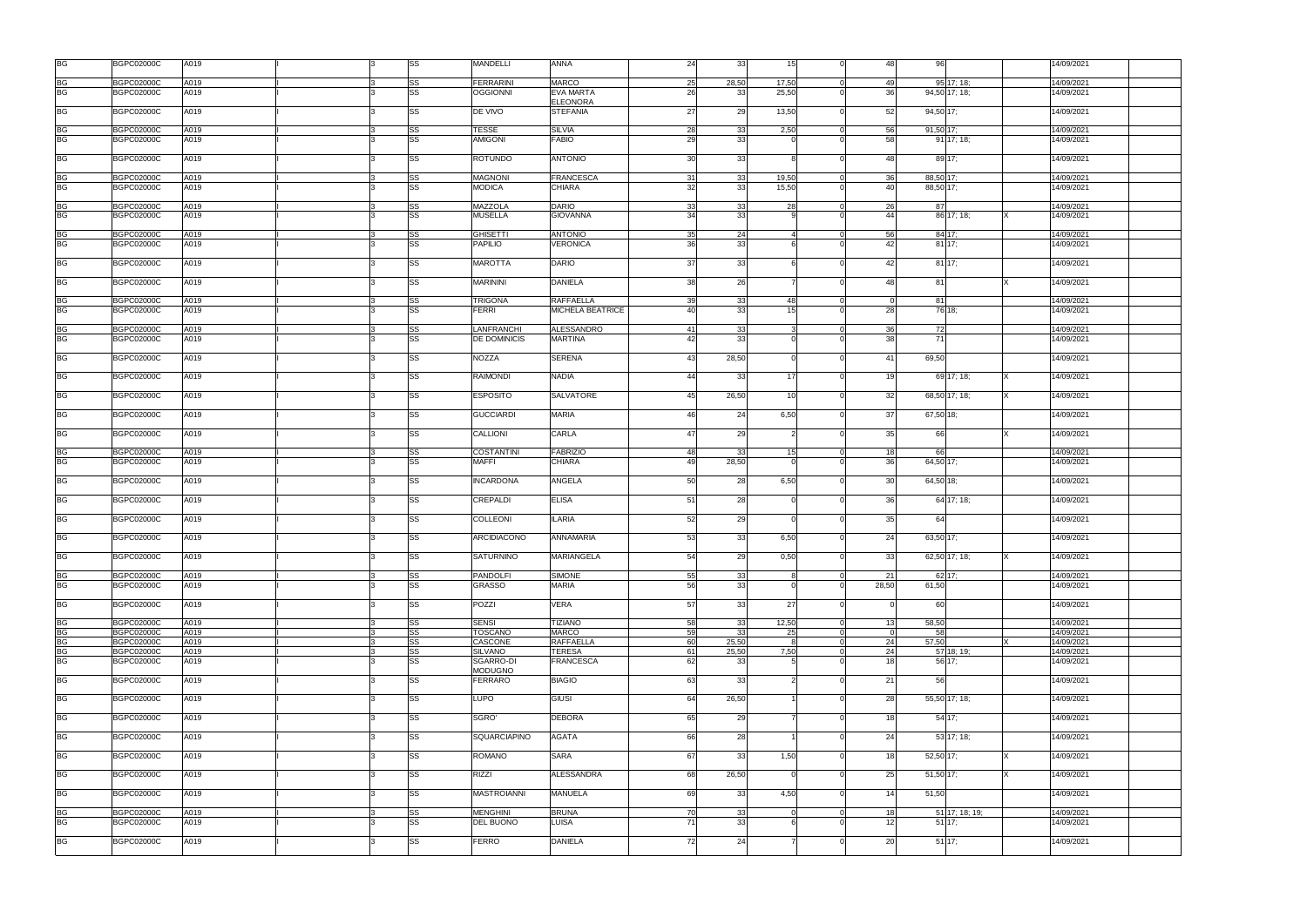| <b>BG</b>              | <b>BGPC02000C</b>                      | A019         |   | SS       | MANDELLI                       | <b>ANNA</b>                                 | 24       | 33       | 15 <sub>l</sub>       | $\Omega$                   | 48              | 96                         | 14/09/2021               |
|------------------------|----------------------------------------|--------------|---|----------|--------------------------------|---------------------------------------------|----------|----------|-----------------------|----------------------------|-----------------|----------------------------|--------------------------|
| <b>BG</b>              | <b>BGPC02000C</b>                      | A019         |   | SS       | <b>FERRARINI</b>               | <b>MARCO</b>                                | 25       | 28,50    | 17,50                 | $\Omega$                   | 49              | 95 17; 18;                 | 14/09/2021               |
| <b>BG</b>              | BGPC02000C                             | A019         |   | SS       | <b>OGGIONNI</b>                | <b>EVA MARTA</b>                            | 26       | 33       | 25,50                 | $\Omega$                   | 36              | 94,50 17; 18;              | 14/09/2021               |
| <b>BG</b>              | <b>BGPC02000C</b>                      | A019         |   | SS       | DE VIVO                        | <b>ELEONORA</b><br><b>STEFANIA</b>          | 27       | 29       | 13,50                 | $\Omega$                   | 52              | 94,50 17:                  | 14/09/2021               |
| <b>BG</b>              | <b>BGPC02000C</b>                      | A019         |   | SS       | <b>TESSE</b>                   | <b>SILVIA</b>                               | 28       | 33       | 2,50                  | $\Omega$                   | 56              | 91,50 17;                  | 14/09/2021               |
| <b>BG</b>              | <b>BGPC02000C</b>                      | A019         |   | SS       | <b>AMIGONI</b>                 | <b>FABIO</b>                                | 29       | 33       |                       |                            | 58              | $91$ 17; 18;               | 14/09/2021               |
| <b>BG</b>              | <b>BGPC02000C</b>                      | A019         |   | SS       | <b>ROTUNDO</b>                 | <b>ANTONIO</b>                              | 30       | 33       |                       | $\Omega$                   | 48              | 89 17:                     | 14/09/2021               |
|                        |                                        |              |   |          |                                |                                             |          |          |                       |                            |                 |                            |                          |
| BG                     | <b>BGPC02000C</b>                      | A019         |   | SS       | <b>MAGNONI</b>                 | <b>FRANCESCA</b>                            | 31       | 33       | 19,50                 | $\Omega$                   | 36              | $88,50$ 17:                | 14/09/2021               |
| <b>BG</b>              | <b>BGPC02000C</b>                      | A019         |   | SS       | <b>MODICA</b>                  | <b>CHIARA</b>                               | 32       | 33       | 15,50                 | $\Omega$                   | 40              | 88,50 17:                  | 14/09/2021               |
| <b>BG</b>              | <b>BGPC02000C</b>                      | A019         |   | SS       | MAZZOLA                        | <b>DARIO</b>                                | 33       | 33       | 28                    | $\Omega$                   | 26              | 87                         | 14/09/2021               |
| <b>BG</b>              | <b>BGPC02000C</b>                      | A019         |   | SS       | <b>MUSELLA</b>                 | <b>GIOVANNA</b>                             | 34       | 33       |                       |                            | 44              | 86 17: 18:                 | 14/09/2021               |
| BG                     | <b>BGPC02000C</b>                      | A019         |   | SS       | <b>GHISETTI</b>                | <b>ANTONIO</b>                              | 35       | 24       |                       | $\overline{0}$             | 56              | 84 17;                     | 14/09/2021               |
| <b>BG</b>              | <b>BGPC02000C</b>                      | A019         |   | SS       | <b>PAPILIO</b>                 | VERONICA                                    | 36       | 33       |                       | $\Omega$                   | 42              | 81 17:                     | 14/09/2021               |
|                        |                                        |              |   |          |                                |                                             |          |          |                       |                            |                 |                            |                          |
| <b>BG</b>              | <b>BGPC02000C</b>                      | A019         |   | SS       | <b>MAROTTA</b>                 | <b>DARIO</b>                                | 37       | 33       |                       | $\Omega$                   | 42              | 81 17:                     | 14/09/2021               |
| <b>BG</b>              | <b>BGPC02000C</b>                      | A019         |   | SS       | <b>MARININI</b>                | <b>DANIELA</b>                              | 38       | 26       |                       | $\Omega$                   | 48              | 81                         | 14/09/2021               |
|                        |                                        |              |   |          |                                |                                             |          |          |                       |                            | $\Omega$        |                            |                          |
| <b>BG</b><br><b>BG</b> | <b>BGPC02000C</b><br><b>BGPC02000C</b> | A019<br>A019 |   | SS<br>SS | <b>TRIGONA</b><br><b>FERRI</b> | <b>RAFFAELLA</b><br><b>MICHELA BEATRICE</b> | 39<br>40 | 33<br>33 | 48<br>15 <sup>1</sup> | $\Omega$<br>$\Omega$       | 28              | 81<br>76 18:               | 14/09/2021               |
|                        |                                        |              |   |          |                                |                                             |          |          |                       |                            |                 |                            | 14/09/2021               |
| BG                     | <b>BGPC02000C</b>                      | A019         |   | SS       | LANFRANCHI                     | <b>ALESSANDRO</b>                           | 41       | 33       |                       | $\Omega$                   | 36              | 72                         | 14/09/2021               |
| <b>BG</b>              | <b>BGPC02000C</b>                      | A019         |   | SS       | DE DOMINICIS                   | <b>MARTINA</b>                              | 42       | 33       |                       |                            | 38 <sup>l</sup> | 71                         | 14/09/2021               |
| <b>BG</b>              | <b>BGPC02000C</b>                      | A019         |   | SS       | <b>NOZZA</b>                   | <b>SERENA</b>                               | 43       | 28,50    |                       |                            | 41              | 69,50                      | 14/09/2021               |
| BG                     | <b>BGPC02000C</b>                      | A019         |   | SS       | <b>RAIMONDI</b>                | <b>NADIA</b>                                | 44       | 33       | 17                    | $\Omega$                   | 19              | 69 17: 18:                 | 14/09/2021               |
| <b>BG</b>              | <b>BGPC02000C</b>                      | A019         |   | SS       | <b>ESPOSITO</b>                | <b>SALVATORE</b>                            | 45       | 26,50    | 10                    | $\Omega$                   | 32 <sub>l</sub> | 68,50 17; 18;              | 14/09/2021               |
| BG                     | <b>BGPC02000C</b>                      | A019         |   | SS       | <b>GUCCIARDI</b>               | <b>MARIA</b>                                | 46       | 24       | 6,50                  | $\Omega$                   | 37              | 67,50 18;                  | 14/09/2021               |
| <b>BG</b>              | <b>BGPC02000C</b>                      | A019         |   | SS       | CALLIONI                       | <b>CARLA</b>                                | 47       | 29       |                       | $\Omega$                   | 35              | 66                         | 14/09/2021               |
| BG                     | <b>BGPC02000C</b>                      | A019         |   | SS       | <b>COSTANTINI</b>              | <b>FABRIZIO</b>                             | 48       | 33       | 15                    |                            | 18              | 66                         | 14/09/2021               |
| <b>BG</b>              | <b>BGPC02000C</b>                      | A019         |   | SS       | <b>MAFFI</b>                   | <b>CHIARA</b>                               | 49       | 28,50    |                       |                            | 36              | 64,50 17;                  | 14/09/2021               |
|                        |                                        |              |   |          |                                |                                             |          |          |                       |                            |                 |                            |                          |
| <b>BG</b>              | <b>BGPC02000C</b>                      | A019         |   | SS       | <b>INCARDONA</b>               | ANGELA                                      | 50       | 28       | 6,50                  | $\Omega$                   | 30 <sup>l</sup> | 64,50 18;                  | 14/09/2021               |
| <b>BG</b>              | <b>BGPC02000C</b>                      | A019         |   | SS       | <b>CREPALDI</b>                | <b>ELISA</b>                                | 51       | 28       |                       | $\Omega$                   | 36              | 64 17: 18:                 | 14/09/2021               |
| <b>BG</b>              | <b>BGPC02000C</b>                      | A019         |   | SS       | COLLEONI                       | <b>ILARIA</b>                               | 52       | 29       |                       | $\Omega$                   | 35              | 64                         | 14/09/2021               |
| <b>BG</b>              | <b>BGPC02000C</b>                      | A019         |   | SS       | ARCIDIACONO                    | <b>ANNAMARIA</b>                            | 53       | 33       | 6,50                  | $\Omega$                   | 24              | 63,50 17;                  | 14/09/2021               |
| <b>BG</b>              | <b>BGPC02000C</b>                      | A019         | ß | SS       | <b>SATURNINO</b>               | MARIANGELA                                  | 54       | 29       | 0,50                  | $\overline{0}$             | 33              | 62,50 17; 18;              | 14/09/2021               |
| <b>BG</b>              | <b>BGPC02000C</b>                      | A019         |   | SS       | <b>PANDOLFI</b>                | <b>SIMONE</b>                               | 55       | 33       | 8                     | $\overline{0}$             | 21              | 62 17;                     | 14/09/2021               |
| <b>BG</b>              | <b>BGPC02000C</b>                      | A019         |   | SS       | <b>GRASSO</b>                  | <b>MARIA</b>                                | 56       | 33       |                       | $\Omega$                   | 28,50           | 61,50                      | 14/09/2021               |
|                        |                                        |              |   |          |                                |                                             |          |          |                       |                            |                 |                            |                          |
| <b>BG</b>              | <b>BGPC02000C</b>                      | A019         |   | SS       | POZZI                          | VERA                                        | 57       | 33       | 27                    | $\Omega$                   | $\Omega$        | 60                         | 14/09/2021               |
| <b>BG</b>              | <b>BGPC02000C</b>                      | A019         |   | SS       | <b>SENSI</b>                   | <b>TIZIANO</b>                              | 58       | 33       | 12,50                 | $\overline{0}$             | 13              | 58,50                      | 14/09/2021               |
| <b>BG</b>              | <b>BGPC02000C</b>                      | A019         |   | SS       | <b>TOSCANO</b>                 | <b>MARCO</b>                                | 59       | 33       | <b>25</b>             | $\overline{0}$             | $\Omega$        | 58                         | 14/09/2021               |
| <b>BG</b>              | <b>BGPC02000C</b>                      | A019         |   | SS       | CASCONE                        | <b>RAFFAELLA</b>                            | 60       | 25,50    | -8                    | $\overline{0}$             | 24              | 57,50                      | 14/09/2021               |
| <b>BG</b>              | <b>BGPC02000C</b>                      | A019         |   | SS       | <b>SILVANO</b>                 | <b>TERESA</b>                               | 61       | 25,50    | 7,50                  | $\Omega$                   | 24              | 57 18; 19;                 | 14/09/2021               |
| <b>BG</b>              | <b>BGPC02000C</b>                      | A019         |   | SS       | SGARRO-DI<br><b>MODUGNO</b>    | <b>FRANCESCA</b>                            | 62       | 33       |                       |                            | 18              | 56 17:                     | 14/09/2021               |
| <b>BG</b>              | <b>BGPC02000C</b>                      | A019         |   | SS       | <b>FERRARO</b>                 | <b>BIAGIO</b>                               | 63       | 33       |                       | $\Omega$                   | 21              | 56                         | 14/09/2021               |
| <b>BG</b>              | <b>BGPC02000C</b>                      | A019         |   | SS       | LUPO                           | GIUSI                                       | 64       | 26,50    |                       | $\Omega$                   | 28              | 55,50 17; 18;              | 14/09/2021               |
| <b>BG</b>              | <b>BGPC02000C</b>                      | A019         |   | SS       | SGRO'                          | <b>DEBORA</b>                               | 65       | 29       |                       | $\Omega$                   | 18              | 54 17;                     | 14/09/2021               |
| <b>BG</b>              | <b>BGPC02000C</b>                      | A019         |   | SS       | SQUARCIAPINO                   | <b>AGATA</b>                                | 66       | 28       |                       | $\Omega$                   | 24              | 53 17: 18:                 | 14/09/2021               |
| <b>BG</b>              | <b>BGPC02000C</b>                      | A019         |   | SS       | <b>ROMANO</b>                  | <b>SARA</b>                                 | 67       | 33       | 1,50                  | $\Omega$                   | 18              | 52,50 17;                  | 14/09/2021               |
| <b>BG</b>              | <b>BGPC02000C</b>                      | A019         |   | SS       | <b>RIZZI</b>                   | <b>ALESSANDRA</b>                           | 68       | 26,50    |                       | $\Omega$                   | 25              | 51,50 17;                  | 14/09/2021               |
| <b>BG</b>              | <b>BGPC02000C</b>                      | A019         |   | SS       | <b>MASTROIANNI</b>             | <b>MANUELA</b>                              | 69       | 33       | 4,50                  | $\Omega$                   | 14              | 51,50                      | 14/09/2021               |
|                        |                                        |              |   |          |                                |                                             |          |          |                       |                            |                 |                            |                          |
| BG<br><b>BG</b>        | <b>BGPC02000C</b><br><b>BGPC02000C</b> | A019<br>A019 |   | SS<br>SS | <b>MENGHINI</b><br>DEL BUONO   | <b>BRUNA</b><br>LUISA                       | 70<br>71 | 33<br>33 | $\Omega$              | $\overline{0}$<br>$\Omega$ | 18<br>12        | 51 17; 18; 19;<br>$51$ 17; | 14/09/2021<br>14/09/2021 |
|                        |                                        |              |   |          |                                |                                             |          |          |                       |                            |                 |                            |                          |
| <b>BG</b>              | <b>BGPC02000C</b>                      | A019         |   | SS       | <b>FERRO</b>                   | <b>DANIELA</b>                              | 72       | 24       |                       | $\Omega$                   | 20              | $51 \, 17;$                | 14/09/2021               |
|                        |                                        |              |   |          |                                |                                             |          |          |                       |                            |                 |                            |                          |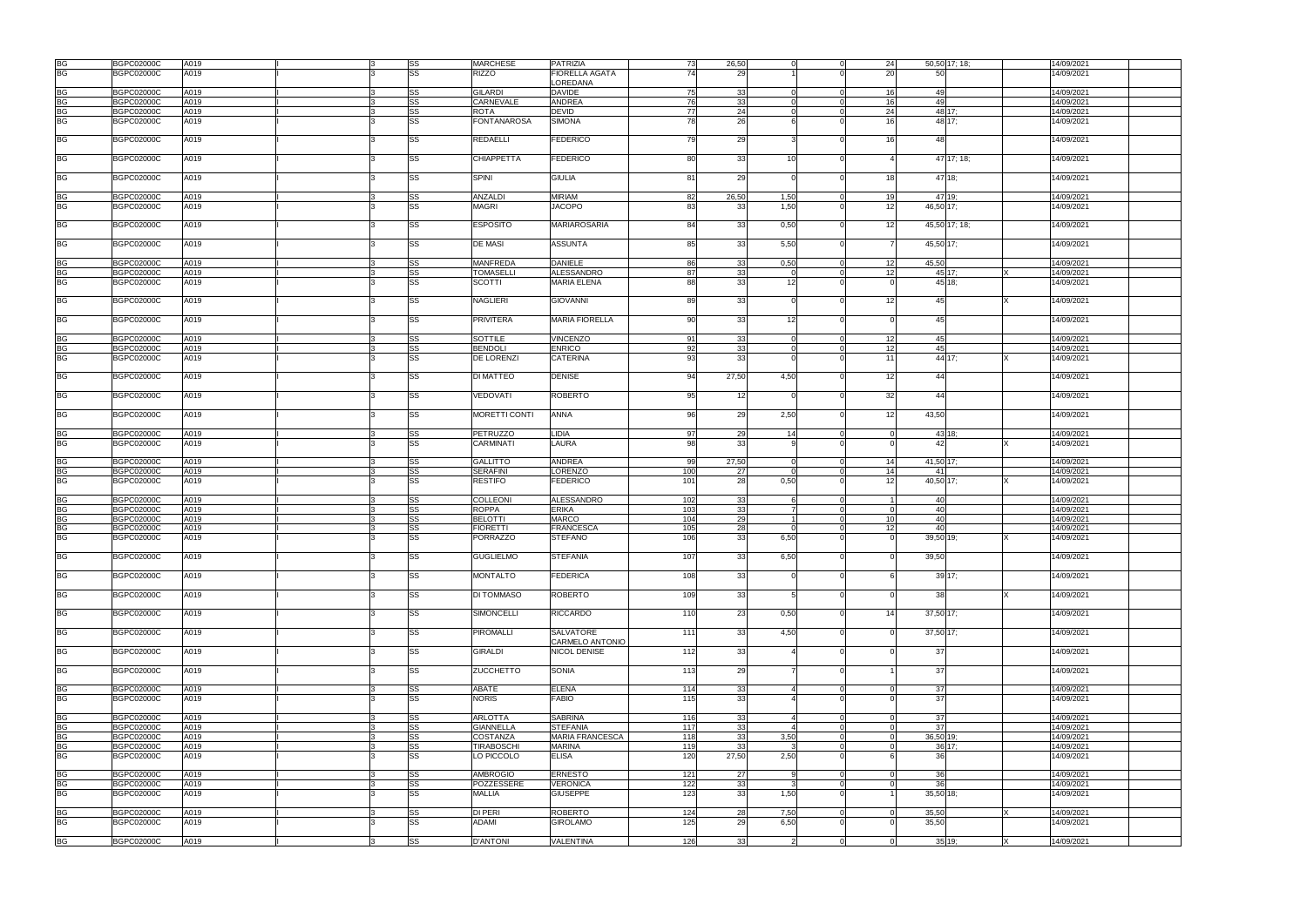| <b>BG</b>              | <b>BGPC02000C</b> | A019 |   | SS | <b>MARCHESE</b>    | <b>PATRIZIA</b>        | 73  | 26,50 |                        | 24<br>$\Omega$              | 50,50 17; 18; | 14/09/2021 |
|------------------------|-------------------|------|---|----|--------------------|------------------------|-----|-------|------------------------|-----------------------------|---------------|------------|
|                        |                   |      |   |    | <b>RIZZO</b>       |                        | 74  |       |                        |                             | 50            |            |
| <b>BG</b>              | <b>BGPC02000C</b> | A019 |   | SS |                    | <b>FIORELLA AGATA</b>  |     | 29    |                        | 20                          |               | 14/09/2021 |
|                        |                   |      |   |    |                    | LOREDANA               |     |       |                        |                             |               |            |
| BG                     | <b>BGPC02000C</b> | A019 |   | SS | <b>GILARDI</b>     | <b>DAVIDE</b>          | 75  | 33    |                        | 16<br>$\Omega$              | 49            | 14/09/2021 |
| <b>BG</b>              | <b>BGPC02000C</b> | A019 |   | SS | CARNEVALE          | <b>ANDREA</b>          | 76  | 33    |                        | 16<br>$\Omega$              | 49            | 14/09/2021 |
|                        |                   |      |   |    |                    |                        |     |       |                        |                             |               |            |
| <b>BG</b>              | <b>BGPC02000C</b> | A019 |   | SS | <b>ROTA</b>        | <b>DEVID</b>           | 77  | 24    |                        | 24<br>$\Omega$              | 48 17;        | 14/09/2021 |
| <b>BG</b>              | <b>BGPC02000C</b> | A019 |   | SS | <b>FONTANAROSA</b> | <b>SIMONA</b>          | 78  | 26    |                        | 16 <sup>1</sup>             | 48 17:        | 14/09/2021 |
|                        |                   |      |   |    |                    |                        |     |       |                        |                             |               |            |
| <b>BG</b>              | <b>BGPC02000C</b> | A019 |   | SS | <b>REDAELLI</b>    | <b>FEDERICO</b>        | 79  | 29    |                        | 16                          | 48            | 14/09/2021 |
|                        |                   |      |   |    |                    |                        |     |       |                        |                             |               |            |
| <b>BG</b>              | <b>BGPC02000C</b> | A019 |   | SS | <b>CHIAPPETTA</b>  | <b>FEDERICO</b>        | 80  | 33    | 10                     |                             | 47 17: 18:    | 14/09/2021 |
|                        |                   |      |   |    |                    |                        |     |       |                        |                             |               |            |
| BG                     | <b>BGPC02000C</b> | A019 |   | SS | <b>SPINI</b>       | <b>GIULIA</b>          | 81  | 29    |                        | 18<br>$\Omega$              | 47 18:        | 14/09/2021 |
|                        |                   |      |   |    |                    |                        |     |       |                        |                             |               |            |
| BG                     | <b>BGPC02000C</b> | A019 |   | SS | <b>ANZALDI</b>     | <b>MIRIAM</b>          | 82  | 26,50 | 1,50                   | 19<br>$\Omega$              | 47 19:        | 14/09/2021 |
| <b>BG</b>              | <b>BGPC02000C</b> | A019 |   | SS | <b>MAGRI</b>       | <b>JACOPO</b>          | 83  | 33    | 1,50                   | 12<br>$\Omega$              | 46,50 17:     | 14/09/2021 |
|                        |                   |      |   |    |                    |                        |     |       |                        |                             |               |            |
| <b>BG</b>              | <b>BGPC02000C</b> | A019 |   | SS | <b>ESPOSITO</b>    | <b>MARIAROSARIA</b>    | 84  | 33    | 0,50                   | 12<br>$\Omega$              | 45,50 17; 18; | 14/09/2021 |
|                        |                   |      |   |    |                    |                        |     |       |                        |                             |               |            |
| BG                     | <b>BGPC02000C</b> | A019 |   | SS | <b>DE MASI</b>     | <b>ASSUNTA</b>         | 85  | 33    | 5,50                   | $\Omega$                    | 45,50 17;     | 14/09/2021 |
|                        |                   |      |   |    |                    |                        |     |       |                        |                             |               |            |
|                        | <b>BGPC02000C</b> |      |   |    | <b>MANFREDA</b>    | <b>DANIELE</b>         |     |       |                        | 12<br>$\Omega$              | 45,50         | 14/09/2021 |
| BG                     |                   | A019 |   | SS |                    |                        | 86  | 33    | 0,50                   |                             |               |            |
| <b>BG</b>              | <b>BGPC02000C</b> | A019 |   | SS | <b>TOMASELLI</b>   | ALESSANDRO             | 87  | 33    |                        | 12<br>$\Omega$              | 45 17:        | 14/09/2021 |
| <b>BG</b>              | <b>BGPC02000C</b> | A019 |   | SS | <b>SCOTTI</b>      | <b>MARIA ELENA</b>     | 88  | 33    | 12 <sup>1</sup>        | $\Omega$                    | 45 18:        | 14/09/2021 |
|                        |                   |      |   |    |                    |                        |     |       |                        |                             |               |            |
| <b>BG</b>              | <b>BGPC02000C</b> | A019 |   | SS | <b>NAGLIERI</b>    | <b>GIOVANNI</b>        | 89  | 33    |                        | 12<br>$\Omega$              | 45            | 14/09/2021 |
|                        |                   |      |   |    |                    |                        |     |       |                        |                             |               |            |
| <b>BG</b>              | <b>BGPC02000C</b> | A019 |   | SS | <b>PRIVITERA</b>   | <b>MARIA FIORELLA</b>  | 90  | 33    | 12 <sup>1</sup>        | $\Omega$                    | 45            | 14/09/2021 |
|                        |                   |      |   |    |                    |                        |     |       |                        |                             |               |            |
|                        |                   |      |   |    |                    |                        |     |       |                        |                             |               |            |
| <b>BG</b>              | <b>BGPC02000C</b> | A019 |   | SS | SOTTILE            | <b>VINCENZO</b>        | 91  | 33    |                        | 12<br>$\overline{0}$        | 45            | 14/09/2021 |
| <b>BG</b>              | <b>BGPC02000C</b> | A019 |   | SS | <b>BENDOLI</b>     | <b>ENRICO</b>          | 92  | 33    |                        | 12<br>$\Omega$              | 45            | 14/09/2021 |
| <b>BG</b>              | <b>BGPC02000C</b> | A019 |   | SS | DE LORENZI         | <b>CATERINA</b>        | 93  | 33    |                        | 11                          | 44 17:        | 14/09/2021 |
|                        |                   |      |   |    |                    |                        |     |       |                        |                             |               |            |
|                        |                   |      |   | SS |                    |                        | 94  |       |                        | $\Omega$                    | 44            |            |
| <b>BG</b>              | <b>BGPC02000C</b> | A019 |   |    | <b>DI MATTEO</b>   | <b>DENISE</b>          |     | 27,50 | 4,50                   | 12                          |               | 14/09/2021 |
|                        |                   |      |   |    |                    |                        |     |       |                        |                             |               |            |
| <b>BG</b>              | <b>BGPC02000C</b> | A019 |   | SS | VEDOVATI           | <b>ROBERTO</b>         | 95  | 12    |                        | 32                          | 44            | 14/09/2021 |
|                        |                   |      |   |    |                    |                        |     |       |                        |                             |               |            |
| BG                     | <b>BGPC02000C</b> | A019 |   | SS | MORETTI CONTI      | <b>ANNA</b>            | 96  | 29    | 2,50                   | 12<br>$\Omega$              | 43,50         | 14/09/2021 |
|                        |                   |      |   |    |                    |                        |     |       |                        |                             |               |            |
|                        |                   |      |   |    |                    |                        |     |       |                        |                             |               |            |
| BG                     | <b>BGPC02000C</b> | A019 |   | SS | <b>PETRUZZO</b>    | LIDIA                  | 97  | 29    | 14                     | $\Omega$<br>$\Omega$        | 43 18:        | 14/09/2021 |
| <b>BG</b>              | <b>BGPC02000C</b> | A019 |   | SS | <b>CARMINATI</b>   | LAURA                  | 98  | 33    |                        |                             | 42            | 14/09/2021 |
|                        |                   |      |   |    |                    |                        |     |       |                        |                             |               |            |
| <b>BG</b>              | <b>BGPC02000C</b> | A019 |   | SS | <b>GALLITTO</b>    | <b>ANDREA</b>          | 99  | 27,50 |                        | 14<br>$\Omega$              | 41,50 17;     | 14/09/2021 |
|                        |                   |      |   |    |                    |                        |     |       |                        |                             |               |            |
| <b>BG</b>              | <b>BGPC02000C</b> | A019 |   | SS | <b>SERAFINI</b>    | LORENZO                | 100 | 27    |                        | 14<br>$\Omega$              | 41            | 14/09/2021 |
| <b>BG</b>              | <b>BGPC02000C</b> | A019 |   | SS | <b>RESTIFO</b>     | <b>FEDERICO</b>        | 101 | 28    | 0,50                   | 12                          | 40,50 17;     | 14/09/2021 |
|                        |                   |      |   |    |                    |                        |     |       |                        |                             |               |            |
| <b>BG</b>              | <b>BGPC02000C</b> | A019 |   | SS | COLLEONI           | <b>ALESSANDRO</b>      | 102 | 33    | <b>6</b>               | $\Omega$                    | 40            | 14/09/2021 |
|                        |                   |      |   |    |                    |                        |     |       |                        |                             |               |            |
| <b>BG</b>              | <b>BGPC02000C</b> | A019 |   | SS | <b>ROPPA</b>       | <b>ERIKA</b>           | 103 | 33    | 7                      | $\Omega$<br>$\Omega$        | 40            | 14/09/2021 |
| <b>BG</b>              | <b>BGPC02000C</b> | A019 |   | SS | <b>BELOTTI</b>     | <b>MARCO</b>           | 104 | 29    |                        | 10 <sup>1</sup><br>$\Omega$ | 40            | 14/09/2021 |
| <b>BG</b>              | <b>BGPC02000C</b> | A019 |   | SS | <b>FIORETTI</b>    | <b>FRANCESCA</b>       | 105 | 28    |                        | 12<br>$\Omega$              | 40            | 14/09/2021 |
| <b>BG</b>              | <b>BGPC02000C</b> | A019 |   | SS | <b>PORRAZZO</b>    | <b>STEFANO</b>         | 106 | 33    | 6,50                   |                             | 39,50 19;     | 14/09/2021 |
|                        |                   |      |   |    |                    |                        |     |       |                        |                             |               |            |
|                        |                   |      |   |    |                    |                        |     |       |                        |                             |               |            |
| <b>BG</b>              | <b>BGPC02000C</b> | A019 |   | SS | <b>GUGLIELMO</b>   | <b>STEFANIA</b>        | 107 | 33    | 6,50                   |                             | 39,50         | 14/09/2021 |
|                        |                   |      |   |    |                    |                        |     |       |                        |                             |               |            |
| <b>BG</b>              | <b>BGPC02000C</b> | A019 |   | SS | <b>MONTALTO</b>    | <b>FEDERICA</b>        | 108 | 33    |                        | $\Omega$                    | 39 17;        | 14/09/2021 |
|                        |                   |      |   |    |                    |                        |     |       |                        |                             |               |            |
| <b>BG</b>              | <b>BGPC02000C</b> | A019 |   | SS | DI TOMMASO         | <b>ROBERTO</b>         | 109 | 33    |                        | $\Omega$                    | 38            | 14/09/2021 |
|                        |                   |      |   |    |                    |                        |     |       |                        |                             |               |            |
| <b>BG</b>              | <b>BGPC02000C</b> | A019 |   | SS | <b>SIMONCELLI</b>  | <b>RICCARDO</b>        | 110 | 23    | 0,50                   | 14<br>$\Omega$              | 37,50 17;     | 14/09/2021 |
|                        |                   |      |   |    |                    |                        |     |       |                        |                             |               |            |
|                        |                   |      |   |    |                    |                        |     |       |                        |                             |               |            |
| <b>BG</b>              | <b>BGPC02000C</b> | A019 |   | SS | <b>PIROMALLI</b>   | <b>SALVATORE</b>       | 111 | 33    | 4,50                   | $\Omega$                    | 37,50 17;     | 14/09/2021 |
|                        |                   |      |   |    |                    | CARMELO ANTONIO        |     |       |                        |                             |               |            |
|                        |                   |      |   |    |                    |                        |     |       |                        |                             |               |            |
|                        | <b>BGPC02000C</b> | A019 |   | SS | <b>GIRALDI</b>     | <b>NICOL DENISE</b>    | 112 | 33    |                        | $\Omega$                    | 37            | 14/09/2021 |
|                        |                   |      |   |    |                    |                        |     |       |                        |                             |               |            |
| <b>BG</b>              |                   |      |   |    |                    |                        |     |       |                        |                             |               |            |
| <b>BG</b>              | <b>BGPC02000C</b> | A019 |   | SS | <b>ZUCCHETTO</b>   | <b>SONIA</b>           | 113 | 29    |                        | $\Omega$                    | 37            | 14/09/2021 |
|                        |                   |      |   |    |                    |                        |     |       |                        |                             |               |            |
| <b>BG</b>              | <b>BGPC02000C</b> | A019 |   | SS | ABATE              | <b>ELENA</b>           | 114 | 33    |                        | $\Omega$                    | 37            | 14/09/2021 |
| <b>BG</b>              | <b>BGPC02000C</b> | A019 |   | SS | <b>NORIS</b>       | <b>FABIO</b>           | 115 | 33    |                        |                             | 37            | 14/09/2021 |
|                        |                   |      |   |    |                    |                        |     |       |                        |                             |               |            |
|                        |                   |      |   |    |                    |                        |     |       |                        |                             |               |            |
| <b>BG</b>              | <b>BGPC02000C</b> | A019 |   | SS | <b>ARLOTTA</b>     | <b>SABRINA</b>         | 116 | 33    |                        | $\Omega$                    | 37            | 14/09/2021 |
| <b>BG</b>              | <b>BGPC02000C</b> | A019 |   | SS | <b>GIANNELLA</b>   | <b>STEFANIA</b>        | 117 | 33    | $\boldsymbol{\Lambda}$ | $\Omega$<br>$\Omega$        | 37            | 14/09/2021 |
| <b>BG</b>              | <b>BGPC02000C</b> | A019 |   | SS | COSTANZA           | <b>MARIA FRANCESCA</b> | 118 | 33    | 3,50                   | $\Omega$                    | 36,50 19;     | 14/09/2021 |
|                        | <b>BGPC02000C</b> | A019 |   |    | <b>TIRABOSCHI</b>  | <b>MARINA</b>          | 119 | 33    |                        | $\Omega$<br>$\cap$          |               | 14/09/2021 |
| BG                     |                   |      |   | SS |                    |                        |     |       |                        | $\Omega$                    | $36$ 17;      |            |
|                        | <b>BGPC02000C</b> | A019 |   | SS | LO PICCOLO         | <b>ELISA</b>           | 120 | 27,50 | 2,50                   |                             | <b>36</b>     | 14/09/2021 |
|                        |                   |      |   |    |                    |                        |     |       |                        |                             |               |            |
| <b>BG</b>              | <b>BGPC02000C</b> | A019 |   | SS | <b>AMBROGIO</b>    | <b>ERNESTO</b>         | 121 | 27    |                        | $\Omega$                    | 36            | 14/09/2021 |
| <b>BG</b>              | <b>BGPC02000C</b> | A019 |   | SS | POZZESSERE         | <b>VERONICA</b>        | 122 | 33    |                        | $\Omega$                    | 36            | 14/09/2021 |
|                        | <b>BGPC02000C</b> | A019 |   | SS | <b>MALLIA</b>      | <b>GIUSEPPE</b>        | 123 | 33    | 1,50                   |                             | 35,50 18;     | 14/09/2021 |
| <b>BG</b><br><b>BG</b> |                   |      |   |    |                    |                        |     |       |                        |                             |               |            |
|                        |                   |      |   |    |                    |                        |     |       |                        |                             |               |            |
| <b>BG</b>              | <b>BGPC02000C</b> | A019 |   | SS | DI PERI            | <b>ROBERTO</b>         | 124 | 28    | 7,50                   | $\Omega$<br>$\Omega$        | 35,50         | 14/09/2021 |
| <b>BG</b>              | <b>BGPC02000C</b> | A019 |   | SS | <b>ADAMI</b>       | <b>GIROLAMO</b>        | 125 | 29    | 6,50                   | $\Omega$                    | 35,50         | 14/09/2021 |
| <b>BG</b>              | <b>BGPC02000C</b> | A019 | 3 | SS | <b>D'ANTONI</b>    | VALENTINA              | 126 | 33    | $\overline{2}$         | $\overline{0}$<br>$\Omega$  | 35 19;        | 14/09/2021 |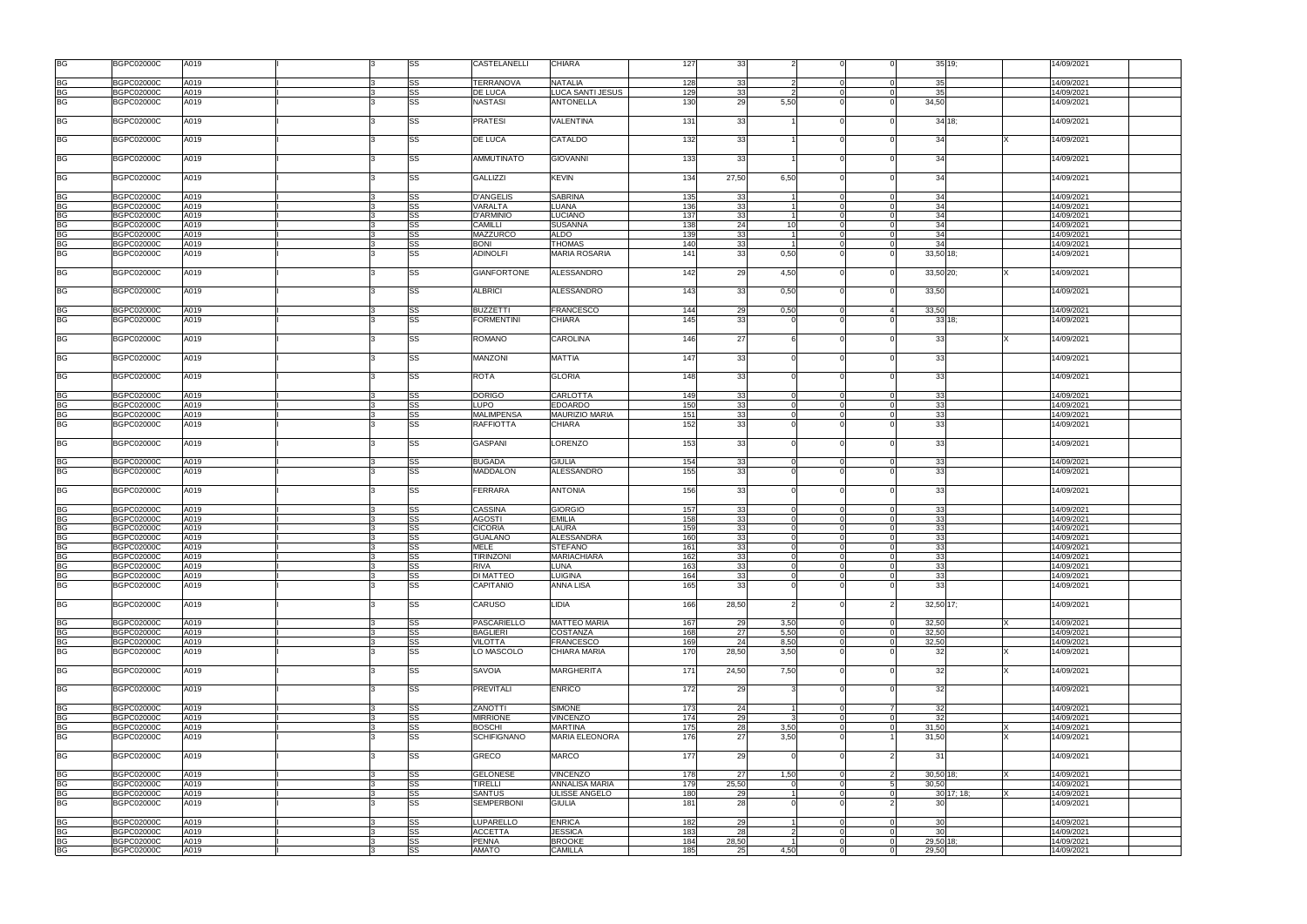| <b>BG</b>              | <b>BGPC02000C</b>                      | A019         |   | SS              | CASTELANELLI       | <b>CHIARA</b>           | 127        | 33       |                 |                |                | 35 19;      |              | 14/09/2021               |  |
|------------------------|----------------------------------------|--------------|---|-----------------|--------------------|-------------------------|------------|----------|-----------------|----------------|----------------|-------------|--------------|--------------------------|--|
| BG                     | <b>BGPC02000C</b>                      | A019         |   | SS              | <b>TERRANOVA</b>   | <b>NATALIA</b>          | 128        | 33       |                 | $\Omega$       | $\Omega$       | 35          |              | 14/09/2021               |  |
|                        |                                        |              |   |                 | DE LUCA            | <b>LUCA SANTI JESUS</b> |            |          |                 | $\Omega$       | $\Omega$       |             |              |                          |  |
| <b>BG</b><br><b>BG</b> | <b>BGPC02000C</b><br><b>BGPC02000C</b> | A019<br>A019 |   | <b>SS</b><br>SS | <b>NASTASI</b>     | <b>ANTONELLA</b>        | 129<br>130 | 33<br>29 | 5,50            |                |                | 35<br>34,50 |              | 14/09/2021<br>14/09/2021 |  |
|                        |                                        |              |   |                 |                    |                         |            |          |                 |                |                |             |              |                          |  |
| <b>BG</b>              | <b>BGPC02000C</b>                      | A019         |   | <b>SS</b>       | <b>PRATESI</b>     | VALENTINA               | 131        | 33       |                 |                |                | 34 18;      |              | 14/09/2021               |  |
| <b>BG</b>              | <b>BGPC02000C</b>                      | A019         |   | SS              | DE LUCA            | CATALDO                 | 132        | 33       |                 |                |                | 34          |              | 14/09/2021               |  |
| BG                     | <b>BGPC02000C</b>                      | A019         |   | SS              | <b>AMMUTINATO</b>  | <b>GIOVANNI</b>         | 133        | 33       |                 |                |                | 34          |              | 14/09/2021               |  |
| <b>BG</b>              | <b>BGPC02000C</b>                      | A019         |   | SS              | <b>GALLIZZI</b>    | <b>KEVIN</b>            | 134        | 27,50    | 6,50            | $\Omega$       |                | 34          |              | 14/09/2021               |  |
| BG                     | <b>BGPC02000C</b>                      | A019         |   | SS              | <b>D'ANGELIS</b>   | <b>SABRINA</b>          | 135        | 33       |                 | $\overline{0}$ | $\Omega$       | 34          |              | 14/09/2021               |  |
| <b>BG</b>              | <b>BGPC02000C</b>                      | A019         |   | <b>SS</b>       | VARALTA            | LUANA                   | 136        | 33       |                 |                |                | 34          |              | 14/09/2021               |  |
| <b>BG</b>              | <b>BGPC02000C</b>                      | A019         |   | <b>SS</b>       | <b>D'ARMINIO</b>   | LUCIANO                 | 137        | 33       |                 |                |                | 34          |              | 14/09/2021               |  |
| <b>BG</b>              | <b>BGPC02000C</b>                      | A019         |   | <b>SS</b>       | <b>CAMILLI</b>     | <b>SUSANNA</b>          | 138        | 24       | 10 <sup>1</sup> | $\Omega$       |                | 34          |              | 14/09/2021               |  |
|                        |                                        |              |   |                 |                    |                         |            |          |                 |                |                |             |              |                          |  |
| <b>BG</b>              | <b>BGPC02000C</b>                      | A019         |   | <b>SS</b>       | MAZZURCO           | <b>ALDO</b>             | 139        | 33       |                 | $\Omega$       | $\Omega$       | 34          |              | 14/09/2021               |  |
| <b>BG</b>              | <b>BGPC02000C</b>                      | A019         |   | <b>SS</b>       | <b>BONI</b>        | <b>THOMAS</b>           | 140        | 33       |                 | $\Omega$       | $\Omega$       | 34          |              | 14/09/2021               |  |
| <b>BG</b>              | <b>BGPC02000C</b>                      | A019         |   | SS              | <b>ADINOLFI</b>    | <b>MARIA ROSARIA</b>    | 141        | 33       | 0,50            |                | $\Omega$       | 33,50 18;   |              | 14/09/2021               |  |
| <b>BG</b>              | <b>BGPC02000C</b>                      | A019         |   | <b>SS</b>       | <b>GIANFORTONE</b> | ALESSANDRO              | 142        | 29       | 4,50            | $\Omega$       |                | 33,50 20;   |              | 14/09/2021               |  |
| <b>BG</b>              | <b>BGPC02000C</b>                      | A019         |   | <b>SS</b>       | <b>ALBRICI</b>     | ALESSANDRO              | 143        | 33       | 0,50            |                |                | 33,50       |              | 14/09/2021               |  |
|                        |                                        |              |   |                 |                    |                         |            |          |                 |                |                |             |              |                          |  |
| BG                     | <b>BGPC02000C</b>                      | A019         |   | <b>SS</b>       | <b>BUZZETTI</b>    | <b>FRANCESCO</b>        | 144        | 29       | 0,50            | $\Omega$       | $\mathbf{A}$   | 33,50       |              | 14/09/2021               |  |
| <b>BG</b>              | <b>BGPC02000C</b>                      | A019         |   | <b>SS</b>       | <b>FORMENTINI</b>  | <b>CHIARA</b>           | 145        | 33       |                 |                |                | 33 18;      |              | 14/09/2021               |  |
| <b>BG</b>              | <b>BGPC02000C</b>                      | A019         |   | SS              | <b>ROMANO</b>      | CAROLINA                | 146        | 27       |                 |                |                | 33          |              | 14/09/2021               |  |
| <b>BG</b>              | <b>BGPC02000C</b>                      | A019         |   | <b>SS</b>       | MANZONI            | <b>MATTIA</b>           | 147        | 33       |                 |                |                | 33          |              | 14/09/2021               |  |
| <b>BG</b>              | <b>BGPC02000C</b>                      | A019         |   | SS              | <b>ROTA</b>        | <b>GLORIA</b>           | 148        | 33       |                 |                |                | 33          |              | 14/09/2021               |  |
|                        |                                        |              |   |                 |                    |                         |            |          |                 |                |                |             |              |                          |  |
| BG                     | <b>BGPC02000C</b>                      | A019         |   | SS              | <b>DORIGO</b>      | <b>CARLOTTA</b>         | 149        | 33       |                 | $\Omega$       |                | 33          |              | 14/09/2021               |  |
| <b>BG</b>              | <b>BGPC02000C</b>                      | A019         |   | <b>SS</b>       | <b>LUPO</b>        | <b>EDOARDO</b>          | 150        | 33       |                 | $\Omega$       | $\Omega$       | 33          |              | 14/09/2021               |  |
| <b>BG</b>              | <b>BGPC02000C</b>                      | A019         |   | <b>SS</b>       | <b>MALIMPENSA</b>  | <b>MAURIZIO MARIA</b>   | 151        | 33       |                 | $\Omega$       |                | 33          |              | 14/09/2021               |  |
|                        |                                        |              |   |                 |                    |                         |            |          |                 |                |                |             |              |                          |  |
| <b>BG</b>              | <b>BGPC02000C</b>                      | A019         |   | SS              | <b>RAFFIOTTA</b>   | CHIARA                  | 152        | 33       |                 |                |                | 33          |              | 14/09/2021               |  |
| <b>BG</b>              | <b>BGPC02000C</b>                      | A019         |   | SS              | <b>GASPANI</b>     | <b>LORENZO</b>          | 153        | 33       |                 |                |                | 33          |              | 14/09/2021               |  |
| BG                     | <b>BGPC02000C</b>                      | A019         |   | SS              | <b>BUGADA</b>      | <b>GIULIA</b>           | 154        | 33       |                 |                |                | 33          |              | 14/09/2021               |  |
|                        |                                        |              |   |                 |                    |                         |            |          |                 |                |                |             |              |                          |  |
| <b>BG</b>              | <b>BGPC02000C</b>                      | A019         |   | <b>SS</b>       | <b>MADDALON</b>    | <b>ALESSANDRO</b>       | 155        | 33       |                 |                |                | 33          |              | 14/09/2021               |  |
| <b>BG</b>              | <b>BGPC02000C</b>                      | A019         |   | <b>SS</b>       | FERRARA            | <b>ANTONIA</b>          | 156        | 33       |                 |                |                | 33          |              | 14/09/2021               |  |
|                        |                                        |              |   |                 |                    |                         |            |          |                 |                |                |             |              |                          |  |
| BG                     | <b>BGPC02000C</b>                      | A019         |   | <b>SS</b>       | <b>CASSINA</b>     | <b>GIORGIO</b>          | 157        | 33       |                 | $\Omega$       | $\Omega$       | 33          |              | 14/09/2021               |  |
|                        |                                        |              |   |                 |                    |                         |            |          |                 |                |                |             |              |                          |  |
| <b>BG</b>              | <b>BGPC02000C</b>                      | A019         |   | <b>SS</b>       | <b>AGOSTI</b>      | <b>EMILIA</b>           | 158        | 33       |                 | $\Omega$       |                | 33          |              | 14/09/2021               |  |
| <b>BG</b>              | <b>BGPC02000C</b>                      | A019         |   | SS              | <b>CICORIA</b>     | LAURA                   | 159        | 33       |                 | $\Omega$       |                | 33          |              | 14/09/2021               |  |
| <b>BG</b>              | <b>BGPC02000C</b>                      | A019         |   | SS              | <b>GUALANO</b>     | <b>ALESSANDRA</b>       | 160        | 33       |                 | $\Omega$       | $\Omega$       | 33          |              | 14/09/2021               |  |
|                        |                                        |              |   |                 |                    |                         |            |          |                 |                |                |             |              |                          |  |
| <b>BG</b>              | BGPC02000C                             | A019         |   | <b>SS</b>       | <b>MELE</b>        | <b>STEFANO</b>          | 161        | 33       |                 | $\Omega$       | $\Omega$       | 33          |              | 14/09/2021               |  |
| <b>BG</b>              | <b>BGPC02000C</b>                      | A019         | R | <b>SS</b>       | <b>TIRINZONI</b>   | <b>MARIACHIARA</b>      | 162        | 33       | $\Omega$        | $\overline{0}$ | $\overline{0}$ | 33          |              | 14/09/2021               |  |
| <b>BG</b>              | <b>BGPC02000C</b>                      | A019         |   | <b>SS</b>       | RIVA               | LUNA                    | 163        | 33       |                 | $\Omega$       | $\Omega$       | 33          |              | 14/09/2021               |  |
| <b>BG</b>              | <b>BGPC02000C</b>                      | A019         |   | <b>SS</b>       | DI MATTEO          | <b>LUIGINA</b>          | 164        | 33       |                 | $\Omega$       | $\Omega$       | 33          |              | 14/09/2021               |  |
| <b>BG</b>              |                                        |              |   |                 |                    |                         |            |          |                 |                |                |             |              |                          |  |
|                        | <b>BGPC02000C</b>                      | A019         |   | SS              | CAPITANIO          | ANNA LISA               | 165        | 33       |                 |                |                | 33          |              | 14/09/2021               |  |
| <b>BG</b>              | <b>BGPC02000C</b>                      | A019         |   | <b>SS</b>       | CARUSO             | LIDIA                   | 166        | 28,50    |                 | $\Omega$       |                | $32,50$ 17; |              | 14/09/2021               |  |
| <b>BG</b>              | <b>BGPC02000C</b>                      | A019         |   | <b>SS</b>       | <b>PASCARIELLO</b> | <b>MATTEO MARIA</b>     | 167        | 29       | 3,50            | $\Omega$       | $\Omega$       | 32,50       |              | 14/09/2021               |  |
| <b>BG</b>              | <b>BGPC02000C</b>                      | A019         |   | <b>SS</b>       | <b>BAGLIERI</b>    | <b>COSTANZA</b>         | 168        | 27       | 5,50            | $\overline{0}$ | $\Omega$       | 32,50       |              | 14/09/2021               |  |
|                        |                                        |              |   |                 |                    |                         |            |          |                 |                |                |             |              |                          |  |
| <b>BG</b>              | <b>BGPC02000C</b>                      | A019         |   | <b>SS</b>       | <b>VILOTTA</b>     | FRANCESCO               | 169        | 24       | 8,50            | $\Omega$       | $\Omega$       | 32,50       |              | 14/09/2021               |  |
| <b>BG</b>              | <b>BGPC02000C</b>                      | A019         |   | <b>SS</b>       | LO MASCOLO         | <b>CHIARA MARIA</b>     | 170        | 28,50    | 3,50            |                |                | 32          |              | 14/09/2021               |  |
| <b>BG</b>              | <b>BGPC02000C</b>                      | A019         |   | <b>SS</b>       | SAVOIA             | <b>MARGHERITA</b>       | 171        | 24,50    | 7,50            | $\Omega$       |                | 32          |              | 14/09/2021               |  |
| <b>BG</b>              | <b>BGPC02000C</b>                      | A019         |   | <b>SS</b>       | <b>PREVITALI</b>   | <b>ENRICO</b>           | 172        | 29       |                 | $\Omega$       |                | 32          |              | 14/09/2021               |  |
|                        | <b>BGPC02000C</b>                      |              |   |                 | <b>ZANOTTI</b>     | <b>SIMONE</b>           | 173        |          |                 | $\Omega$       | 7 <sup>1</sup> |             |              | 14/09/2021               |  |
| <b>BG</b>              |                                        | A019         |   | <b>SS</b>       |                    |                         |            | 24       |                 |                |                | 32          |              |                          |  |
| <b>BG</b>              | <b>BGPC02000C</b>                      | A019         |   | <b>SS</b>       | <b>MIRRIONE</b>    | <b>VINCENZO</b>         | 174        | 29       |                 | $\Omega$       | $\Omega$       | 32          |              | 14/09/2021               |  |
| <b>BG</b>              | <b>BGPC02000C</b>                      | A019         |   | <b>SS</b>       | <b>BOSCHI</b>      | <b>MARTINA</b>          | 175        | 28       | 3,50            | $\Omega$       | $\Omega$       | 31,50       |              | 14/09/2021               |  |
| <b>BG</b>              | <b>BGPC02000C</b>                      | A019         |   | SS              | <b>SCHIFIGNANO</b> | <b>MARIA ELEONORA</b>   | 176        | 27       | 3,50            |                |                | 31,50       |              | 14/09/2021               |  |
|                        |                                        |              |   |                 |                    |                         |            |          |                 |                |                |             |              |                          |  |
| <b>BG</b>              | <b>BGPC02000C</b>                      | A019         |   | <b>SS</b>       | GRECO              | <b>MARCO</b>            | 177        | 29       |                 | $\Omega$       | $\overline{2}$ | 31          |              | 14/09/2021               |  |
| <b>BG</b>              | <b>BGPC02000C</b>                      | A019         |   | <b>SS</b>       | <b>GELONESE</b>    | <b>VINCENZO</b>         | 178        | 27       | 1,50            | $\Omega$       | 2              | 30,50 18;   |              | 14/09/2021               |  |
| <b>BG</b>              | <b>BGPC02000C</b>                      | A019         |   | <b>SS</b>       | <b>TIRELLI</b>     | ANNALISA MARIA          | 179        | 25,50    |                 | $\Omega$       |                | 30,50       |              | 14/09/2021               |  |
|                        | <b>BGPC02000C</b>                      | A019         |   | <b>SS</b>       | <b>SANTUS</b>      | <b>ULISSE ANGELO</b>    | 180        | 29       |                 | $\overline{0}$ | $\Omega$       |             | $30$ 17; 18; | 14/09/2021               |  |
| <b>BG</b>              |                                        |              |   |                 |                    |                         |            |          |                 |                |                |             |              |                          |  |
| <b>BG</b>              | <b>BGPC02000C</b>                      | A019         |   | SS              | SEMPERBONI         | <b>GIULIA</b>           | 181        | 28       |                 |                | $\mathcal{P}$  | -30         |              | 14/09/2021               |  |
| BG                     | <b>BGPC02000C</b>                      | A019         |   | SS              | LUPARELLO          | <b>ENRICA</b>           | 182        | 29       |                 | $\Omega$       | $\Omega$       | 30          |              | 14/09/2021               |  |
|                        |                                        |              |   |                 |                    |                         |            |          |                 |                |                |             |              |                          |  |
| <b>BG</b>              | <b>BGPC02000C</b>                      | A019         |   | SS              | <b>ACCETTA</b>     | <b>JESSICA</b>          | 183        | 28       |                 | $\overline{0}$ | $\Omega$       | 30          |              | 14/09/2021               |  |
| BG<br>BG               | <b>BGPC02000C</b>                      | A019         |   | <b>SS</b>       | <b>PENNA</b>       | <b>BROOKE</b>           | 184        | 28,50    |                 | $\Omega$       |                | 29,50 18;   |              | 14/09/2021               |  |
|                        | <b>BGPC02000C</b>                      | A019         |   | <b>SS</b>       | <b>AMATO</b>       | <b>CAMILLA</b>          | 185        | 25       | 4,50            | $\Omega$       |                | 29,50       |              | 14/09/2021               |  |
|                        |                                        |              |   |                 |                    |                         |            |          |                 |                |                |             |              |                          |  |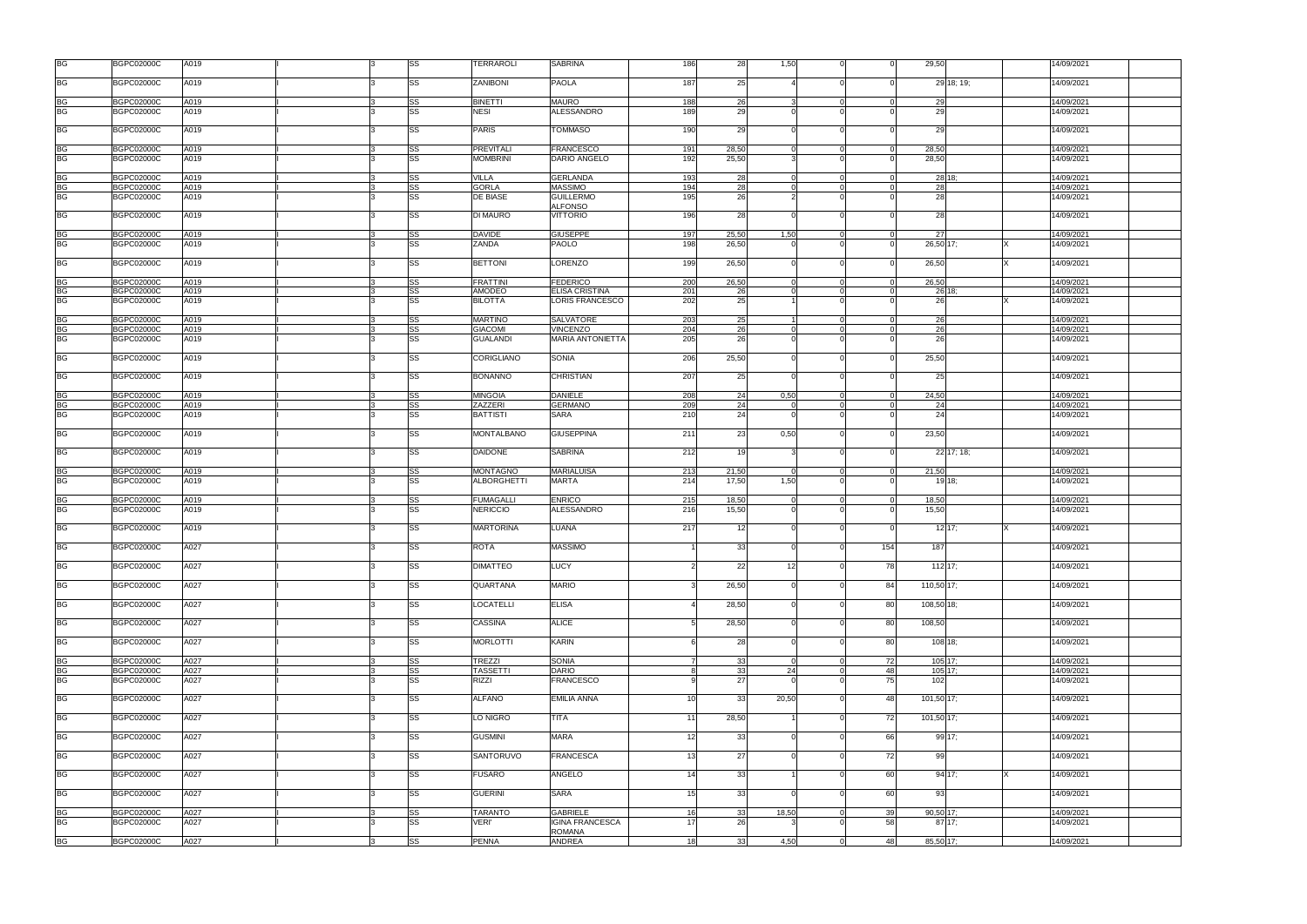| <b>BG</b>              | <b>BGPC02000C</b>                      | A019         |  | SS        | <b>TERRAROLI</b>                  | <b>SABRINA</b>                             | 186             | 28             | 1,50            |                            |          | 29,50           | 14/09/2021               |
|------------------------|----------------------------------------|--------------|--|-----------|-----------------------------------|--------------------------------------------|-----------------|----------------|-----------------|----------------------------|----------|-----------------|--------------------------|
| <b>BG</b>              | <b>BGPC02000C</b>                      | A019         |  | SS        | ZANIBONI                          | <b>PAOLA</b>                               | 187             | 25             |                 | $\Omega$                   |          | 29 18; 19;      | 14/09/2021               |
| BG                     | <b>BGPC02000C</b>                      | A019         |  | SS        | <b>BINETTI</b>                    | <b>MAURO</b>                               | 188             | 26             |                 | $\Omega$                   |          | 29              | 14/09/2021               |
| <b>BG</b>              | <b>BGPC02000C</b>                      | A019         |  | <b>SS</b> | <b>NESI</b>                       | ALESSANDRO                                 | 189             | 29             |                 | $\Omega$                   |          | 29              | 14/09/2021               |
| <b>BG</b>              | <b>BGPC02000C</b>                      | A019         |  | SS        | <b>PARIS</b>                      | <b>TOMMASO</b>                             | 190             | 29             |                 | $\Omega$                   |          | 29              | 14/09/2021               |
| <b>BG</b>              | <b>BGPC02000C</b>                      | A019         |  | SS        | <b>PREVITALI</b>                  | <b>FRANCESCO</b>                           | 191             | 28,50          | $\Omega$        | $\mathbf 0$                | $\Omega$ | 28,50           | 14/09/2021               |
| <b>BG</b>              | <b>BGPC02000C</b>                      | A019         |  | SS        | <b>MOMBRINI</b>                   | DARIO ANGELO                               | 192             | 25,50          |                 | $\Omega$                   |          | 28,50           | 14/09/2021               |
| BG                     | <b>BGPC02000C</b>                      | A019         |  | SS        | <b>VILLA</b>                      | <b>GERLANDA</b>                            | 193             | 28             |                 | $\Omega$                   | $\Omega$ | 28 18:          | 14/09/2021               |
| <b>BG</b><br><b>BG</b> | <b>BGPC02000C</b><br><b>BGPC02000C</b> | A019<br>A019 |  | SS<br>SS  | <b>GORLA</b><br>DE BIASE          | <b>MASSIMO</b><br><b>GUILLERMO</b>         | 194<br>195      | 28<br>26       |                 | $\Omega$<br>$\Omega$       |          | 28<br>28        | 14/09/2021<br>14/09/2021 |
|                        |                                        |              |  |           |                                   | <b>ALFONSO</b>                             |                 |                |                 |                            |          |                 |                          |
| <b>BG</b>              | <b>BGPC02000C</b>                      | A019         |  | SS        | DI MAURO                          | <b>VITTORIO</b>                            | 196             | 28             |                 | $\Omega$                   |          | 28              | 14/09/2021               |
| BG<br><b>BG</b>        | <b>BGPC02000C</b><br><b>BGPC02000C</b> | A019<br>A019 |  | SS<br>SS  | <b>DAVIDE</b><br><b>ZANDA</b>     | <b>GIUSEPPE</b><br>PAOLO                   | 197<br>198      | 25,50<br>26,50 | 1,50            | $\overline{0}$<br>$\Omega$ | $\Omega$ | 27<br>26,50 17; | 14/09/2021<br>14/09/2021 |
|                        |                                        |              |  |           |                                   |                                            |                 |                |                 |                            |          |                 |                          |
| <b>BG</b>              | <b>BGPC02000C</b>                      | A019         |  | SS        | <b>BETTONI</b>                    | LORENZO                                    | 199             | 26,50          |                 | $\Omega$                   |          | 26,50           | 14/09/2021               |
| BG                     | <b>BGPC02000C</b>                      | A019         |  | SS        | <b>FRATTINI</b>                   | <b>FEDERICO</b>                            | 200             | 26,50          |                 | $\Omega$                   |          | 26,50           | 14/09/2021               |
| <b>BG</b>              | <b>BGPC02000C</b>                      | A019         |  | SS        | <b>AMODEO</b>                     | <b>ELISA CRISTINA</b>                      | 201             | 26             |                 | $\Omega$                   |          | 26 18;          | 14/09/2021               |
| <b>BG</b>              | <b>BGPC02000C</b>                      | A019         |  | SS        | <b>BILOTTA</b>                    | LORIS FRANCESCO                            | 202             | 25             |                 |                            |          | 26              | 14/09/2021               |
| <b>BG</b>              | <b>BGPC02000C</b>                      | A019         |  | SS        | <b>MARTINO</b>                    | <b>SALVATORE</b>                           | 203             | 25             |                 | $\overline{0}$             | $\Omega$ | 26              | 14/09/2021               |
| <b>BG</b><br>BG        | <b>BGPC02000C</b><br><b>BGPC02000C</b> | A019<br>A019 |  | SS<br>SS  | <b>GIACOMI</b><br><b>GUALANDI</b> | <b>VINCENZO</b><br><b>MARIA ANTONIETTA</b> | 204<br>205      | 26<br>26       |                 | $\Omega$                   | $\Omega$ | 26<br>26        | 14/09/2021<br>14/09/2021 |
|                        |                                        |              |  |           |                                   |                                            |                 |                |                 |                            |          |                 |                          |
| <b>BG</b>              | <b>BGPC02000C</b>                      | A019         |  | SS        | CORIGLIANO                        | <b>SONIA</b>                               | 206             | 25,50          |                 |                            |          | 25,50           | 14/09/2021               |
| BG                     | <b>BGPC02000C</b>                      | A019         |  | SS        | <b>BONANNO</b>                    | <b>CHRISTIAN</b>                           | 207             | 25             |                 | $\Omega$                   |          | 25              | 14/09/2021               |
| BG                     | <b>BGPC02000C</b>                      | A019         |  | SS        | <b>MINGOIA</b>                    | <b>DANIELE</b>                             | 208             | 24             | 0,50            | $\mathbf 0$                | $\Omega$ | 24,50           | 14/09/2021               |
| <b>BG</b>              | <b>BGPC02000C</b>                      | A019         |  | SS        | <b>ZAZZERI</b>                    | <b>GERMANO</b>                             | 209             | 24             | $\Omega$        | $\Omega$                   | $\Omega$ | -24             | 14/09/2021               |
| <b>BG</b>              | <b>BGPC02000C</b>                      | A019         |  | SS        | <b>BATTISTI</b>                   | <b>SARA</b>                                | 210             | 24             |                 | $\Omega$                   |          | 24              | 14/09/2021               |
| <b>BG</b>              | <b>BGPC02000C</b>                      | A019         |  | SS        | <b>MONTALBANO</b>                 | <b>GIUSEPPINA</b>                          | 211             | 23             | 0,50            | $\Omega$                   |          | 23,50           | 14/09/2021               |
| <b>BG</b>              | <b>BGPC02000C</b>                      | A019         |  | SS        | <b>DAIDONE</b>                    | SABRINA                                    | 212             | 19             |                 | $\Omega$                   |          | 22 17; 18;      | 14/09/2021               |
| BG                     | <b>BGPC02000C</b>                      | A019         |  | SS        | <b>MONTAGNO</b>                   | <b>MARIALUISA</b>                          | 213             | 21,50          | $\cap$          | $\overline{0}$             | $\Omega$ | 21,50           | 14/09/2021               |
| <b>BG</b>              | <b>BGPC02000C</b>                      | A019         |  | SS        | <b>ALBORGHETTI</b>                | <b>MARTA</b>                               | 214             | 17,50          | 1,50            | $\Omega$                   |          | 19 18:          | 14/09/2021               |
| BG                     | <b>BGPC02000C</b>                      | A019         |  | SS        | <b>FUMAGALLI</b>                  | <b>ENRICO</b>                              | 215             | 18,50          |                 | $\Omega$                   |          | 18,50           | 14/09/2021               |
| <b>BG</b>              | <b>BGPC02000C</b>                      | A019         |  | SS        | <b>NERICCIO</b>                   | <b>ALESSANDRO</b>                          | 216             | 15,50          |                 | $\Omega$                   |          | 15,50           | 14/09/2021               |
| <b>BG</b>              | <b>BGPC02000C</b>                      | A019         |  | SS        | <b>MARTORINA</b>                  | LUANA                                      | 217             | 12             |                 |                            |          | $12$ 17;        | 14/09/2021               |
| <b>BG</b>              | <b>BGPC02000C</b>                      | A027         |  | SS        | <b>ROTA</b>                       | <b>MASSIMO</b>                             |                 | 33             |                 | $\Omega$                   | 154      | 187             | 14/09/2021               |
| <b>BG</b>              | <b>BGPC02000C</b>                      | A027         |  | SS        | <b>DIMATTEO</b>                   | <b>LUCY</b>                                |                 | 22             | 12 <sup>1</sup> | $\Omega$                   | 78       | $112$ 17;       | 14/09/2021               |
| <b>BG</b>              | <b>BGPC02000C</b>                      | A027         |  | SS        | <b>QUARTANA</b>                   | <b>MARIO</b>                               | 3               | 26,50          |                 | $\overline{0}$             | 84       | 110,50 17;      | 14/09/2021               |
| <b>BG</b>              | <b>BGPC02000C</b>                      | A027         |  | SS        | <b>LOCATELLI</b>                  | <b>ELISA</b>                               |                 | 28,50          |                 | $\Omega$                   | 80       | 108,50 18;      | 14/09/2021               |
|                        |                                        |              |  |           |                                   |                                            | 5 <sup>1</sup>  |                |                 | $\Omega$                   |          |                 |                          |
| <b>BG</b>              | <b>BGPC02000C</b>                      | A027         |  | SS        | <b>CASSINA</b>                    | <b>ALICE</b>                               |                 | 28,50          |                 |                            | 80       | 108,50          | 14/09/2021               |
| <b>BG</b>              | <b>BGPC02000C</b>                      | A027         |  | SS        | <b>MORLOTTI</b>                   | <b>KARIN</b>                               | 6               | 28             |                 | $\Omega$                   | 80       | 108 18;         | 14/09/2021               |
| <b>BG</b>              | <b>BGPC02000C</b>                      | A027         |  | SS        | <b>TREZZI</b>                     | <b>SONIA</b>                               | $\overline{7}$  | 33             | $\Omega$        | $\overline{0}$             | 72       | 105 17:         | 14/09/2021               |
| <b>BG</b>              | <b>BGPC02000C</b>                      | A027         |  | SS        | <b>TASSETTI</b>                   | <b>DARIO</b>                               | $\mathsf{R}$    | 33             | 24              | $\Omega$                   | 48       | 105 17:         | 14/09/2021               |
| <b>BG</b>              | <b>BGPC02000C</b>                      | A027         |  | SS        | <b>RIZZI</b>                      | <b>FRANCESCO</b>                           |                 | 27             |                 |                            | 75       | 102             | 14/09/2021               |
| <b>BG</b>              | <b>BGPC02000C</b>                      | A027         |  | SS        | <b>ALFANO</b>                     | <b>EMILIA ANNA</b>                         | 10 <sup>1</sup> | 33             | 20,50           | $\Omega$                   | 48       | 101,50 17;      | 14/09/2021               |
| <b>BG</b>              | <b>BGPC02000C</b>                      | A027         |  | SS        | LO NIGRO                          | TITA                                       | 11              | 28,50          |                 | $\Omega$                   | 72       | 101,50 17;      | 14/09/2021               |
| <b>BG</b>              | <b>BGPC02000C</b>                      | A027         |  | SS        | <b>GUSMINI</b>                    | <b>MARA</b>                                | 12              | 33             |                 | $\Omega$                   | 66       | 99 17:          | 14/09/2021               |
| <b>BG</b>              | <b>BGPC02000C</b>                      | A027         |  | SS        | SANTORUVO                         | <b>FRANCESCA</b>                           | 13              | 27             |                 | $\Omega$                   | 72       | 99              | 14/09/2021               |
| <b>BG</b>              | <b>BGPC02000C</b>                      | A027         |  | SS        | <b>FUSARO</b>                     | <b>ANGELO</b>                              | 14              | 33             |                 | $\Omega$                   | 60       | 94 17:          | 14/09/2021               |
| <b>BG</b>              | <b>BGPC02000C</b>                      | A027         |  | SS        | <b>GUERINI</b>                    | <b>SARA</b>                                | 15              | 33             |                 | $\Omega$                   | 60       | 93              | 14/09/2021               |
| BG                     | <b>BGPC02000C</b>                      | A027         |  | SS        | <b>TARANTO</b>                    | <b>GABRIELE</b>                            | 16I             | 33             | 18,50           | $\overline{0}$             | 39       | 90,50 17:       | 14/09/2021               |
| <b>BG</b>              | <b>BGPC02000C</b>                      | A027         |  | SS        | <b>VERI'</b>                      | <b>IGINA FRANCESCA</b>                     | 17              | 26             |                 | $\overline{0}$             | 58       | 87 17:          | 14/09/2021               |
|                        |                                        |              |  |           |                                   | <b>ROMANA</b>                              |                 |                |                 |                            |          |                 |                          |
| <b>BG</b>              | <b>BGPC02000C</b>                      | A027         |  | SS        | <b>PENNA</b>                      | <b>ANDREA</b>                              | 18              | 33             | 4,50            | $\Omega$                   | 48       | 85,50 17;       | 14/09/2021               |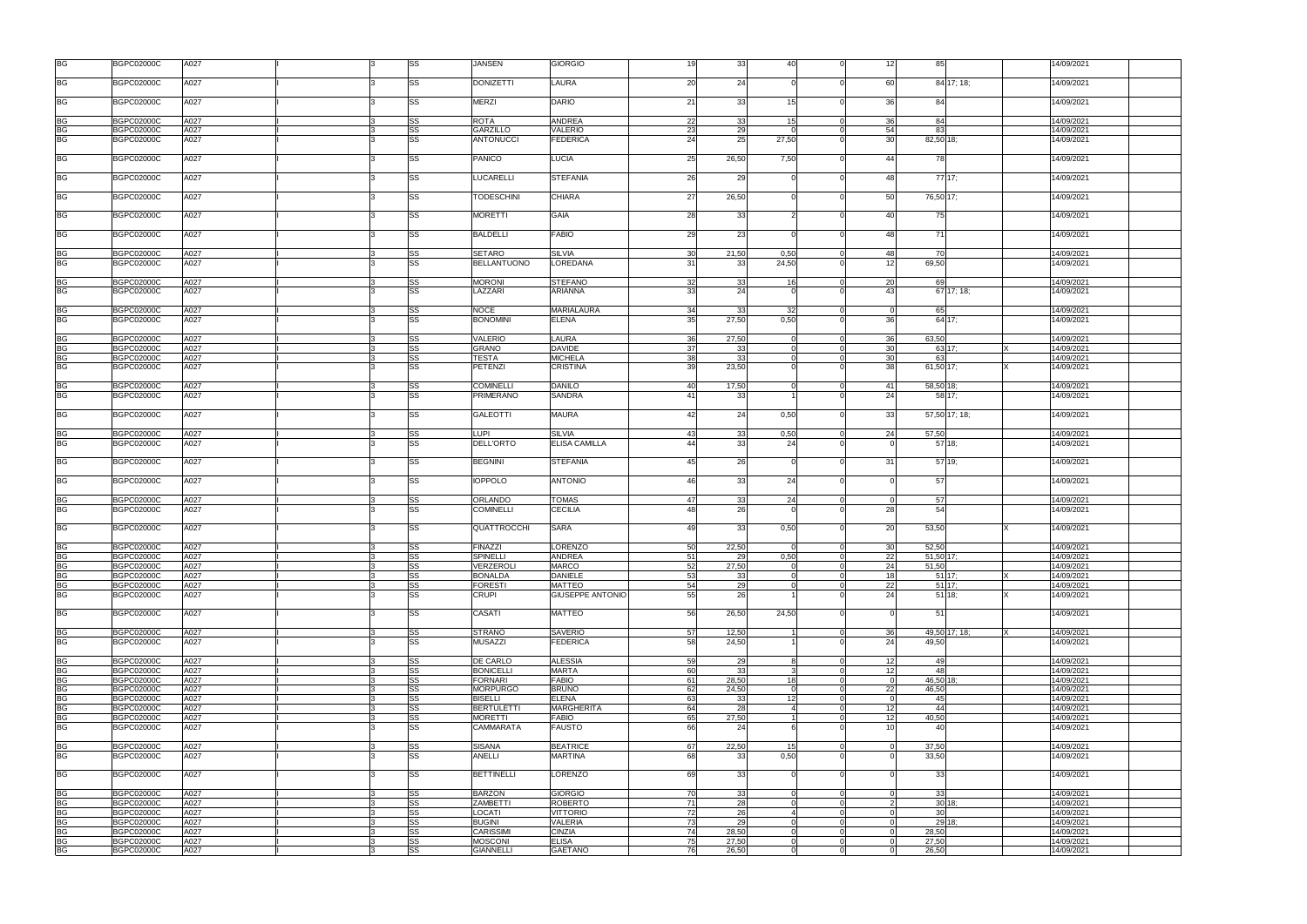| <b>BG</b>              | <b>BGPC02000C</b>                      | A027         |   | SS       | <b>JANSEN</b>               | <b>GIORGIO</b>                 | 19       | 33          | 40                     | $\Omega$                         | 12              | 85                 | 14/09/2021               |
|------------------------|----------------------------------------|--------------|---|----------|-----------------------------|--------------------------------|----------|-------------|------------------------|----------------------------------|-----------------|--------------------|--------------------------|
| <b>BG</b>              | <b>BGPC02000C</b>                      | A027         |   | SS       | <b>DONIZETTI</b>            | LAURA                          | 20       | 24          |                        | $\Omega$                         | 60              | 84 17; 18;         | 14/09/2021               |
| <b>BG</b>              | <b>BGPC02000C</b>                      | A027         |   | SS       | <b>MERZI</b>                | <b>DARIO</b>                   | 21       | 33          | 15 <sup>1</sup>        | $\Omega$                         | 36              | 84                 | 14/09/2021               |
| <b>BG</b>              | <b>BGPC02000C</b>                      | A027         |   | SS       | <b>ROTA</b>                 | <b>ANDREA</b>                  | 22       | 33          | 15 <sub>1</sub>        | $\Omega$                         | 36              | 84                 | 14/09/2021               |
| <b>BG</b>              | <b>BGPC02000C</b>                      | A027         |   | SS       | GARZILLO                    | <b>VALERIO</b>                 | 23       | 29          |                        | $\Omega$                         | 54              | 83                 | 14/09/2021               |
| <b>BG</b>              | <b>BGPC02000C</b>                      | A027         |   | SS       | <b>ANTONUCCI</b>            | <b>FEDERICA</b>                | 24       | 25          | 27,50                  | $\Omega$                         | 30 <sup>1</sup> | 82,50 18;          | 14/09/2021               |
| <b>BG</b>              | <b>BGPC02000C</b>                      | A027         |   | SS       | <b>PANICO</b>               | <b>LUCIA</b>                   | 25       | 26,50       | 7,50                   | $\Omega$                         | 44              | 78                 | 14/09/2021               |
| BG                     | <b>BGPC02000C</b>                      | A027         |   | SS       | <b>LUCARELLI</b>            | <b>STEFANIA</b>                | 26       | 29          |                        | $\Omega$                         | 48              | 77 17;             | 14/09/2021               |
| <b>BG</b>              | <b>BGPC02000C</b>                      | A027         |   | SS       | <b>TODESCHINI</b>           | <b>CHIARA</b>                  | 27       | 26,50       |                        | $\Omega$                         | 50              | 76,50 17;          | 14/09/2021               |
| BG                     | <b>BGPC02000C</b>                      | A027         |   | SS       | <b>MORETTI</b>              | <b>GAIA</b>                    | 28       | 33          |                        | $\Omega$                         | 40              | 75                 | 14/09/2021               |
| <b>BG</b>              | <b>BGPC02000C</b>                      | A027         |   | SS       | <b>BALDELLI</b>             | <b>FABIO</b>                   | 29       | 23          |                        | $\Omega$                         | 48              | 71                 | 14/09/2021               |
| BG                     | <b>BGPC02000C</b>                      | A027         |   | SS       | <b>SETARO</b>               | <b>SILVIA</b>                  | 30       | 21,50       | 0,50                   | $\Omega$                         | 48              | 70                 | 14/09/2021               |
| <b>BG</b>              | <b>BGPC02000C</b>                      | A027         |   | SS       | <b>BELLANTUONO</b>          | LOREDANA                       | 31       | 33          | 24,50                  | $\Omega$                         | 12              | 69,50              | 14/09/2021               |
| BG                     | <b>BGPC02000C</b>                      | A027         |   | SS       | <b>MORONI</b>               | <b>STEFANO</b>                 | 32       | 33          | 16                     |                                  | 20              | 69                 | 14/09/2021               |
| <b>BG</b>              | <b>BGPC02000C</b>                      | A027         |   | SS       | LAZZARI                     | ARIANNA                        | 33       | 24          |                        |                                  | 43              | $67$ 17; 18;       | 14/09/2021               |
|                        |                                        |              |   |          |                             |                                |          |             |                        |                                  |                 |                    |                          |
| <b>BG</b>              | <b>BGPC02000C</b>                      | A027         |   | SS       | <b>NOCE</b>                 | <b>MARIALAURA</b>              | 34       | 33          | 32                     | $\mathbf 0$                      | $\Omega$        | 65                 | 14/09/2021               |
| <b>BG</b>              | <b>BGPC02000C</b>                      | A027         |   | SS       | <b>BONOMINI</b>             | <b>ELENA</b>                   | 35       | 27,50       | 0,50                   | $\Omega$                         | 36              | 64 17:             | 4/09/2021                |
|                        |                                        |              |   |          |                             |                                |          |             |                        |                                  |                 |                    |                          |
| <b>BG</b>              | <b>BGPC02000C</b>                      | A027         |   | SS       | <b>VALERIO</b>              | LAURA                          | 36       | 27,50       | $\Omega$               | $\Omega$                         | 36              | 63,50              | 14/09/2021               |
| <b>BG</b>              | <b>BGPC02000C</b>                      | A027         |   | SS       | <b>GRANO</b>                | <b>DAVIDE</b>                  | 37       | 33          |                        | $\Omega$                         | 30              | 63 17;             | 14/09/2021               |
| <b>BG</b>              | <b>BGPC02000C</b>                      | A027         |   | SS       | <b>TESTA</b>                | <b>MICHELA</b>                 | 38       | 33          |                        | $\Omega$                         | 30              | 63                 | 14/09/2021               |
| <b>BG</b>              | <b>BGPC02000C</b>                      | A027         |   | SS       | <b>PETENZI</b>              | <b>CRISTINA</b>                | 39       | 23,50       |                        | $\Omega$                         | 38              | $61,50$ 17;        | 14/09/2021               |
| <b>BG</b>              | <b>BGPC02000C</b>                      | A027         |   | SS       | <b>COMINELLI</b>            | <b>DANILO</b>                  | 40       | 17,50       | $\Omega$               | $\overline{0}$                   | 41              | 58,50 18;          | 14/09/2021               |
| <b>BG</b>              | <b>BGPC02000C</b>                      | A027         |   | SS       | <b>PRIMERANO</b>            | <b>SANDRA</b>                  | 41       | 33          |                        | $\Omega$                         | 24              | 58 17;             | 14/09/2021               |
| BG                     | <b>BGPC02000C</b>                      | A027         |   | SS       | <b>GALEOTTI</b>             | <b>MAURA</b>                   | 42       | 24          | 0,50                   | $\Omega$                         | 33 <sup>1</sup> | 57,50 17; 18;      | 14/09/2021               |
| BG                     | <b>BGPC02000C</b>                      | A027         |   | SS       | <b>LUPI</b>                 | <b>SILVIA</b>                  | 43       | 33          | 0,50                   | $\Omega$                         | 24              | 57,50              | 14/09/2021               |
| <b>BG</b>              | <b>BGPC02000C</b>                      | A027         |   | SS       | <b>DELL'ORTO</b>            | <b>ELISA CAMILLA</b>           | 44       | 33          | 24                     |                                  |                 | 57 18:             | 14/09/2021               |
|                        |                                        |              |   |          |                             |                                |          |             |                        |                                  |                 |                    |                          |
| <b>BG</b>              | <b>BGPC02000C</b>                      | A027         |   | SS       | <b>BEGNINI</b>              | <b>STEFANIA</b>                | 45       | 26          |                        | $\Omega$                         | 31              | 57 19;             | 14/09/2021               |
| <b>BG</b>              | <b>BGPC02000C</b>                      | A027         |   | SS       | <b>IOPPOLO</b>              | <b>ANTONIO</b>                 | 46       | 33          | 24                     | $\Omega$                         |                 | 57                 | 14/09/2021               |
| BG                     | <b>BGPC02000C</b>                      | A027         |   | SS       | ORLANDO                     | <b>TOMAS</b>                   | 47       | 33          | 24                     | $\Omega$                         | $\Omega$        | 57                 | 14/09/2021               |
| <b>BG</b>              | <b>BGPC02000C</b>                      | A027         |   | SS       | <b>COMINELLI</b>            | <b>CECILIA</b>                 | 48       | 26          |                        | $\Omega$                         | 28              | 54                 | 14/09/2021               |
| <b>BG</b>              | <b>BGPC02000C</b>                      | A027         |   | SS       | QUATTROCCHI                 | <b>SARA</b>                    | 49       | 33          | 0,50                   |                                  | 20              | 53,50              | 14/09/2021               |
| <b>BG</b>              |                                        |              |   | SS       |                             |                                | 50       |             | $\Omega$               | $\Omega$                         | 30 <sup>1</sup> |                    |                          |
| <b>BG</b>              | <b>BGPC02000C</b>                      | A027         | 3 | SS       | <b>FINAZZI</b>              | <b>LORENZO</b>                 |          | 22,50       | 0,50                   |                                  |                 | 52,50              | 14/09/2021               |
| <b>BG</b>              | <b>BGPC02000C</b>                      | A027         |   |          | SPINELLI                    | <b>ANDREA</b>                  | 51       | 29<br>27,50 | $\Omega$               | $\overline{0}$<br>$\overline{0}$ | 22<br>24        | 51,50 17;<br>51,50 | 14/09/2021               |
|                        | <b>BGPC02000C</b><br><b>BGPC02000C</b> | A027<br>A027 |   | SS       | VERZEROLI<br><b>BONALDA</b> | <b>MARCO</b><br><b>DANIELE</b> | 52<br>53 |             | $\Omega$               | $\Omega$                         | 18              |                    | 14/09/2021<br>14/09/2021 |
| <b>BG</b>              | <b>BGPC02000C</b>                      | A027         |   | SS<br>SS | <b>FORESTI</b>              | <b>MATTEO</b>                  | 54       | 33<br>29    | $\Omega$               | $\Omega$                         | 22              | $51$ 17;<br>51 17; | 14/09/2021               |
| <b>BG</b><br><b>BG</b> | <b>BGPC02000C</b>                      | A027         |   | SS       | <b>CRUPI</b>                | <b>GIUSEPPE ANTONIO</b>        | 55       | 26          |                        | $\Omega$                         | 24              | 51 18:             | 14/09/2021               |
|                        |                                        |              |   |          |                             |                                |          |             |                        |                                  |                 |                    |                          |
| <b>BG</b>              | <b>BGPC02000C</b>                      | A027         |   | SS       | CASATI                      | <b>MATTEO</b>                  | 56       | 26,50       | 24,50                  | $\Omega$                         |                 | 51                 | 14/09/2021               |
| BG                     | <b>BGPC02000C</b>                      | A027         |   | SS       | <b>STRANO</b>               | <b>SAVERIO</b>                 | 57       | 12,50       |                        | $\overline{0}$                   | 36              | 49,50 17; 18;      | 14/09/2021               |
| <b>BG</b>              | <b>BGPC02000C</b>                      | A027         |   | SS       | <b>MUSAZZI</b>              | <b>FEDERICA</b>                | 58       | 24,50       |                        | $\Omega$                         | 24              | 49.50              | 14/09/2021               |
| <b>BG</b>              | <b>BGPC02000C</b>                      | A027         |   | SS       | DE CARLO                    | <b>ALESSIA</b>                 | 59       | 29          | 8                      | $\Omega$                         | 12              | 49                 | 14/09/2021               |
| <b>BG</b>              | <b>BGPC02000C</b>                      | A027         |   | SS       | <b>BONICELLI</b>            | <b>MARTA</b>                   | 60       | 33          |                        | $\Omega$                         | 12              | 48                 | 14/09/2021               |
| <b>BG</b>              | <b>BGPC02000C</b>                      | A027         |   | SS       | <b>FORNARI</b>              | <b>FABIO</b>                   | 61       | 28,50       | 18 <sup>1</sup>        |                                  |                 | 46,50 18;          | 14/09/2021               |
| <b>BG</b>              | <b>BGPC02000C</b>                      | A027         |   | SS       | <b>MORPURGO</b>             | <b>BRUNO</b>                   | 62       | 24,50       |                        |                                  | 22              | 46,50              | 14/09/2021               |
| <b>BG</b>              | <b>BGPC02000C</b>                      | A027         |   | SS       | <b>BISELLI</b>              | <b>ELENA</b>                   | 63       | 33          | 12 <sup>1</sup>        | $\Omega$                         | $\Omega$        | 45                 | 14/09/2021               |
| <b>BG</b>              | <b>BGPC02000C</b>                      | A027         |   | SS       | <b>BERTULETTI</b>           | <b>MARGHERITA</b>              | 64       | 28          | $\boldsymbol{\Lambda}$ | $\Omega$                         | 12              | 44                 | 14/09/2021               |
| <b>BG</b>              | <b>BGPC02000C</b>                      | A027         |   | SS       | <b>MORETTI</b>              | <b>FABIO</b>                   | 65       | 27,50       |                        | $\Omega$                         | 12              | 40,50              | 14/09/2021               |
| <b>BG</b>              | <b>BGPC02000C</b>                      | A027         |   | SS       | CAMMARATA                   | <b>FAUSTO</b>                  | 66       | 24          |                        |                                  | 10 <sup>1</sup> | 40                 | 14/09/2021               |
| BG                     | <b>BGPC02000C</b>                      | A027         |   | SS       | <b>SISANA</b>               | <b>BEATRICE</b>                | 67       | 22,50       | 15 <sup>1</sup>        | $\Omega$                         |                 | 37,50              | 14/09/2021               |
| <b>BG</b>              | <b>BGPC02000C</b>                      | A027         |   | SS       | ANELLI                      | MARTINA                        | 68       | 33          | 0,50                   |                                  |                 | 33,50              | 14/09/2021               |
| <b>BG</b>              | <b>BGPC02000C</b>                      | A027         |   | SS       | <b>BETTINELLI</b>           | <b>LORENZO</b>                 | 69       | 33          |                        | $\Omega$                         |                 | 33                 | 14/09/2021               |
|                        |                                        |              |   |          |                             |                                |          |             |                        |                                  |                 |                    |                          |
| <b>BG</b>              | <b>BGPC02000C</b>                      | A027         |   | SS       | <b>BARZON</b>               | <b>GIORGIO</b>                 | 70       | 33          | $\Omega$               | $\mathbf 0$                      | $\Omega$        | 33                 | 14/09/2021               |
| <b>BG</b>              | <b>BGPC02000C</b>                      | A027         |   | SS       | <b>ZAMBETTI</b>             | <b>ROBERTO</b>                 | 71       | 28          | $\Omega$               | $\overline{0}$                   | $\mathcal{P}$   | 30 18:             | 14/09/2021               |
| <b>BG</b>              | <b>BGPC02000C</b>                      | A027         |   | SS       | LOCATI                      | <b>VITTORIO</b>                | 72       | 26          | 4                      | $\Omega$                         | $\Omega$        | 30                 | 14/09/2021               |
| <b>BG</b>              | <b>BGPC02000C</b>                      | A027         |   | SS       | <b>BUGINI</b>               | <b>VALERIA</b>                 | 73       | 29          | $\Omega$               | $\Omega$                         | $\Omega$        | 29 18:             | 14/09/2021               |
| <b>BG</b>              | <b>BGPC02000C</b>                      | A027         |   | SS       | <b>CARISSIMI</b>            | <b>CINZIA</b>                  | 74       | 28,50       |                        | $\Omega$                         |                 | 28,50              | 14/09/2021               |
| <b>BG</b>              | <b>BGPC02000C</b>                      | A027         |   | SS       | <b>MOSCONI</b>              | <b>ELISA</b>                   | 75       | 27,50       | $\Omega$               | $\mathbf 0$                      | $\Omega$        | 27,50              | 14/09/2021               |
| <b>BG</b>              | <b>BGPC02000C</b>                      | A027         |   | SS       | <b>GIANNELLI</b>            | <b>GAETANO</b>                 | 76       | 26,50       | $\Omega$               | $\Omega$                         | $\Omega$        | 26,50              | 14/09/2021               |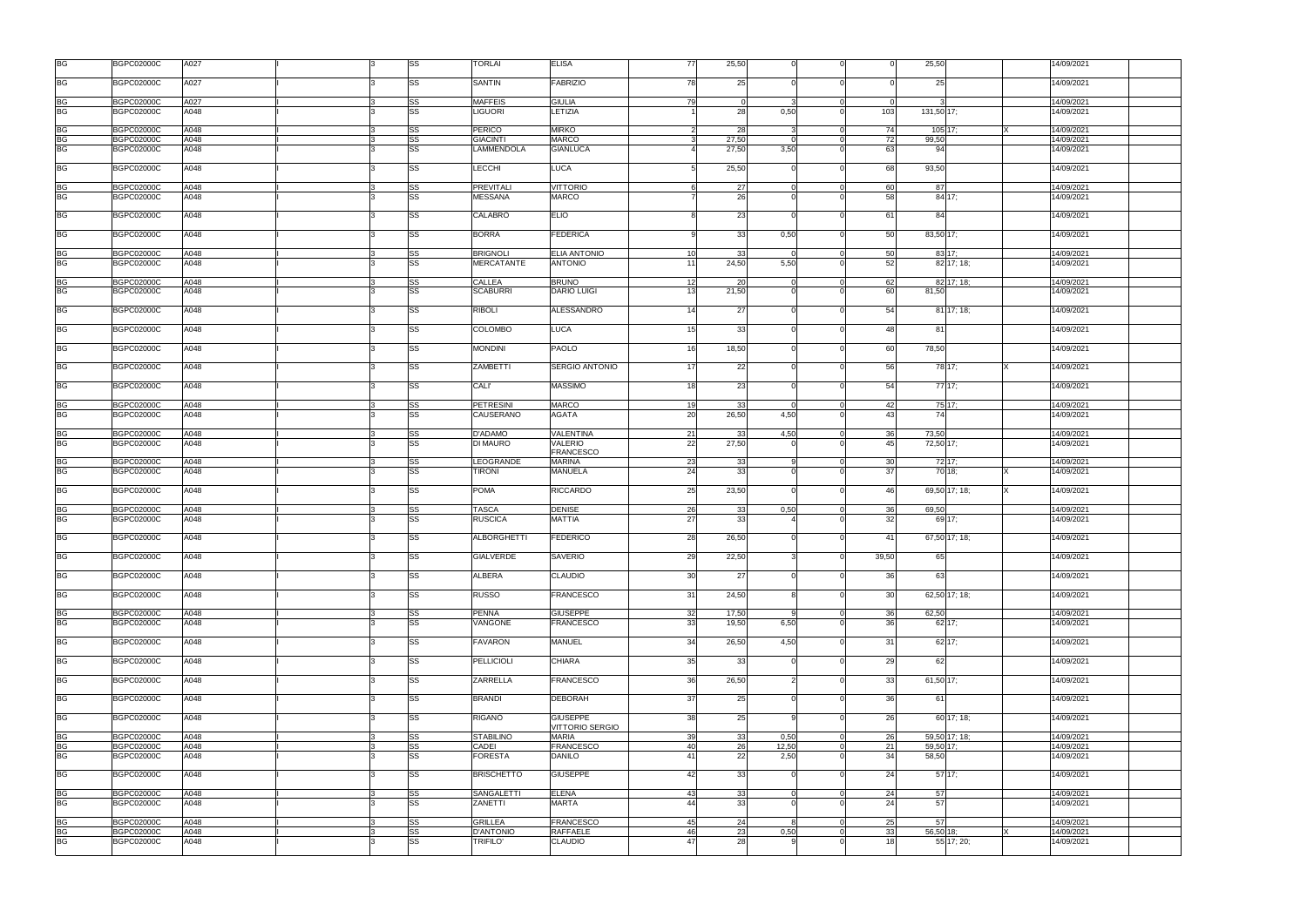| <b>BG</b>                           | <b>BGPC02000C</b>                      | A027         |  | SS                     | <b>TORLAI</b>                      | <b>ELISA</b>                          | 77       | 25,50       |       |                            |                 | 25,50                | 14/09/2021               |
|-------------------------------------|----------------------------------------|--------------|--|------------------------|------------------------------------|---------------------------------------|----------|-------------|-------|----------------------------|-----------------|----------------------|--------------------------|
| <b>BG</b>                           | <b>BGPC02000C</b>                      | A027         |  | <b>SS</b>              | <b>SANTIN</b>                      | <b>FABRIZIO</b>                       | 78       | 25          |       |                            |                 | 25                   | 14/09/2021               |
| <b>BG</b>                           | <b>BGPC02000C</b>                      | A027         |  | <b>SS</b>              | <b>MAFFEIS</b>                     | <b>GIULIA</b>                         | 79       | - 0         |       | $\Omega$                   | $\Omega$        |                      | 14/09/2021               |
| <b>BG</b>                           | <b>BGPC02000C</b>                      | A048         |  | <b>SS</b>              | <b>LIGUORI</b>                     | LETIZIA                               |          | 28          | 0,50  | $\Omega$                   | 103             | 131,50 17;           | 14/09/2021               |
| <b>BG</b>                           | <b>BGPC02000C</b>                      | A048         |  | SS                     | <b>PERICO</b>                      | <b>MIRKO</b>                          |          | 28          |       |                            | 74              | 105 17;              | 14/09/2021               |
| <b>BG</b>                           | <b>BGPC02000C</b>                      | A048         |  | <b>SS</b>              | <b>GIACINTI</b>                    | <b>MARCO</b>                          |          | 27.50       |       | $\Omega$                   | 72              | 99,50                | 14/09/2021               |
| <b>BG</b>                           | <b>BGPC02000C</b>                      | A048         |  | <b>SS</b>              | LAMMENDOLA                         | <b>GIANLUCA</b>                       |          | 27,50       | 3,50  |                            | 63              | 94                   | 14/09/2021               |
| <b>BG</b>                           | <b>BGPC02000C</b>                      | A048         |  | SS                     | <b>LECCHI</b>                      | <b>LUCA</b>                           | 5        | 25,50       |       | $\Omega$                   | 68              | 93,50                | 14/09/2021               |
| <b>BG</b><br><b>BG</b>              | <b>BGPC02000C</b><br><b>BGPC02000C</b> | A048<br>A048 |  | SS<br><b>SS</b>        | <b>PREVITALI</b><br><b>MESSANA</b> | <b>VITTORIO</b><br><b>MARCO</b>       | 6        | 27<br>26    |       | $\overline{0}$<br>$\Omega$ | 60<br>58        | 87<br>84 17;         | 14/09/2021<br>14/09/2021 |
|                                     |                                        |              |  |                        |                                    |                                       |          |             |       |                            |                 |                      |                          |
| <b>BG</b>                           | <b>BGPC02000C</b>                      | A048         |  | <b>SS</b>              | <b>CALABRÒ</b>                     | <b>ELIO</b>                           |          | 23          |       |                            | 61              | 84                   | 14/09/2021               |
| <b>BG</b>                           | <b>BGPC02000C</b>                      | A048         |  | <b>SS</b>              | <b>BORRA</b>                       | <b>FEDERICA</b>                       | a        | 33          | 0,50  | $\Omega$                   | 50              | 83,50 17;            | 14/09/2021               |
| BG<br>BG                            | <b>BGPC02000C</b><br><b>BGPC02000C</b> | A048<br>A048 |  | <b>SS</b><br><b>SS</b> | <b>BRIGNOLI</b><br>MERCATANTE      | <b>ELIA ANTONIO</b><br><b>ANTONIO</b> | 10<br>11 | 33<br>24,50 | 5,50  | $\Omega$                   | 50<br>52        | 83 17;<br>82 17: 18: | 14/09/2021<br>14/09/2021 |
|                                     |                                        |              |  |                        |                                    |                                       |          |             |       |                            |                 |                      |                          |
| BG<br>BG                            | <b>BGPC02000C</b>                      | A048         |  | SS                     | <b>CALLEA</b>                      | <b>BRUNO</b>                          | 12       | 20          |       |                            | 62              | 82 17; 18;           | 14/09/2021               |
|                                     | <b>BGPC02000C</b>                      | A048         |  | <b>SS</b>              | <b>SCABURRI</b>                    | <b>DARIO LUIGI</b>                    | 13       | 21,50       |       |                            | 60              | 81,50                | 14/09/2021               |
| <b>BG</b>                           | <b>BGPC02000C</b>                      | A048         |  | SS                     | <b>RIBOLI</b>                      | ALESSANDRO                            | 14       | 27          |       | $\Omega$                   | 54              | 81 17: 18:           | 14/09/2021               |
| <b>BG</b>                           | <b>BGPC02000C</b>                      | A048         |  | SS                     | <b>COLOMBO</b>                     | <b>LUCA</b>                           | 15       | 33          |       | $\Omega$                   | 48              | -81                  | 14/09/2021               |
| <b>BG</b>                           | <b>BGPC02000C</b>                      | A048         |  | <b>SS</b>              | <b>MONDINI</b>                     | <b>PAOLO</b>                          | 16       | 18,50       |       | $\Omega$                   | 60              | 78,50                | 14/09/2021               |
| <b>BG</b>                           | <b>BGPC02000C</b>                      | A048         |  | SS                     | <b>ZAMBETTI</b>                    | <b>SERGIO ANTONIO</b>                 | 17       | 22          |       | $\Omega$                   | 56              | 78 17;               | 14/09/2021               |
| <b>BG</b>                           | <b>BGPC02000C</b>                      | A048         |  | <b>SS</b>              | <b>CALI</b>                        | <b>MASSIMO</b>                        | 18       | 23          |       | $\Omega$                   | 54              | 77 17:               | 14/09/2021               |
| <b>BG</b>                           | <b>BGPC02000C</b>                      | A048         |  | SS                     | <b>PETRESINI</b>                   | <b>MARCO</b>                          | 19       | 33          |       | $\overline{0}$             | 42              | 75 17;               | 14/09/2021               |
| <b>BG</b>                           | <b>BGPC02000C</b>                      | A048         |  | <b>SS</b>              | CAUSERANO                          | AGATA                                 | 20       | 26,50       | 4,50  | $\Omega$                   | 43              | 74                   | 14/09/2021               |
| <b>BG</b>                           | <b>BGPC02000C</b>                      | A048         |  | SS                     | D'ADAMO                            | <b>VALENTINA</b>                      | 21       | 33          | 4,50  | $\Omega$                   | 36              | 73,50                | 14/09/2021               |
| <b>BG</b>                           | <b>BGPC02000C</b>                      | A048         |  | <b>SS</b>              | DI MAURO                           | <b>VALERIO</b><br><b>FRANCESCO</b>    | 22       | 27,50       |       |                            | 45              | 72,50 17;            | 14/09/2021               |
| <b>BG</b>                           | <b>BGPC02000C</b>                      | A048         |  | SS                     | LEOGRANDE                          | <b>MARINA</b>                         | 23       | 33          |       | $\Omega$                   | 30 <sup>1</sup> | 72 17:               | 14/09/2021               |
| <b>BG</b>                           | <b>BGPC02000C</b>                      | A048         |  |                        |                                    |                                       |          |             |       |                            |                 |                      |                          |
|                                     |                                        |              |  | <b>SS</b>              | TIRONI                             | <b>MANUELA</b>                        | 24       | 33          |       |                            | 37              | 70 18:               | 14/09/2021               |
| <b>BG</b>                           | <b>BGPC02000C</b>                      | A048         |  | SS                     | <b>POMA</b>                        | <b>RICCARDO</b>                       | 25       | 23,50       |       | $\Omega$                   | 46              | 69,50 17; 18;        | 14/09/2021               |
|                                     |                                        |              |  |                        |                                    |                                       |          |             |       | $\Omega$                   |                 |                      |                          |
| <b>BG</b><br><b>BG</b>              | <b>BGPC02000C</b><br><b>BGPC02000C</b> | A048<br>A048 |  | SS<br><b>SS</b>        | <b>TASCA</b><br><b>RUSCICA</b>     | DENISE<br><b>MATTIA</b>               | 26<br>27 | 33<br>33    | 0,50  |                            | 36<br>32        | 69,50<br>69 17:      | 14/09/2021<br>14/09/2021 |
|                                     |                                        |              |  |                        |                                    |                                       |          |             |       |                            |                 |                      |                          |
| <b>BG</b>                           | <b>BGPC02000C</b>                      | A048         |  | <b>SS</b>              | <b>ALBORGHETTI</b>                 | <b>FEDERICO</b>                       | 28       | 26,50       |       |                            | 41              | 67,50 17; 18;        | 14/09/2021               |
| BG                                  | <b>BGPC02000C</b>                      | A048         |  | SS                     | <b>GIALVERDE</b>                   | <b>SAVERIO</b>                        | 29       | 22,50       |       | $\Omega$                   | 39,50           | 65                   | 14/09/2021               |
| <b>BG</b>                           | <b>BGPC02000C</b>                      | A048         |  | SS                     | <b>ALBERA</b>                      | <b>CLAUDIO</b>                        | 30       | 27          |       |                            | 36              | 63                   | 14/09/2021               |
| <b>BG</b>                           | <b>BGPC02000C</b>                      | A048         |  | <b>SS</b>              | <b>RUSSO</b>                       | <b>FRANCESCO</b>                      | 31       | 24,50       |       | $\Omega$                   | 30              | 62,50 17; 18;        | 14/09/2021               |
| <b>BG</b>                           | <b>BGPC02000C</b>                      | A048         |  | SS                     | <b>PENNA</b>                       | <b>GIUSEPPE</b>                       | 32       | 17,50       |       | $\Omega$                   | 36              | 62,50                | 14/09/2021               |
| <b>BG</b>                           | <b>BGPC02000C</b>                      | A048         |  | <b>SS</b>              | VANGONE                            | <b>FRANCESCO</b>                      | 33       | 19,50       | 6,50  | $\Omega$                   | 36 <sup>l</sup> | $62$ 17;             | 14/09/2021               |
| <b>BG</b>                           | <b>BGPC02000C</b>                      | A048         |  | <b>SS</b>              | <b>FAVARON</b>                     | <b>MANUEL</b>                         | 34       | 26,50       | 4,50  | $\Omega$                   | 31              | $62$ 17;             | 14/09/2021               |
| <b>BG</b>                           | <b>BGPC02000C</b>                      | A048         |  | <b>SS</b>              | <b>PELLICIOLI</b>                  | <b>CHIARA</b>                         | 35       | 33          |       | $\Omega$                   | 29              | 62                   | 14/09/2021               |
| <b>BG</b>                           | <b>BGPC02000C</b>                      | A048         |  | <b>SS</b>              | ZARRELLA                           | FRANCESCO                             | 36       | 26,50       |       |                            | 33              | 61,50 17;            | 14/09/2021               |
| <b>BG</b>                           | <b>BGPC02000C</b>                      | A048         |  | <b>SS</b>              | <b>BRANDI</b>                      | <b>DEBORAH</b>                        | 37       | 25          |       | $\Omega$                   | 36              | 61                   | 14/09/2021               |
| <b>BG</b>                           | <b>BGPC02000C</b>                      | A048         |  | <b>SS</b>              | RIGANÒ                             | <b>GIUSEPPE</b>                       | 38       | 25          |       | $\Omega$                   | 26              | 60 17; 18;           | 14/09/2021               |
|                                     | <b>BGPC02000C</b>                      | A048         |  | <b>SS</b>              | <b>STABILINO</b>                   | VITTORIO SERGIO<br><b>MARIA</b>       | 39       | 33          | 0,50  | $\Omega$                   | 26              | 59,50 17; 18;        | 14/09/2021               |
| <b>BG</b><br><b>BG</b>              | <b>BGPC02000C</b>                      | A048         |  | <b>SS</b>              | CADEI                              | <b>FRANCESCO</b>                      | 40       | 26          | 12,50 | $\Omega$                   | 21              | 59,50 17:            | 14/09/2021               |
| <b>BG</b>                           | <b>BGPC02000C</b>                      | A048         |  | <b>SS</b>              | <b>FORESTA</b>                     | <b>DANILO</b>                         | 41       | 22          | 2,50  |                            | 34              | 58,50                | 14/09/2021               |
| <b>BG</b>                           | <b>BGPC02000C</b>                      | A048         |  | <b>SS</b>              | <b>BRISCHETTO</b>                  | <b>GIUSEPPE</b>                       | 42       | 33          |       |                            | 24              | 5717;                | 14/09/2021               |
|                                     |                                        |              |  |                        |                                    |                                       |          |             |       |                            |                 |                      |                          |
| <b>BG</b><br>$\overline{\text{BG}}$ | <b>BGPC02000C</b><br><b>BGPC02000C</b> | A048<br>A048 |  | <b>SS</b><br><b>SS</b> | <b>SANGALETTI</b><br>ZANETTI       | <b>ELENA</b><br><b>MARTA</b>          | 43<br>44 | 33<br>33    |       | $\mathbf 0$<br>$\Omega$    | 24<br>24        | 57<br>57             | 14/09/2021<br>14/09/2021 |
|                                     |                                        |              |  |                        |                                    |                                       |          |             |       |                            |                 |                      |                          |
| <b>BG</b>                           | <b>BGPC02000C</b><br><b>BGPC02000C</b> | A048<br>A048 |  | SS<br><b>SS</b>        | <b>GRILLEA</b><br><b>D'ANTONIO</b> | <b>FRANCESCO</b><br><b>RAFFAELE</b>   | 45<br>46 | 24<br>23    | 0,50  | $\overline{0}$<br>$\Omega$ | 25<br>33        | 57<br>56,50 18;      | 14/09/2021<br>14/09/2021 |
| <b>BG</b><br><b>BG</b>              | <b>BGPC02000C</b>                      | A048         |  | SS                     | <b>TRIFILO'</b>                    | <b>CLAUDIO</b>                        | 47       | 28          |       | $\Omega$                   | 18              | 55 17; 20;           | 14/09/2021               |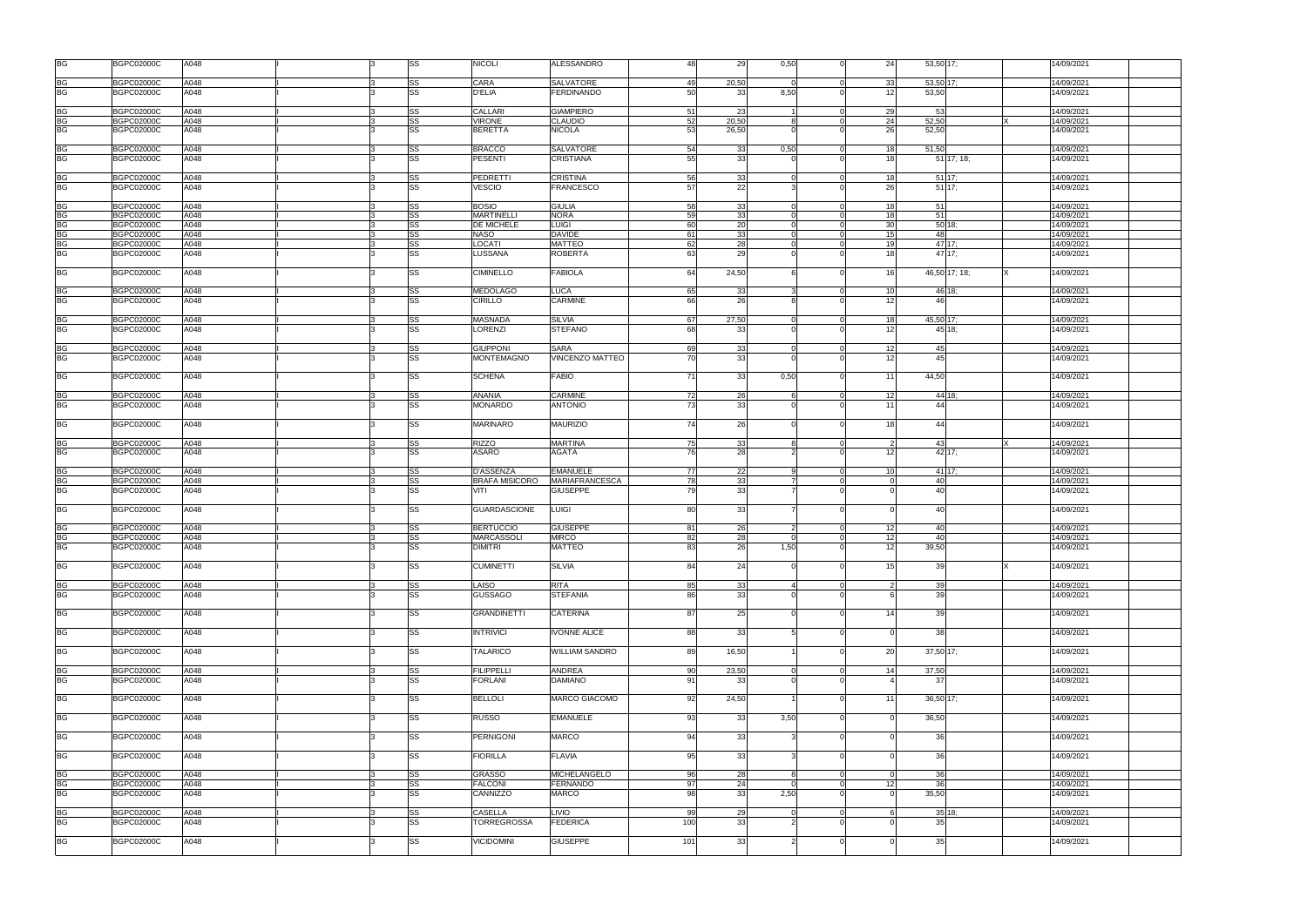| <b>BG</b>              | <b>BGPC02000C</b>                      | A048         |  | SS                     | <b>NICOLI</b>                             | <b>ALESSANDRO</b><br>48                              | 29          | 0,50     |                      | 24<br>53,50 17;                             | 14/09/2021               |
|------------------------|----------------------------------------|--------------|--|------------------------|-------------------------------------------|------------------------------------------------------|-------------|----------|----------------------|---------------------------------------------|--------------------------|
| BG                     | <b>BGPC02000C</b>                      | A048         |  | SS                     | CARA                                      | <b>SALVATORE</b><br>49                               | 20,50       |          | $\Omega$             | 33<br>53,50 17;                             | 14/09/2021               |
| BG                     | <b>BGPC02000C</b>                      | A048         |  | SS                     | <b>D'ELIA</b>                             | <b>FERDINANDO</b><br>50                              | 33          | 8,50     |                      | 53,50<br>12                                 | 4/09/2021                |
|                        |                                        |              |  |                        |                                           |                                                      |             |          |                      |                                             |                          |
| BG<br>BG               | <b>BGPC02000C</b><br><b>BGPC02000C</b> | A048<br>A048 |  | <b>SS</b><br><b>SS</b> | CALLARI<br><b>VIRONE</b>                  | <b>GIAMPIERO</b><br>51<br>52<br>CLAUDIO              | 23<br>20,50 |          | $\Omega$             | 29<br>53<br>24<br>52,50                     | 14/09/2021<br>4/09/2021  |
| BG                     | <b>BGPC02000C</b>                      | A048         |  | SS                     | <b>BERETTA</b>                            | <b>NICOLA</b><br>53                                  | 26,50       |          |                      | 26<br>52,50                                 | 14/09/2021               |
|                        |                                        |              |  |                        |                                           |                                                      |             |          |                      |                                             |                          |
| <b>BG</b><br><b>BG</b> | <b>BGPC02000C</b>                      | A048         |  | SS                     | <b>BRACCO</b>                             | SALVATORE<br>54                                      | - 33        | 0,50     | $\overline{0}$       | 18<br>51,50                                 | 14/09/2021               |
|                        | <b>BGPC02000C</b>                      | A048         |  | SS                     | <b>PESENTI</b>                            | 55<br><b>CRISTIANA</b>                               | 33          |          |                      | 18<br>$51$ 17; 18;                          | 4/09/2021                |
| BG                     | <b>BGPC02000C</b>                      | A048         |  | SS                     | <b>PEDRETTI</b>                           | 56<br>CRISTINA                                       | 33          |          | $\Omega$             | 18<br>51 17:                                | 14/09/2021               |
| <b>BG</b>              | <b>BGPC02000C</b>                      | A048         |  | <b>SS</b>              | <b>VESCIO</b>                             | 57<br><b>FRANCESCO</b>                               | 22          |          |                      | 26<br>$51$ 17;                              | 14/09/2021               |
| BG                     | <b>BGPC02000C</b>                      | A048         |  | SS                     | <b>BOSIO</b>                              | <b>GIULIA</b><br>58                                  | 33          |          | $\Omega$             | 18<br>51                                    | 14/09/2021               |
| BG                     | <b>BGPC02000C</b>                      | A048         |  | SS                     | <b>MARTINELLI</b>                         | <b>NORA</b><br>59                                    | 33          |          | $\Omega$             | 18<br>51                                    | 14/09/2021               |
| <b>BG</b>              | <b>BGPC02000C</b>                      | A048         |  | SS                     | <b>DE MICHELE</b>                         | <b>LUIGI</b><br>60                                   | 20          |          | $\overline{0}$       | 30 <sup>1</sup><br>$50$ 18;                 | 14/09/2021               |
| $B\bar{G}$             | <b>BGPC02000C</b>                      | A048         |  | SS                     | <b>NASO</b>                               | <b>DAVIDE</b><br>61                                  | 33          |          | $\overline{0}$       | 15<br>48                                    | 14/09/2021               |
| BG<br>BG               | <b>BGPC02000C</b><br><b>BGPC02000C</b> | A048<br>A048 |  | SS<br>SS               | <b>LOCATI</b><br>LUSSANA                  | <b>MATTEO</b><br>62<br>63<br><b>ROBERTA</b>          | 28<br>29    |          | $\Omega$             | 47 17:<br>19<br>47 17:<br>18                | 4/09/2021<br>4/09/2021   |
|                        |                                        |              |  |                        |                                           |                                                      |             |          |                      |                                             |                          |
| <b>BG</b>              | <b>BGPC02000C</b>                      | A048         |  | <b>SS</b>              | <b>CIMINELLO</b>                          | 64<br><b>FABIOLA</b>                                 | 24,50       |          |                      | 16<br>46,50 17; 18;                         | 14/09/2021               |
| BG<br>BG               | <b>BGPC02000C</b>                      | A048         |  | SS                     | <b>MEDOLAGO</b>                           | <b>LUCA</b><br>65                                    | 33          |          |                      | 10<br>46 18;                                | 14/09/2021               |
|                        | <b>BGPC02000C</b>                      | A048         |  | <b>SS</b>              | <b>CIRILLO</b>                            | <b>CARMINE</b><br>66                                 | 26          |          |                      | 12<br>46                                    | 14/09/2021               |
| <b>BG</b>              | <b>BGPC02000C</b>                      | A048         |  | SS                     | <b>MASNADA</b>                            | <b>SILVIA</b><br>67                                  | 27,50       |          | $\Omega$             | 18<br>45,50 17;                             | 14/09/2021               |
| BG                     | <b>BGPC02000C</b>                      | A048         |  | SS                     | LORENZI                                   | <b>STEFANO</b><br>68                                 | 33          |          |                      | 45 18:<br>12                                | 4/09/2021                |
|                        |                                        |              |  |                        |                                           |                                                      |             |          |                      |                                             |                          |
| BG<br>BG               | <b>BGPC02000C</b>                      | A048         |  | <b>SS</b>              | <b>GIUPPONI</b><br><b>MONTEMAGNO</b>      | 69<br><b>SARA</b><br>70                              | 33<br>33    |          | $\Omega$             | 12<br>45<br>45                              | 4/09/2021                |
|                        | <b>BGPC02000C</b>                      | A048         |  | <b>SS</b>              |                                           | <b>VINCENZO MATTEO</b>                               |             |          |                      | 12                                          | 14/09/2021               |
| <b>BG</b>              | <b>BGPC02000C</b>                      | A048         |  | SS                     | <b>SCHENA</b>                             | 71<br><b>FABIO</b>                                   | 33          | 0,50     |                      | 11<br>44,50                                 | 14/09/2021               |
| <b>BG</b>              | <b>BGPC02000C</b>                      | A048         |  | SS                     | <b>ANANIA</b>                             | <b>CARMINE</b><br>72                                 | 26          |          | $\overline{0}$       | 12<br>44 18:                                | 14/09/2021               |
| <b>BG</b>              | <b>BGPC02000C</b>                      | A048         |  | SS                     | <b>MONARDO</b>                            | 73<br><b>ANTONIO</b>                                 | 33          |          |                      | 11<br>44                                    | 14/09/2021               |
| BG                     | <b>BGPC02000C</b>                      | A048         |  | <b>SS</b>              | <b>MARINARO</b>                           | <b>MAURIZIO</b><br>74                                | 26          |          |                      | 18<br>44                                    | 14/09/2021               |
| BG                     | <b>BGPC02000C</b>                      | A048         |  | SS                     | <b>RIZZO</b>                              | <b>MARTINA</b><br>75                                 | 33          |          |                      | 43<br>$\overline{2}$                        | 14/09/2021               |
| BG                     | <b>BGPC02000C</b>                      | A048         |  | SS                     | <b>ASARO</b>                              | <b>AGATA</b><br>76                                   | 28          |          |                      | 12<br>42 17:                                | 14/09/2021               |
|                        |                                        |              |  |                        |                                           |                                                      |             |          |                      |                                             |                          |
|                        | <b>BGPC02000C</b>                      | A048<br>A048 |  | <b>SS</b><br>SS        | <b>D'ASSENZA</b><br><b>BRAFA MISICORO</b> | <b>EMANUELE</b><br>77<br><b>MARIAFRANCESCA</b><br>78 | 22<br>33    |          | $\Omega$<br>$\Omega$ | 10 <sup>1</sup><br>41 17:<br>40<br>$\Omega$ | 14/09/2021<br>14/09/2021 |
| BG<br>BG<br>BG         | <b>BGPC02000C</b><br><b>BGPC02000C</b> | A048         |  | SS                     | VITI                                      | <b>GIUSEPPE</b><br>79                                | 33          |          |                      | 40                                          | 14/09/2021               |
|                        |                                        |              |  |                        |                                           |                                                      |             |          |                      |                                             |                          |
| <b>BG</b>              | <b>BGPC02000C</b>                      | A048         |  | <b>SS</b>              | <b>GUARDASCIONE</b>                       | LUIGI<br>80                                          | 33          |          | $\Omega$             | 40                                          | 14/09/2021               |
| $\frac{BG}{BG}$        | <b>BGPC02000C</b>                      | A048<br>A048 |  | SS                     | <b>BERTUCCIO</b><br><b>MARCASSOLI</b>     | <b>GIUSEPPE</b><br>81<br><b>MIRCO</b><br>82          | 26          |          | $\Omega$             | 12<br>40<br>12<br>40                        | 14/09/2021               |
|                        | <b>BGPC02000C</b><br><b>BGPC02000C</b> | A048         |  | SS<br><b>SS</b>        | <b>DIMITRI</b>                            | <b>MATTEO</b><br>83                                  | 28<br>26    | 1,50     | $\Omega$             | 12<br>39,50                                 | 14/09/2021<br>14/09/2021 |
|                        |                                        |              |  |                        |                                           |                                                      |             |          |                      |                                             |                          |
| <b>BG</b>              | <b>BGPC02000C</b>                      | A048         |  | SS                     | <b>CUMINETTI</b>                          | 84<br><b>SILVIA</b>                                  | 24          |          | $\Omega$             | 15<br>39                                    | 4/09/2021                |
| <b>BG</b><br><b>BG</b> | <b>BGPC02000C</b><br><b>BGPC02000C</b> | A048<br>A048 |  | <b>SS</b><br><b>SS</b> | LAISO<br><b>GUSSAGO</b>                   | <b>RITA</b><br>85<br>86<br><b>STEFANIA</b>           | 33<br>33    |          | $\overline{0}$       | 39<br>2<br>39                               | 14/09/2021<br>14/09/2021 |
|                        |                                        |              |  |                        |                                           |                                                      |             |          |                      |                                             |                          |
| <b>BG</b>              | <b>BGPC02000C</b>                      | A048         |  | <b>SS</b>              | <b>GRANDINETTI</b>                        | 87<br><b>CATERINA</b>                                | 25          |          |                      | 14<br>39                                    | 14/09/2021               |
| BG                     | <b>BGPC02000C</b>                      | A048         |  | <b>SS</b>              | <b>INTRIVICI</b>                          | 88<br><b>IVONNE ALICE</b>                            | 33          |          | $\Omega$             | 38                                          | 14/09/2021               |
| <b>BG</b>              | <b>BGPC02000C</b>                      | A048         |  | SS                     | <b>TALARICO</b>                           | 89<br><b>WILLIAM SANDRO</b>                          | 16,50       |          | $\Omega$             | 20<br>$37,50$ 17;                           | 14/09/2021               |
| <b>BG</b>              | <b>BGPC02000C</b>                      | A048         |  | <b>SS</b>              | <b>FILIPPELLI</b>                         | <b>ANDREA</b><br>90                                  | 23,50       |          | $\Omega$             | 14<br>37,50                                 | 14/09/2021               |
| <b>BG</b>              | <b>BGPC02000C</b>                      | A048         |  | <b>SS</b>              | <b>FORLANI</b>                            | <b>DAMIANO</b><br>91                                 | 33          |          |                      | -37                                         | 14/09/2021               |
| <b>BG</b>              | <b>BGPC02000C</b>                      | A048         |  | SS                     | <b>BELLOLI</b>                            | 92<br><b>MARCO GIACOMO</b>                           | 24,50       |          | $\Omega$             | 11<br>36,50 17;                             | 14/09/2021               |
| <b>BG</b>              | <b>BGPC02000C</b>                      | A048         |  | SS                     | <b>RUSSO</b>                              | 93<br><b>EMANUELE</b>                                | 33          | 3,50     | $\Omega$             | 36,50                                       | 14/09/2021               |
| <b>BG</b>              | <b>BGPC02000C</b>                      | A048         |  | <b>SS</b>              | <b>PERNIGONI</b>                          | 94<br><b>MARCO</b>                                   | 33          |          | $\Omega$             | 36                                          | 14/09/2021               |
| <b>BG</b>              | <b>BGPC02000C</b>                      | A048         |  | <b>SS</b>              | <b>FIORILLA</b>                           | 95<br><b>FLAVIA</b>                                  | 33          |          | $\Omega$             | 36                                          | 14/09/2021               |
| <b>BG</b>              | <b>BGPC02000C</b>                      | A048         |  | SS                     | <b>GRASSO</b>                             | <b>MICHELANGELO</b><br>96                            | 28          |          | $\overline{0}$       | 36<br>$\Omega$                              | 14/09/2021               |
| <b>BG</b>              | <b>BGPC02000C</b>                      | A048         |  | <b>SS</b>              | <b>FALCONI</b>                            | <b>FERNANDO</b><br>97                                | 24          | $\Omega$ | $\overline{0}$       | 12<br>36                                    | 14/09/2021               |
| <b>BG</b>              | <b>BGPC02000C</b>                      | A048         |  | <b>SS</b>              | CANNIZZO                                  | -98<br><b>MARCO</b>                                  | 33          | 2,50     |                      | 35,50                                       | 14/09/2021               |
| <b>BG</b>              | <b>BGPC02000C</b>                      | A048         |  | SS                     | <b>CASELLA</b>                            | 99<br><b>LIVIO</b>                                   | 29          |          | $\overline{0}$       | $35$ 18;<br>-6                              | 14/09/2021               |
| <b>BG</b>              | <b>BGPC02000C</b>                      | A048         |  | <b>SS</b>              | <b>TORREGROSSA</b>                        | <b>FEDERICA</b><br>100                               | 33          |          | $\Omega$             | 35                                          | 14/09/2021               |
| <b>BG</b>              |                                        |              |  |                        |                                           |                                                      |             |          |                      |                                             |                          |
|                        | <b>BGPC02000C</b>                      | A048         |  | SS                     | <b>VICIDOMINI</b>                         | <b>GIUSEPPE</b><br>101                               | 33          |          |                      | 35                                          | 14/09/2021               |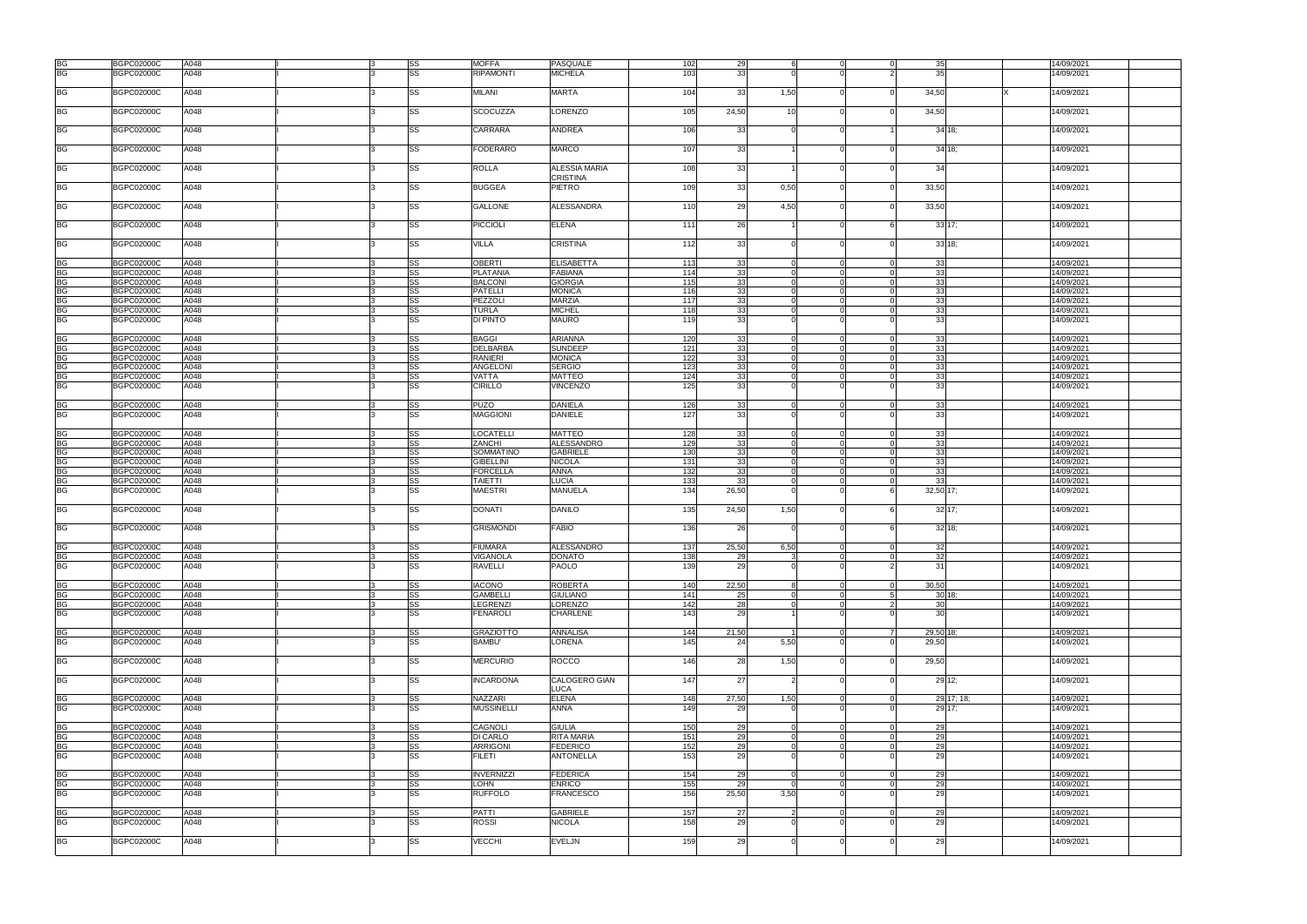|                                   | <b>BGPC02000C</b> | A048 | <b>SS</b> | <b>MOFFA</b>      | PASQUALE          | 102   | 29    |            | $\Omega$       | 35                     | 14/09/2021 |
|-----------------------------------|-------------------|------|-----------|-------------------|-------------------|-------|-------|------------|----------------|------------------------|------------|
|                                   |                   |      |           |                   |                   |       |       |            |                |                        |            |
| BG<br>BG                          | <b>BGPC02000C</b> | A048 | <b>SS</b> | <b>RIPAMONTI</b>  | <b>MICHELA</b>    | 103   | 33    |            |                | 35                     | 14/09/2021 |
|                                   |                   |      |           |                   |                   |       |       |            |                |                        |            |
|                                   |                   |      |           |                   |                   |       |       |            |                |                        |            |
| <b>BG</b>                         | <b>BGPC02000C</b> | A048 | SS        | <b>MILANI</b>     | <b>MARTA</b>      | 104   | 33    | 1,50       | $\Omega$       | 34,50                  | 4/09/2021  |
|                                   |                   |      |           |                   |                   |       |       |            |                |                        |            |
|                                   |                   |      |           |                   |                   |       |       |            |                |                        |            |
| <b>BG</b>                         | <b>BGPC02000C</b> | A048 | <b>SS</b> | <b>SCOCUZZA</b>   | LORENZO           | 105   | 24,50 | 10         | $\Omega$       | 34,50                  | 14/09/2021 |
|                                   |                   |      |           |                   |                   |       |       |            |                |                        |            |
|                                   |                   |      |           |                   |                   |       |       |            |                |                        |            |
| <b>BG</b>                         | <b>BGPC02000C</b> | A048 | <b>SS</b> | CARRARA           | <b>ANDREA</b>     | 106   | 33    |            |                | $34$ 18;               | 14/09/2021 |
|                                   |                   |      |           |                   |                   |       |       |            |                |                        |            |
|                                   |                   |      |           |                   |                   |       |       |            |                |                        |            |
| <b>BG</b>                         | <b>BGPC02000C</b> | A048 | <b>SS</b> | <b>FODERARO</b>   | <b>MARCO</b>      | 107   | 33    |            | $\Omega$       | 34 18:                 | 14/09/2021 |
|                                   |                   |      |           |                   |                   |       |       |            |                |                        |            |
|                                   |                   |      |           |                   |                   |       |       |            |                |                        |            |
| <b>BG</b>                         | <b>BGPC02000C</b> | A048 | SS        | <b>ROLLA</b>      | ALESSIA MARIA     | 108   | 33    |            | $\Omega$       | 34                     | 4/09/2021  |
|                                   |                   |      |           |                   |                   |       |       |            |                |                        |            |
|                                   |                   |      |           |                   | CRISTINA          |       |       |            |                |                        |            |
| <b>BG</b>                         | <b>BGPC02000C</b> | A048 | <b>SS</b> | <b>BUGGEA</b>     | PIETRO            | 109   | 33    | 0,50       | $\Omega$       | 33,50                  | 14/09/2021 |
|                                   |                   |      |           |                   |                   |       |       |            |                |                        |            |
|                                   |                   |      |           |                   |                   |       |       |            |                |                        |            |
| <b>BG</b>                         | <b>BGPC02000C</b> | A048 | <b>SS</b> | <b>GALLONE</b>    | <b>ALESSANDRA</b> | 110   | 29    | 4,50       |                | 33,50                  | 14/09/2021 |
|                                   |                   |      |           |                   |                   |       |       |            |                |                        |            |
|                                   |                   |      |           |                   |                   |       |       |            |                |                        |            |
| <b>BG</b>                         | <b>BGPC02000C</b> | A048 | SS        | <b>PICCIOLI</b>   | <b>ELENA</b>      | 111   | 26    |            | $\Omega$       | 33 17:                 | 14/09/2021 |
|                                   |                   |      |           |                   |                   |       |       |            |                |                        |            |
|                                   |                   |      |           |                   |                   |       |       |            |                |                        |            |
| <b>BG</b>                         | <b>BGPC02000C</b> | A048 | SS        | VILLA             | CRISTINA          | 112   | 33    |            | $\Omega$       | 33 18:                 | 14/09/2021 |
|                                   |                   |      |           |                   |                   |       |       |            |                |                        |            |
|                                   |                   |      |           |                   |                   |       |       |            |                |                        |            |
| <b>BG</b>                         | <b>BGPC02000C</b> | A048 | <b>SS</b> | <b>OBERTI</b>     | <b>ELISABETTA</b> | 113   | 33    |            | $\Omega$       | 33<br>$\Omega$         | 14/09/2021 |
| <b>BG</b>                         | <b>BGPC02000C</b> | A048 | <b>SS</b> | <b>PLATANIA</b>   | <b>FABIANA</b>    | 114   | 33    |            | $\Omega$       | 33                     | 14/09/2021 |
|                                   |                   |      |           |                   |                   |       |       |            |                |                        |            |
| BG<br>BG                          | BGPC02000C        | A048 | SS        | <b>BALCONI</b>    | <b>GIORGIA</b>    | 115   | 33    |            |                | 33                     | 14/09/2021 |
|                                   | <b>BGPC02000C</b> | A048 | SS        | <b>PATELLI</b>    | <b>MONICA</b>     | 116   | 33    |            |                | 33                     | 14/09/2021 |
|                                   |                   |      |           |                   |                   |       |       |            |                | $\Omega$               |            |
| <b>BG</b>                         | <b>BGPC02000C</b> | A048 | <b>SS</b> | PEZZOLI           | <b>MARZIA</b>     | 117   | 33    |            |                | 33                     | 14/09/2021 |
| <b>BG</b>                         | <b>BGPC02000C</b> | A048 | <b>SS</b> | TURLA             | <b>MICHEL</b>     | 118   | 33    |            | $\Omega$       | 33<br>$\Omega$         | 14/09/2021 |
|                                   |                   |      |           |                   |                   |       |       |            |                |                        |            |
| <b>BG</b>                         | <b>BGPC02000C</b> | A048 | <b>SS</b> | DI PINTO          | <b>MAURO</b>      | 119   | 33    |            |                | 33                     | 14/09/2021 |
|                                   |                   |      |           |                   |                   |       |       |            |                |                        |            |
|                                   |                   |      |           |                   |                   |       |       |            |                |                        |            |
| <b>BG</b>                         | <b>BGPC02000C</b> | A048 | <b>SS</b> | <b>BAGGI</b>      | <b>ARIANNA</b>    | 120   | 33    |            | $\Omega$       | 33<br>$\Omega$         | 14/09/2021 |
| <b>BG</b>                         | <b>BGPC02000C</b> | A048 | <b>SS</b> | <b>DELBARBA</b>   | <b>SUNDEEP</b>    | 121   | 33    |            | $\Omega$       | 33                     | 14/09/2021 |
| <b>BG</b>                         |                   | A048 | <b>SS</b> | <b>RANIERI</b>    | <b>MONICA</b>     | 122   | 33    |            |                | 33                     |            |
|                                   | <b>BGPC02000C</b> |      |           |                   |                   |       |       |            |                |                        | 14/09/2021 |
| <b>BG</b>                         | <b>BGPC02000C</b> | A048 | <b>SS</b> | ANGELONI          | <b>SERGIO</b>     | 123   | 33    |            | $\Omega$       | 33                     | 14/09/2021 |
| <b>BG</b>                         | <b>BGPC02000C</b> | A048 | <b>SS</b> | VATTA             | <b>MATTEO</b>     | 124   | 33    |            | $\Omega$       | 33                     | 14/09/2021 |
|                                   |                   |      |           |                   |                   |       |       |            |                |                        |            |
| <b>BG</b>                         | <b>BGPC02000C</b> | A048 | <b>SS</b> | <b>CIRILLO</b>    | <b>VINCENZO</b>   | 125   | 33    |            |                | 33                     | 14/09/2021 |
|                                   |                   |      |           |                   |                   |       |       |            |                |                        |            |
|                                   |                   |      |           |                   |                   |       |       |            |                |                        |            |
| <b>BG</b>                         | <b>BGPC02000C</b> | A048 | SS        | <b>PUZO</b>       | <b>DANIELA</b>    | 126   | 33    |            | $\Omega$       | 33<br>$\Omega$         | 14/09/2021 |
| <b>BG</b>                         | <b>BGPC02000C</b> | A048 | <b>SS</b> | <b>MAGGIONI</b>   | <b>DANIELE</b>    | 127   | 33    |            | $\Omega$       | 33                     | 14/09/2021 |
|                                   |                   |      |           |                   |                   |       |       |            |                |                        |            |
|                                   |                   |      |           |                   |                   |       |       |            |                |                        |            |
| <b>BG</b>                         | <b>BGPC02000C</b> | A048 | SS        | <b>LOCATELLI</b>  | <b>MATTEO</b>     | 128   | 33    |            | $\Omega$       | 33                     | 14/09/2021 |
|                                   |                   | A048 | SS        | <b>ZANCHI</b>     | ALESSANDRO        | 129   | 33    |            | $\Omega$       |                        | 14/09/2021 |
| <b>BG</b>                         | <b>BGPC02000C</b> |      |           |                   |                   |       |       |            |                | 33                     |            |
|                                   | BGPC02000C        | A048 | SS        | <b>SOMMATINO</b>  | <b>GABRIELE</b>   | 130   | 33    |            |                | 33                     | 14/09/2021 |
| BG<br>BG                          | <b>BGPC02000C</b> | A048 | SS        | <b>GIBELLINI</b>  | <b>NICOLA</b>     | $131$ | 33    |            |                | 33                     | 14/09/2021 |
|                                   |                   |      |           |                   |                   |       |       |            |                |                        |            |
| BG                                | <b>BGPC02000C</b> | A048 | SS        | <b>FORCELLA</b>   | <b>ANNA</b>       | 132   | 33    |            | $\Omega$       | 33<br>$\Omega$         | 14/09/2021 |
| <b>BG</b>                         | <b>BGPC02000C</b> | A048 | SS        | <b>TAIETTI</b>    | LUCIA             | 133   | 33    |            | $\Omega$       | 33                     | 14/09/2021 |
|                                   |                   |      |           |                   |                   |       |       |            |                |                        |            |
| <b>BG</b>                         | <b>BGPC02000C</b> | A048 | SS        | MAESTRI           | <b>MANUELA</b>    | 134   | 26,50 |            |                | 32,50 17;              | 14/09/2021 |
|                                   |                   |      |           |                   |                   |       |       |            |                |                        |            |
| <b>BG</b>                         | <b>BGPC02000C</b> | A048 | SS        | <b>DONATI</b>     | <b>DANILO</b>     | 135   | 24,50 | 1,50       | $\Omega$       | $32$ 17;               | 14/09/2021 |
|                                   |                   |      |           |                   |                   |       |       |            |                |                        |            |
|                                   |                   |      |           |                   |                   |       |       |            |                |                        |            |
| <b>BG</b>                         | <b>BGPC02000C</b> | A048 | SS        | <b>GRISMONDI</b>  | <b>FABIO</b>      | 136   | 26    |            |                | $32$ 18;               | 14/09/2021 |
|                                   |                   |      |           |                   |                   |       |       |            |                |                        |            |
|                                   |                   |      |           |                   |                   |       |       |            |                |                        |            |
| <b>BG</b>                         | <b>BGPC02000C</b> | A048 | <b>SS</b> | <b>FIUMARA</b>    | <b>ALESSANDRO</b> | 137   | 25,50 | 6,50       | $\Omega$       | 32<br>$\Omega$         | 14/09/2021 |
| <b>BG</b>                         | <b>BGPC02000C</b> | A048 | SS        | <b>VIGANOLA</b>   | DONATO            | 138   | 29    | 3          | $\overline{0}$ | 32<br>$\overline{0}$   | 14/09/2021 |
|                                   |                   |      |           |                   |                   |       |       |            |                |                        |            |
| $\overline{BG}$                   | <b>BGPC02000C</b> | A048 | SS        | RAVELLI           | PAOLO             | 139   | 29    |            | $\Omega$       | 31<br>$\mathcal{P}$    | 14/09/2021 |
|                                   |                   |      |           |                   |                   |       |       |            |                |                        |            |
|                                   |                   |      |           |                   |                   |       |       |            |                |                        |            |
| <b>BG</b>                         | <b>BGPC02000C</b> | A048 | <b>SS</b> | <b>IACONO</b>     | <b>ROBERTA</b>    | 140   | 22,50 |            | $\overline{0}$ | 30,50<br>$\Omega$      | 14/09/2021 |
| <b>BG</b>                         | <b>BGPC02000C</b> | A048 | <b>SS</b> | <b>GAMBELLI</b>   | <b>GIULIANO</b>   | 141   | 25    |            | $\Omega$       | $30$ 18;<br>-5         | 14/09/2021 |
|                                   |                   |      |           |                   |                   |       |       |            |                |                        |            |
| <b>BG</b>                         | <b>BGPC02000C</b> | A048 | <b>SS</b> | <b>LEGRENZI</b>   | LORENZO           | 142   | 28    |            | $\Omega$       | 30<br>2                | 14/09/2021 |
| $\overline{\mathsf{B}\mathsf{G}}$ | <b>BGPC02000C</b> | A048 | <b>SS</b> | <b>FENAROLI</b>   | CHARLENE          | 143   | 29    |            |                | 30 <sup>1</sup>        | 14/09/2021 |
|                                   |                   |      |           |                   |                   |       |       |            |                |                        |            |
|                                   |                   |      |           |                   |                   |       |       |            |                |                        |            |
| <b>BG</b>                         | <b>BGPC02000C</b> | A048 | SS        | <b>GRAZIOTTO</b>  | <b>ANNALISA</b>   | 144   | 21,50 |            | $\overline{0}$ | 29,50 18;<br>7         | 14/09/2021 |
| <b>BG</b>                         | <b>BGPC02000C</b> | A048 | <b>SS</b> | <b>BAMBU'</b>     | LORENA            | 145   | 24    | 5,50       | $\Omega$       | 29,50                  | 4/09/2021  |
|                                   |                   |      |           |                   |                   |       |       |            |                |                        |            |
|                                   |                   |      |           |                   |                   |       |       |            |                |                        |            |
| <b>BG</b>                         | <b>BGPC02000C</b> | A048 | <b>SS</b> | <b>MERCURIO</b>   | <b>ROCCO</b>      | 146   | 28    | 1,50       | $\Omega$       | 29,50                  | 14/09/2021 |
|                                   |                   |      |           |                   |                   |       |       |            |                |                        |            |
|                                   |                   |      |           |                   |                   |       |       |            |                |                        |            |
| <b>BG</b>                         | <b>BGPC02000C</b> | A048 | <b>SS</b> | <b>INCARDONA</b>  | CALOGERO GIAN     | 147   | 27    |            |                | 29 12;                 | 14/09/2021 |
|                                   |                   |      |           |                   | LUCA              |       |       |            |                |                        |            |
|                                   |                   |      |           |                   |                   |       |       |            |                |                        |            |
| <b>BG</b>                         | <b>BGPC02000C</b> | A048 | <b>SS</b> | NAZZARI           | <b>ELENA</b>      | 148   | 27,50 | 1,50       | $\overline{0}$ | 29 17; 18;<br>$\Omega$ | 14/09/2021 |
| <b>BG</b>                         | <b>BGPC02000C</b> | A048 | <b>SS</b> | <b>MUSSINELLI</b> | <b>ANNA</b>       | 149   | 29    |            |                | 29 17;<br>$\Omega$     | 14/09/2021 |
|                                   |                   |      |           |                   |                   |       |       |            |                |                        |            |
|                                   |                   |      |           |                   |                   |       |       |            |                |                        |            |
| <b>BG</b>                         | <b>BGPC02000C</b> | A048 | <b>SS</b> | <b>CAGNOLI</b>    | <b>GIULIA</b>     | 150   | 29    |            | $\Omega$       | 29<br>$\overline{0}$   | 14/09/2021 |
|                                   |                   |      |           |                   |                   |       |       |            |                |                        |            |
| <b>BG</b>                         | <b>BGPC02000C</b> | A048 | <b>SS</b> | DI CARLO          | <b>RITA MARIA</b> | 151   | 29    |            | $\Omega$       | 29<br>$\Omega$         | 14/09/2021 |
| <b>BG</b>                         | <b>BGPC02000C</b> | A048 | <b>SS</b> | <b>ARRIGONI</b>   | <b>FEDERICO</b>   | 152   | 29    |            | $\Omega$       | 29                     | 14/09/2021 |
| <b>BG</b>                         |                   |      |           |                   |                   |       |       |            |                |                        |            |
|                                   | <b>BGPC02000C</b> | A048 | <b>SS</b> | <b>FILETI</b>     | <b>ANTONELLA</b>  | 153   | 29    |            |                | 29                     | 14/09/2021 |
|                                   |                   |      |           |                   |                   |       |       |            |                |                        |            |
| <b>BG</b>                         | <b>BGPC02000C</b> | A048 | <b>SS</b> | <b>INVERNIZZI</b> | <b>FEDERICA</b>   | 154   | 29    | $\sqrt{ }$ | $\Omega$       | 29<br>$\Omega$         | 14/09/2021 |
|                                   |                   |      |           |                   |                   |       |       |            |                |                        |            |
| <b>BG</b>                         | <b>BGPC02000C</b> | A048 | <b>SS</b> | <b>LOHN</b>       | <b>ENRICO</b>     | 155   | 29    | $\Omega$   | $\overline{0}$ | 29<br>$\Omega$         | 14/09/2021 |
| BG                                | <b>BGPC02000C</b> | A048 | <b>SS</b> | <b>RUFFOLO</b>    | <b>FRANCESCO</b>  | 156   | 25,50 | 3,50       | $\Omega$       | 29                     | 14/09/2021 |
|                                   |                   |      |           |                   |                   |       |       |            |                |                        |            |
|                                   |                   |      |           |                   |                   |       |       |            |                |                        |            |
| <b>BG</b>                         | <b>BGPC02000C</b> | A048 | SS        | <b>PATTI</b>      | <b>GABRIELE</b>   | 157   | 27    |            | $\Omega$       | 29<br>$\Omega$         | 14/09/2021 |
| <b>BG</b>                         |                   |      |           |                   |                   |       |       |            | $\Omega$       |                        |            |
|                                   | <b>BGPC02000C</b> | A048 | <b>SS</b> | <b>ROSSI</b>      | <b>NICOLA</b>     | 158   | 29    |            |                | 29                     | 14/09/2021 |
|                                   |                   |      |           |                   |                   |       |       |            |                |                        |            |
| <b>BG</b>                         | <b>BGPC02000C</b> | A048 | <b>SS</b> | <b>VECCHI</b>     | <b>EVELJN</b>     | 159   | 29    |            | $\Omega$       | 29                     | 14/09/2021 |
|                                   |                   |      |           |                   |                   |       |       |            |                |                        |            |
|                                   |                   |      |           |                   |                   |       |       |            |                |                        |            |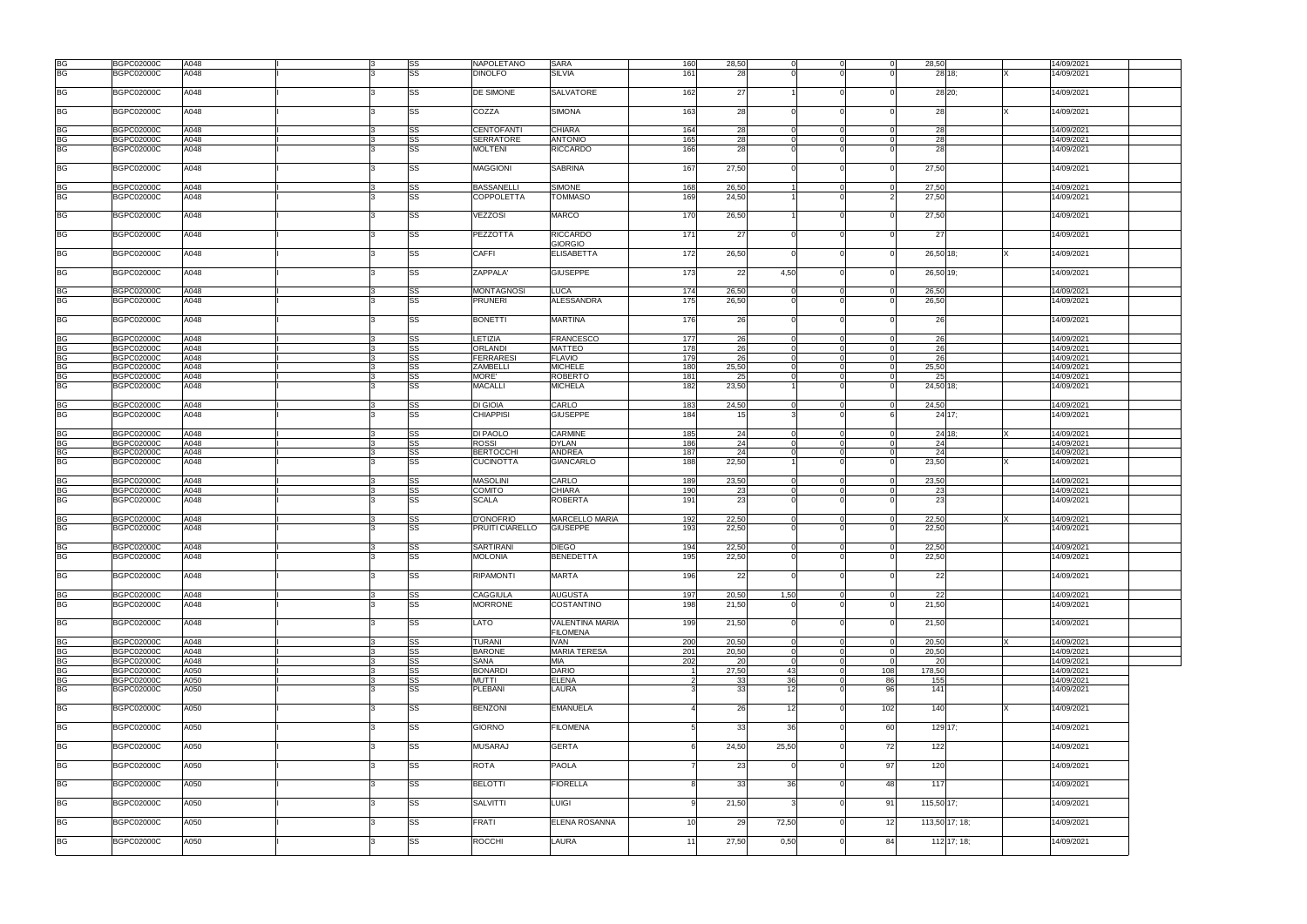|           |                   | A048 |    |           | <b>NAPOLETANO</b> |                        |     |                 | $\Omega$       |          | $\Omega$              |                        |  |
|-----------|-------------------|------|----|-----------|-------------------|------------------------|-----|-----------------|----------------|----------|-----------------------|------------------------|--|
| <b>BG</b> | <b>BGPC02000C</b> |      |    | <b>SS</b> |                   | <b>SARA</b>            | 160 | 28,50           |                |          | 28,50                 | 14/09/2021             |  |
| <b>BG</b> | <b>BGPC02000C</b> | A048 |    | <b>SS</b> | <b>DINOLFO</b>    | <b>SILVIA</b>          | 161 | 28              |                |          | 28 18:                | 14/09/2021             |  |
|           |                   |      |    |           |                   |                        |     |                 |                |          |                       |                        |  |
| <b>BG</b> | <b>BGPC02000C</b> | A048 |    | <b>SS</b> | DE SIMONE         | <b>SALVATORE</b>       | 162 | 27              |                |          | 28 20;                | 14/09/2021             |  |
|           |                   |      |    |           |                   |                        |     |                 |                |          |                       |                        |  |
|           |                   |      |    |           |                   |                        |     |                 |                |          |                       |                        |  |
| BG        | <b>BGPC02000C</b> | A048 |    | <b>SS</b> | COZZA             | <b>SIMONA</b>          | 163 | 28              |                |          | 28                    | 14/09/2021             |  |
|           |                   |      |    |           |                   |                        |     |                 |                |          |                       |                        |  |
|           |                   |      |    |           |                   |                        |     |                 |                |          |                       |                        |  |
| <b>BG</b> | <b>BGPC02000C</b> | A048 |    | SS        | <b>CENTOFANTI</b> | <b>CHIARA</b>          | 164 | 28              |                |          | 28                    | 14/09/2021             |  |
| <b>BG</b> | <b>BGPC02000C</b> | A048 |    | <b>SS</b> | <b>SERRATORE</b>  | <b>ANTONIO</b>         | 165 | 28              | $\Omega$       |          | 28<br>$\Omega$        | 14/09/2021             |  |
| <b>BG</b> | <b>BGPC02000C</b> | A048 |    | <b>SS</b> | <b>MOLTENI</b>    | <b>RICCARDO</b>        | 166 | 28              |                |          | 28                    | 14/09/2021             |  |
|           |                   |      |    |           |                   |                        |     |                 |                |          |                       |                        |  |
|           |                   |      |    |           |                   |                        |     |                 |                |          |                       |                        |  |
| BG        | <b>BGPC02000C</b> | A048 |    | SS        | <b>MAGGIONI</b>   | <b>SABRINA</b>         | 167 | 27,50           |                |          | 27,50<br>$\Omega$     | 14/09/2021             |  |
|           |                   |      |    |           |                   |                        |     |                 |                |          |                       |                        |  |
|           |                   |      |    |           |                   |                        |     |                 |                |          |                       |                        |  |
| <b>BG</b> | <b>BGPC02000C</b> | A048 |    | SS        | <b>BASSANELLI</b> | <b>SIMONE</b>          | 168 | 26,50           |                |          | 27,50<br>$\Omega$     | 14/09/2021             |  |
| <b>BG</b> | <b>BGPC02000C</b> | A048 |    | <b>SS</b> | <b>COPPOLETTA</b> | <b>TOMMASO</b>         | 169 | 24,50           |                |          | 27,50                 | 14/09/2021             |  |
|           |                   |      |    |           |                   |                        |     |                 |                |          |                       |                        |  |
|           |                   |      |    |           |                   |                        |     |                 |                |          |                       |                        |  |
| <b>BG</b> | <b>BGPC02000C</b> | A048 |    | SS        | <b>VEZZOSI</b>    | <b>MARCO</b>           | 170 | 26,50           |                |          | 27,50                 | 14/09/2021             |  |
|           |                   |      |    |           |                   |                        |     |                 |                |          |                       |                        |  |
|           |                   |      |    |           |                   |                        |     |                 |                |          |                       |                        |  |
| <b>BG</b> | <b>BGPC02000C</b> | A048 |    | SS        | PEZZOTTA          | <b>RICCARDO</b>        | 171 | 27              |                |          | 27                    | 14/09/2021             |  |
|           |                   |      |    |           |                   | <b>GIORGIO</b>         |     |                 |                |          |                       |                        |  |
| BG        | <b>BGPC02000C</b> | A048 |    | SS        | <b>CAFFI</b>      | <b>ELISABETTA</b>      | 172 | 26,50           |                |          | 26,50 18;             | 14/09/2021             |  |
|           |                   |      |    |           |                   |                        |     |                 |                |          |                       |                        |  |
|           |                   |      |    |           |                   |                        |     |                 |                |          |                       |                        |  |
| <b>BG</b> | <b>BGPC02000C</b> | A048 |    | <b>SS</b> | ZAPPALA'          | <b>GIUSEPPE</b>        | 173 | 22              | 4,50           |          | 26,50 19;<br>$\Omega$ | 14/09/2021             |  |
|           |                   |      |    |           |                   |                        |     |                 |                |          |                       |                        |  |
|           |                   |      |    |           |                   |                        |     |                 |                |          |                       |                        |  |
| <b>BG</b> | <b>BGPC02000C</b> | A048 |    | SS        | <b>MONTAGNOSI</b> | <b>LUCA</b>            | 174 | 26,50           |                |          | 26,50                 | 14/09/2021             |  |
| <b>BG</b> | <b>BGPC02000C</b> | A048 |    | <b>SS</b> | <b>PRUNERI</b>    | <b>ALESSANDRA</b>      | 175 | 26,50           |                |          | 26,50                 | 14/09/2021             |  |
|           |                   |      |    |           |                   |                        |     |                 |                |          |                       |                        |  |
|           |                   |      |    |           |                   |                        |     |                 |                |          |                       |                        |  |
| <b>BG</b> | <b>BGPC02000C</b> | A048 |    | SS        | <b>BONETTI</b>    | <b>MARTINA</b>         | 176 | 26              |                |          | 26                    | 14/09/2021             |  |
|           |                   |      |    |           |                   |                        |     |                 |                |          |                       |                        |  |
|           |                   |      |    |           |                   |                        |     |                 |                |          |                       |                        |  |
| <b>BG</b> | <b>BGPC02000C</b> | A048 |    | <b>SS</b> | LETIZIA           | <b>FRANCESCO</b>       | 177 | 26              | $\Omega$       |          | 26<br>$\Omega$        | 14/09/2021             |  |
| <b>BG</b> | <b>BGPC02000C</b> | A048 |    | <b>SS</b> | <b>ORLANDI</b>    | <b>MATTEO</b>          | 178 | 26              |                |          | 26                    | 14/09/2021             |  |
| BG        | <b>BGPC02000C</b> | A048 |    | <b>SS</b> | <b>FERRARESI</b>  | <b>FLAVIO</b>          | 179 | 26              |                |          | 26                    | 14/09/2021             |  |
|           |                   |      |    |           |                   |                        |     |                 |                |          |                       |                        |  |
| <b>BG</b> | <b>BGPC02000C</b> | A048 |    | <b>SS</b> | ZAMBELL           | <b>MICHELE</b>         | 180 | 25,50           |                |          | 25,50                 | 14/09/2021             |  |
| <b>BG</b> | <b>BGPC02000C</b> | A048 |    | <b>SS</b> | MORE'             | <b>ROBERTO</b>         | 181 | 25              |                |          | 25                    | 14/09/2021             |  |
| <b>BG</b> | <b>BGPC02000C</b> | A048 |    | <b>SS</b> | <b>MACALLI</b>    | <b>MICHELA</b>         | 182 | 23,50           |                |          | 24,50 18;             | 14/09/2021             |  |
|           |                   |      |    |           |                   |                        |     |                 |                |          |                       |                        |  |
|           |                   |      |    |           |                   |                        |     |                 |                |          |                       |                        |  |
| <b>BG</b> | <b>BGPC02000C</b> | A048 | ß. | <b>SS</b> | <b>DI GIOIA</b>   | CARLO                  | 183 | 24,50           | $\Omega$       |          | 24,50<br>- 01         | 14/09/2021             |  |
| <b>BG</b> | <b>BGPC02000C</b> | A048 |    | <b>SS</b> | <b>CHIAPPISI</b>  | <b>GIUSEPPE</b>        | 184 | 15 <sup>1</sup> |                |          | 24 17:                | 14/09/2021             |  |
|           |                   |      |    |           |                   |                        |     |                 |                |          |                       |                        |  |
|           |                   |      |    |           |                   |                        |     |                 |                |          |                       |                        |  |
| <b>BG</b> | <b>BGPC02000C</b> | A048 |    | <b>SS</b> | DI PAOLO          | CARMINE                | 185 | 24              |                |          | 24 18:<br>$\Omega$    | 14/09/2021             |  |
| <b>BG</b> | <b>BGPC02000C</b> | A048 |    | <b>SS</b> | <b>ROSSI</b>      | <b>DYLAN</b>           | 186 | 24              |                |          | 24                    | 14/09/2021             |  |
|           |                   |      |    |           |                   |                        |     |                 |                |          |                       |                        |  |
| <b>BG</b> | <b>BGPC02000C</b> | A048 |    | SS        | <b>BERTOCCHI</b>  | <b>ANDREA</b>          | 187 | 24              |                |          | 24                    | 14/09/2021             |  |
| <b>BG</b> | <b>BGPC02000C</b> | A048 |    | SS        | <b>CUCINOTTA</b>  | <b>GIANCARLO</b>       | 188 | 22,50           |                |          | 23,50                 | 14/09/2021             |  |
|           |                   |      |    |           |                   |                        |     |                 |                |          |                       |                        |  |
|           |                   |      |    |           |                   |                        |     |                 |                |          |                       |                        |  |
| <b>BG</b> | <b>BGPC02000C</b> | A048 |    | <b>SS</b> | <b>MASOLINI</b>   | CARLO                  | 189 | 23,50           | $\Omega$       |          | 23,50<br>$\Omega$     | 14/09/2021             |  |
| <b>BG</b> | <b>BGPC02000C</b> | A048 |    | <b>SS</b> | <b>COMITO</b>     | <b>CHIARA</b>          | 190 | 23              |                |          | 23<br>$\Omega$        | 14/09/2021             |  |
| <b>BG</b> | <b>BGPC02000C</b> | A048 |    | <b>SS</b> | <b>SCALA</b>      | ROBERTA                | 191 | 23              |                |          | 23                    | 14/09/2021             |  |
|           |                   |      |    |           |                   |                        |     |                 |                |          |                       |                        |  |
|           |                   |      |    |           |                   |                        |     |                 |                |          |                       |                        |  |
| <b>BG</b> | <b>BGPC02000C</b> | A048 |    | SS        | <b>D'ONOFRIO</b>  | <b>MARCELLO MARIA</b>  | 192 | 22,50           |                |          | 22,50                 | 14/09/2021             |  |
| <b>BG</b> | <b>BGPC02000C</b> | A048 |    | SS        | PRUITI CIARELLO   | <b>GIUSEPPE</b>        | 193 | 22,50           |                |          | 22,50                 | 14/09/2021             |  |
|           |                   |      |    |           |                   |                        |     |                 |                |          |                       |                        |  |
|           |                   |      |    |           |                   |                        |     |                 |                |          |                       |                        |  |
| <b>BG</b> | <b>BGPC02000C</b> | A048 |    | <b>SS</b> | <b>SARTIRANI</b>  | <b>DIEGO</b>           | 194 | 22,50           | $\Omega$       |          | 22,50<br>$\Omega$     | 14/09/2021             |  |
| BG        | <b>BGPC02000C</b> | A048 |    | <b>SS</b> | <b>MOLONIA</b>    | <b>BENEDETTA</b>       | 195 | 22,50           | $\Omega$       |          | 22,50<br>$\Omega$     | 14/09/2021             |  |
|           |                   |      |    |           |                   |                        |     |                 |                |          |                       |                        |  |
|           |                   |      |    |           |                   |                        |     |                 |                |          |                       |                        |  |
| <b>BG</b> | <b>BGPC02000C</b> | A048 |    | <b>SS</b> | <b>RIPAMONTI</b>  | <b>MARTA</b>           | 196 | 22              |                |          | 22                    | 14/09/2021             |  |
|           |                   |      |    |           |                   |                        |     |                 |                |          |                       |                        |  |
|           |                   |      |    |           |                   |                        |     |                 |                |          |                       |                        |  |
| BG        | <b>BGPC02000C</b> | A048 |    | <b>SS</b> | <b>CAGGIULA</b>   | <b>AUGUSTA</b>         | 197 | 20,50           | 1,50           |          | 22<br>$\Omega$        | 14/09/2021             |  |
| <b>BG</b> | <b>BGPC02000C</b> | A048 |    | <b>SS</b> | <b>MORRONE</b>    | COSTANTINO             | 198 | 21,50           |                |          | 21,50<br>$\Omega$     | 14/09/2021             |  |
|           |                   |      |    |           |                   |                        |     |                 |                |          |                       |                        |  |
|           |                   |      |    |           |                   |                        |     |                 |                |          |                       |                        |  |
| <b>BG</b> | <b>BGPC02000C</b> | A048 |    | <b>SS</b> | LATO              | <b>VALENTINA MARIA</b> | 199 | 21,50           |                |          | 21,50                 | 14/09/2021             |  |
|           |                   |      |    |           |                   | <b>FILOMENA</b>        |     |                 |                |          |                       |                        |  |
| BG        |                   |      |    |           |                   |                        |     |                 |                |          |                       |                        |  |
|           |                   |      |    |           |                   |                        |     |                 |                |          |                       |                        |  |
|           | <b>BGPC02000C</b> | A048 | ß. | <b>SS</b> | <b>TURANI</b>     | <b>IVAN</b>            | 200 | 20,50           | $\mathbf 0$    | $\Omega$ | 20,50<br>- 01         | 14/09/2021<br><b>X</b> |  |
| BG        | <b>BGPC02000C</b> | A048 |    | <b>SS</b> | <b>BARONE</b>     | <b>MARIA TERESA</b>    | 201 | 20,50           | $\Omega$       |          | 20,50<br>- 0          | 14/09/2021             |  |
|           |                   |      |    |           |                   |                        |     |                 |                |          | - 0                   |                        |  |
| <b>BG</b> | <b>BGPC02000C</b> | A048 |    | <b>SS</b> | <b>SANA</b>       | <b>MIA</b>             | 202 | 20              | $\overline{0}$ |          | <b>20</b>             | 14/09/2021             |  |
| <b>BG</b> | <b>BGPC02000C</b> | A050 |    | <b>SS</b> | <b>BONARDI</b>    | <b>DARIO</b>           |     | 27,50           | 43             |          | 108<br>178,50         | 14/09/2021             |  |
| <b>BG</b> | <b>BGPC02000C</b> | A050 |    | <b>SS</b> | <b>MUTTI</b>      | <b>ELENA</b>           |     | 33              | 36             |          | 86<br>155             | 14/09/2021             |  |
|           |                   |      |    |           |                   |                        |     |                 |                |          |                       |                        |  |
| <b>BG</b> | <b>BGPC02000C</b> | A050 |    | <b>SS</b> | <b>PLEBANI</b>    | LAURA                  |     | 33              | 12             |          | 96<br>141             | 14/09/2021             |  |
|           |                   |      |    |           |                   |                        |     |                 |                |          |                       |                        |  |
| <b>BG</b> | <b>BGPC02000C</b> | A050 |    | <b>SS</b> | <b>BENZONI</b>    | <b>EMANUELA</b>        |     | 26              | 12             |          | 140<br>102            | 14/09/2021             |  |
|           |                   |      |    |           |                   |                        |     |                 |                |          |                       |                        |  |
|           |                   |      |    |           |                   |                        |     |                 |                |          |                       |                        |  |
| BG        | <b>BGPC02000C</b> | A050 |    | <b>SS</b> | <b>GIORNO</b>     | <b>FILOMENA</b>        |     | 33              | 36             |          | 60<br>129 17;         | 14/09/2021             |  |
|           |                   |      |    |           |                   |                        |     |                 |                |          |                       |                        |  |
|           |                   |      |    |           |                   |                        |     |                 |                |          |                       |                        |  |
| <b>BG</b> | <b>BGPC02000C</b> | A050 |    | <b>SS</b> | <b>MUSARAJ</b>    | <b>GERTA</b>           |     | 24,50           | 25,50          |          | 72<br>122             | 14/09/2021             |  |
|           |                   |      |    |           |                   |                        |     |                 |                |          |                       |                        |  |
| <b>BG</b> | <b>BGPC02000C</b> | A050 |    | SS        | <b>ROTA</b>       | <b>PAOLA</b>           |     | 23              |                |          | 97<br>120             | 14/09/2021             |  |
|           |                   |      |    |           |                   |                        |     |                 |                |          |                       |                        |  |
|           |                   |      |    |           |                   |                        |     |                 |                |          |                       |                        |  |
| <b>BG</b> | <b>BGPC02000C</b> | A050 |    | <b>SS</b> | <b>BELOTTI</b>    | <b>FIORELLA</b>        |     | 33              | <b>36</b>      |          | 48<br>117             | 14/09/2021             |  |
|           |                   |      |    |           |                   |                        |     |                 |                |          |                       |                        |  |
|           |                   |      |    |           |                   |                        |     |                 |                |          |                       |                        |  |
| BG        | <b>BGPC02000C</b> | A050 |    | SS        | <b>SALVITTI</b>   | <b>LUIGI</b>           |     | 21,50           |                |          | 115,50 17;<br>91      | 14/09/2021             |  |
|           |                   |      |    |           |                   |                        |     |                 |                |          |                       |                        |  |
| <b>BG</b> | <b>BGPC02000C</b> |      |    |           | <b>FRATI</b>      | <b>ELENA ROSANNA</b>   | 10  |                 |                |          | $12 \,$               | 14/09/2021             |  |
|           |                   | A050 |    | SS        |                   |                        |     | 29              | 72,50          |          | 113,50 17; 18;        |                        |  |
|           |                   |      |    |           |                   |                        |     |                 |                |          |                       |                        |  |
| <b>BG</b> | <b>BGPC02000C</b> | A050 |    | SS        | <b>ROCCHI</b>     | LAURA                  | 11  | 27,50           | 0,50           |          | 112 17; 18;<br>84     | 14/09/2021             |  |
|           |                   |      |    |           |                   |                        |     |                 |                |          |                       |                        |  |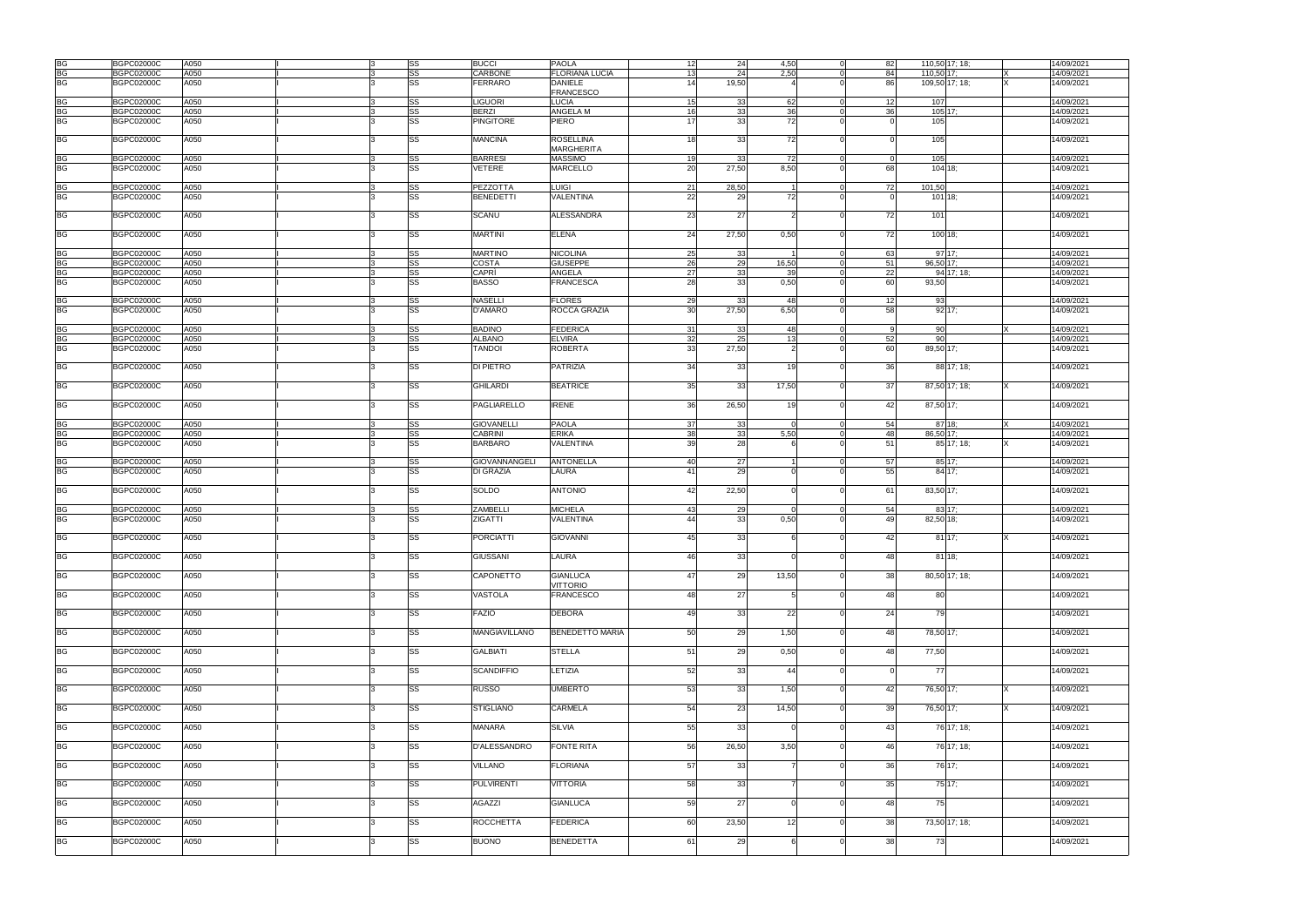|           | <b>BGPC02000C</b> | A050 |          | SS        | <b>BUCCI</b>         | <b>PAOLA</b>           | 12              | 24    | 4,50           | 82 | 110,50 17; 18;        |                | 14/09/2021       |  |
|-----------|-------------------|------|----------|-----------|----------------------|------------------------|-----------------|-------|----------------|----|-----------------------|----------------|------------------|--|
| BG<br>BG  | <b>BGPC02000C</b> | A050 |          | SS        | CARBONE              | <b>FLORIANA LUCIA</b>  | 13              | 24    | 2,50           | 84 | 110,50 17;            |                | 14/09/2021       |  |
| BG        | <b>BGPC02000C</b> | A050 |          | SS        | FERRARO              | <b>DANIELE</b>         | 14              | 19,50 |                | 86 |                       | 109,50 17; 18; | 14/09/2021       |  |
|           |                   |      |          |           |                      | <b>FRANCESCO</b>       |                 |       |                |    |                       |                |                  |  |
| <b>BG</b> | <b>BGPC02000C</b> | A050 |          | SS        | <b>LIGUORI</b>       | LUCIA                  | 15              | 33    | 62             | 12 | 107                   |                | 14/09/2021       |  |
| <b>BG</b> | <b>BGPC02000C</b> | A050 |          | SS        | <b>BERZI</b>         | <b>ANGELA M</b>        | 16              | 33    | 36             | 36 | 105 17;               |                | 14/09/2021       |  |
| <b>BG</b> | <b>BGPC02000C</b> | A050 |          | SS        | <b>PINGITORE</b>     | PIERO                  | 17              | 33    | 72             |    | 105                   |                | 14/09/2021       |  |
|           |                   |      |          |           |                      |                        |                 |       |                |    |                       |                |                  |  |
| <b>BG</b> | <b>BGPC02000C</b> | A050 |          | SS        | <b>MANCINA</b>       | <b>ROSELLINA</b>       | 18              | 33    | 72             |    | 105                   |                | 14/09/2021       |  |
|           |                   |      |          |           |                      | <b>MARGHERITA</b>      |                 |       |                |    |                       |                |                  |  |
| <b>BG</b> | <b>BGPC02000C</b> | A050 |          | SS        | <b>BARRESI</b>       | <b>MASSIMO</b>         | 19              | 33    | 72             |    | 105<br>$\overline{0}$ |                | 14/09/2021       |  |
| <b>BG</b> | <b>BGPC02000C</b> | A050 |          | SS        | VETERE               | <b>MARCELLO</b>        | 20              | 27,50 | 8,50           | 68 | 104 18;               |                | 14/09/2021       |  |
|           |                   |      |          |           |                      |                        |                 |       |                |    |                       |                |                  |  |
| <b>BG</b> | <b>BGPC02000C</b> | A050 |          | SS        | PEZZOTTA             | <b>LUIGI</b>           | 21              | 28,50 | $\overline{1}$ | 72 | 101,50                |                | 14/09/2021       |  |
| <b>BG</b> | <b>BGPC02000C</b> | A050 |          | SS        | <b>BENEDETTI</b>     | VALENTINA              | 22              | 29    | 72             |    | $101$ 18;             |                | 14/09/2021       |  |
|           |                   |      |          |           |                      |                        |                 |       |                |    |                       |                |                  |  |
| <b>BG</b> | <b>BGPC02000C</b> | A050 |          | SS        | SCANU                | ALESSANDRA             | 23              | 27    |                | 72 | 101                   |                | 14/09/2021       |  |
|           |                   |      |          |           |                      |                        |                 |       |                |    |                       |                |                  |  |
| BG        | <b>BGPC02000C</b> | A050 |          | SS        | <b>MARTINI</b>       | <b>ELENA</b>           | 24              | 27,50 | 0,50           | 72 | 100 18;               |                | 14/09/2021       |  |
|           |                   |      |          |           |                      |                        |                 |       |                |    |                       |                |                  |  |
| <b>BG</b> | <b>BGPC02000C</b> | A050 |          | SS        | <b>MARTINO</b>       | <b>NICOLINA</b>        | 25              | 33    | $\overline{1}$ | 63 |                       | 97 17:         | 14/09/2021       |  |
| <b>BG</b> | <b>BGPC02000C</b> | A050 |          | SS        | COSTA                | <b>GIUSEPPE</b>        | 26              | 29    | 16,50          | 51 | 96,50 17;             |                | 14/09/2021       |  |
| <b>BG</b> | <b>BGPC02000C</b> | A050 |          | SS        | CAPRÌ                | ANGELA                 | 27              | 33    | 39 l           | 22 |                       | 94 17: 18:     | 14/09/2021       |  |
| <b>BG</b> | <b>BGPC02000C</b> | A050 |          | SS        | <b>BASSO</b>         | <b>FRANCESCA</b>       | 28              | 33    | 0,50           | 60 | 93,50                 |                | 14/09/2021       |  |
|           |                   |      |          |           |                      |                        |                 |       |                |    |                       |                |                  |  |
| BG        | <b>BGPC02000C</b> | A050 |          | SS        | <b>NASELLI</b>       | <b>FLORES</b>          | 29              | 33    | 48             | 12 | 93                    |                | 14/09/2021       |  |
| <b>BG</b> | <b>BGPC02000C</b> | A050 |          | <b>SS</b> | D'AMARO              | ROCCA GRAZIA           | 30 <sup>1</sup> | 27,50 | 6,50           | 58 |                       | 92 17;         | 14/09/2021       |  |
|           |                   |      |          |           |                      |                        |                 |       |                |    |                       |                |                  |  |
| <b>BG</b> | <b>BGPC02000C</b> | A050 |          | SS        | <b>BADINO</b>        | <b>FEDERICA</b>        | 31              | 33    | 48             |    | 90<br>O               |                | 14/09/2021<br>ΙX |  |
| <b>BG</b> | <b>BGPC02000C</b> | A050 |          | SS        | <b>ALBANO</b>        | <b>ELVIRA</b>          | 32              | 25    | 13             | 52 | 90                    |                | 14/09/2021       |  |
| <b>BG</b> | <b>BGPC02000C</b> | A050 |          | SS        | <b>TANDOI</b>        | <b>ROBERTA</b>         | 33              | 27,50 | $\overline{2}$ | 60 | 89,50 17:             |                | 14/09/2021       |  |
|           |                   |      |          |           |                      |                        |                 |       |                |    |                       |                |                  |  |
| <b>BG</b> | <b>BGPC02000C</b> | A050 |          | SS        | <b>DI PIETRO</b>     | <b>PATRIZIA</b>        | 34              | 33    | 19             | 36 |                       | 88 17; 18;     | 14/09/2021       |  |
|           |                   |      |          |           |                      |                        |                 |       |                |    |                       |                |                  |  |
| <b>BG</b> | <b>BGPC02000C</b> | A050 |          | SS        | <b>GHILARDI</b>      | <b>BEATRICE</b>        | 35              | -33   | 17,50          | 37 |                       | 87,50 17; 18;  | 14/09/2021       |  |
|           |                   |      |          |           |                      |                        |                 |       |                |    |                       |                |                  |  |
| <b>BG</b> | <b>BGPC02000C</b> | A050 |          | SS        | PAGLIARELLO          | <b>IRENE</b>           | 36              | 26,50 | 19             | 42 | 87,50 17;             |                | 14/09/2021       |  |
|           |                   |      |          |           |                      |                        |                 |       |                |    |                       |                |                  |  |
| <b>BG</b> | <b>BGPC02000C</b> | A050 |          | SS        | <b>GIOVANELLI</b>    | <b>PAOLA</b>           | 37              | 33    | $\overline{0}$ | 54 |                       | 87 18:         | 14/09/2021<br>IX |  |
| <b>BG</b> | <b>BGPC02000C</b> | A050 |          | SS        | <b>CABRINI</b>       | <b>ERIKA</b>           | 38              | 33    | 5,50           | 48 | 86,50 17:             |                | 14/09/2021       |  |
| <b>BG</b> | <b>BGPC02000C</b> | A050 |          | SS        | <b>BARBARO</b>       | VALENTINA              | 39              | 28    |                | 51 |                       | 85 17; 18;     | 14/09/2021       |  |
|           |                   |      |          |           |                      |                        |                 |       |                |    |                       |                |                  |  |
| <b>BG</b> | <b>BGPC02000C</b> | A050 |          | SS        | GIOVANNANGELI        | <b>ANTONELLA</b>       | 40              | 27    |                | 57 |                       | 85 17;         | 14/09/2021       |  |
| <b>BG</b> | <b>BGPC02000C</b> | A050 |          | SS        | <b>DI GRAZIA</b>     | LAURA                  | 41              | 29    |                |    | 55                    | 84 17:         | 14/09/2021       |  |
|           |                   |      |          |           |                      |                        |                 |       |                |    |                       |                |                  |  |
| <b>BG</b> | <b>BGPC02000C</b> | A050 |          | SS        | SOLDO                | <b>ANTONIO</b>         | 42              | 22,50 |                | 61 | 83,50 17;             |                | 14/09/2021       |  |
|           |                   |      |          |           |                      |                        |                 |       |                |    |                       |                |                  |  |
| <b>BG</b> | <b>BGPC02000C</b> | A050 |          | SS        | <b>ZAMBELLI</b>      | <b>MICHELA</b>         | 43              | 29    | $\Omega$       | 54 |                       | 83 17:         | 14/09/2021       |  |
| <b>BG</b> | <b>BGPC02000C</b> | A050 |          | <b>SS</b> | ZIGATTI              | <b>VALENTINA</b>       | 44              | 33    | 0,50           | 49 | 82,50 18;             |                | 14/09/2021       |  |
|           |                   |      |          |           |                      |                        |                 |       |                |    |                       |                |                  |  |
| <b>BG</b> | <b>BGPC02000C</b> | A050 |          | SS        | <b>PORCIATTI</b>     | <b>GIOVANNI</b>        | 45              | 33    |                | 42 |                       | 81 17;         | 14/09/2021       |  |
|           |                   |      |          |           |                      |                        |                 |       |                |    |                       |                |                  |  |
| <b>BG</b> | <b>BGPC02000C</b> | A050 | <u>3</u> | <b>SS</b> | <b>GIUSSANI</b>      | LAURA                  | 46              | 33    | $\Omega$       |    | 48                    | $81 \, 18$ ;   | 14/09/2021       |  |
|           |                   |      |          |           |                      |                        |                 |       |                |    |                       |                |                  |  |
| BG        | <b>BGPC02000C</b> | A050 |          | SS        | CAPONETTO            | <b>GIANLUCA</b>        | 47              | 29    | 13,50          | 38 |                       | 80,50 17; 18;  | 14/09/2021       |  |
|           |                   |      |          |           |                      | <b>VITTORIO</b>        |                 |       |                |    |                       |                |                  |  |
| <b>BG</b> | <b>BGPC02000C</b> | A050 |          | SS        | VASTOLA              | <b>FRANCESCO</b>       | 48              | 27    | 5 <sup>1</sup> |    | 48<br>80              |                | 14/09/2021       |  |
|           |                   |      |          |           |                      |                        |                 |       |                |    |                       |                |                  |  |
| BG        | <b>BGPC02000C</b> | A050 |          | <b>SS</b> | <b>FAZIO</b>         | <b>DEBORA</b>          | 49              | 33    | 22             | 24 | 79                    |                | 14/09/2021       |  |
|           |                   |      |          |           |                      |                        |                 |       |                |    |                       |                |                  |  |
| <b>BG</b> | <b>BGPC02000C</b> | A050 | 3        | SS        | <b>MANGIAVILLANO</b> | <b>BENEDETTO MARIA</b> | 50              | 29    | 1,50           |    | 48<br>78,50 17;       |                | 14/09/2021       |  |
|           |                   |      |          |           |                      |                        |                 |       |                |    |                       |                |                  |  |
| <b>BG</b> | <b>BGPC02000C</b> | A050 |          | SS        | <b>GALBIATI</b>      | <b>STELLA</b>          | 51              | 29    | 0,50           | 48 | 77,50                 |                | 14/09/2021       |  |
|           |                   |      |          |           |                      |                        |                 |       |                |    |                       |                |                  |  |
| <b>BG</b> | <b>BGPC02000C</b> | A050 |          | <b>SS</b> | <b>SCANDIFFIO</b>    | LETIZIA                | 52              | 33    | 44             |    | $\Omega$<br>77        |                | 14/09/2021       |  |
|           |                   |      |          |           |                      |                        |                 |       |                |    |                       |                |                  |  |
| <b>BG</b> | <b>BGPC02000C</b> | A050 | 3        | <b>SS</b> | <b>RUSSO</b>         | <b>UMBERTO</b>         | 53              | 33    | 1,50           | 42 | 76,50 17;             |                | 14/09/2021<br>ΙX |  |
|           |                   |      |          |           |                      |                        |                 |       |                |    |                       |                |                  |  |
| <b>BG</b> | <b>BGPC02000C</b> | A050 | 3        | <b>SS</b> | <b>STIGLIANO</b>     | <b>CARMELA</b>         | 54              | 23    | 14,50          | 39 | 76,50 17;             |                | Ιx<br>14/09/2021 |  |
|           |                   |      |          |           |                      |                        |                 |       |                |    |                       |                |                  |  |
| <b>BG</b> | <b>BGPC02000C</b> | A050 |          | SS        | MANARA               | <b>SILVIA</b>          | 55              | 33    |                | 43 |                       | 76 17; 18;     | 14/09/2021       |  |
|           |                   |      |          |           |                      |                        |                 |       |                |    |                       |                |                  |  |
| <b>BG</b> | <b>BGPC02000C</b> | A050 |          | SS        | D'ALESSANDRO         | <b>FONTE RITA</b>      | 56              | 26,50 | 3,50           | 46 |                       | 76 17; 18;     | 14/09/2021       |  |
|           |                   |      |          |           |                      |                        |                 |       |                |    |                       |                |                  |  |
| BG        | <b>BGPC02000C</b> | A050 |          | SS        | VILLANO              | <b>FLORIANA</b>        | 57              | 33    |                | 36 |                       | 76 17;         | 14/09/2021       |  |
|           |                   |      |          |           |                      |                        |                 |       |                |    |                       |                |                  |  |
| <b>BG</b> | <b>BGPC02000C</b> | A050 |          | SS        | <b>PULVIRENTI</b>    | <b>VITTORIA</b>        | 58              | 33    |                | 35 |                       | 75 17;         | 14/09/2021       |  |
|           |                   |      |          |           |                      |                        |                 |       |                |    |                       |                |                  |  |
| BG        | <b>BGPC02000C</b> | A050 |          | SS        | AGAZZI               | <b>GIANLUCA</b>        | 59              | 27    |                | 48 | 75                    |                | 14/09/2021       |  |
|           |                   |      |          |           |                      |                        |                 |       |                |    |                       |                |                  |  |
| <b>BG</b> | <b>BGPC02000C</b> | A050 |          | SS        | <b>ROCCHETTA</b>     | <b>FEDERICA</b>        | 60              | 23,50 | 12             | 38 |                       | 73,50 17; 18;  | 14/09/2021       |  |
|           |                   |      |          |           |                      |                        |                 |       |                |    |                       |                |                  |  |
|           |                   |      |          |           |                      |                        |                 |       |                |    |                       |                |                  |  |
| <b>BG</b> | <b>BGPC02000C</b> | A050 |          | SS        | <b>BUONO</b>         | <b>BENEDETTA</b>       | 61              | 29    |                | 38 | 73                    |                | 14/09/2021       |  |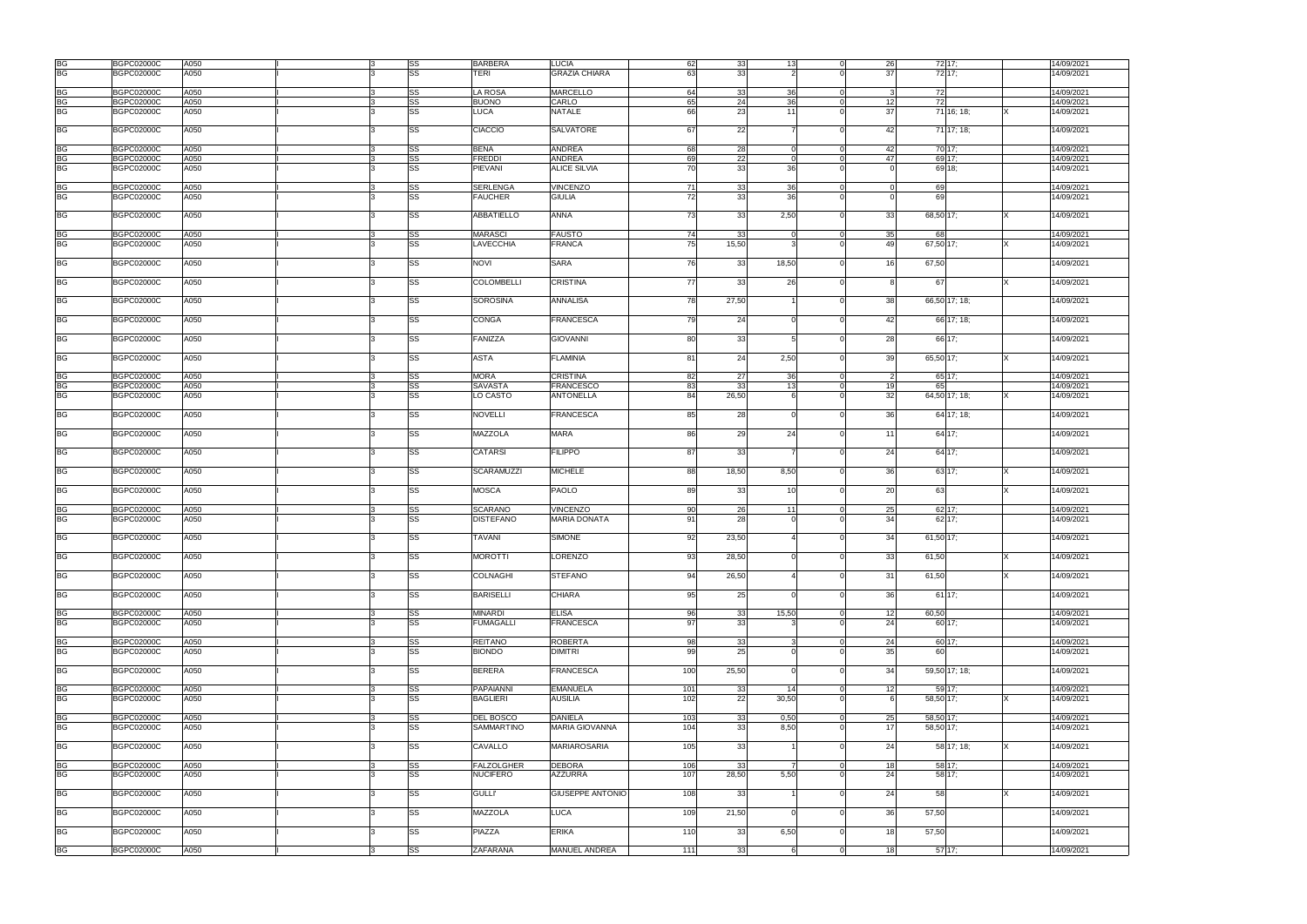| BG        | <b>BGPC02000C</b> | A050 | IЗ | SS        | BARBERA           | <b>LUCIA</b>            | 62        | 33              | 13 <sup>l</sup> | 26 | 72 17:    |               |          | 14/09/2021 |
|-----------|-------------------|------|----|-----------|-------------------|-------------------------|-----------|-----------------|-----------------|----|-----------|---------------|----------|------------|
| <b>BG</b> | <b>BGPC02000C</b> | A050 |    | SS        | TERI              | <b>GRAZIA CHIARA</b>    | 63        | 33              |                 | 37 |           | 72 17;        |          | 14/09/2021 |
|           |                   |      |    |           |                   |                         |           |                 |                 |    |           |               |          |            |
| BG        | <b>BGPC02000C</b> | A050 |    | SS        | LA ROSA           | <b>MARCELLO</b>         | 64        | 33              | 36              |    | 72        |               |          | 14/09/2021 |
| BG        | <b>BGPC02000C</b> | A050 |    | SS        | <b>BUONO</b>      | CARLO                   | 65        | 24              | 36              | 12 | 72        |               |          | 14/09/2021 |
|           |                   |      |    |           |                   |                         |           |                 |                 |    |           |               |          |            |
| <b>BG</b> | <b>BGPC02000C</b> | A050 |    | SS        | <b>LUCA</b>       | NATALE                  | 66        | 23              | 11              | 37 |           | 71 16; 18;    |          | 14/09/2021 |
|           |                   |      |    |           |                   |                         |           |                 |                 |    |           |               |          |            |
| <b>BG</b> | <b>BGPC02000C</b> | A050 |    | SS        | <b>CIACCIO</b>    | <b>SALVATORE</b>        | 67        | 22              |                 | 42 |           | 71 17; 18;    |          | 14/09/2021 |
|           |                   |      |    |           |                   |                         |           |                 |                 |    |           |               |          |            |
| <b>BG</b> | <b>BGPC02000C</b> | A050 |    | SS        | <b>BENA</b>       | <b>ANDREA</b>           | 68        | 28              | $\overline{0}$  | 42 | 70 17:    |               |          | 14/09/2021 |
| ВG        | <b>BGPC02000C</b> | A050 |    | SS        | <b>FREDDI</b>     | <b>ANDREA</b>           | 69        | 22              | $\Omega$        | 47 |           | 69 17;        |          | 14/09/2021 |
| <b>BG</b> | <b>BGPC02000C</b> | A050 |    | SS        | <b>PIEVANI</b>    | <b>ALICE SILVIA</b>     | 70        | 33              | 36              |    |           | 69 18:        |          | 14/09/2021 |
|           |                   |      |    |           |                   |                         |           |                 |                 |    |           |               |          |            |
| ВG        | <b>BGPC02000C</b> | A050 |    | SS        | <b>SERLENGA</b>   | <b>VINCENZO</b>         | 71        | 33              | 36              |    | 69        |               |          | 14/09/2021 |
| BG        |                   |      |    |           |                   |                         |           |                 |                 |    |           |               |          |            |
|           | <b>BGPC02000C</b> | A050 |    | SS        | <b>FAUCHER</b>    | <b>GIULIA</b>           | 72        | 33              | 36              |    | 69        |               |          | 14/09/2021 |
|           |                   |      |    |           |                   |                         |           |                 |                 |    |           |               |          |            |
| ВG        | <b>BGPC02000C</b> | A050 |    | SS        | <b>ABBATIELLO</b> | <b>ANNA</b>             | 73        | 33              | 2,50            | 33 | 68,50 17; |               |          | 14/09/2021 |
|           |                   |      |    |           |                   |                         |           |                 |                 |    |           |               |          |            |
| BG        | <b>BGPC02000C</b> | A050 |    | SS        | <b>MARASCI</b>    | <b>FAUSTO</b>           | 74        | -33             | $\Omega$        | 35 | 68        |               |          | 14/09/2021 |
| <b>BG</b> | <b>BGPC02000C</b> | A050 |    | SS        | LAVECCHIA         | <b>FRANCA</b>           | 75        | 15,50           | 3               | 49 | 67,50 17: |               |          | 14/09/2021 |
|           |                   |      |    |           |                   |                         |           |                 |                 |    |           |               |          |            |
| <b>BG</b> | BGPC02000C        | A050 |    | SS        | <b>NOVI</b>       | <b>SARA</b>             | 76        | 33              | 18,50           | 16 | 67,50     |               |          | 14/09/2021 |
|           |                   |      |    |           |                   |                         |           |                 |                 |    |           |               |          |            |
|           |                   |      |    |           |                   |                         |           |                 |                 |    |           |               |          |            |
| <b>BG</b> | <b>BGPC02000C</b> | A050 |    | SS        | <b>COLOMBELLI</b> | <b>CRISTINA</b>         | <b>77</b> | 33              | -26             |    | 67        |               |          | 14/09/2021 |
|           |                   |      |    |           |                   |                         |           |                 |                 |    |           |               |          |            |
| <b>BG</b> | <b>BGPC02000C</b> | A050 |    | SS        | <b>SOROSINA</b>   | ANNALISA                | 78        | 27,50           |                 | 38 |           | 66,50 17; 18; |          | 14/09/2021 |
|           |                   |      |    |           |                   |                         |           |                 |                 |    |           |               |          |            |
| <b>BG</b> | <b>BGPC02000C</b> | A050 |    | SS        | CONGA             | <b>FRANCESCA</b>        | 79        | 24              | $\Omega$        | 42 |           | 66 17; 18;    |          | 14/09/2021 |
|           |                   |      |    |           |                   |                         |           |                 |                 |    |           |               |          |            |
| <b>BG</b> | BGPC02000C        | A050 |    | SS        | FANIZZA           | <b>GIOVANNI</b>         | 80        | 33              |                 | 28 |           | 66 17;        |          | 14/09/2021 |
|           |                   |      |    |           |                   |                         |           |                 |                 |    |           |               |          |            |
|           |                   |      |    |           |                   |                         |           |                 |                 |    |           |               |          |            |
| <b>BG</b> | <b>BGPC02000C</b> | A050 |    | SS        | ASTA              | <b>FLAMINIA</b>         | 81        | 24              | 2,50            | 39 | 65,50 17; |               |          | 14/09/2021 |
|           |                   |      |    |           |                   |                         |           |                 |                 |    |           |               |          |            |
| <b>BG</b> | <b>BGPC02000C</b> | A050 |    | SS        | <b>MORA</b>       | <b>CRISTINA</b>         | 82        | 27              | 36              |    |           | 65 17;        |          | 14/09/2021 |
| ВG        | <b>BGPC02000C</b> | A050 |    | SS        | <b>SAVASTA</b>    | <b>FRANCESCO</b>        | 83        | -33             | 13 <sup>l</sup> | 19 | 65        |               |          | 14/09/2021 |
| <b>BG</b> | <b>BGPC02000C</b> | A050 |    | SS        | LO CASTO          | <b>ANTONELLA</b>        | 84        | 26,50           |                 | 32 |           | 64,50 17; 18; |          | 14/09/2021 |
|           |                   |      |    |           |                   |                         |           |                 |                 |    |           |               |          |            |
|           |                   |      |    |           |                   |                         | 85        |                 |                 |    |           |               |          |            |
| <b>BG</b> | <b>BGPC02000C</b> | A050 |    | SS        | <b>NOVELLI</b>    | <b>FRANCESCA</b>        |           | 28              |                 | 36 |           | 64 17; 18;    |          | 14/09/2021 |
|           |                   |      |    |           |                   |                         |           |                 |                 |    |           |               |          |            |
| <b>BG</b> | <b>BGPC02000C</b> | A050 |    | SS        | <b>MAZZOLA</b>    | <b>MARA</b>             | 86        | 29              | 24              | 11 |           | 64 17;        |          | 14/09/2021 |
|           |                   |      |    |           |                   |                         |           |                 |                 |    |           |               |          |            |
| <b>BG</b> | <b>BGPC02000C</b> | A050 |    | SS        | <b>CATARSI</b>    | <b>FILIPPO</b>          | 87        | 33              |                 | 24 |           | 64 17;        |          | 14/09/2021 |
|           |                   |      |    |           |                   |                         |           |                 |                 |    |           |               |          |            |
| <b>BG</b> | BGPC02000C        | A050 |    | SS        | <b>SCARAMUZZI</b> | <b>MICHELE</b>          | 88        | 18,50           | 8,50            | 36 |           | 63 17;        |          | 14/09/2021 |
|           |                   |      |    |           |                   |                         |           |                 |                 |    |           |               |          |            |
|           |                   |      |    |           |                   |                         |           |                 |                 |    |           |               |          |            |
| <b>BG</b> | <b>BGPC02000C</b> | A050 |    | SS        | <b>MOSCA</b>      | <b>PAOLO</b>            | 89        | 33              | 10 <sup>1</sup> | 20 | 63        |               |          | 14/09/2021 |
|           |                   |      |    |           |                   |                         |           |                 |                 |    |           |               |          |            |
| BG        | BGPC02000C        | A050 |    | SS        | <b>SCARANO</b>    | <b>VINCENZO</b>         | 90        | 26              | 11              | 25 |           | 62 17;        |          | 14/09/2021 |
| <b>BG</b> | <b>BGPC02000C</b> | A050 |    | SS        | DISTEFANO         | <b>MARIA DONATA</b>     | 91        | 28              |                 | 34 |           | 62 17;        |          | 14/09/2021 |
|           |                   |      |    |           |                   |                         |           |                 |                 |    |           |               |          |            |
| <b>BG</b> | <b>BGPC02000C</b> | A050 |    | SS        | TAVANI            | <b>SIMONE</b>           | 92        | 23,50           |                 | 34 | 61,50 17; |               |          | 14/09/2021 |
|           |                   |      |    |           |                   |                         |           |                 |                 |    |           |               |          |            |
| <b>BG</b> | <b>BGPC02000C</b> | A050 | 3  | <b>SS</b> | <b>MOROTTI</b>    | <b>LORENZO</b>          | 93        | 28,50           |                 | 33 | 61,50     |               | <b>X</b> | 14/09/2021 |
|           |                   |      |    |           |                   |                         |           |                 |                 |    |           |               |          |            |
|           |                   |      |    |           |                   |                         |           |                 |                 |    |           |               |          |            |
| <b>BG</b> | <b>BGPC02000C</b> | A050 |    | SS        | <b>COLNAGHI</b>   | <b>STEFANO</b>          | 94        | 26,50           |                 | 31 | 61,50     |               |          | 14/09/2021 |
|           |                   |      |    |           |                   |                         |           |                 |                 |    |           |               |          |            |
| <b>BG</b> | BGPC02000C        | A050 |    | SS        | <b>BARISELLI</b>  | <b>CHIARA</b>           | 95        | 25              |                 | 36 |           | 6117;         |          | 14/09/2021 |
|           |                   |      |    |           |                   |                         |           |                 |                 |    |           |               |          |            |
| <b>BG</b> | <b>BGPC02000C</b> | A050 |    | SS        | <b>MINARDI</b>    | <b>ELISA</b>            | 96        | 33              | 15,50           | 12 | 60,50     |               |          | 14/09/2021 |
| <b>BG</b> | <b>BGPC02000C</b> | A050 |    | <b>SS</b> | <b>FUMAGALLI</b>  | <b>FRANCESCA</b>        | 97        | 33              |                 | 24 |           | 60 17;        |          | 14/09/2021 |
|           |                   |      |    |           |                   |                         |           |                 |                 |    |           |               |          |            |
| ВG        | <b>BGPC02000C</b> | A050 |    | SS        | <b>REITANO</b>    | <b>ROBERTA</b>          | 98        | 33              | 3               | 24 |           | 60 17;        |          | 14/09/2021 |
|           |                   |      |    |           |                   |                         |           |                 |                 |    |           |               |          |            |
| ВG        | <b>BGPC02000C</b> | A050 | 3  | SS        | <b>BIONDO</b>     | <b>DIMITRI</b>          | 99        | 25              | $\Omega$        | 35 | 60        |               |          | 14/09/2021 |
|           |                   |      |    |           |                   |                         |           |                 |                 |    |           |               |          |            |
| <b>BG</b> | <b>BGPC02000C</b> | A050 |    | SS        | <b>BERERA</b>     | <b>FRANCESCA</b>        | 100       | 25,50           | $\Omega$        | 34 |           | 59,50 17; 18; |          | 14/09/2021 |
|           |                   |      |    |           |                   |                         |           |                 |                 |    |           |               |          |            |
| <b>BG</b> | <b>BGPC02000C</b> | A050 |    | SS        | <b>PAPAIANNI</b>  | <b>EMANUELA</b>         | 101       | 33              | 14              | 12 | 59 17;    |               |          | 14/09/2021 |
| <b>BG</b> | <b>BGPC02000C</b> | A050 |    | SS        | <b>BAGLIERI</b>   | <b>AUSILIA</b>          | 102       | 22              | 30,50           |    | 58,50 17; |               |          | 14/09/2021 |
|           |                   |      |    |           |                   |                         |           |                 |                 |    |           |               |          |            |
|           | <b>BGPC02000C</b> | A050 |    |           | DEL BOSCO         |                         |           | 33 <sup>1</sup> |                 |    | 58,50 17: |               |          | 14/09/2021 |
| <b>BG</b> |                   |      |    | SS        |                   | <b>DANIELA</b>          | 103       |                 | 0,50            | 25 |           |               |          |            |
| <b>BG</b> | <b>BGPC02000C</b> | A050 |    | SS        | SAMMARTINO        | <b>MARIA GIOVANNA</b>   | 104       | 33              | 8,50            | 17 | 58,50 17: |               |          | 14/09/2021 |
|           |                   |      |    |           |                   |                         |           |                 |                 |    |           |               |          |            |
| <b>BG</b> | <b>BGPC02000C</b> | A050 |    | SS        | CAVALLO           | <b>MARIAROSARIA</b>     | 105       | 33              |                 | 24 |           | 58 17; 18;    |          | 14/09/2021 |
|           |                   |      |    |           |                   |                         |           |                 |                 |    |           |               |          |            |
| <b>BG</b> | <b>BGPC02000C</b> | A050 | 3  | SS        | <b>FALZOLGHER</b> | <b>DEBORA</b>           | 106       | 33              | 7               | 18 |           | 58 17;        |          | 14/09/2021 |
| <b>BG</b> | <b>BGPC02000C</b> | A050 |    | SS        | <b>NUCIFERO</b>   | <b>AZZURRA</b>          | 107       | 28,50           | 5,50            | 24 |           | 58 17;        |          | 14/09/2021 |
|           |                   |      |    |           |                   |                         |           |                 |                 |    |           |               |          |            |
| <b>BG</b> | <b>BGPC02000C</b> | A050 |    | SS        | <b>GULLI'</b>     | <b>GIUSEPPE ANTONIO</b> | 108       | 33              |                 | 24 | 58        |               |          | 14/09/2021 |
|           |                   |      |    |           |                   |                         |           |                 |                 |    |           |               |          |            |
|           |                   |      |    |           |                   |                         |           |                 |                 |    |           |               |          |            |
| BG        | <b>BGPC02000C</b> | A050 |    | SS        | <b>MAZZOLA</b>    | <b>LUCA</b>             | 109       | 21,50           | $\Omega$        | 36 | 57,50     |               |          | 14/09/2021 |
|           |                   |      |    |           |                   |                         |           |                 |                 |    |           |               |          |            |
| <b>BG</b> | BGPC02000C        | A050 |    | SS        | <b>PIAZZA</b>     | <b>ERIKA</b>            | 110       | 33              | 6,50            | 18 | 57,50     |               |          | 14/09/2021 |
|           |                   |      |    |           |                   |                         |           |                 |                 |    |           |               |          |            |
| <b>BG</b> | <b>BGPC02000C</b> | A050 |    | SS        | ZAFARANA          | MANUEL ANDREA           | 111       | 33              | 6               | 18 | 5717;     |               |          | 14/09/2021 |
|           |                   |      |    |           |                   |                         |           |                 |                 |    |           |               |          |            |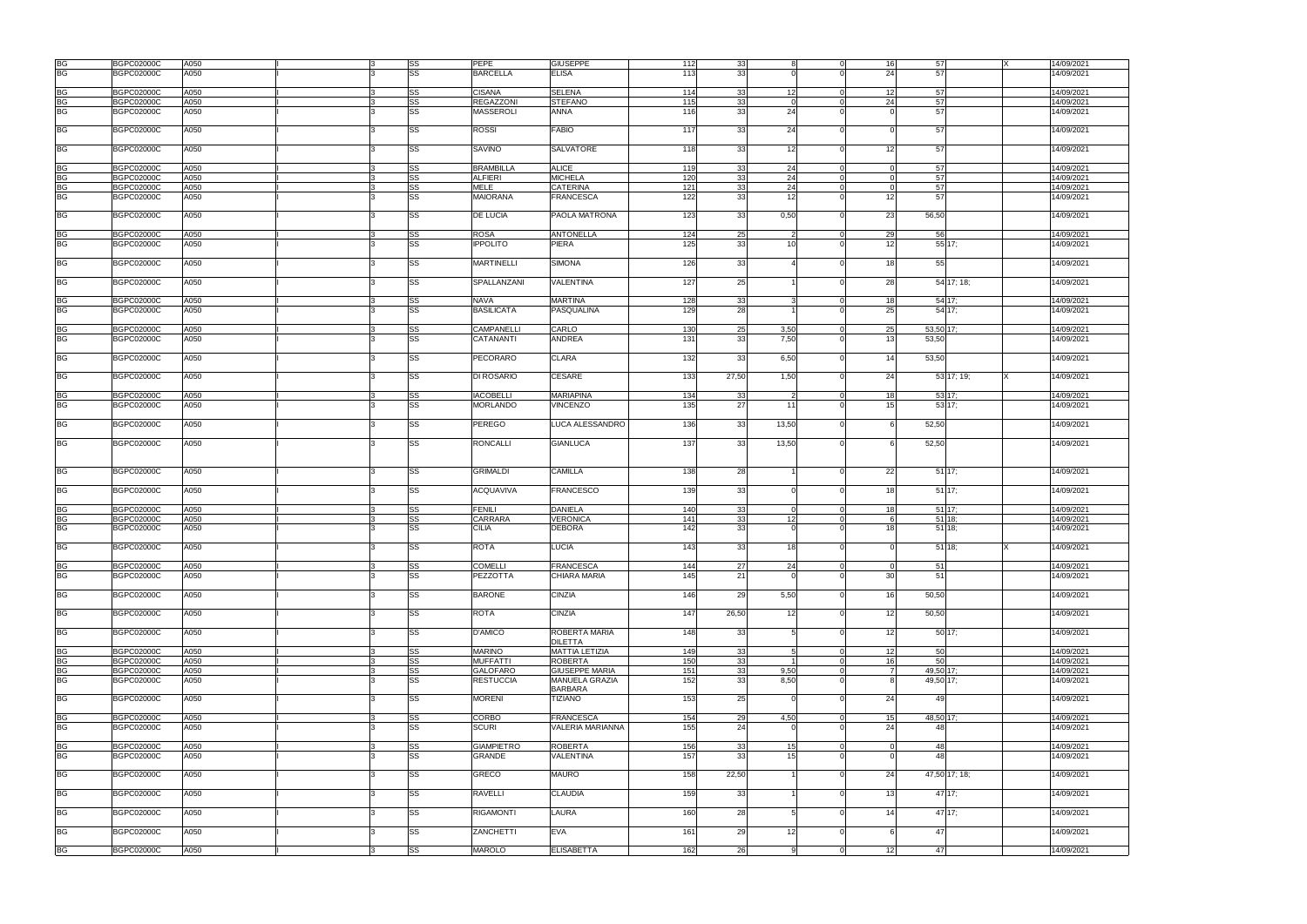|           | <b>BGPC02000C</b> | A050 | l3 | SS | <b>PEPE</b>       | <b>GIUSEPPE</b>         | 112 | 33    | 8               | 16              | 57        | 14/09/2021<br>IX            |
|-----------|-------------------|------|----|----|-------------------|-------------------------|-----|-------|-----------------|-----------------|-----------|-----------------------------|
| BG<br>BG  | <b>BGPC02000C</b> | A050 |    | SS | <b>BARCELLA</b>   | <b>ELISA</b>            | 113 | 33    |                 | 24              | 57        | 14/09/2021                  |
|           |                   |      |    |    |                   |                         |     |       |                 |                 |           |                             |
| <b>BG</b> | BGPC02000C        | A050 |    | SS | <b>CISANA</b>     | <b>SELENA</b>           | 114 | 33    | 12 <sup>1</sup> | 12 <sup>1</sup> | 57        | 14/09/2021                  |
| BG        | <b>BGPC02000C</b> | A050 |    | SS | REGAZZONI         | <b>STEFANO</b>          | 115 | 33    | $\Omega$        | 24              | 57        | 14/09/2021                  |
| ВG        |                   |      |    |    |                   |                         |     |       |                 |                 |           |                             |
|           | <b>BGPC02000C</b> | A050 |    | SS | <b>MASSEROLI</b>  | <b>ANNA</b>             | 116 | 33    | 24              |                 | 57        | 14/09/2021                  |
| <b>BG</b> | <b>BGPC02000C</b> | A050 |    | SS | ROSSI             | <b>FABIO</b>            | 117 | 33    | 24              |                 | 57        | 14/09/2021                  |
| <b>BG</b> | <b>BGPC02000C</b> | A050 |    | SS | <b>SAVINO</b>     | <b>SALVATORE</b>        | 118 | 33    | 12              | 12              | 57        | 14/09/2021                  |
|           |                   |      |    |    |                   |                         |     |       |                 |                 |           |                             |
| <b>BG</b> | <b>BGPC02000C</b> | A050 |    | SS | <b>BRAMBILLA</b>  | <b>ALICE</b>            | 119 | 33    | 24              | $\Omega$        | 57        | 14/09/2021                  |
| BG        | <b>BGPC02000C</b> | A050 |    | SS | ALFIERI           | <b>MICHELA</b>          | 120 | 33    | 24              |                 | 57        | 14/09/2021                  |
| ВG        | BGPC02000C        | A050 |    | SS | MELE              | <b>CATERINA</b>         | 121 | 33    | 24              |                 | 57        | 14/09/2021                  |
| BG        | BGPC02000C        | A050 |    | SS | MAIORANA          | <b>FRANCESCA</b>        | 122 | 33    | 12              | 12              | 57        | 14/09/2021                  |
|           |                   |      |    |    |                   |                         |     |       |                 |                 |           |                             |
|           |                   |      |    |    |                   |                         |     |       |                 |                 |           |                             |
| <b>BG</b> | <b>BGPC02000C</b> | A050 |    | SS | <b>DE LUCIA</b>   | PAOLA MATRONA           | 123 | 33    | 0,50            | 23              | 56,50     | 14/09/2021                  |
| BG        | <b>BGPC02000C</b> | A050 | ß  | SS | <b>ROSA</b>       | <b>ANTONELLA</b>        | 124 | 25    | -2<br>$\Omega$  | 29              | 56        | 14/09/2021                  |
| <b>BG</b> | BGPC02000C        | A050 |    | SS | <b>IPPOLITO</b>   | <b>PIERA</b>            | 125 | 33    | 10 <sup>1</sup> | 12              |           | 55 17:<br>14/09/2021        |
|           |                   |      |    |    |                   |                         |     |       |                 |                 |           |                             |
| <b>BG</b> | <b>BGPC02000C</b> | A050 | 3  | SS | <b>MARTINELLI</b> | <b>SIMONA</b>           | 126 | 33    |                 | 18              | 55        | 14/09/2021                  |
|           |                   |      |    |    |                   |                         |     |       |                 |                 |           |                             |
| <b>BG</b> | BGPC02000C        | A050 |    | SS | SPALLANZANI       | VALENTINA               | 127 | 25    |                 | 28              |           | 54 17; 18;<br>14/09/2021    |
|           |                   |      |    |    |                   |                         |     |       |                 |                 |           |                             |
| <b>BG</b> | <b>BGPC02000C</b> | A050 |    | SS | <b>NAVA</b>       | <b>MARTINA</b>          | 128 | 33    | વ               | 18              | 54 17:    | 14/09/2021                  |
| <b>BG</b> | <b>BGPC02000C</b> | A050 |    | SS | BASILICATA        | <b>PASQUALINA</b>       | 129 | 28    |                 | 25              | 54 17:    | 14/09/2021                  |
|           |                   |      |    |    |                   |                         |     |       |                 |                 |           |                             |
| BG        | <b>BGPC02000C</b> | A050 |    | SS | CAMPANELLI        | CARLO                   | 130 | 25    | 3,50            | 25              | 53,50 17: | 14/09/2021                  |
| <b>BG</b> | BGPC02000C        | A050 |    | SS | CATANANTI         | <b>ANDREA</b>           | 131 | 33    | 7,50            | 13              | 53,50     | 14/09/2021                  |
|           |                   |      |    |    |                   |                         |     |       |                 |                 |           |                             |
| <b>BG</b> | BGPC02000C        | A050 |    | SS | <b>PECORARO</b>   | <b>CLARA</b>            | 132 | 33    | 6,50            | 14              | 53,50     | 14/09/2021                  |
|           |                   |      |    |    |                   |                         |     |       |                 |                 |           |                             |
| <b>BG</b> | <b>BGPC02000C</b> | A050 |    | SS | DI ROSARIO        | <b>CESARE</b>           | 133 | 27,50 | 1,50            | 24              |           | 14/09/2021<br>53 17; 19;    |
|           |                   |      |    |    |                   |                         |     |       |                 |                 |           |                             |
|           | <b>BGPC02000C</b> |      |    |    | <b>IACOBELLI</b>  | <b>MARIAPINA</b>        |     |       | 2               |                 |           |                             |
| BG        |                   | A050 |    | SS |                   |                         | 134 | 33    |                 | 18              | 53 17;    | 14/09/2021                  |
| BG        | BGPC02000C        | A050 |    | SS | <b>MORLANDO</b>   | VINCENZO                | 135 | 27    | 11              | 15              |           | 53 17;<br>14/09/2021        |
|           |                   |      |    |    |                   |                         |     |       |                 |                 |           |                             |
| BG        | BGPC02000C        | A050 |    | SS | PEREGO            | LUCA ALESSANDRO         | 136 | 33    | 13,50           |                 | 52,50     | 14/09/2021                  |
|           |                   |      |    |    |                   |                         |     |       |                 |                 |           |                             |
| <b>BG</b> | <b>BGPC02000C</b> | A050 |    | SS | <b>RONCALLI</b>   | <b>GIANLUCA</b>         | 137 | 33    | 13,50           |                 | 52,50     | 14/09/2021                  |
|           |                   |      |    |    |                   |                         |     |       |                 |                 |           |                             |
|           |                   |      |    |    |                   |                         |     |       |                 |                 |           |                             |
| <b>BG</b> | <b>BGPC02000C</b> | A050 |    | SS | <b>GRIMALDI</b>   | <b>CAMILLA</b>          | 138 | 28    |                 | 22              | 51 17;    | 14/09/2021                  |
|           |                   |      |    |    |                   |                         |     |       |                 |                 |           |                             |
| <b>BG</b> | <b>BGPC02000C</b> | A050 |    | SS | ACQUAVIVA         | <b>FRANCESCO</b>        | 139 | 33    |                 | 18              |           | 14/09/2021                  |
|           |                   |      |    |    |                   |                         |     |       |                 |                 | 51 17;    |                             |
|           |                   |      |    |    |                   |                         |     |       |                 |                 |           |                             |
| <b>BG</b> | <b>BGPC02000C</b> | A050 |    | SS | <b>FENILI</b>     | <b>DANIELA</b>          | 140 | 33    |                 | 18              | 51 17:    | 14/09/2021                  |
| BG        | BGPC02000C        | A050 |    | SS | CARRARA           | <b>VERONICA</b>         | 141 | 33    | 12              |                 | $51$ 18;  | 14/09/2021                  |
| ВG        | BGPC02000C        | A050 |    | SS | <b>CILIA</b>      | <b>DEBORA</b>           | 142 | 33    |                 | 18              | $51$ 18;  | 14/09/2021                  |
|           |                   |      |    |    |                   |                         |     |       |                 |                 |           |                             |
| <b>BG</b> | <b>BGPC02000C</b> | A050 |    | SS | <b>ROTA</b>       | <b>LUCIA</b>            | 143 | 33    | 18 <sup>1</sup> | $\Omega$        | 51 18:    | 14/09/2021                  |
|           |                   |      |    |    |                   |                         |     |       |                 |                 |           |                             |
| <b>BG</b> | <b>BGPC02000C</b> | A050 |    | SS | <b>COMELLI</b>    | <b>FRANCESCA</b>        | 144 | 27    | 24              | - 0             | 51        | 14/09/2021                  |
| <b>BG</b> | <b>BGPC02000C</b> | A050 |    | SS | PEZZOTTA          | <b>CHIARA MARIA</b>     | 145 | 21    |                 | 30              | 51        | 14/09/2021                  |
|           |                   |      |    |    |                   |                         |     |       |                 |                 |           |                             |
| ВG        | <b>BGPC02000C</b> | A050 |    | SS | <b>BARONE</b>     | <b>CINZIA</b>           | 146 | 29    | 5,50            | 16              | 50,50     | 14/09/2021                  |
|           |                   |      |    |    |                   |                         |     |       |                 |                 |           |                             |
| <b>BG</b> |                   |      |    |    |                   |                         |     |       |                 |                 |           |                             |
|           | <b>BGPC02000C</b> | A050 |    | SS | ROTA              | <b>CINZIA</b>           | 147 | 26,50 | 12              | 12              | 50,50     | 14/09/2021                  |
|           |                   |      |    |    |                   |                         |     |       |                 |                 |           |                             |
| <b>BG</b> | <b>BGPC02000C</b> | A050 |    | SS | D'AMICO           | ROBERTA MARIA           | 148 | 33    | 5               | 12              | 50 17;    | 14/09/2021                  |
|           |                   |      |    |    |                   | <b>DILETTA</b>          |     |       |                 |                 |           |                             |
| <b>BG</b> | <b>BGPC02000C</b> | A050 |    | SS | <b>MARINO</b>     | <b>MATTIA LETIZIA</b>   | 149 | 33    | $5\overline{5}$ | 12 <sup>1</sup> | 50        | 14/09/2021                  |
| <b>BG</b> | <b>BGPC02000C</b> | A050 |    | SS | <b>MUFFATTI</b>   | <b>ROBERTA</b>          | 150 | 33    |                 | 16              | 50        | 14/09/2021                  |
| BG        | <b>BGPC02000C</b> | A050 |    | SS | <b>GALOFARO</b>   | <b>GIUSEPPE MARIA</b>   | 151 | 33    | 9,50            |                 | 49,50 17: | 14/09/2021                  |
| BG        | <b>BGPC02000C</b> | A050 |    | SS | <b>RESTUCCIA</b>  | MANUELA GRAZIA          | 152 | 33    | 8,50            | я               | 49,50 17; | 14/09/2021                  |
|           |                   |      |    |    |                   | <b>BARBARA</b>          |     |       |                 |                 |           |                             |
| <b>BG</b> | <b>BGPC02000C</b> | A050 |    | SS | <b>MORENI</b>     | <b>TIZIANO</b>          | 153 | 25    | $\Omega$        | 24              | 49        | 14/09/2021                  |
|           |                   |      |    |    |                   |                         |     |       |                 |                 |           |                             |
| BG        | <b>BGPC02000C</b> | A050 | ß  | SS | CORBO             | <b>FRANCESCA</b>        | 154 | 29    | 4,50            | 15              | 48,50 17: | 14/09/2021                  |
| <b>BG</b> | <b>BGPC02000C</b> | A050 |    | SS | <b>SCURI</b>      | <b>VALERIA MARIANNA</b> | 155 | 24    |                 | 24              | 48        | 14/09/2021                  |
|           |                   |      |    |    |                   |                         |     |       |                 |                 |           |                             |
| BG        | <b>BGPC02000C</b> | A050 |    | SS | <b>GIAMPIETRO</b> | <b>ROBERTA</b>          | 156 | 33    | 15              |                 | 48        | 14/09/2021                  |
| <b>BG</b> | BGPC02000C        | A050 |    | SS | GRANDE            | VALENTINA               | 157 | 33    | 15 <sup>1</sup> |                 | 48        | 14/09/2021                  |
|           |                   |      |    |    |                   |                         |     |       |                 |                 |           |                             |
|           |                   |      |    |    |                   |                         |     |       |                 |                 |           |                             |
| <b>BG</b> | <b>BGPC02000C</b> | A050 |    | SS | GRECO             | <b>MAURO</b>            | 158 | 22,50 |                 | 24              |           | 47,50 17; 18;<br>14/09/2021 |
|           |                   |      |    |    |                   |                         |     |       |                 |                 |           |                             |
| <b>BG</b> | <b>BGPC02000C</b> | A050 |    | SS | <b>RAVELLI</b>    | <b>CLAUDIA</b>          | 159 | 33    |                 | 13              | 47 17;    | 14/09/2021                  |
|           |                   |      |    |    |                   |                         |     |       |                 |                 |           |                             |
| <b>BG</b> | <b>BGPC02000C</b> | A050 |    | SS | <b>RIGAMONTI</b>  | LAURA                   | 160 | 28    | 5               | 14              | 47 17;    | 14/09/2021                  |
|           |                   |      |    |    |                   |                         |     |       |                 |                 |           |                             |
| <b>BG</b> | <b>BGPC02000C</b> | A050 |    | SS | <b>ZANCHETTI</b>  | <b>EVA</b>              | 161 | 29    | 12              |                 | 47        | 14/09/2021                  |
|           |                   |      |    |    |                   |                         |     |       |                 |                 |           |                             |
| <b>BG</b> | <b>BGPC02000C</b> | A050 | 3  | SS | <b>MAROLO</b>     | <b>ELISABETTA</b>       | 162 | 26    | 9<br>$\Omega$   | 12              | 47        | 14/09/2021                  |
|           |                   |      |    |    |                   |                         |     |       |                 |                 |           |                             |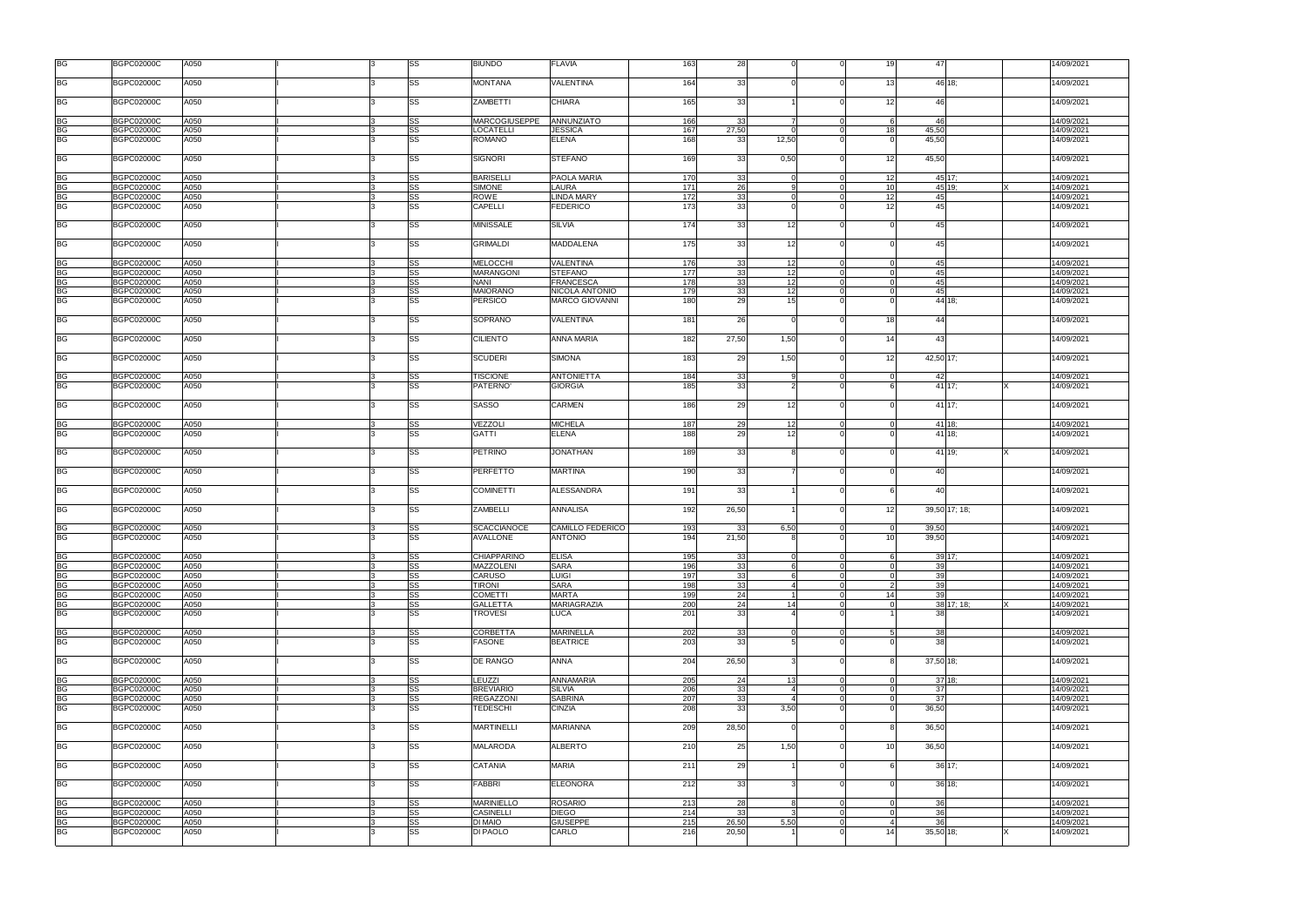| <b>BG</b>              | <b>BGPC02000C</b>                      | A050         |    | SS                     | <b>BIUNDO</b>                         | <b>FLAVIA</b>                             | 163        | 28              | $\Omega$        | 19                               | 47                  | 14/09/202 <sup>-</sup>               |
|------------------------|----------------------------------------|--------------|----|------------------------|---------------------------------------|-------------------------------------------|------------|-----------------|-----------------|----------------------------------|---------------------|--------------------------------------|
| <b>BG</b>              | <b>BGPC02000C</b>                      | A050         |    | SS                     | <b>MONTANA</b>                        | <b>VALENTINA</b>                          | 164        | 33 <sup>1</sup> |                 | 13                               | 46 18:              | 14/09/2021                           |
| <b>BG</b>              | <b>BGPC02000C</b>                      | A050         |    | SS                     | <b>ZAMBETTI</b>                       | <b>CHIARA</b>                             | 165        | 33 <sup>1</sup> |                 | 12                               | 46                  | 14/09/202 <sup>-</sup>               |
| <b>BG</b>              | <b>BGPC02000C</b>                      | A050         |    | SS                     | <b>MARCOGIUSEPPE</b>                  | ANNUNZIATO                                | 166        | 33              | 7               | $\Omega$<br>- 6                  | 46                  | 14/09/2021                           |
|                        | <b>BGPC02000C</b>                      | A050         |    | SS                     | LOCATELLI                             | <b>JESSICA</b>                            | 167        | 27,50           | $\Omega$        | 45,50<br>18                      |                     | 14/09/2021                           |
| BG<br>BG               | <b>BGPC02000C</b>                      | A050         |    | SS                     | <b>ROMANO</b>                         | <b>ELENA</b>                              | 168        | 33              | 12,50           | 45,50                            |                     | 14/09/202 <sup>-</sup>               |
| <b>BG</b>              | <b>BGPC02000C</b>                      | A050         |    | SS                     | <b>SIGNORI</b>                        | <b>STEFANO</b>                            | 169        | 33              | 0,50            | 12<br>45,50                      |                     | 14/09/2021                           |
|                        | <b>BGPC02000C</b>                      | A050         |    | SS                     | <b>BARISELLI</b>                      | PAOLA MARIA                               | 170        | 33              |                 | 12                               | 45 17;              | 14/09/2021                           |
|                        | <b>BGPC02000C</b>                      | A050         |    | SS                     | <b>SIMONE</b>                         | <b>LAURA</b>                              | 171        | 26              |                 | 10<br>$\Omega$                   | 45 19;              | 14/09/2021                           |
|                        | <b>BGPC02000C</b>                      | A050         |    | SS                     | ROWE                                  | <b>LINDA MARY</b>                         | 172        | 33              | $\Omega$        | 12<br>$\Omega$                   | 45                  | 14/09/2021                           |
|                        |                                        |              |    |                        |                                       |                                           | 173        |                 |                 |                                  | 45                  |                                      |
|                        | <b>BGPC02000C</b>                      | A050         |    | $\overline{\text{SS}}$ | CAPELLI                               | <b>FEDERICO</b>                           |            | 33              |                 | 12                               |                     | 14/09/2021                           |
| <b>BG</b>              | <b>BGPC02000C</b>                      | A050         |    | SS                     | <b>MINISSALE</b>                      | <b>SILVIA</b>                             | 174        | 33              | 12              |                                  | 45                  | 14/09/2021                           |
| <b>BG</b>              | <b>BGPC02000C</b>                      | A050         |    | SS                     | <b>GRIMALDI</b>                       | <b>MADDALENA</b>                          | 175        | 33              | 12              |                                  | 45                  | 14/09/2021                           |
|                        | <b>BGPC02000C</b>                      | A050         |    | SS                     | <b>MELOCCHI</b>                       | VALENTINA                                 | 176        | 33              | 12              |                                  | 45                  | 14/09/2021                           |
|                        |                                        |              |    |                        |                                       |                                           | 177        |                 |                 | $\Omega$                         | 45                  |                                      |
|                        | <b>BGPC02000C</b>                      | A050         |    | SS                     | <b>MARANGONI</b>                      | <b>STEFANO</b>                            |            | 33              | 12              |                                  |                     | 14/09/2021                           |
|                        | <b>BGPC02000C</b>                      | A050         |    | SS                     | <b>NANI</b>                           | <b>FRANCESCA</b>                          | 178        | 33              | 12              | $\overline{0}$<br>$\Omega$       | 45                  | 14/09/202 <sup>-</sup>               |
|                        | <b>BGPC02000C</b>                      | A050         |    | SS                     | <b>MAIORANO</b>                       | NICOLA ANTONIO                            | 179        | 33              | 12              | $\Omega$<br>$\Omega$             | 45                  | 14/09/2021                           |
| <b>BG</b>              | <b>BGPC02000C</b>                      | A050         |    | SS                     | <b>PERSICO</b>                        | <b>MARCO GIOVANNI</b>                     | 180        | 29              | 15 <sub>l</sub> |                                  | $\overline{44}$ 18; | 14/09/202 <sup>-</sup>               |
| <b>BG</b>              | <b>BGPC02000C</b>                      | A050         |    | SS                     | SOPRANO                               | <b>VALENTINA</b>                          | 181        | 26              | $\Omega$        | 18                               | 44                  | 14/09/2021                           |
| <b>BG</b>              | <b>BGPC02000C</b>                      | A050         |    | SS                     | <b>CILIENTO</b>                       | <b>ANNA MARIA</b>                         | 182        | 27,50           | 1,50            | 14                               | 43                  | 14/09/2021                           |
| <b>BG</b>              | <b>BGPC02000C</b>                      | A050         |    | SS                     | <b>SCUDERI</b>                        | <b>SIMONA</b>                             | 183        | 29              | 1,50            | 12                               | 42,50 17;           | 14/09/2021                           |
| <b>BG</b>              | <b>BGPC02000C</b>                      | A050         |    | SS                     | <b>TISCIONE</b>                       | <b>ANTONIETTA</b>                         | 184        | 33              | 9               | $\Omega$<br>$\Omega$             | 42                  | 14/09/2021                           |
| <b>BG</b>              | <b>BGPC02000C</b>                      | A050         |    | SS                     | PATERNO'                              | <b>GIORGIA</b>                            | 185        | 33              |                 |                                  | 41 17;              | 14/09/2021                           |
| <b>BG</b>              | <b>BGPC02000C</b>                      | A050         |    | SS                     | <b>SASSO</b>                          | <b>CARMEN</b>                             | 186        | 29              | 12              |                                  | 41 17;              | 14/09/202                            |
|                        |                                        |              |    |                        |                                       |                                           |            |                 |                 |                                  |                     |                                      |
| <b>BG</b>              | <b>BGPC02000C</b>                      | A050         |    | SS                     | VEZZOLI                               | <b>MICHELA</b>                            | 187        | 29              | 12              |                                  | 41 18;              | 14/09/2021                           |
| <b>BG</b>              | <b>BGPC02000C</b>                      | A050         |    | SS                     | <b>GATTI</b>                          | <b>ELENA</b>                              | 188        | 29              | 12              |                                  | 41 18;              | 14/09/2021                           |
| <b>BG</b>              | <b>BGPC02000C</b>                      | A050         |    | SS                     | <b>PETRINO</b>                        | <b>JONATHAN</b>                           | 189        | 33              | 8               |                                  | 41 19;              | 14/09/202 <sup>-</sup>               |
| <b>BG</b>              | <b>BGPC02000C</b>                      | A050         |    | SS                     | <b>PERFETTO</b>                       | <b>MARTINA</b>                            | 190        | 33              |                 |                                  | 40                  | 14/09/202 <sup>-</sup>               |
| <b>BG</b>              | <b>BGPC02000C</b>                      | A050         |    | SS                     | <b>COMINETTI</b>                      | ALESSANDRA                                | 191        | 33              |                 |                                  | 40                  | 14/09/202 <sup>-</sup>               |
| <b>BG</b>              | <b>BGPC02000C</b>                      | A050         |    | SS                     | <b>ZAMBELLI</b>                       | <b>ANNALISA</b>                           | 192        | 26,50           |                 | 12                               | 39,50 17; 18;       | 14/09/202 <sup>-</sup>               |
|                        |                                        |              |    |                        |                                       |                                           |            |                 |                 |                                  |                     |                                      |
| <b>BG</b><br><b>BG</b> | <b>BGPC02000C</b><br><b>BGPC02000C</b> | A050<br>A050 |    | SS<br>SS               | <b>SCACCIANOCE</b><br><b>AVALLONE</b> | <b>CAMILLO FEDERICO</b><br><b>ANTONIO</b> | 193<br>194 | 33<br>21,50     | 6,50            | 39,50<br>$\Omega$<br>39,50<br>10 |                     | 14/09/2021<br>14/09/202 <sup>-</sup> |
| BG                     | <b>BGPC02000C</b>                      | A050         | 13 | SS                     | <b>CHIAPPARINO</b>                    | <b>ELISA</b>                              | 195        | 33              | $\overline{0}$  | 6<br>$\overline{0}$              | $39 \, 17;$         | 14/09/202 <sup>-</sup>               |
| <b>BG</b>              | <b>BGPC02000C</b>                      | A050         |    | SS                     | <b>MAZZOLENI</b>                      | <b>SARA</b>                               | 196        | 33              | 6               | $\overline{0}$                   | 39                  | 14/09/202 <sup>-</sup>               |
| <b>BG</b>              |                                        |              |    |                        |                                       |                                           |            |                 |                 |                                  |                     |                                      |
|                        | <b>BGPC02000C</b>                      | A050         |    | SS                     | CARUSO                                | <b>LUIGI</b>                              | 197        | 33              |                 | $\Omega$                         | 39                  | 14/09/202 <sup>-</sup>               |
| $\overline{\text{BG}}$ | <b>BGPC02000C</b>                      | A050         |    | SS                     | <b>TIRONI</b>                         | <b>SARA</b>                               | 198        | 33              | $\overline{a}$  | $\overline{2}$<br>$\mathbf 0$    | 39                  | 14/09/202 <sup>-</sup>               |
| <b>BG</b>              | <b>BGPC02000C</b>                      | A050         |    | SS                     | <b>COMETTI</b>                        | <b>MARTA</b>                              | 199        | 24              | $\vert$ 1       | 14<br>$\mathbf 0$                | 39                  | 14/09/202 <sup>-</sup>               |
| <b>BG</b>              | <b>BGPC02000C</b>                      | A050         |    | SS                     | <b>GALLETTA</b>                       | MARIAGRAZIA                               | 200        | 24              | 14              | $\mathbf 0$<br>$\overline{0}$    | 38 17; 18;          | 14/09/202 <sup>-</sup>               |
| <b>BG</b>              | <b>BGPC02000C</b>                      | A050         |    | SS                     | <b>TROVESI</b>                        | <b>LUCA</b>                               | 201        | 33              |                 |                                  | 38 <sup>l</sup>     | 14/09/2021                           |
| <b>BG</b>              | <b>BGPC02000C</b>                      | A050         |    | SS                     | <b>CORBETTA</b>                       | <b>MARINELLA</b>                          | 202        | 33              | $\overline{0}$  | $\overline{0}$<br>5              | 38                  | 14/09/202 <sup>-</sup>               |
| <b>BG</b>              | <b>BGPC02000C</b>                      | A050         |    | SS                     | FASONE                                | <b>BEATRICE</b>                           | 203        | 33              |                 |                                  | 38                  | 14/09/202 <sup>-</sup>               |
| <b>BG</b>              | <b>BGPC02000C</b>                      | A050         |    | SS                     | DE RANGO                              | ANNA                                      | 204        | 26,50           | 3               |                                  | 37,50 18;           | 14/09/202 <sup>-</sup>               |
| <b>BG</b>              | <b>BGPC02000C</b>                      | A050         |    | SS                     | <b>LEUZZI</b>                         | <b>ANNAMARIA</b>                          | 205        | 24              | 13              | $\mathbf 0$<br>$\Omega$          | 37 18:              | 14/09/202 <sup>-</sup>               |
| <b>BG</b>              | <b>BGPC02000C</b>                      | A050         |    | SS                     | <b>BREVIARIO</b>                      | <b>SILVIA</b>                             | 206        | 33              | $\overline{4}$  | $\Omega$<br>$\Omega$             | 37                  | 14/09/202 <sup>-</sup>               |
| <b>BG</b>              | <b>BGPC02000C</b>                      | A050         |    | SS                     | <b>REGAZZONI</b>                      | <b>SABRINA</b>                            | 207        | 33              | $\overline{4}$  | $\Omega$                         | 37                  | 14/09/202 <sup>-</sup>               |
| <b>BG</b>              | <b>BGPC02000C</b>                      | A050         |    | SS                     | <b>TEDESCHI</b>                       | <b>CINZIA</b>                             | 208        | 33              | 3,50            | 36,50                            |                     | 14/09/2021                           |
|                        |                                        |              |    |                        |                                       |                                           |            |                 |                 |                                  |                     |                                      |
| <b>BG</b>              | <b>BGPC02000C</b>                      | A050         |    | SS                     | <b>MARTINELLI</b>                     | <b>MARIANNA</b>                           | 209        | 28,50           |                 | 36,50                            |                     | 14/09/2021                           |
| <b>BG</b>              | <b>BGPC02000C</b>                      | A050         |    | SS                     | <b>MALARODA</b>                       | <b>ALBERTO</b>                            | 210        | 25              | 1,50            | 36,50<br>10                      |                     | 14/09/202 <sup>-</sup>               |
| <b>BG</b>              | <b>BGPC02000C</b>                      | A050         |    | SS                     | <b>CATANIA</b>                        | <b>MARIA</b>                              | 211        | 29              |                 |                                  | $36\,17;$           | 14/09/2021                           |
| <b>BG</b>              | <b>BGPC02000C</b>                      | A050         |    | SS                     | <b>FABBRI</b>                         | <b>ELEONORA</b>                           | 212        | 33              |                 |                                  | 36 18;              | 14/09/2021                           |
| <b>BG</b>              | <b>BGPC02000C</b>                      | A050         |    | SS                     | <b>MARINIELLO</b>                     | <b>ROSARIO</b>                            | 213        | 28              | 8               |                                  | 36                  | 14/09/202 <sup>-</sup>               |
| <b>BG</b>              | <b>BGPC02000C</b>                      | A050         |    | SS                     | <b>CASINELLI</b>                      | <b>DIEGO</b>                              | 214        | 33              |                 |                                  | 36                  | 14/09/202 <sup>-</sup>               |
| BG                     | <b>BGPC02000C</b>                      | A050         |    | SS                     | <b>DI MAIO</b>                        | <b>GIUSEPPE</b>                           | 215        | 26,50           | 5,50            |                                  | 36                  | 14/09/202 <sup>-</sup>               |
| <b>BG</b>              | <b>BGPC02000C</b>                      | A050         |    | SS                     | DI PAOLO                              | CARLO                                     | 216        | 20,50           |                 | 14                               | 35,50 18;           | 14/09/2021                           |
|                        |                                        |              |    |                        |                                       |                                           |            |                 |                 |                                  |                     |                                      |

| 9                       | 47                    |               |   | 14/09/2021               |
|-------------------------|-----------------------|---------------|---|--------------------------|
| 3                       | 46                    | 18;           |   | 14/09/2021               |
| $\overline{\mathbf{c}}$ | 46                    |               |   | 14/09/2021               |
| 6                       | 46                    |               |   | 14/09/2021               |
| 8                       | 45,50                 |               |   | 14/09/2021               |
| 0                       | 45,50                 |               |   | 14/09/2021               |
| 2                       | 45,50                 |               |   | 14/09/2021               |
| $\overline{\mathbf{2}}$ | 45                    | 17;           |   | 14/09/2021               |
| $\overline{0}$          | 45                    | 19;           | Χ | 14/09/2021               |
| $\overline{2}$          | 45                    |               |   | 14/09/2021               |
| $\overline{\mathbf{2}}$ | 45                    |               |   | 14/09/2021               |
| 0                       | 45                    |               |   | 14/09/2021               |
| 0                       | 45                    |               |   | 14/09/2021               |
| $\overline{0}$          | 45                    |               |   | 14/09/2021               |
| 0                       | 45                    |               |   | 14/09/2021               |
| 0                       | 45                    |               |   | 14/09/2021               |
| 0                       | 45                    |               |   | 14/09/2021               |
| 0                       |                       | 44 18;        |   | 14/09/2021               |
| 8                       | 44                    |               |   | 14/09/2021               |
| 4                       | 43                    |               |   | 14/09/2021               |
| 2                       | 42,50                 | 17;           |   | 14/09/2021               |
| 0                       | 42                    |               |   | 14/09/2021               |
| 6                       | 41                    | 17;           | X | 14/09/2021               |
| 0                       | 41                    | 17;           |   | 14/09/2021               |
| 0                       | 41                    | 18;           |   | 14/09/2021               |
| 0                       | 41                    | 18;           |   | 14/09/2021               |
|                         |                       |               |   |                          |
| 0                       |                       | 41 19;        | Χ | 14/09/2021               |
| 0                       | 40                    |               |   | 14/09/2021               |
| 6<br>$\overline{c}$     | 40                    | 39,50 17; 18; |   | 14/09/2021<br>14/09/2021 |
|                         |                       |               |   |                          |
| $\overline{0}$<br>0     | <u>39,50</u><br>39,50 |               |   | 14/09/2021<br>14/09/2021 |
|                         |                       |               |   |                          |
| 6                       |                       | 39 17;        |   | 14/09/2021               |
| 0                       | 39                    |               |   | 14/09/2021               |
|                         | 39                    |               |   | 14/09/2021               |
| $\frac{0}{2}$           | 39                    |               |   | 14/09/2021               |
| $\frac{4}{0}$           | 39                    |               |   | 14/09/2021               |
|                         |                       | 38 17; 18;    | Χ | 14/09/2021               |
| 1                       | 38                    |               |   | 14/09/2021               |
| 5                       | 38                    |               |   | 14/09/2021               |
| 0                       | 38                    |               |   | 14/09/2021               |
| 8                       | 37,50                 | 18:           |   | 14/09/2021               |
| $\overline{0}$          | 37                    | 18;           |   | 14/09/2021               |
| $\overline{0}$          | 37                    |               |   | 14/09/2021               |
| 0                       | 37                    |               |   | 14/09/2021               |
| 0                       | 36,50                 |               |   | 14/09/2021               |
| 8                       | 36,50                 |               |   | 14/09/2021               |
| 0                       | 36,50                 |               |   | 14/09/2021               |
| 6                       |                       | 36 17;        |   | 14/09/2021               |
| 0                       |                       | 36 18;        |   | 14/09/2021               |
| 0                       | 36                    |               |   | 14/09/2021               |
| $\overline{0}$          | 36                    |               |   | 14/09/2021               |
| 4                       | 36                    |               |   | 14/09/2021               |
| 4                       | 35,50 18;             |               | Χ | 14/09/2021               |
|                         |                       |               |   |                          |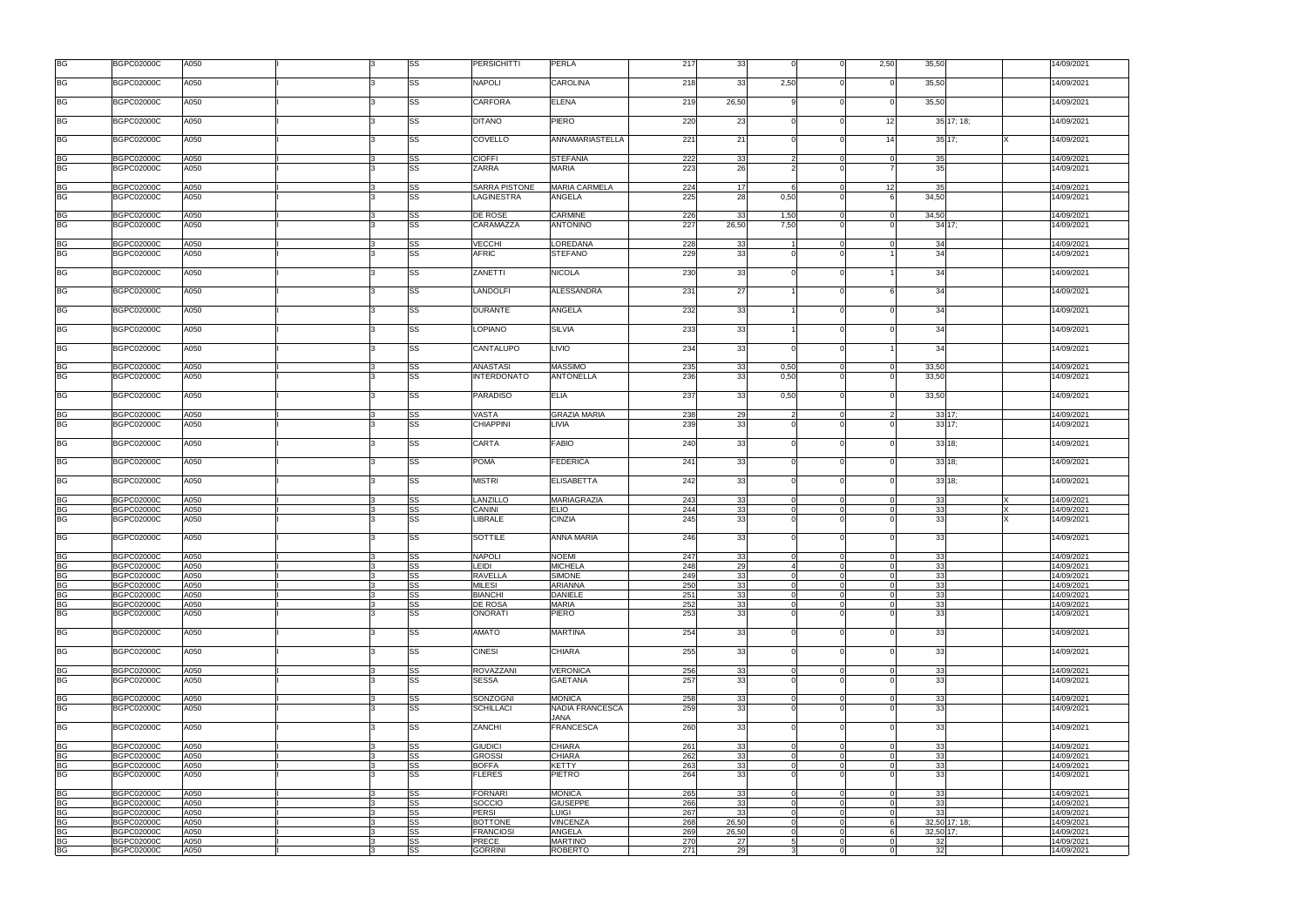| <b>BG</b>                         | <b>BGPC02000C</b>                      | A050         |    | SS                           | <b>PERSICHITTI</b>                    | <b>PERLA</b>                    | 217        | 33       | $\Omega$       | $\Omega$       | 2,50           | 35,50          |               | 14/09/202 <sup>-</sup>   |
|-----------------------------------|----------------------------------------|--------------|----|------------------------------|---------------------------------------|---------------------------------|------------|----------|----------------|----------------|----------------|----------------|---------------|--------------------------|
| <b>BG</b>                         | <b>BGPC02000C</b>                      | A050         |    | SS                           | <b>NAPOLI</b>                         | <b>CAROLINA</b>                 | 218        | 33       | 2,50           |                |                | 35,50          |               | 14/09/2021               |
| <b>BG</b>                         | <b>BGPC02000C</b>                      | A050         |    | SS                           | <b>CARFORA</b>                        | <b>ELENA</b>                    | 219        | 26,50    |                |                |                | 35,50          |               | 14/09/202 <sup>-</sup>   |
| <b>BG</b>                         | <b>BGPC02000C</b>                      | A050         |    | SS                           | <b>DITANO</b>                         | PIERO                           | 220        | 23       | $\Omega$       |                | 12             |                | 35 17; 18;    | 14/09/202 <sup>-</sup>   |
| <b>BG</b>                         | BGPC02000C                             | A050         |    | SS                           | COVELLO                               | ANNAMARIASTELLA                 | 221        | 21       | $\Omega$       |                | 14             |                | $35 \, 17$ ;  | 14/09/202 <sup>-</sup>   |
| BG                                | <b>BGPC02000C</b>                      | A050         |    | SS                           | <b>CIOFFI</b>                         | <b>STEFANIA</b>                 | 222        | 33       | 2              | $\Omega$       | $\Omega$       | 35             |               | 14/09/202 <sup>-</sup>   |
| <b>BG</b>                         | <b>BGPC02000C</b>                      | A050         |    | SS                           | ZARRA                                 | <b>MARIA</b>                    | 223        | 26       |                |                |                | 35             |               | 14/09/2021               |
| <b>BG</b>                         | <b>BGPC02000C</b>                      | A050         |    | SS                           | <b>SARRA PISTONE</b>                  | <b>MARIA CARMELA</b>            | 224        | 17       |                |                | 12             | 35             |               | 14/09/2021               |
| <b>BG</b>                         | <b>BGPC02000C</b>                      | A050         |    | SS                           | LAGINESTRA                            | ANGELA                          | 225        | 28       | 0,50           |                |                | 34,50          |               | 14/09/2021               |
| <b>BG</b>                         | <b>BGPC02000C</b>                      | A050         |    | SS                           | <b>DE ROSE</b>                        | <b>CARMINE</b>                  | 226        | 33       | 1,50           | $\Omega$       | $\overline{0}$ | 34,50          |               | 14/09/2021               |
| <b>BG</b>                         | <b>BGPC02000C</b>                      | A050         |    | SS                           | CARAMAZZA                             | <b>ANTONINO</b>                 | 227        | 26,50    | 7.50           |                |                |                | 34 17:        | 14/09/2021               |
|                                   |                                        |              |    |                              |                                       |                                 |            |          |                |                |                |                |               |                          |
| BG                                | <b>BGPC02000C</b>                      | A050         |    | SS                           | <b>VECCHI</b>                         | LOREDANA                        | 228        | 33       |                | $\Omega$       | $\Omega$       | 34             |               | 14/09/202 <sup>-</sup>   |
| <b>BG</b>                         | <b>BGPC02000C</b>                      | A050         |    | SS                           | <b>AFRIC</b>                          | <b>STEFANO</b>                  | 229        | 33       |                |                |                | 34             |               | 14/09/2021               |
| <b>BG</b>                         | BGPC02000C                             | A050         |    | SS                           | ZANETTI                               | <b>NICOLA</b>                   | 230        | 33       |                |                |                | 34             |               | 14/09/2021               |
| <b>BG</b>                         | <b>BGPC02000C</b>                      | A050         |    | SS                           | <b>LANDOLFI</b>                       | ALESSANDRA                      | 231        | 27       |                |                |                | 34             |               | 14/09/2021               |
| BG                                | BGPC02000C                             | A050         |    | SS                           | <b>DURANTE</b>                        | ANGELA                          | 232        | 33       |                |                |                | 34             |               | 14/09/202 <sup>-</sup>   |
| <b>BG</b>                         | <b>BGPC02000C</b>                      | A050         |    | SS                           | <b>LOPIANO</b>                        | <b>SILVIA</b>                   | 233        | 33       |                |                |                | 34             |               | 14/09/202 <sup>-</sup>   |
| <b>BG</b>                         | <b>BGPC02000C</b>                      | A050         |    | SS                           | CANTALUPO                             | <b>LIVIO</b>                    | 234        | 33       | $\Omega$       |                |                | 34             |               | 14/09/202 <sup>-</sup>   |
|                                   |                                        |              |    |                              |                                       | <b>MASSIMO</b>                  |            |          |                | $\Omega$       |                |                |               |                          |
| <b>BG</b><br><b>BG</b>            | <b>BGPC02000C</b><br><b>BGPC02000C</b> | A050<br>A050 |    | SS<br>SS                     | <b>ANASTASI</b><br><b>INTERDONATO</b> | <b>ANTONELLA</b>                | 235<br>236 | 33<br>33 | 0,50<br>0,50   |                | $\overline{0}$ | 33,50<br>33,50 |               | 14/09/2021<br>14/09/2021 |
| <b>BG</b>                         | <b>BGPC02000C</b>                      | A050         |    | SS                           | <b>PARADISO</b>                       | <b>ELIA</b>                     | 237        | 33       | 0,50           |                |                | 33,50          |               | 14/09/2021               |
| <b>BG</b>                         | <b>BGPC02000C</b>                      | A050         |    | SS                           | <b>VASTA</b>                          | <b>GRAZIA MARIA</b>             | 238        | 29       | 2              |                |                |                | 33 17;        | 14/09/2021               |
| <b>BG</b>                         | <b>BGPC02000C</b>                      | A050         |    | SS                           | <b>CHIAPPINI</b>                      | <b>LIVIA</b>                    | 239        | 33       |                |                |                |                | 33 17;        | 14/09/2021               |
| BG                                | <b>BGPC02000C</b>                      | A050         |    | SS                           | <b>CARTA</b>                          | <b>FABIO</b>                    | 240        | 33       | $\Omega$       |                |                |                | 33 18;        | 14/09/2021               |
| <b>BG</b>                         | BGPC02000C                             | A050         |    | SS                           | <b>POMA</b>                           | <b>FEDERICA</b>                 | 241        | 33       | $\Omega$       |                |                |                | 33 18;        | 14/09/2021               |
| BG                                | <b>BGPC02000C</b>                      | A050         |    | SS                           | <b>MISTRI</b>                         | <b>ELISABETTA</b>               | 242        | 33       | $\Omega$       |                | $\Omega$       |                | $33$ 18;      | 14/09/202 <sup>-</sup>   |
| BG                                | <b>BGPC02000C</b>                      | A050         |    | SS                           | LANZILLO                              | <b>MARIAGRAZIA</b>              | 243        | 33       |                |                |                | 33             |               | 14/09/2021               |
| <b>BG</b>                         | BGPC02000C                             | A050         |    | SS                           | CANINI                                | <b>ELIO</b>                     | 244        | 33       | $\Omega$       |                |                | 33             |               | 14/09/202 <sup>-</sup>   |
| <b>BG</b>                         | <b>BGPC02000C</b>                      | A050         |    | SS                           | LIBRALE                               | <b>CINZIA</b>                   | 245        | 33       | $\Omega$       |                |                | 33             |               | 14/09/202 <sup>-</sup>   |
| <b>BG</b>                         | <b>BGPC02000C</b>                      | A050         |    | SS                           | <b>SOTTILE</b>                        | <b>ANNA MARIA</b>               | 246        | 33       |                |                |                | 33             |               | 14/09/202 <sup>-</sup>   |
| BG                                | <b>BGPC02000C</b>                      | A050         | 13 | SS                           | <b>NAPOLI</b>                         | <b>NOEMI</b>                    | 247        | 33       | $\Omega$       | $\overline{0}$ | $\overline{0}$ | 33             |               | 14/09/2021               |
| <b>BG</b>                         | <b>BGPC02000C</b>                      | A050         | 3  | $\overline{\text{ss}}$       | <b>LEIDI</b>                          | <b>MICHELA</b>                  | 248        | 29       |                | $\overline{0}$ | $\Omega$       | 33             |               | 14/09/202 <sup>-</sup>   |
| <b>BG</b>                         | <b>BGPC02000C</b>                      | A050         |    | SS                           | <b>RAVELLA</b>                        | <b>SIMONE</b>                   | 249        | 33       |                |                |                | 33             |               | 14/09/2021               |
| <b>BG</b>                         | <b>BGPC02000C</b>                      | A050         |    | SS                           | <b>MILESI</b>                         | <b>ARIANNA</b>                  | 250        | 33       | $\Omega$       | $\Omega$       | $\Omega$       | 33             |               | 14/09/202 <sup>-</sup>   |
| $\overline{\mathsf{B}\mathsf{G}}$ | <b>BGPC02000C</b>                      | A050         |    | SS                           | <b>BIANCHI</b>                        | <b>DANIELE</b>                  | 251        | 33       | $\Omega$       | $\Omega$       | $\Omega$       | 33             |               | 14/09/2021               |
| <b>BG</b><br><b>BG</b>            | <b>BGPC02000C</b><br><b>BGPC02000C</b> | A050<br>A050 |    | SS<br>$\overline{\text{ss}}$ | <b>DE ROSA</b><br><b>ONORATI</b>      | <b>MARIA</b><br><b>PIERO</b>    | 252<br>253 | 33<br>33 | $\Omega$       | $\overline{0}$ | $\Omega$       | 33<br>33       |               | 14/09/2021<br>14/09/2021 |
|                                   |                                        |              |    |                              |                                       |                                 |            |          |                |                |                |                |               |                          |
| <b>BG</b>                         | <b>BGPC02000C</b>                      | A050         |    | SS                           | <b>AMATO</b>                          | <b>MARTINA</b>                  | 254        | 33       |                |                |                | 33             |               | 14/09/2021               |
| <b>BG</b>                         | <b>BGPC02000C</b>                      | A050         |    | SS                           | <b>CINESI</b>                         | <b>CHIARA</b>                   | 255        | 33       | $\Omega$       |                |                | 33             |               | 14/09/2021               |
| <b>BG</b>                         | <b>BGPC02000C</b>                      | A050         |    | SS                           | <b>ROVAZZANI</b>                      | <b>VERONICA</b>                 | 256        | 33       | $\Omega$       |                |                | 33             |               | 14/09/2021               |
| <b>BG</b>                         | <b>BGPC02000C</b>                      | A050         |    | SS                           | <b>SESSA</b>                          | GAETANA                         | 257        | 33       |                |                |                | 33             |               | 14/09/202 <sup>-</sup>   |
| <b>BG</b>                         | <b>BGPC02000C</b>                      | A050         |    | SS                           | SONZOGNI                              | <b>MONICA</b>                   | 258        | 33       | $\Omega$       | $\Omega$       | $\Omega$       | 33             |               | 14/09/202 <sup>-</sup>   |
| <b>BG</b>                         | <b>BGPC02000C</b>                      | A050         |    | SS                           | <b>SCHILLACI</b>                      | NADIA FRANCESCA                 | 259        | 33       |                |                |                | 33             |               | 14/09/2021               |
| <b>BG</b>                         | <b>BGPC02000C</b>                      | A050         |    | SS                           | <b>ZANCHI</b>                         | <b>JANA</b><br><b>FRANCESCA</b> | 260        | 33       | $\Omega$       |                | $\Omega$       | 33             |               | 14/09/2021               |
| <b>BG</b>                         | <b>BGPC02000C</b>                      | A050         |    | SS                           | <b>GIUDICI</b>                        | <b>CHIARA</b>                   | 261        | 33       |                | $\Omega$       | $\Omega$       | 33             |               | 14/09/2021               |
| <b>BG</b>                         | <b>BGPC02000C</b>                      | A050         |    | SS                           | <b>GROSSI</b>                         | <b>CHIARA</b>                   | 262        | 33       | $\Omega$       | $\overline{0}$ | $\Omega$       | 33             |               | 14/09/2021               |
| <b>BG</b>                         | <b>BGPC02000C</b>                      | A050         |    | SS                           | <b>BOFFA</b>                          | <b>KETTY</b>                    | 263        | 33       | $\Omega$       | $\overline{0}$ | $\Omega$       | 33             |               | 14/09/2021               |
| <b>BG</b>                         | <b>BGPC02000C</b>                      | A050         |    | $\overline{\text{ss}}$       | <b>FLERES</b>                         | <b>PIETRO</b>                   | 264        | 33       |                |                |                | 33             |               | 14/09/2021               |
| <b>BG</b>                         | <b>BGPC02000C</b>                      | A050         |    | SS                           | <b>FORNARI</b>                        | <b>MONICA</b>                   | 265        | 33       | $\overline{0}$ | $\overline{0}$ | $\overline{0}$ | 33             |               | 14/09/2021               |
| <b>BG</b>                         | <b>BGPC02000C</b>                      | A050         |    | SS                           | SOCCIO                                | <b>GIUSEPPE</b>                 | 266        | 33       | $\Omega$       | $\overline{0}$ | $\Omega$       | 33             |               | 14/09/202 <sup>-</sup>   |
| <b>BG</b>                         | <b>BGPC02000C</b>                      | A050         |    | SS                           | <b>PERSI</b>                          | <b>LUIGI</b>                    | 267        | 33       | $\Omega$       |                |                | 33             |               | 14/09/202 <sup>-</sup>   |
| <b>BG</b>                         | <b>BGPC02000C</b>                      | A050         |    | SS                           | <b>BOTTONE</b>                        | <b>VINCENZA</b>                 | 268        | 26,50    | $\Omega$       | $\Omega$       | 6              |                | 32,50 17; 18; | 14/09/202 <sup>-</sup>   |
| $\overline{\mathsf{B}\mathsf{G}}$ | <b>BGPC02000C</b>                      | A050         |    | SS                           | <b>FRANCIOSI</b>                      | <b>ANGELA</b>                   | 269        | 26,50    | $\Omega$       | $\overline{0}$ | 6              | 32,50 17;      |               | 14/09/2021               |
| BG<br>BG                          | <b>BGPC02000C</b>                      | A050         |    | SS                           | PRECE                                 | <b>MARTINO</b>                  | 270        | 27       | 5              | $\overline{0}$ | $\overline{0}$ | 32             |               | 14/09/2021               |
|                                   | <b>BGPC02000C</b>                      | A050         |    | $\overline{\text{ss}}$       | <b>GORRINI</b>                        | <b>ROBERTO</b>                  | 271        | 29       | 3              | $\overline{0}$ | $\overline{0}$ | 32             |               | 14/09/2021               |

| 0                   | 35,50           |               |        | 14/09/2021               |
|---------------------|-----------------|---------------|--------|--------------------------|
| 0                   | 35,50           |               |        | 14/09/2021               |
| 0                   | 35,50           |               |        | 14/09/2021               |
| 2                   |                 | 35 17; 18;    |        | 14/09/2021               |
| 4                   | 35              | 17;           | Χ      | 14/09/2021               |
| 0                   | 35              |               |        | 14/09/2021               |
| $\overline{7}$      | 35              |               |        | 14/09/2021               |
|                     |                 |               |        |                          |
| $\overline{2}$      | 35              |               |        | 14/09/2021               |
| 6                   | 34,50           |               |        | 14/09/2021               |
| 0                   |                 |               |        | 14/09/2021               |
| 0                   | 34,50           | 34 17;        |        | 14/09/2021               |
|                     |                 |               |        |                          |
| 0                   | 34              |               |        | 14/09/2021               |
| 1                   | 34              |               |        | 14/09/2021               |
| 1                   |                 |               |        |                          |
|                     | 34              |               |        | 14/09/2021               |
| 6                   | 34              |               |        | 14/09/2021               |
| 0                   | 34              |               |        | 14/09/2021               |
| 0                   | 34              |               |        | 14/09/2021               |
| 1                   | 34              |               |        | 14/09/2021               |
|                     |                 |               |        |                          |
| 0                   | 33,50           |               |        | 14/09/2021               |
| 0                   | 33,50           |               |        | 14/09/2021               |
| 0                   | 33,50           |               |        | 14/09/2021               |
| 2                   | 33              | 17;           |        | 14/09/2021               |
| 0                   | 33              | 17;           |        | 14/09/2021               |
| 0                   |                 | 33 18;        |        | 14/09/2021               |
| 0                   | 33              | 18;           |        | 14/09/2021               |
| 0                   |                 | 33 18;        |        | 14/09/2021               |
|                     |                 |               |        |                          |
| $\overline{0}$<br>0 | 33<br>33        |               | Χ<br>X | 14/09/2021<br>14/09/2021 |
| 0                   | 33              |               | X      | 14/09/2021               |
| 0                   | 33              |               |        | 14/09/2021               |
|                     |                 |               |        |                          |
| 0<br>$\overline{0}$ | 33              |               |        | 14/09/2021               |
|                     | 33<br>33        |               |        | 14/09/2021<br>14/09/2021 |
| $\frac{0}{0}$       | 33              |               |        | 14/09/2021               |
| $\overline{0}$      | 33              |               |        | 14/09/2021               |
| $\overline{0}$      | 33              |               |        | 14/09/2021               |
| 0                   | 33              |               |        | 14/09/2021               |
| 0                   | 33              |               |        | 14/09/2021               |
| 0                   | 33              |               |        | 14/09/2021               |
| 0                   | 33              |               |        | 14/09/2021               |
| 0                   | 33              |               |        | 14/09/2021               |
| 0                   | 33              |               |        | 14/09/2021               |
| 0                   | 33              |               |        | 14/09/2021               |
| 0                   | 33              |               |        | 14/09/2021               |
| 0                   | 33              |               |        | 14/09/2021               |
| 0                   | $\overline{33}$ |               |        | 14/09/2021               |
| 0                   | 33              |               |        | 14/09/2021               |
| 0                   | 33              |               |        | 14/09/2021               |
| 0                   | 33              |               |        | 14/09/2021               |
| 0                   | 33              |               |        | 14/09/2021               |
| $\overline{0}$<br>6 | 33              |               |        | 14/09/2021               |
| 6                   | 32,50 17;       | 32,50 17; 18; |        | 14/09/2021<br>14/09/2021 |
| $\overline{0}$      | 32              |               |        | 14/09/2021               |
| 0                   | 32              |               |        | 14/09/2021               |
|                     |                 |               |        |                          |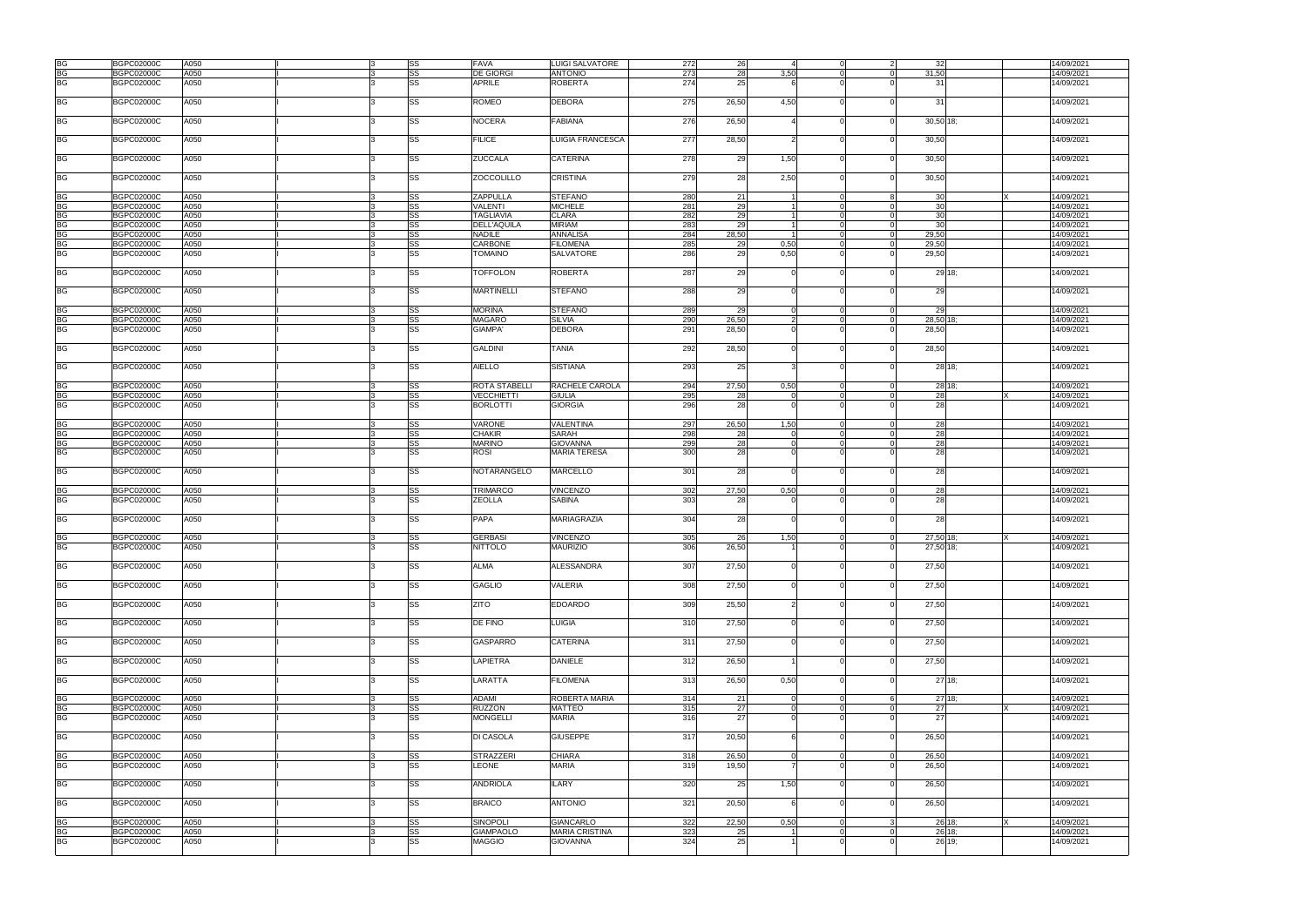| <b>BG</b> | <b>BGPC02000C</b> | A050 |     | SS        | <b>FAVA</b>        | LUIGI SALVATORE         | 272 | 26    |               |          | $\mathcal{P}$  | 32        |        |    | 14/09/2021 |
|-----------|-------------------|------|-----|-----------|--------------------|-------------------------|-----|-------|---------------|----------|----------------|-----------|--------|----|------------|
| <b>BG</b> | <b>BGPC02000C</b> | A050 |     | <b>SS</b> | <b>DE GIORGI</b>   | <b>ANTONIO</b>          | 273 | 28    | 3,50          |          | $\Omega$       | 31,50     |        |    | 14/09/2021 |
| <b>BG</b> | <b>BGPC02000C</b> | A050 |     | <b>SS</b> | APRILE             | <b>ROBERTA</b>          | 274 | 25    |               |          |                | 31        |        |    | 14/09/2021 |
|           |                   |      |     |           |                    |                         |     |       |               |          |                |           |        |    |            |
| <b>BG</b> | <b>BGPC02000C</b> | A050 |     | <b>SS</b> | ROMEO              | <b>DEBORA</b>           | 275 | 26,50 | 4,50          |          |                | 31        |        |    | 14/09/2021 |
|           |                   |      |     |           |                    |                         |     |       |               |          |                |           |        |    |            |
|           |                   |      |     |           |                    |                         |     |       |               |          |                |           |        |    |            |
| <b>BG</b> | <b>BGPC02000C</b> | A050 |     | <b>SS</b> | <b>NOCERA</b>      | <b>FABIANA</b>          | 276 | 26,50 |               |          |                | 30,50 18; |        |    | 14/09/2021 |
|           |                   |      |     |           |                    |                         |     |       |               |          |                |           |        |    |            |
| <b>BG</b> | <b>BGPC02000C</b> | A050 |     | SS        | <b>FILICE</b>      | <b>LUIGIA FRANCESCA</b> | 277 | 28,50 |               |          |                | 30,50     |        |    | 14/09/2021 |
|           |                   |      |     |           |                    |                         |     |       |               |          |                |           |        |    |            |
| <b>BG</b> | <b>BGPC02000C</b> | A050 |     | <b>SS</b> | <b>ZUCCALA</b>     | <b>CATERINA</b>         | 278 | 29    | 1,50          |          |                | 30,50     |        |    | 14/09/2021 |
|           |                   |      |     |           |                    |                         |     |       |               |          |                |           |        |    |            |
| <b>BG</b> | <b>BGPC02000C</b> | A050 |     | SS        | <b>ZOCCOLILLO</b>  | <b>CRISTINA</b>         | 279 | 28    | 2,50          |          |                | 30,50     |        |    | 14/09/2021 |
|           |                   |      |     |           |                    |                         |     |       |               |          |                |           |        |    |            |
| <b>BG</b> | <b>BGPC02000C</b> | A050 |     | SS        | ZAPPULLA           | <b>STEFANO</b>          | 280 | 21    |               |          | 8              | 30        |        | X. | 14/09/2021 |
|           |                   |      |     |           |                    |                         |     |       |               |          |                |           |        |    |            |
| <b>BG</b> | <b>BGPC02000C</b> | A050 |     | <b>SS</b> | <b>VALENTI</b>     | <b>MICHELE</b>          | 281 | 29    |               |          |                | 30        |        |    | 14/09/2021 |
| BG        | <b>BGPC02000C</b> | A050 |     | SS        | <b>TAGLIAVIA</b>   | <b>CLARA</b>            | 282 | 29    |               |          |                | 30        |        |    | 14/09/2021 |
| <b>BG</b> | <b>BGPC02000C</b> | A050 |     | SS        | <b>DELL'AQUILA</b> | <b>MIRIAM</b>           | 283 | 29    |               |          |                | 30        |        |    | 14/09/2021 |
| <b>BG</b> | <b>BGPC02000C</b> | A050 |     | <b>SS</b> | <b>NADILE</b>      | <b>ANNALISA</b>         | 284 | 28,50 |               |          | $\overline{0}$ | 29,50     |        |    | 14/09/2021 |
|           |                   |      |     |           |                    |                         |     |       |               |          |                |           |        |    |            |
| <b>BG</b> | <b>BGPC02000C</b> | A050 |     | SS        | CARBONE            | <b>FILOMENA</b>         | 285 | 29    | 0,50          |          | $\overline{0}$ | 29,50     |        |    | 14/09/2021 |
| BG        | <b>BGPC02000C</b> | A050 |     | <b>SS</b> | TOMAINO            | <b>SALVATORE</b>        | 286 | 29    | 0,50          |          |                | 29,50     |        |    | 14/09/2021 |
|           |                   |      |     |           |                    |                         |     |       |               |          |                |           |        |    |            |
| <b>BG</b> | <b>BGPC02000C</b> | A050 |     | SS        | <b>TOFFOLON</b>    | <b>ROBERTA</b>          | 287 | 29    | $\Omega$      |          |                |           | 29 18; |    | 14/09/2021 |
|           |                   |      |     |           |                    |                         |     |       |               |          |                |           |        |    |            |
|           |                   |      |     |           |                    |                         |     |       |               |          |                |           |        |    |            |
| <b>BG</b> | <b>BGPC02000C</b> | A050 |     | <b>SS</b> | <b>MARTINELLI</b>  | <b>STEFANO</b>          | 288 | 29    |               |          |                | 29        |        |    | 14/09/2021 |
|           |                   |      |     |           |                    |                         |     |       |               |          |                |           |        |    |            |
| BG        | <b>BGPC02000C</b> | A050 |     | SS        | <b>MORINA</b>      | <b>STEFANO</b>          | 289 | 29    | $\Omega$      |          |                | 29        |        |    | 14/09/2021 |
| <b>BG</b> | <b>BGPC02000C</b> | A050 |     | <b>SS</b> | MAGARÒ             | <b>SILVIA</b>           | 290 | 26,50 | $\mathcal{P}$ |          | $\Omega$       | 28,50 18: |        |    | 14/09/2021 |
| BG        |                   | A050 |     | <b>SS</b> |                    |                         |     |       |               |          |                |           |        |    |            |
|           | <b>BGPC02000C</b> |      |     |           | <b>GIAMPA'</b>     | <b>DEBORA</b>           | 291 | 28,50 |               |          |                | 28,50     |        |    | 14/09/2021 |
|           |                   |      |     |           |                    |                         |     |       |               |          |                |           |        |    |            |
| <b>BG</b> | <b>BGPC02000C</b> | A050 |     | <b>SS</b> | <b>GALDINI</b>     | <b>TANIA</b>            | 292 | 28,50 | $\Omega$      |          | $\Omega$       | 28,50     |        |    | 14/09/2021 |
|           |                   |      |     |           |                    |                         |     |       |               |          |                |           |        |    |            |
| <b>BG</b> | <b>BGPC02000C</b> | A050 |     | SS        | <b>AIELLO</b>      | <b>SISTIANA</b>         | 293 | 25    |               |          |                |           | 28 18; |    | 14/09/2021 |
|           |                   |      |     |           |                    |                         |     |       |               |          |                |           |        |    |            |
|           |                   |      |     |           |                    |                         |     |       |               |          |                |           |        |    |            |
| <b>BG</b> | <b>BGPC02000C</b> | A050 |     | SS        | ROTA STABELLI      | RACHELE CAROLA          | 294 | 27,50 | 0,50          |          |                |           | 28 18; |    | 14/09/2021 |
| <b>BG</b> | <b>BGPC02000C</b> | A050 |     | <b>SS</b> | <b>VECCHIETTI</b>  | <b>GIULIA</b>           | 295 | 28    | $\Omega$      |          | $\Omega$       | 28        |        |    | 14/09/2021 |
| <b>BG</b> | <b>BGPC02000C</b> | A050 |     | <b>SS</b> | <b>BORLOTTI</b>    | <b>GIORGIA</b>          | 296 | 28    | ∩             |          |                | 28        |        |    | 14/09/2021 |
|           |                   |      |     |           |                    |                         |     |       |               |          |                |           |        |    |            |
|           |                   |      |     |           |                    |                         |     |       |               |          |                |           |        |    |            |
| <b>BG</b> | <b>BGPC02000C</b> | A050 |     | SS        | VARONE             | <b>VALENTINA</b>        | 297 | 26,50 | 1,50          |          | $\Omega$       | 28        |        |    | 14/09/2021 |
| <b>BG</b> | <b>BGPC02000C</b> | A050 |     | <b>SS</b> | <b>CHAKIR</b>      | SARAH                   | 298 | 28    | 0             |          | $\overline{0}$ | 28        |        |    | 14/09/2021 |
| <b>BG</b> | <b>BGPC02000C</b> | A050 |     | SS        | <b>MARINO</b>      | <b>GIOVANNA</b>         | 299 | 28    |               |          |                | 28        |        |    | 14/09/2021 |
|           |                   |      |     |           |                    |                         |     |       |               |          |                |           |        |    |            |
| <b>BG</b> | <b>BGPC02000C</b> | A050 |     | <b>SS</b> | ROSI               | <b>MARIA TERESA</b>     | 300 | 28    |               |          |                | 28        |        |    | 14/09/2021 |
|           |                   |      |     |           |                    |                         |     |       |               |          |                |           |        |    |            |
| <b>BG</b> | <b>BGPC02000C</b> | A050 |     | <b>SS</b> | <b>NOTARANGELO</b> | <b>MARCELLO</b>         | 301 | 28    | $\Omega$      |          |                | 28        |        |    | 14/09/2021 |
|           |                   |      |     |           |                    |                         |     |       |               |          |                |           |        |    |            |
| <b>BG</b> | <b>BGPC02000C</b> | A050 |     | SS        | <b>TRIMARCO</b>    | <b>VINCENZO</b>         | 302 | 27,50 | 0,50          | $\Omega$ | $\Omega$       | 28        |        |    | 14/09/2021 |
|           |                   |      |     |           |                    |                         |     |       |               |          |                |           |        |    |            |
| <b>BG</b> | <b>BGPC02000C</b> | A050 |     | SS        | <b>ZEOLLA</b>      | <b>SABINA</b>           | 303 | 28    |               |          |                | 28        |        |    | 14/09/2021 |
|           |                   |      |     |           |                    |                         |     |       |               |          |                |           |        |    |            |
| <b>BG</b> | <b>BGPC02000C</b> | A050 |     | <b>SS</b> | PAPA               | MARIAGRAZIA             | 304 | 28    | $\Omega$      |          |                | 28        |        |    | 14/09/2021 |
|           |                   |      |     |           |                    |                         |     |       |               |          |                |           |        |    |            |
|           |                   |      |     |           |                    |                         |     |       |               |          |                |           |        |    |            |
| <b>BG</b> | <b>BGPC02000C</b> | A050 |     | SS        | <b>GERBASI</b>     | VINCENZO                | 305 | 26    | 1,50          |          |                | 27,50 18; |        |    | 14/09/2021 |
| <b>BG</b> | <b>BGPC02000C</b> | A050 | ۱R. | <b>SS</b> | <b>NITTOLO</b>     | <b>MAURIZIO</b>         | 306 | 26.50 |               |          | $\Omega$       | 27,50 18; |        |    | 14/09/2021 |
|           |                   |      |     |           |                    |                         |     |       |               |          |                |           |        |    |            |
| <b>BG</b> | <b>BGPC02000C</b> | A050 |     | <b>SS</b> | ALMA               | <b>ALESSANDRA</b>       | 307 | 27,50 | $\Omega$      |          |                | 27,50     |        |    | 14/09/2021 |
|           |                   |      |     |           |                    |                         |     |       |               |          |                |           |        |    |            |
|           |                   |      |     |           |                    |                         |     |       |               |          |                |           |        |    |            |
| <b>BG</b> | <b>BGPC02000C</b> | A050 |     | <b>SS</b> | <b>GAGLIO</b>      | <b>VALERIA</b>          | 308 | 27,50 |               |          |                | 27,50     |        |    | 14/09/2021 |
|           |                   |      |     |           |                    |                         |     |       |               |          |                |           |        |    |            |
| <b>BG</b> | <b>BGPC02000C</b> | A050 |     | <b>SS</b> | ZITO               | <b>EDOARDO</b>          | 309 | 25,50 |               |          |                | 27,50     |        |    | 14/09/2021 |
|           |                   |      |     |           |                    |                         |     |       |               |          |                |           |        |    |            |
| <b>BG</b> | <b>BGPC02000C</b> | A050 |     | <b>SS</b> | DE FINO            | <b>LUIGIA</b>           | 310 | 27,50 |               |          |                | 27,50     |        |    | 14/09/2021 |
|           |                   |      |     |           |                    |                         |     |       |               |          |                |           |        |    |            |
|           |                   |      |     |           |                    |                         |     |       |               |          |                |           |        |    |            |
| <b>BG</b> | <b>BGPC02000C</b> | A050 |     | <b>SS</b> | <b>GASPARRO</b>    | <b>CATERINA</b>         | 311 | 27,50 | $\Omega$      |          |                | 27,50     |        |    | 14/09/2021 |
|           |                   |      |     |           |                    |                         |     |       |               |          |                |           |        |    |            |
| <b>BG</b> | <b>BGPC02000C</b> | A050 |     | <b>SS</b> | <b>LAPIETRA</b>    | <b>DANIELE</b>          | 312 | 26,50 |               |          | $\Omega$       | 27,50     |        |    | 14/09/2021 |
|           |                   |      |     |           |                    |                         |     |       |               |          |                |           |        |    |            |
| <b>BG</b> |                   |      |     | <b>SS</b> |                    |                         |     |       |               |          |                |           |        |    |            |
|           | <b>BGPC02000C</b> | A050 |     |           | LARATTA            | <b>FILOMENA</b>         | 313 | 26,50 | 0,50          |          |                |           | 27 18: |    | 14/09/2021 |
|           |                   |      |     |           |                    |                         |     |       |               |          |                |           |        |    |            |
| <b>BG</b> | <b>BGPC02000C</b> | A050 |     | SS        | <b>ADAMI</b>       | <b>ROBERTA MARIA</b>    | 314 | 21    |               |          |                |           | 27 18: |    | 14/09/2021 |
| BG        | <b>BGPC02000C</b> | A050 |     | SS        | <b>RUZZON</b>      | <b>MATTEO</b>           | 315 | 27    | $\Omega$      |          | $\Omega$       | 27        |        | X  | 14/09/2021 |
| <b>BG</b> |                   |      |     |           |                    |                         |     |       | ∩             |          |                |           |        |    |            |
|           | <b>BGPC02000C</b> | A050 |     | <b>SS</b> | <b>MONGELLI</b>    | <b>MARIA</b>            | 316 | 27    |               |          |                | 27        |        |    | 14/09/2021 |
|           |                   |      |     |           |                    |                         |     |       |               |          |                |           |        |    |            |
| <b>BG</b> | <b>BGPC02000C</b> | A050 |     | <b>SS</b> | <b>DI CASOLA</b>   | <b>GIUSEPPE</b>         | 317 | 20,50 | 6             |          |                | 26,50     |        |    | 14/09/2021 |
|           |                   |      |     |           |                    |                         |     |       |               |          |                |           |        |    |            |
| <b>BG</b> | <b>BGPC02000C</b> | A050 |     | <b>SS</b> | <b>STRAZZERI</b>   | <b>CHIARA</b>           | 318 | 26,50 | $\Omega$      | $\Omega$ | $\overline{0}$ | 26,50     |        |    | 14/09/2021 |
| <b>BG</b> |                   |      |     | <b>SS</b> | LEONE              | <b>MARIA</b>            |     |       |               |          |                |           |        |    | 14/09/2021 |
|           | <b>BGPC02000C</b> | A050 |     |           |                    |                         | 319 | 19,50 |               |          |                | 26,50     |        |    |            |
|           |                   |      |     |           |                    |                         |     |       |               |          |                |           |        |    |            |
| <b>BG</b> | <b>BGPC02000C</b> | A050 |     | SS        | <b>ANDRIOLA</b>    | <b>ILARY</b>            | 320 | 25    | 1,50          |          |                | 26,50     |        |    | 14/09/2021 |
|           |                   |      |     |           |                    |                         |     |       |               |          |                |           |        |    |            |
| <b>BG</b> | <b>BGPC02000C</b> | A050 |     | <b>SS</b> | <b>BRAICO</b>      | <b>ANTONIO</b>          | 321 | 20,50 | 6             |          |                | 26,50     |        |    | 14/09/2021 |
|           |                   |      |     |           |                    |                         |     |       |               |          |                |           |        |    |            |
|           |                   |      |     |           |                    |                         |     |       |               |          |                |           |        |    |            |
| <b>BG</b> | <b>BGPC02000C</b> | A050 |     | <b>SS</b> | <b>SINOPOLI</b>    | <b>GIANCARLO</b>        | 322 | 22,50 | 0,50          |          |                |           | 26 18; | X. | 14/09/2021 |
| <b>BG</b> | <b>BGPC02000C</b> | A050 |     | SS        | <b>GIAMPAOLO</b>   | <b>MARIA CRISTINA</b>   | 323 | 25    |               |          | $\Omega$       |           | 26 18: |    | 14/09/2021 |
| <b>BG</b> | <b>BGPC02000C</b> | A050 |     | SS        | <b>MAGGIO</b>      | <b>GIOVANNA</b>         | 324 | 25    |               |          |                |           | 26 19; |    | 14/09/2021 |
|           |                   |      |     |           |                    |                         |     |       |               |          |                |           |        |    |            |
|           |                   |      |     |           |                    |                         |     |       |               |          |                |           |        |    |            |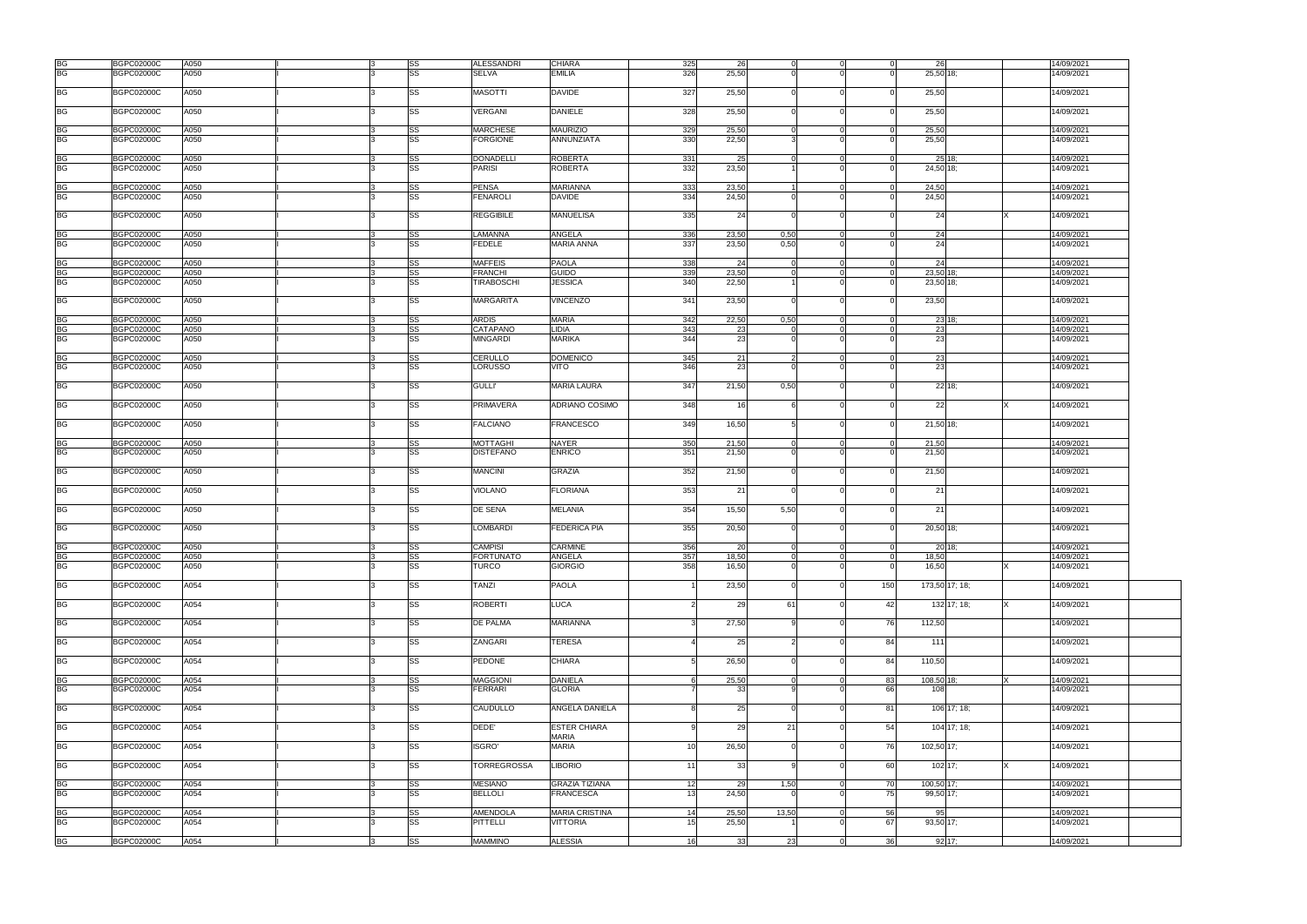| <b>BG</b>       | <b>BGPC02000C</b>                      | A050         |    | SS        | <b>ALESSANDRI</b>           | <b>CHIARA</b>                            | 325      | 26             |       |          | $\Omega$ | 26              |                | 14/09/2021               |
|-----------------|----------------------------------------|--------------|----|-----------|-----------------------------|------------------------------------------|----------|----------------|-------|----------|----------|-----------------|----------------|--------------------------|
| <b>BG</b>       | <b>BGPC02000C</b>                      | A050         |    | <b>SS</b> | <b>SELVA</b>                | <b>EMILIA</b>                            | 326      | 25,50          |       |          |          | 25,50 18;       |                | 14/09/2021               |
|                 |                                        |              |    |           |                             |                                          |          |                |       |          |          |                 |                |                          |
| <b>BG</b>       | <b>BGPC02000C</b>                      | A050         |    | SS        | <b>MASOTTI</b>              | <b>DAVIDE</b>                            | 327      | 25,50          |       |          |          | 25,50           |                | 14/09/2021               |
| <b>BG</b>       | <b>BGPC02000C</b>                      | A050         |    | <b>SS</b> | <b>VERGANI</b>              | <b>DANIELE</b>                           | 328      | 25,50          |       |          | $\Omega$ | 25,50           |                | 14/09/2021               |
|                 |                                        |              |    |           |                             |                                          |          |                |       |          |          |                 |                |                          |
| BG              | <b>BGPC02000C</b>                      | A050         |    | <b>SS</b> | <b>MARCHESE</b>             | <b>MAURIZIO</b>                          | 329      | 25.50          |       |          | $\Omega$ | 25,50           |                | 14/09/2021               |
| <b>BG</b>       | <b>BGPC02000C</b>                      | A050         |    | <b>SS</b> | <b>FORGIONE</b>             | ANNUNZIATA                               | 330      | 22,50          |       |          |          | 25,50           |                | 14/09/2021               |
| <b>BG</b>       | <b>BGPC02000C</b>                      | A050         |    | SS        | <b>DONADELLI</b>            | <b>ROBERTA</b>                           | 331      | 25             |       |          | ∩        |                 | $25$ 18;       | 14/09/2021               |
| <b>BG</b>       | <b>BGPC02000C</b>                      | A050         |    | <b>SS</b> | <b>PARISI</b>               | <b>ROBERTA</b>                           | 332      | 23,50          |       |          |          | 24,50 18;       |                | 14/09/2021               |
|                 |                                        |              |    |           |                             |                                          |          |                |       |          |          |                 |                |                          |
| BG              | <b>BGPC02000C</b>                      | A050         |    | SS        | <b>PENSA</b>                | <b>MARIANNA</b>                          | 333      | 23,50          |       |          | $\Omega$ | 24,50           |                | 14/09/2021               |
| <b>BG</b>       | <b>BGPC02000C</b>                      | A050         |    | SS        | <b>FENAROLI</b>             | <b>DAVIDE</b>                            | 334      | 24,50          |       |          | $\Omega$ | 24,50           |                | 14/09/2021               |
| <b>BG</b>       | <b>BGPC02000C</b>                      | A050         |    | <b>SS</b> | <b>REGGIBILE</b>            | <b>MANUELISA</b>                         | 335      | 24             |       |          | $\Omega$ | 24              |                | 14/09/2021               |
| <b>BG</b>       | <b>BGPC02000C</b>                      | A050         |    | SS        | LAMANNA                     | <b>ANGELA</b>                            | 336      | 23,50          | 0,50  |          | $\Omega$ | 24              |                | 14/09/2021               |
| <b>BG</b>       | <b>BGPC02000C</b>                      | A050         |    | <b>SS</b> | <b>FEDELE</b>               | <b>MARIA ANNA</b>                        | 337      | 23,50          | 0,50  |          |          | 24              |                | 14/09/2021               |
|                 |                                        |              |    |           |                             |                                          |          |                |       |          |          |                 |                |                          |
| BG              | <b>BGPC02000C</b>                      | A050         |    | SS        | <b>MAFFEIS</b>              | <b>PAOLA</b>                             | 338      | 24             |       |          | $\Omega$ | 24              |                | 14/09/2021               |
| <b>BG</b>       | <b>BGPC02000C</b>                      | A050         |    | <b>SS</b> | <b>FRANCHI</b>              | <b>GUIDO</b>                             | 339      | 23,50          |       |          | $\Omega$ | 23,50           | 18             | 14/09/2021               |
| <b>BG</b>       | <b>BGPC02000C</b>                      | A050         |    | SS        | <b>TIRABOSCHI</b>           | <b>JESSICA</b>                           | 340      | 22,50          |       |          | $\Omega$ | $23,50$ 18;     |                | 14/09/2021               |
|                 |                                        |              |    |           |                             |                                          |          |                |       |          |          |                 |                |                          |
| <b>BG</b>       | <b>BGPC02000C</b>                      | A050         |    | <b>SS</b> | <b>MARGARITA</b>            | <b>VINCENZO</b>                          | 341      | 23,50          |       |          | $\Omega$ | 23,50           |                | 14/09/2021               |
| BG              | <b>BGPC02000C</b>                      | A050         |    | SS        | <b>ARDIS</b>                | <b>MARIA</b>                             | 342      | 22,50          | 0,50  |          |          |                 | 23 18;         | 14/09/2021               |
| <b>BG</b>       | <b>BGPC02000C</b>                      | A050         |    | SS        | CATAPANO                    | LIDIA                                    | 343      | 23             |       |          |          | 23              |                | 14/09/2021               |
| <b>BG</b>       | <b>BGPC02000C</b>                      | A050         |    | <b>SS</b> | <b>MINGARDI</b>             | <b>MARIKA</b>                            | 344      | 23             |       |          |          | 23              |                | 14/09/2021               |
|                 |                                        |              |    |           |                             |                                          |          |                |       |          |          |                 |                |                          |
| <b>BG</b>       | <b>BGPC02000C</b>                      | A050         | 13 | SS        | <b>CERULLO</b>              | <b>DOMENICO</b>                          | 345      | 21             |       |          | $\Omega$ | 23              |                | 14/09/2021               |
| <b>BG</b>       | <b>BGPC02000C</b>                      | A050         |    | SS        | <b>LORUSSO</b>              | VITO                                     | 346      | 23             |       |          |          | 23              |                | 14/09/2021               |
|                 |                                        |              |    |           |                             |                                          |          |                |       |          |          |                 |                |                          |
| <b>BG</b>       | <b>BGPC02000C</b>                      | A050         |    | SS        | <b>GULLI'</b>               | <b>MARIA LAURA</b>                       | 347      | 21,50          | 0,50  |          |          |                 | 2218;          | 14/09/2021               |
| <b>BG</b>       | <b>BGPC02000C</b>                      | A050         |    | SS        | <b>PRIMAVERA</b>            | <b>ADRIANO COSIMO</b>                    | 348      | 16             |       |          |          | 22              |                | 14/09/2021               |
| <b>BG</b>       | <b>BGPC02000C</b>                      | A050         |    | SS        | <b>FALCIANO</b>             | <b>FRANCESCO</b>                         | 349      | 16,50          |       |          | $\Omega$ | 21,50 18;       |                | 14/09/2021               |
| BG              | <b>BGPC02000C</b>                      | A050         |    | SS        | <b>MOTTAGHI</b>             | <b>NAYER</b>                             | 350      | 21,50          |       |          | $\Omega$ | 21,50           |                | 14/09/2021               |
| <b>BG</b>       | <b>BGPC02000C</b>                      | A050         |    | SS        | <b>DISTEFANO</b>            | <b>ENRICO</b>                            | 351      | 21,50          |       |          | $\Omega$ | 21,50           |                | 14/09/2021               |
|                 |                                        |              |    |           |                             |                                          |          |                |       |          |          |                 |                |                          |
| <b>BG</b>       | <b>BGPC02000C</b>                      | A050         |    | <b>SS</b> | <b>MANCINI</b>              | <b>GRAZIA</b>                            | 352      | 21,50          |       |          |          | 21,50           |                | 14/09/2021               |
| <b>BG</b>       | <b>BGPC02000C</b>                      | A050         |    | <b>SS</b> | <b>VIOLANO</b>              | <b>FLORIANA</b>                          | 353      | 21             |       |          |          | 21              |                | 14/09/2021               |
| <b>BG</b>       | <b>BGPC02000C</b>                      | A050         |    | <b>SS</b> | <b>DE SENA</b>              | <b>MELANIA</b>                           | 354      | 15,50          | 5,50  |          | $\Omega$ | 21              |                | 14/09/2021               |
|                 |                                        |              |    |           |                             |                                          |          |                |       |          |          |                 |                |                          |
| <b>BG</b>       | <b>BGPC02000C</b>                      | A050         |    | <b>SS</b> | <b>LOMBARDI</b>             | <b>FEDERICA PIA</b>                      | 355      | 20,50          |       |          |          | 20,50 18;       |                | 14/09/2021               |
|                 |                                        |              |    |           |                             |                                          |          |                |       |          |          |                 |                |                          |
| <b>BG</b>       | <b>BGPC02000C</b>                      | A050         |    | <b>SS</b> | <b>CAMPISI</b>              | <b>CARMINE</b>                           | 356      | 20             |       |          | $\Omega$ |                 | 20 18:         | 14/09/2021               |
| BG<br>BG        | <b>BGPC02000C</b>                      | A050         |    | SS        | <b>FORTUNATO</b>            | ANGELA                                   | 357      | 18,50          |       |          | $\Omega$ | 18,50           |                | 14/09/2021               |
|                 | <b>BGPC02000C</b>                      | A050         |    | <b>SS</b> | <b>TURCO</b>                | <b>GIORGIO</b>                           | 358      | 16,50          |       |          |          | 16,50           |                | 14/09/2021               |
| <b>BG</b>       | <b>BGPC02000C</b>                      | A054         |    | SS        | <b>TANZI</b>                | <b>PAOLA</b>                             |          | 23,50          |       |          | 150      |                 | 173,50 17; 18; | 14/09/2021               |
| <b>BG</b>       | <b>BGPC02000C</b>                      | A054         |    | SS        | <b>ROBERTI</b>              | <b>LUCA</b>                              |          | 29             | 61    |          | 42       |                 | 132 17; 18;    | 14/09/2021               |
|                 |                                        |              |    |           |                             |                                          |          |                |       |          |          |                 |                |                          |
| <b>BG</b>       | <b>BGPC02000C</b>                      | A054         |    | <b>SS</b> | <b>DE PALMA</b>             | <b>MARIANNA</b>                          |          | 27,50          |       |          | 76       | 112,50          |                | 14/09/2021               |
| <b>BG</b>       | <b>BGPC02000C</b>                      | A054         |    | SS        | ZANGARI                     | <b>TERESA</b>                            |          | 25             |       |          | 84       | 111             |                | 14/09/2021               |
| <b>BG</b>       | <b>BGPC02000C</b>                      | A054         |    | <b>SS</b> | PEDONE                      | <b>CHIARA</b>                            | г.       | 26,50          |       |          | 84       | 110,50          |                | 14/09/2021               |
|                 |                                        |              |    |           |                             |                                          |          |                |       |          |          |                 |                |                          |
| <b>BG</b>       | <b>BGPC02000C</b>                      | A054         |    | <b>SS</b> | <b>MAGGIONI</b>             | <b>DANIELA</b>                           |          | 25,50          |       |          | 83       | 108,50 18;      |                | 14/09/2021               |
| <b>BG</b>       | <b>BGPC02000C</b>                      | A054         |    | <b>SS</b> | <b>FERRARI</b>              | <b>GLORIA</b>                            |          | 33             |       |          | 66       | 108             |                | 14/09/2021               |
| <b>BG</b>       | <b>BGPC02000C</b>                      | A054         |    | <b>SS</b> | CAUDULLO                    | ANGELA DANIELA                           |          | 25             |       |          | 81       |                 | 106 17; 18;    | 14/09/2021               |
|                 |                                        | A054         |    | <b>SS</b> | DEDE'                       | <b>ESTER CHIARA</b>                      |          | 29             | 21    |          | 54       |                 |                |                          |
| <b>BG</b>       | <b>BGPC02000C</b>                      |              |    |           |                             | <b>MARIA</b>                             |          |                |       |          |          |                 | 104 17; 18;    | 14/09/2021               |
| <b>BG</b>       | <b>BGPC02000C</b>                      | A054         |    | SS        | <b>ISGRO'</b>               | <b>MARIA</b>                             | 10       | 26,50          |       |          | 76       | 102,50 17;      |                | 14/09/2021               |
| <b>BG</b>       | <b>BGPC02000C</b>                      | A054         |    | SS        | <b>TORREGROSSA</b>          | <b>LIBORIO</b>                           | 11       | 33             |       |          | 60       |                 | 102 17;        | 14/09/2021               |
| <b>BG</b>       | <b>BGPC02000C</b>                      | A054         |    | SS        | <b>MESIANO</b>              | <b>GRAZIA TIZIANA</b>                    | 12       | 29             | 1,50  |          | 70       | 100,50 17;      |                | 14/09/2021               |
| <b>BG</b>       | <b>BGPC02000C</b>                      | A054         |    | SS        | <b>BELLOLI</b>              | <b>FRANCESCA</b>                         | 13       | 24,50          |       |          | 75       | 99,50 17;       |                | 14/09/2021               |
|                 |                                        |              |    |           |                             |                                          |          |                |       |          |          |                 |                |                          |
| BG<br><b>BG</b> | <b>BGPC02000C</b><br><b>BGPC02000C</b> | A054<br>A054 | l3 | SS<br>SS  | <b>AMENDOLA</b><br>PITTELLI | <b>MARIA CRISTINA</b><br><b>VITTORIA</b> | 14<br>15 | 25,50<br>25,50 | 13,50 | $\Omega$ | 56<br>67 | 95<br>93,50 17; |                | 14/09/2021<br>14/09/2021 |
|                 |                                        |              |    |           |                             |                                          |          |                |       |          |          |                 |                |                          |
| <b>BG</b>       | <b>BGPC02000C</b>                      | A054         | 13 | SS        | <b>MAMMINO</b>              | <b>ALESSIA</b>                           | 16       | 33             | 23    | $\Omega$ | 36       |                 | $92$ 17;       | 14/09/2021               |
|                 |                                        |              |    |           |                             |                                          |          |                |       |          |          |                 |                |                          |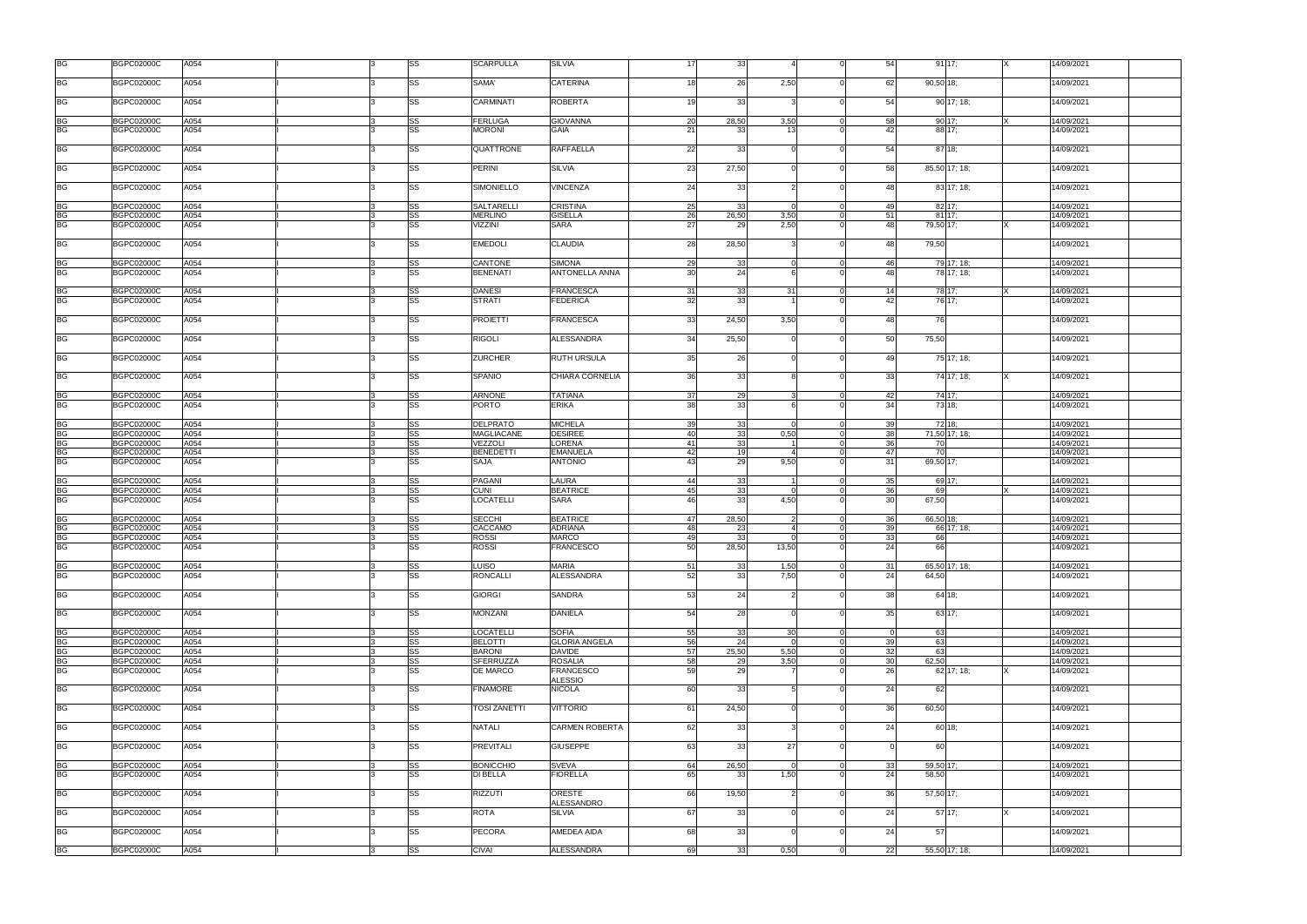| <b>BGPC02000C</b><br>A054<br>SS<br>SAMA'<br><b>CATERINA</b><br>26<br>2,50<br>62<br>90,50 18:<br>14/09/2021<br>18 <sup>1</sup><br>$\Omega$<br><b>BG</b><br>SS<br>A054<br>CARMINATI<br><b>ROBERTA</b><br>19<br>33<br>54<br>90 17; 18;<br><b>BGPC02000C</b><br>14/09/2021<br><b>BG</b><br><b>BGPC02000C</b><br>A054<br>SS<br><b>FERLUGA</b><br><b>GIOVANNA</b><br>20<br>28,50<br>3,50<br>58<br>90 17:<br>14/09/2021<br>$\overline{0}$<br><b>BG</b><br>SS<br>A054<br><b>GAIA</b><br>42<br>88 17:<br><b>BGPC02000C</b><br><b>MORONI</b><br>21<br>33<br>$\Omega$<br>14/09/2021<br>13<br><b>RAFFAELLA</b><br><b>BG</b><br><b>BGPC02000C</b><br>A054<br>SS<br>QUATTRONE<br>22<br>33<br>54<br>87 18;<br>14/09/2021<br>$\Omega$<br>23<br>BG<br><b>BGPC02000C</b><br>A054<br>SS<br>PERINI<br><b>SILVIA</b><br>27,50<br>58<br>85,50 17; 18;<br>14/09/2021<br>$\Omega$<br><b>BG</b><br><b>BGPC02000C</b><br>A054<br>SS<br>SIMONIELLO<br><b>VINCENZA</b><br>24<br>33<br>14/09/2021<br>48<br>83 17; 18;<br>BG<br><b>BGPC02000C</b><br>A054<br>SS<br>SALTARELLI<br><b>CRISTINA</b><br>25<br>33<br>49<br>82 17;<br>14/09/2021<br>$\overline{0}$<br>$\Omega$<br><b>BG</b><br>26<br>A054<br>SS<br><b>MERLINO</b><br><b>GISELLA</b><br>26,50<br>51<br><b>BGPC02000C</b><br>3,50<br>$\overline{0}$<br>81 17:<br>14/09/2021<br><b>BG</b><br>A054<br>SS<br><b>SARA</b><br><b>BGPC02000C</b><br>VIZZINI<br>27<br>2,50<br>48<br>79,50 17;<br>14/09/2021<br>29<br><b>BG</b><br>SS<br><b>BGPC02000C</b><br>A054<br><b>EMEDOLI</b><br><b>CLAUDIA</b><br>28<br>28,50<br>48<br>79,50<br>14/09/2021<br>$\Omega$<br>SS<br><b>BG</b><br>A054<br>CANTONE<br><b>SIMONA</b><br>29<br>33<br>79 17; 18;<br><b>BGPC02000C</b><br>46<br>14/09/2021<br>$\Omega$<br>BG<br><b>BGPC02000C</b><br>A054<br>SS<br><b>BENENATI</b><br><b>ANTONELLA ANNA</b><br>30<br>24<br>48<br>78 17; 18;<br>14/09/2021<br><b>BGPC02000C</b><br>SS<br><b>DANESI</b><br><b>FRANCESCA</b><br>33<br>78 17;<br>14/09/2021<br><b>BG</b><br>A054<br>31<br>31<br>14<br>$\mathbf 0$<br><b>BG</b><br>SS<br>32<br>33<br>A054<br>42<br>76 17:<br><b>BGPC02000C</b><br><b>STRATI</b><br><b>FEDERICA</b><br>4/09/2021<br><b>BG</b><br><b>BGPC02000C</b><br>A054<br>SS<br><b>PROIETTI</b><br><b>FRANCESCA</b><br>33<br>24,50<br>3,50<br>48<br>76<br>14/09/2021<br>$\Omega$<br><b>BG</b><br>SS<br>34<br>A054<br><b>RIGOLI</b><br><b>ALESSANDRA</b><br>50<br>75,50<br><b>BGPC02000C</b><br>25,50<br>14/09/2021<br><b>BG</b><br><b>BGPC02000C</b><br>A054<br>SS<br><b>ZURCHER</b><br><b>RUTH URSULA</b><br>35<br>26<br>49<br>75 17; 18;<br>14/09/2021<br>$\Omega$<br><b>BGPC02000C</b><br>CHIARA CORNELIA<br>36<br>BG<br>A054<br>SS<br><b>SPANIO</b><br>33<br>33 <sup>1</sup><br>74 17; 18;<br>14/09/2021<br>$\Omega$<br>BG<br><b>BGPC02000C</b><br>A054<br>SS<br><b>ARNONE</b><br><b>TATIANA</b><br>37<br>29<br>42<br>74 17;<br>14/09/2021<br>$\Omega$<br><b>BG</b><br>SS<br><b>ERIKA</b><br><b>BGPC02000C</b><br>A054<br><b>PORTO</b><br>38<br>33<br>34<br>73 18:<br>14/09/2021<br><b>BG</b><br><b>BGPC02000C</b><br>A054<br>SS<br><b>DELPRATO</b><br><b>MICHELA</b><br>39<br>33<br>39<br>72 18;<br>14/09/2021<br>$\Omega$<br><b>BG</b><br>A054<br>SS<br><b>MAGLIACANE</b><br><b>DESIREE</b><br>40<br>33<br>0,50<br>38<br>71,50 17; 18;<br>14/09/2021<br><b>BGPC02000C</b><br>$\overline{0}$<br><b>BG</b><br>A054<br>SS<br>VEZZOLI<br><b>LORENA</b><br>33<br>36<br>14/09/2021<br><b>BGPC02000C</b><br>41<br>70<br>$\Omega$<br><b>BG</b><br>SS<br><b>BENEDETTI</b><br><b>EMANUELA</b><br>42<br>19<br>47<br>70<br><b>BGPC02000C</b><br>A054<br>14/09/2021<br>$\Omega$<br><b>BG</b><br>SS<br>29<br><b>BGPC02000C</b><br>A054<br><b>ANTONIO</b><br>43<br>9,50<br>69,50 17;<br>14/09/2021<br>SAJA<br>31<br>SS<br><b>PAGANI</b><br>LAURA<br>44<br>33<br>35<br>69 17:<br>BG<br><b>BGPC02000C</b><br>A054<br>14/09/2021<br>$\Omega$<br><b>BG</b><br>SS<br><b>BEATRICE</b><br>45<br>33<br>36<br><b>BGPC02000C</b><br>A054<br><b>CUNI</b><br>69<br>14/09/2021<br>$\Omega$<br><b>BG</b><br>SS<br>33<br>A054<br><b>SARA</b><br>46<br>4,50<br>30<br>67,50<br><b>BGPC02000C</b><br>LOCATELLI<br>14/09/2021<br><b>BG</b><br>A054<br>SS<br><b>SECCHI</b><br><b>BEATRICE</b><br>47<br>28,50<br>36<br>14/09/2021<br><b>BGPC02000C</b><br>$\mathcal{P}$<br>$\overline{0}$<br>66,50 18;<br><b>BG</b><br>A054<br>SS<br>CACCAMO<br><b>ADRIANA</b><br>48<br>39<br>14/09/2021<br><b>BGPC02000C</b><br>23<br>66 17: 18:<br>$\Omega$<br><b>BG</b><br>33<br>A054<br>SS<br><b>ROSSI</b><br><b>MARCO</b><br>49<br>33<br>66<br><b>BGPC02000C</b><br>14/09/2021<br>$\Omega$<br>A054<br>SS<br><b>ROSSI</b><br><b>FRANCESCO</b><br>50<br>28,50<br>13,50<br>24<br>66<br><b>BGPC02000C</b><br>$\Omega$<br>14/09/2021<br><b>BG</b><br><b>BGPC02000C</b><br>SS<br><b>LUISO</b><br><b>MARIA</b><br>51<br>33<br>1,50<br>14/09/2021<br>A054<br>$\overline{0}$<br>31<br>65,50 17; 18;<br>SS<br><b>RONCALLI</b><br><b>ALESSANDRA</b><br>52<br>33<br>7,50<br><b>BGPC02000C</b><br>A054<br>24<br>64,50<br>14/09/2021<br>$\Omega$<br><b>BG</b><br>53<br><b>BGPC02000C</b><br>A054<br>SS<br><b>GIORGI</b><br><b>SANDRA</b><br>24<br>38 <sup>l</sup><br>64 18;<br>14/09/2021<br>$\Omega$<br><b>BG</b><br>SS<br>54<br><b>BGPC02000C</b><br>A054<br><b>MONZANI</b><br><b>DANIELA</b><br>28<br>35 <sub>l</sub><br>63 17:<br>14/09/2021<br>$\Omega$<br>55<br>BG<br><b>BGPC02000C</b><br>A054<br>SS<br><b>LOCATELLI</b><br><b>SOFIA</b><br>33<br>30 <sup>1</sup><br>63<br>14/09/2021<br>$\Omega$<br>$\Omega$<br><b>BG</b><br>SS<br>39<br><b>BGPC02000C</b><br>A054<br><b>BELOTTI</b><br><b>GLORIA ANGELA</b><br>56<br>24<br>63<br>14/09/2021<br>$\overline{0}$<br>$\Omega$<br>SS<br><b>BG</b><br>32<br><b>BGPC02000C</b><br>A054<br><b>BARONI</b><br><b>DAVIDE</b><br>57<br>25,50<br>5,50<br>63<br>14/09/2021<br>$\Omega$<br><b>BG</b><br>SS<br>SFERRUZZA<br><b>ROSALIA</b><br>58<br>3,50<br>30<br>62,50<br><b>BGPC02000C</b><br>A054<br>29<br>14/09/2021<br>$\Omega$<br><b>BG</b><br>SS<br>59<br>29<br>26<br><b>BGPC02000C</b><br>A054<br>DE MARCO<br><b>FRANCESCO</b><br>62 17; 18;<br>14/09/2021<br><b>ALESSIO</b><br>SS<br>60<br><b>BGPC02000C</b><br>A054<br><b>FINAMORE</b><br><b>NICOLA</b><br>33<br>24<br>62<br>14/09/2021<br>5<br>$\Omega$<br>A054<br>SS<br><b>VITTORIO</b><br>61<br>24,50<br>36<br>60,50<br><b>BGPC02000C</b><br><b>TOSI ZANETTI</b><br>14/09/2021<br>$\Omega$<br>62<br>SS<br>33<br><b>BGPC02000C</b><br>A054<br><b>NATALI</b><br><b>CARMEN ROBERTA</b><br>24<br>60 18:<br>14/09/2021<br>$\Omega$<br><b>BG</b><br><b>BGPC02000C</b><br>A054<br>SS<br><b>PREVITALI</b><br><b>GIUSEPPE</b><br>63<br>33<br>27<br>60<br>14/09/2021<br>BG<br><b>BGPC02000C</b><br>A054<br>SS<br><b>BONICCHIO</b><br><b>SVEVA</b><br>64<br>26,50<br>$\overline{0}$<br>33<br>59,50 17:<br>14/09/2021<br>$\Omega$<br>SS<br>65<br>A054<br>DI BELLA<br><b>FIORELLA</b><br>1,50<br>24<br>58,50<br><b>BGPC02000C</b><br>33<br>$\Omega$<br>14/09/2021<br>66<br><b>BGPC02000C</b><br>A054<br>SS<br><b>RIZZUTI</b><br>ORESTE<br>19,50<br>36 <sup>l</sup><br>57,50 17;<br>14/09/2021<br>$\Omega$<br>ALESSANDRO<br>SS<br>67<br><b>BGPC02000C</b><br>A054<br>ROTA<br><b>SILVIA</b><br>33<br>24<br>14/09/2021<br>57 17:<br>$\Omega$<br>68<br>BG<br><b>BGPC02000C</b><br>A054<br>SS<br><b>PECORA</b><br>AMEDEA AIDA<br>33<br>24<br>57<br>14/09/2021<br>$\Omega$<br>SS<br>69<br><b>BGPC02000C</b><br>A054<br><b>CIVAI</b><br><b>ALESSANDRA</b><br>33<br>0,50<br>$\overline{0}$<br>22<br>55,50 17; 18;<br>14/09/2021 | <b>BG</b> | <b>BGPC02000C</b> | A054 |  | SS | <b>SCARPULLA</b> | <b>SILVIA</b> | 17 | 33 | $\Omega$ | 54 | 9117; | 14/09/2021 |
|-------------------------------------------------------------------------------------------------------------------------------------------------------------------------------------------------------------------------------------------------------------------------------------------------------------------------------------------------------------------------------------------------------------------------------------------------------------------------------------------------------------------------------------------------------------------------------------------------------------------------------------------------------------------------------------------------------------------------------------------------------------------------------------------------------------------------------------------------------------------------------------------------------------------------------------------------------------------------------------------------------------------------------------------------------------------------------------------------------------------------------------------------------------------------------------------------------------------------------------------------------------------------------------------------------------------------------------------------------------------------------------------------------------------------------------------------------------------------------------------------------------------------------------------------------------------------------------------------------------------------------------------------------------------------------------------------------------------------------------------------------------------------------------------------------------------------------------------------------------------------------------------------------------------------------------------------------------------------------------------------------------------------------------------------------------------------------------------------------------------------------------------------------------------------------------------------------------------------------------------------------------------------------------------------------------------------------------------------------------------------------------------------------------------------------------------------------------------------------------------------------------------------------------------------------------------------------------------------------------------------------------------------------------------------------------------------------------------------------------------------------------------------------------------------------------------------------------------------------------------------------------------------------------------------------------------------------------------------------------------------------------------------------------------------------------------------------------------------------------------------------------------------------------------------------------------------------------------------------------------------------------------------------------------------------------------------------------------------------------------------------------------------------------------------------------------------------------------------------------------------------------------------------------------------------------------------------------------------------------------------------------------------------------------------------------------------------------------------------------------------------------------------------------------------------------------------------------------------------------------------------------------------------------------------------------------------------------------------------------------------------------------------------------------------------------------------------------------------------------------------------------------------------------------------------------------------------------------------------------------------------------------------------------------------------------------------------------------------------------------------------------------------------------------------------------------------------------------------------------------------------------------------------------------------------------------------------------------------------------------------------------------------------------------------------------------------------------------------------------------------------------------------------------------------------------------------------------------------------------------------------------------------------------------------------------------------------------------------------------------------------------------------------------------------------------------------------------------------------------------------------------------------------------------------------------------------------------------------------------------------------------------------------------------------------------------------------------------------------------------------------------------------------------------------------------------------------------------------------------------------------------------------------------------------------------------------------------------------------------------------------------------------------------------------------------------------------------------------------------------------------------------------------------------------------------------------------------------------------------------------------------------------------------------------------------------------------------------------------------------------------------------------------------------------------------------------------------------------------------------------------------------------------------------------------------------------------------------------------------------------------------------------------------------------------------------------------------------------------------------------------------------------------------------------------------------------------------------------------------------------------------------------------------------------------------------------------------------------------------------------------------------------------------------------------------------------------------------------------------------------------------------------------------------------------------------------------------------------------------------------------------------------------------------------------------------------------------------------------------------------------------------------------------------------------------------------------------------------------------------------------------------------------------------------------------------------------------------------------------------------------------------------------------------------------------------------------------------------------------------------------------------------------------------------------------------------------------------------|-----------|-------------------|------|--|----|------------------|---------------|----|----|----------|----|-------|------------|
|                                                                                                                                                                                                                                                                                                                                                                                                                                                                                                                                                                                                                                                                                                                                                                                                                                                                                                                                                                                                                                                                                                                                                                                                                                                                                                                                                                                                                                                                                                                                                                                                                                                                                                                                                                                                                                                                                                                                                                                                                                                                                                                                                                                                                                                                                                                                                                                                                                                                                                                                                                                                                                                                                                                                                                                                                                                                                                                                                                                                                                                                                                                                                                                                                                                                                                                                                                                                                                                                                                                                                                                                                                                                                                                                                                                                                                                                                                                                                                                                                                                                                                                                                                                                                                                                                                                                                                                                                                                                                                                                                                                                                                                                                                                                                                                                                                                                                                                                                                                                                                                                                                                                                                                                                                                                                                                                                                                                                                                                                                                                                                                                                                                                                                                                                                                                                                                                                                                                                                                                                                                                                                                                                                                                                                                                                                                                                                                                                                                                                                                                                                                                                                                                                                                                                                                                                                                                                                                                                                                                                                                                                                                                                                                                                                                                                                                                                                                                                                                                         | <b>BG</b> |                   |      |  |    |                  |               |    |    |          |    |       |            |
|                                                                                                                                                                                                                                                                                                                                                                                                                                                                                                                                                                                                                                                                                                                                                                                                                                                                                                                                                                                                                                                                                                                                                                                                                                                                                                                                                                                                                                                                                                                                                                                                                                                                                                                                                                                                                                                                                                                                                                                                                                                                                                                                                                                                                                                                                                                                                                                                                                                                                                                                                                                                                                                                                                                                                                                                                                                                                                                                                                                                                                                                                                                                                                                                                                                                                                                                                                                                                                                                                                                                                                                                                                                                                                                                                                                                                                                                                                                                                                                                                                                                                                                                                                                                                                                                                                                                                                                                                                                                                                                                                                                                                                                                                                                                                                                                                                                                                                                                                                                                                                                                                                                                                                                                                                                                                                                                                                                                                                                                                                                                                                                                                                                                                                                                                                                                                                                                                                                                                                                                                                                                                                                                                                                                                                                                                                                                                                                                                                                                                                                                                                                                                                                                                                                                                                                                                                                                                                                                                                                                                                                                                                                                                                                                                                                                                                                                                                                                                                                                         |           |                   |      |  |    |                  |               |    |    |          |    |       |            |
|                                                                                                                                                                                                                                                                                                                                                                                                                                                                                                                                                                                                                                                                                                                                                                                                                                                                                                                                                                                                                                                                                                                                                                                                                                                                                                                                                                                                                                                                                                                                                                                                                                                                                                                                                                                                                                                                                                                                                                                                                                                                                                                                                                                                                                                                                                                                                                                                                                                                                                                                                                                                                                                                                                                                                                                                                                                                                                                                                                                                                                                                                                                                                                                                                                                                                                                                                                                                                                                                                                                                                                                                                                                                                                                                                                                                                                                                                                                                                                                                                                                                                                                                                                                                                                                                                                                                                                                                                                                                                                                                                                                                                                                                                                                                                                                                                                                                                                                                                                                                                                                                                                                                                                                                                                                                                                                                                                                                                                                                                                                                                                                                                                                                                                                                                                                                                                                                                                                                                                                                                                                                                                                                                                                                                                                                                                                                                                                                                                                                                                                                                                                                                                                                                                                                                                                                                                                                                                                                                                                                                                                                                                                                                                                                                                                                                                                                                                                                                                                                         |           |                   |      |  |    |                  |               |    |    |          |    |       |            |
|                                                                                                                                                                                                                                                                                                                                                                                                                                                                                                                                                                                                                                                                                                                                                                                                                                                                                                                                                                                                                                                                                                                                                                                                                                                                                                                                                                                                                                                                                                                                                                                                                                                                                                                                                                                                                                                                                                                                                                                                                                                                                                                                                                                                                                                                                                                                                                                                                                                                                                                                                                                                                                                                                                                                                                                                                                                                                                                                                                                                                                                                                                                                                                                                                                                                                                                                                                                                                                                                                                                                                                                                                                                                                                                                                                                                                                                                                                                                                                                                                                                                                                                                                                                                                                                                                                                                                                                                                                                                                                                                                                                                                                                                                                                                                                                                                                                                                                                                                                                                                                                                                                                                                                                                                                                                                                                                                                                                                                                                                                                                                                                                                                                                                                                                                                                                                                                                                                                                                                                                                                                                                                                                                                                                                                                                                                                                                                                                                                                                                                                                                                                                                                                                                                                                                                                                                                                                                                                                                                                                                                                                                                                                                                                                                                                                                                                                                                                                                                                                         |           |                   |      |  |    |                  |               |    |    |          |    |       |            |
|                                                                                                                                                                                                                                                                                                                                                                                                                                                                                                                                                                                                                                                                                                                                                                                                                                                                                                                                                                                                                                                                                                                                                                                                                                                                                                                                                                                                                                                                                                                                                                                                                                                                                                                                                                                                                                                                                                                                                                                                                                                                                                                                                                                                                                                                                                                                                                                                                                                                                                                                                                                                                                                                                                                                                                                                                                                                                                                                                                                                                                                                                                                                                                                                                                                                                                                                                                                                                                                                                                                                                                                                                                                                                                                                                                                                                                                                                                                                                                                                                                                                                                                                                                                                                                                                                                                                                                                                                                                                                                                                                                                                                                                                                                                                                                                                                                                                                                                                                                                                                                                                                                                                                                                                                                                                                                                                                                                                                                                                                                                                                                                                                                                                                                                                                                                                                                                                                                                                                                                                                                                                                                                                                                                                                                                                                                                                                                                                                                                                                                                                                                                                                                                                                                                                                                                                                                                                                                                                                                                                                                                                                                                                                                                                                                                                                                                                                                                                                                                                         |           |                   |      |  |    |                  |               |    |    |          |    |       |            |
|                                                                                                                                                                                                                                                                                                                                                                                                                                                                                                                                                                                                                                                                                                                                                                                                                                                                                                                                                                                                                                                                                                                                                                                                                                                                                                                                                                                                                                                                                                                                                                                                                                                                                                                                                                                                                                                                                                                                                                                                                                                                                                                                                                                                                                                                                                                                                                                                                                                                                                                                                                                                                                                                                                                                                                                                                                                                                                                                                                                                                                                                                                                                                                                                                                                                                                                                                                                                                                                                                                                                                                                                                                                                                                                                                                                                                                                                                                                                                                                                                                                                                                                                                                                                                                                                                                                                                                                                                                                                                                                                                                                                                                                                                                                                                                                                                                                                                                                                                                                                                                                                                                                                                                                                                                                                                                                                                                                                                                                                                                                                                                                                                                                                                                                                                                                                                                                                                                                                                                                                                                                                                                                                                                                                                                                                                                                                                                                                                                                                                                                                                                                                                                                                                                                                                                                                                                                                                                                                                                                                                                                                                                                                                                                                                                                                                                                                                                                                                                                                         |           |                   |      |  |    |                  |               |    |    |          |    |       |            |
|                                                                                                                                                                                                                                                                                                                                                                                                                                                                                                                                                                                                                                                                                                                                                                                                                                                                                                                                                                                                                                                                                                                                                                                                                                                                                                                                                                                                                                                                                                                                                                                                                                                                                                                                                                                                                                                                                                                                                                                                                                                                                                                                                                                                                                                                                                                                                                                                                                                                                                                                                                                                                                                                                                                                                                                                                                                                                                                                                                                                                                                                                                                                                                                                                                                                                                                                                                                                                                                                                                                                                                                                                                                                                                                                                                                                                                                                                                                                                                                                                                                                                                                                                                                                                                                                                                                                                                                                                                                                                                                                                                                                                                                                                                                                                                                                                                                                                                                                                                                                                                                                                                                                                                                                                                                                                                                                                                                                                                                                                                                                                                                                                                                                                                                                                                                                                                                                                                                                                                                                                                                                                                                                                                                                                                                                                                                                                                                                                                                                                                                                                                                                                                                                                                                                                                                                                                                                                                                                                                                                                                                                                                                                                                                                                                                                                                                                                                                                                                                                         |           |                   |      |  |    |                  |               |    |    |          |    |       |            |
|                                                                                                                                                                                                                                                                                                                                                                                                                                                                                                                                                                                                                                                                                                                                                                                                                                                                                                                                                                                                                                                                                                                                                                                                                                                                                                                                                                                                                                                                                                                                                                                                                                                                                                                                                                                                                                                                                                                                                                                                                                                                                                                                                                                                                                                                                                                                                                                                                                                                                                                                                                                                                                                                                                                                                                                                                                                                                                                                                                                                                                                                                                                                                                                                                                                                                                                                                                                                                                                                                                                                                                                                                                                                                                                                                                                                                                                                                                                                                                                                                                                                                                                                                                                                                                                                                                                                                                                                                                                                                                                                                                                                                                                                                                                                                                                                                                                                                                                                                                                                                                                                                                                                                                                                                                                                                                                                                                                                                                                                                                                                                                                                                                                                                                                                                                                                                                                                                                                                                                                                                                                                                                                                                                                                                                                                                                                                                                                                                                                                                                                                                                                                                                                                                                                                                                                                                                                                                                                                                                                                                                                                                                                                                                                                                                                                                                                                                                                                                                                                         |           |                   |      |  |    |                  |               |    |    |          |    |       |            |
|                                                                                                                                                                                                                                                                                                                                                                                                                                                                                                                                                                                                                                                                                                                                                                                                                                                                                                                                                                                                                                                                                                                                                                                                                                                                                                                                                                                                                                                                                                                                                                                                                                                                                                                                                                                                                                                                                                                                                                                                                                                                                                                                                                                                                                                                                                                                                                                                                                                                                                                                                                                                                                                                                                                                                                                                                                                                                                                                                                                                                                                                                                                                                                                                                                                                                                                                                                                                                                                                                                                                                                                                                                                                                                                                                                                                                                                                                                                                                                                                                                                                                                                                                                                                                                                                                                                                                                                                                                                                                                                                                                                                                                                                                                                                                                                                                                                                                                                                                                                                                                                                                                                                                                                                                                                                                                                                                                                                                                                                                                                                                                                                                                                                                                                                                                                                                                                                                                                                                                                                                                                                                                                                                                                                                                                                                                                                                                                                                                                                                                                                                                                                                                                                                                                                                                                                                                                                                                                                                                                                                                                                                                                                                                                                                                                                                                                                                                                                                                                                         |           |                   |      |  |    |                  |               |    |    |          |    |       |            |
|                                                                                                                                                                                                                                                                                                                                                                                                                                                                                                                                                                                                                                                                                                                                                                                                                                                                                                                                                                                                                                                                                                                                                                                                                                                                                                                                                                                                                                                                                                                                                                                                                                                                                                                                                                                                                                                                                                                                                                                                                                                                                                                                                                                                                                                                                                                                                                                                                                                                                                                                                                                                                                                                                                                                                                                                                                                                                                                                                                                                                                                                                                                                                                                                                                                                                                                                                                                                                                                                                                                                                                                                                                                                                                                                                                                                                                                                                                                                                                                                                                                                                                                                                                                                                                                                                                                                                                                                                                                                                                                                                                                                                                                                                                                                                                                                                                                                                                                                                                                                                                                                                                                                                                                                                                                                                                                                                                                                                                                                                                                                                                                                                                                                                                                                                                                                                                                                                                                                                                                                                                                                                                                                                                                                                                                                                                                                                                                                                                                                                                                                                                                                                                                                                                                                                                                                                                                                                                                                                                                                                                                                                                                                                                                                                                                                                                                                                                                                                                                                         |           |                   |      |  |    |                  |               |    |    |          |    |       |            |
|                                                                                                                                                                                                                                                                                                                                                                                                                                                                                                                                                                                                                                                                                                                                                                                                                                                                                                                                                                                                                                                                                                                                                                                                                                                                                                                                                                                                                                                                                                                                                                                                                                                                                                                                                                                                                                                                                                                                                                                                                                                                                                                                                                                                                                                                                                                                                                                                                                                                                                                                                                                                                                                                                                                                                                                                                                                                                                                                                                                                                                                                                                                                                                                                                                                                                                                                                                                                                                                                                                                                                                                                                                                                                                                                                                                                                                                                                                                                                                                                                                                                                                                                                                                                                                                                                                                                                                                                                                                                                                                                                                                                                                                                                                                                                                                                                                                                                                                                                                                                                                                                                                                                                                                                                                                                                                                                                                                                                                                                                                                                                                                                                                                                                                                                                                                                                                                                                                                                                                                                                                                                                                                                                                                                                                                                                                                                                                                                                                                                                                                                                                                                                                                                                                                                                                                                                                                                                                                                                                                                                                                                                                                                                                                                                                                                                                                                                                                                                                                                         |           |                   |      |  |    |                  |               |    |    |          |    |       |            |
|                                                                                                                                                                                                                                                                                                                                                                                                                                                                                                                                                                                                                                                                                                                                                                                                                                                                                                                                                                                                                                                                                                                                                                                                                                                                                                                                                                                                                                                                                                                                                                                                                                                                                                                                                                                                                                                                                                                                                                                                                                                                                                                                                                                                                                                                                                                                                                                                                                                                                                                                                                                                                                                                                                                                                                                                                                                                                                                                                                                                                                                                                                                                                                                                                                                                                                                                                                                                                                                                                                                                                                                                                                                                                                                                                                                                                                                                                                                                                                                                                                                                                                                                                                                                                                                                                                                                                                                                                                                                                                                                                                                                                                                                                                                                                                                                                                                                                                                                                                                                                                                                                                                                                                                                                                                                                                                                                                                                                                                                                                                                                                                                                                                                                                                                                                                                                                                                                                                                                                                                                                                                                                                                                                                                                                                                                                                                                                                                                                                                                                                                                                                                                                                                                                                                                                                                                                                                                                                                                                                                                                                                                                                                                                                                                                                                                                                                                                                                                                                                         |           |                   |      |  |    |                  |               |    |    |          |    |       |            |
|                                                                                                                                                                                                                                                                                                                                                                                                                                                                                                                                                                                                                                                                                                                                                                                                                                                                                                                                                                                                                                                                                                                                                                                                                                                                                                                                                                                                                                                                                                                                                                                                                                                                                                                                                                                                                                                                                                                                                                                                                                                                                                                                                                                                                                                                                                                                                                                                                                                                                                                                                                                                                                                                                                                                                                                                                                                                                                                                                                                                                                                                                                                                                                                                                                                                                                                                                                                                                                                                                                                                                                                                                                                                                                                                                                                                                                                                                                                                                                                                                                                                                                                                                                                                                                                                                                                                                                                                                                                                                                                                                                                                                                                                                                                                                                                                                                                                                                                                                                                                                                                                                                                                                                                                                                                                                                                                                                                                                                                                                                                                                                                                                                                                                                                                                                                                                                                                                                                                                                                                                                                                                                                                                                                                                                                                                                                                                                                                                                                                                                                                                                                                                                                                                                                                                                                                                                                                                                                                                                                                                                                                                                                                                                                                                                                                                                                                                                                                                                                                         |           |                   |      |  |    |                  |               |    |    |          |    |       |            |
|                                                                                                                                                                                                                                                                                                                                                                                                                                                                                                                                                                                                                                                                                                                                                                                                                                                                                                                                                                                                                                                                                                                                                                                                                                                                                                                                                                                                                                                                                                                                                                                                                                                                                                                                                                                                                                                                                                                                                                                                                                                                                                                                                                                                                                                                                                                                                                                                                                                                                                                                                                                                                                                                                                                                                                                                                                                                                                                                                                                                                                                                                                                                                                                                                                                                                                                                                                                                                                                                                                                                                                                                                                                                                                                                                                                                                                                                                                                                                                                                                                                                                                                                                                                                                                                                                                                                                                                                                                                                                                                                                                                                                                                                                                                                                                                                                                                                                                                                                                                                                                                                                                                                                                                                                                                                                                                                                                                                                                                                                                                                                                                                                                                                                                                                                                                                                                                                                                                                                                                                                                                                                                                                                                                                                                                                                                                                                                                                                                                                                                                                                                                                                                                                                                                                                                                                                                                                                                                                                                                                                                                                                                                                                                                                                                                                                                                                                                                                                                                                         |           |                   |      |  |    |                  |               |    |    |          |    |       |            |
|                                                                                                                                                                                                                                                                                                                                                                                                                                                                                                                                                                                                                                                                                                                                                                                                                                                                                                                                                                                                                                                                                                                                                                                                                                                                                                                                                                                                                                                                                                                                                                                                                                                                                                                                                                                                                                                                                                                                                                                                                                                                                                                                                                                                                                                                                                                                                                                                                                                                                                                                                                                                                                                                                                                                                                                                                                                                                                                                                                                                                                                                                                                                                                                                                                                                                                                                                                                                                                                                                                                                                                                                                                                                                                                                                                                                                                                                                                                                                                                                                                                                                                                                                                                                                                                                                                                                                                                                                                                                                                                                                                                                                                                                                                                                                                                                                                                                                                                                                                                                                                                                                                                                                                                                                                                                                                                                                                                                                                                                                                                                                                                                                                                                                                                                                                                                                                                                                                                                                                                                                                                                                                                                                                                                                                                                                                                                                                                                                                                                                                                                                                                                                                                                                                                                                                                                                                                                                                                                                                                                                                                                                                                                                                                                                                                                                                                                                                                                                                                                         |           |                   |      |  |    |                  |               |    |    |          |    |       |            |
|                                                                                                                                                                                                                                                                                                                                                                                                                                                                                                                                                                                                                                                                                                                                                                                                                                                                                                                                                                                                                                                                                                                                                                                                                                                                                                                                                                                                                                                                                                                                                                                                                                                                                                                                                                                                                                                                                                                                                                                                                                                                                                                                                                                                                                                                                                                                                                                                                                                                                                                                                                                                                                                                                                                                                                                                                                                                                                                                                                                                                                                                                                                                                                                                                                                                                                                                                                                                                                                                                                                                                                                                                                                                                                                                                                                                                                                                                                                                                                                                                                                                                                                                                                                                                                                                                                                                                                                                                                                                                                                                                                                                                                                                                                                                                                                                                                                                                                                                                                                                                                                                                                                                                                                                                                                                                                                                                                                                                                                                                                                                                                                                                                                                                                                                                                                                                                                                                                                                                                                                                                                                                                                                                                                                                                                                                                                                                                                                                                                                                                                                                                                                                                                                                                                                                                                                                                                                                                                                                                                                                                                                                                                                                                                                                                                                                                                                                                                                                                                                         |           |                   |      |  |    |                  |               |    |    |          |    |       |            |
|                                                                                                                                                                                                                                                                                                                                                                                                                                                                                                                                                                                                                                                                                                                                                                                                                                                                                                                                                                                                                                                                                                                                                                                                                                                                                                                                                                                                                                                                                                                                                                                                                                                                                                                                                                                                                                                                                                                                                                                                                                                                                                                                                                                                                                                                                                                                                                                                                                                                                                                                                                                                                                                                                                                                                                                                                                                                                                                                                                                                                                                                                                                                                                                                                                                                                                                                                                                                                                                                                                                                                                                                                                                                                                                                                                                                                                                                                                                                                                                                                                                                                                                                                                                                                                                                                                                                                                                                                                                                                                                                                                                                                                                                                                                                                                                                                                                                                                                                                                                                                                                                                                                                                                                                                                                                                                                                                                                                                                                                                                                                                                                                                                                                                                                                                                                                                                                                                                                                                                                                                                                                                                                                                                                                                                                                                                                                                                                                                                                                                                                                                                                                                                                                                                                                                                                                                                                                                                                                                                                                                                                                                                                                                                                                                                                                                                                                                                                                                                                                         |           |                   |      |  |    |                  |               |    |    |          |    |       |            |
|                                                                                                                                                                                                                                                                                                                                                                                                                                                                                                                                                                                                                                                                                                                                                                                                                                                                                                                                                                                                                                                                                                                                                                                                                                                                                                                                                                                                                                                                                                                                                                                                                                                                                                                                                                                                                                                                                                                                                                                                                                                                                                                                                                                                                                                                                                                                                                                                                                                                                                                                                                                                                                                                                                                                                                                                                                                                                                                                                                                                                                                                                                                                                                                                                                                                                                                                                                                                                                                                                                                                                                                                                                                                                                                                                                                                                                                                                                                                                                                                                                                                                                                                                                                                                                                                                                                                                                                                                                                                                                                                                                                                                                                                                                                                                                                                                                                                                                                                                                                                                                                                                                                                                                                                                                                                                                                                                                                                                                                                                                                                                                                                                                                                                                                                                                                                                                                                                                                                                                                                                                                                                                                                                                                                                                                                                                                                                                                                                                                                                                                                                                                                                                                                                                                                                                                                                                                                                                                                                                                                                                                                                                                                                                                                                                                                                                                                                                                                                                                                         |           |                   |      |  |    |                  |               |    |    |          |    |       |            |
|                                                                                                                                                                                                                                                                                                                                                                                                                                                                                                                                                                                                                                                                                                                                                                                                                                                                                                                                                                                                                                                                                                                                                                                                                                                                                                                                                                                                                                                                                                                                                                                                                                                                                                                                                                                                                                                                                                                                                                                                                                                                                                                                                                                                                                                                                                                                                                                                                                                                                                                                                                                                                                                                                                                                                                                                                                                                                                                                                                                                                                                                                                                                                                                                                                                                                                                                                                                                                                                                                                                                                                                                                                                                                                                                                                                                                                                                                                                                                                                                                                                                                                                                                                                                                                                                                                                                                                                                                                                                                                                                                                                                                                                                                                                                                                                                                                                                                                                                                                                                                                                                                                                                                                                                                                                                                                                                                                                                                                                                                                                                                                                                                                                                                                                                                                                                                                                                                                                                                                                                                                                                                                                                                                                                                                                                                                                                                                                                                                                                                                                                                                                                                                                                                                                                                                                                                                                                                                                                                                                                                                                                                                                                                                                                                                                                                                                                                                                                                                                                         |           |                   |      |  |    |                  |               |    |    |          |    |       |            |
|                                                                                                                                                                                                                                                                                                                                                                                                                                                                                                                                                                                                                                                                                                                                                                                                                                                                                                                                                                                                                                                                                                                                                                                                                                                                                                                                                                                                                                                                                                                                                                                                                                                                                                                                                                                                                                                                                                                                                                                                                                                                                                                                                                                                                                                                                                                                                                                                                                                                                                                                                                                                                                                                                                                                                                                                                                                                                                                                                                                                                                                                                                                                                                                                                                                                                                                                                                                                                                                                                                                                                                                                                                                                                                                                                                                                                                                                                                                                                                                                                                                                                                                                                                                                                                                                                                                                                                                                                                                                                                                                                                                                                                                                                                                                                                                                                                                                                                                                                                                                                                                                                                                                                                                                                                                                                                                                                                                                                                                                                                                                                                                                                                                                                                                                                                                                                                                                                                                                                                                                                                                                                                                                                                                                                                                                                                                                                                                                                                                                                                                                                                                                                                                                                                                                                                                                                                                                                                                                                                                                                                                                                                                                                                                                                                                                                                                                                                                                                                                                         |           |                   |      |  |    |                  |               |    |    |          |    |       |            |
|                                                                                                                                                                                                                                                                                                                                                                                                                                                                                                                                                                                                                                                                                                                                                                                                                                                                                                                                                                                                                                                                                                                                                                                                                                                                                                                                                                                                                                                                                                                                                                                                                                                                                                                                                                                                                                                                                                                                                                                                                                                                                                                                                                                                                                                                                                                                                                                                                                                                                                                                                                                                                                                                                                                                                                                                                                                                                                                                                                                                                                                                                                                                                                                                                                                                                                                                                                                                                                                                                                                                                                                                                                                                                                                                                                                                                                                                                                                                                                                                                                                                                                                                                                                                                                                                                                                                                                                                                                                                                                                                                                                                                                                                                                                                                                                                                                                                                                                                                                                                                                                                                                                                                                                                                                                                                                                                                                                                                                                                                                                                                                                                                                                                                                                                                                                                                                                                                                                                                                                                                                                                                                                                                                                                                                                                                                                                                                                                                                                                                                                                                                                                                                                                                                                                                                                                                                                                                                                                                                                                                                                                                                                                                                                                                                                                                                                                                                                                                                                                         |           |                   |      |  |    |                  |               |    |    |          |    |       |            |
|                                                                                                                                                                                                                                                                                                                                                                                                                                                                                                                                                                                                                                                                                                                                                                                                                                                                                                                                                                                                                                                                                                                                                                                                                                                                                                                                                                                                                                                                                                                                                                                                                                                                                                                                                                                                                                                                                                                                                                                                                                                                                                                                                                                                                                                                                                                                                                                                                                                                                                                                                                                                                                                                                                                                                                                                                                                                                                                                                                                                                                                                                                                                                                                                                                                                                                                                                                                                                                                                                                                                                                                                                                                                                                                                                                                                                                                                                                                                                                                                                                                                                                                                                                                                                                                                                                                                                                                                                                                                                                                                                                                                                                                                                                                                                                                                                                                                                                                                                                                                                                                                                                                                                                                                                                                                                                                                                                                                                                                                                                                                                                                                                                                                                                                                                                                                                                                                                                                                                                                                                                                                                                                                                                                                                                                                                                                                                                                                                                                                                                                                                                                                                                                                                                                                                                                                                                                                                                                                                                                                                                                                                                                                                                                                                                                                                                                                                                                                                                                                         |           |                   |      |  |    |                  |               |    |    |          |    |       |            |
|                                                                                                                                                                                                                                                                                                                                                                                                                                                                                                                                                                                                                                                                                                                                                                                                                                                                                                                                                                                                                                                                                                                                                                                                                                                                                                                                                                                                                                                                                                                                                                                                                                                                                                                                                                                                                                                                                                                                                                                                                                                                                                                                                                                                                                                                                                                                                                                                                                                                                                                                                                                                                                                                                                                                                                                                                                                                                                                                                                                                                                                                                                                                                                                                                                                                                                                                                                                                                                                                                                                                                                                                                                                                                                                                                                                                                                                                                                                                                                                                                                                                                                                                                                                                                                                                                                                                                                                                                                                                                                                                                                                                                                                                                                                                                                                                                                                                                                                                                                                                                                                                                                                                                                                                                                                                                                                                                                                                                                                                                                                                                                                                                                                                                                                                                                                                                                                                                                                                                                                                                                                                                                                                                                                                                                                                                                                                                                                                                                                                                                                                                                                                                                                                                                                                                                                                                                                                                                                                                                                                                                                                                                                                                                                                                                                                                                                                                                                                                                                                         |           |                   |      |  |    |                  |               |    |    |          |    |       |            |
|                                                                                                                                                                                                                                                                                                                                                                                                                                                                                                                                                                                                                                                                                                                                                                                                                                                                                                                                                                                                                                                                                                                                                                                                                                                                                                                                                                                                                                                                                                                                                                                                                                                                                                                                                                                                                                                                                                                                                                                                                                                                                                                                                                                                                                                                                                                                                                                                                                                                                                                                                                                                                                                                                                                                                                                                                                                                                                                                                                                                                                                                                                                                                                                                                                                                                                                                                                                                                                                                                                                                                                                                                                                                                                                                                                                                                                                                                                                                                                                                                                                                                                                                                                                                                                                                                                                                                                                                                                                                                                                                                                                                                                                                                                                                                                                                                                                                                                                                                                                                                                                                                                                                                                                                                                                                                                                                                                                                                                                                                                                                                                                                                                                                                                                                                                                                                                                                                                                                                                                                                                                                                                                                                                                                                                                                                                                                                                                                                                                                                                                                                                                                                                                                                                                                                                                                                                                                                                                                                                                                                                                                                                                                                                                                                                                                                                                                                                                                                                                                         |           |                   |      |  |    |                  |               |    |    |          |    |       |            |
|                                                                                                                                                                                                                                                                                                                                                                                                                                                                                                                                                                                                                                                                                                                                                                                                                                                                                                                                                                                                                                                                                                                                                                                                                                                                                                                                                                                                                                                                                                                                                                                                                                                                                                                                                                                                                                                                                                                                                                                                                                                                                                                                                                                                                                                                                                                                                                                                                                                                                                                                                                                                                                                                                                                                                                                                                                                                                                                                                                                                                                                                                                                                                                                                                                                                                                                                                                                                                                                                                                                                                                                                                                                                                                                                                                                                                                                                                                                                                                                                                                                                                                                                                                                                                                                                                                                                                                                                                                                                                                                                                                                                                                                                                                                                                                                                                                                                                                                                                                                                                                                                                                                                                                                                                                                                                                                                                                                                                                                                                                                                                                                                                                                                                                                                                                                                                                                                                                                                                                                                                                                                                                                                                                                                                                                                                                                                                                                                                                                                                                                                                                                                                                                                                                                                                                                                                                                                                                                                                                                                                                                                                                                                                                                                                                                                                                                                                                                                                                                                         |           |                   |      |  |    |                  |               |    |    |          |    |       |            |
|                                                                                                                                                                                                                                                                                                                                                                                                                                                                                                                                                                                                                                                                                                                                                                                                                                                                                                                                                                                                                                                                                                                                                                                                                                                                                                                                                                                                                                                                                                                                                                                                                                                                                                                                                                                                                                                                                                                                                                                                                                                                                                                                                                                                                                                                                                                                                                                                                                                                                                                                                                                                                                                                                                                                                                                                                                                                                                                                                                                                                                                                                                                                                                                                                                                                                                                                                                                                                                                                                                                                                                                                                                                                                                                                                                                                                                                                                                                                                                                                                                                                                                                                                                                                                                                                                                                                                                                                                                                                                                                                                                                                                                                                                                                                                                                                                                                                                                                                                                                                                                                                                                                                                                                                                                                                                                                                                                                                                                                                                                                                                                                                                                                                                                                                                                                                                                                                                                                                                                                                                                                                                                                                                                                                                                                                                                                                                                                                                                                                                                                                                                                                                                                                                                                                                                                                                                                                                                                                                                                                                                                                                                                                                                                                                                                                                                                                                                                                                                                                         |           |                   |      |  |    |                  |               |    |    |          |    |       |            |
|                                                                                                                                                                                                                                                                                                                                                                                                                                                                                                                                                                                                                                                                                                                                                                                                                                                                                                                                                                                                                                                                                                                                                                                                                                                                                                                                                                                                                                                                                                                                                                                                                                                                                                                                                                                                                                                                                                                                                                                                                                                                                                                                                                                                                                                                                                                                                                                                                                                                                                                                                                                                                                                                                                                                                                                                                                                                                                                                                                                                                                                                                                                                                                                                                                                                                                                                                                                                                                                                                                                                                                                                                                                                                                                                                                                                                                                                                                                                                                                                                                                                                                                                                                                                                                                                                                                                                                                                                                                                                                                                                                                                                                                                                                                                                                                                                                                                                                                                                                                                                                                                                                                                                                                                                                                                                                                                                                                                                                                                                                                                                                                                                                                                                                                                                                                                                                                                                                                                                                                                                                                                                                                                                                                                                                                                                                                                                                                                                                                                                                                                                                                                                                                                                                                                                                                                                                                                                                                                                                                                                                                                                                                                                                                                                                                                                                                                                                                                                                                                         |           |                   |      |  |    |                  |               |    |    |          |    |       |            |
|                                                                                                                                                                                                                                                                                                                                                                                                                                                                                                                                                                                                                                                                                                                                                                                                                                                                                                                                                                                                                                                                                                                                                                                                                                                                                                                                                                                                                                                                                                                                                                                                                                                                                                                                                                                                                                                                                                                                                                                                                                                                                                                                                                                                                                                                                                                                                                                                                                                                                                                                                                                                                                                                                                                                                                                                                                                                                                                                                                                                                                                                                                                                                                                                                                                                                                                                                                                                                                                                                                                                                                                                                                                                                                                                                                                                                                                                                                                                                                                                                                                                                                                                                                                                                                                                                                                                                                                                                                                                                                                                                                                                                                                                                                                                                                                                                                                                                                                                                                                                                                                                                                                                                                                                                                                                                                                                                                                                                                                                                                                                                                                                                                                                                                                                                                                                                                                                                                                                                                                                                                                                                                                                                                                                                                                                                                                                                                                                                                                                                                                                                                                                                                                                                                                                                                                                                                                                                                                                                                                                                                                                                                                                                                                                                                                                                                                                                                                                                                                                         |           |                   |      |  |    |                  |               |    |    |          |    |       |            |
|                                                                                                                                                                                                                                                                                                                                                                                                                                                                                                                                                                                                                                                                                                                                                                                                                                                                                                                                                                                                                                                                                                                                                                                                                                                                                                                                                                                                                                                                                                                                                                                                                                                                                                                                                                                                                                                                                                                                                                                                                                                                                                                                                                                                                                                                                                                                                                                                                                                                                                                                                                                                                                                                                                                                                                                                                                                                                                                                                                                                                                                                                                                                                                                                                                                                                                                                                                                                                                                                                                                                                                                                                                                                                                                                                                                                                                                                                                                                                                                                                                                                                                                                                                                                                                                                                                                                                                                                                                                                                                                                                                                                                                                                                                                                                                                                                                                                                                                                                                                                                                                                                                                                                                                                                                                                                                                                                                                                                                                                                                                                                                                                                                                                                                                                                                                                                                                                                                                                                                                                                                                                                                                                                                                                                                                                                                                                                                                                                                                                                                                                                                                                                                                                                                                                                                                                                                                                                                                                                                                                                                                                                                                                                                                                                                                                                                                                                                                                                                                                         |           |                   |      |  |    |                  |               |    |    |          |    |       |            |
|                                                                                                                                                                                                                                                                                                                                                                                                                                                                                                                                                                                                                                                                                                                                                                                                                                                                                                                                                                                                                                                                                                                                                                                                                                                                                                                                                                                                                                                                                                                                                                                                                                                                                                                                                                                                                                                                                                                                                                                                                                                                                                                                                                                                                                                                                                                                                                                                                                                                                                                                                                                                                                                                                                                                                                                                                                                                                                                                                                                                                                                                                                                                                                                                                                                                                                                                                                                                                                                                                                                                                                                                                                                                                                                                                                                                                                                                                                                                                                                                                                                                                                                                                                                                                                                                                                                                                                                                                                                                                                                                                                                                                                                                                                                                                                                                                                                                                                                                                                                                                                                                                                                                                                                                                                                                                                                                                                                                                                                                                                                                                                                                                                                                                                                                                                                                                                                                                                                                                                                                                                                                                                                                                                                                                                                                                                                                                                                                                                                                                                                                                                                                                                                                                                                                                                                                                                                                                                                                                                                                                                                                                                                                                                                                                                                                                                                                                                                                                                                                         |           |                   |      |  |    |                  |               |    |    |          |    |       |            |
|                                                                                                                                                                                                                                                                                                                                                                                                                                                                                                                                                                                                                                                                                                                                                                                                                                                                                                                                                                                                                                                                                                                                                                                                                                                                                                                                                                                                                                                                                                                                                                                                                                                                                                                                                                                                                                                                                                                                                                                                                                                                                                                                                                                                                                                                                                                                                                                                                                                                                                                                                                                                                                                                                                                                                                                                                                                                                                                                                                                                                                                                                                                                                                                                                                                                                                                                                                                                                                                                                                                                                                                                                                                                                                                                                                                                                                                                                                                                                                                                                                                                                                                                                                                                                                                                                                                                                                                                                                                                                                                                                                                                                                                                                                                                                                                                                                                                                                                                                                                                                                                                                                                                                                                                                                                                                                                                                                                                                                                                                                                                                                                                                                                                                                                                                                                                                                                                                                                                                                                                                                                                                                                                                                                                                                                                                                                                                                                                                                                                                                                                                                                                                                                                                                                                                                                                                                                                                                                                                                                                                                                                                                                                                                                                                                                                                                                                                                                                                                                                         |           |                   |      |  |    |                  |               |    |    |          |    |       |            |
|                                                                                                                                                                                                                                                                                                                                                                                                                                                                                                                                                                                                                                                                                                                                                                                                                                                                                                                                                                                                                                                                                                                                                                                                                                                                                                                                                                                                                                                                                                                                                                                                                                                                                                                                                                                                                                                                                                                                                                                                                                                                                                                                                                                                                                                                                                                                                                                                                                                                                                                                                                                                                                                                                                                                                                                                                                                                                                                                                                                                                                                                                                                                                                                                                                                                                                                                                                                                                                                                                                                                                                                                                                                                                                                                                                                                                                                                                                                                                                                                                                                                                                                                                                                                                                                                                                                                                                                                                                                                                                                                                                                                                                                                                                                                                                                                                                                                                                                                                                                                                                                                                                                                                                                                                                                                                                                                                                                                                                                                                                                                                                                                                                                                                                                                                                                                                                                                                                                                                                                                                                                                                                                                                                                                                                                                                                                                                                                                                                                                                                                                                                                                                                                                                                                                                                                                                                                                                                                                                                                                                                                                                                                                                                                                                                                                                                                                                                                                                                                                         | <b>BG</b> |                   |      |  |    |                  |               |    |    |          |    |       |            |
|                                                                                                                                                                                                                                                                                                                                                                                                                                                                                                                                                                                                                                                                                                                                                                                                                                                                                                                                                                                                                                                                                                                                                                                                                                                                                                                                                                                                                                                                                                                                                                                                                                                                                                                                                                                                                                                                                                                                                                                                                                                                                                                                                                                                                                                                                                                                                                                                                                                                                                                                                                                                                                                                                                                                                                                                                                                                                                                                                                                                                                                                                                                                                                                                                                                                                                                                                                                                                                                                                                                                                                                                                                                                                                                                                                                                                                                                                                                                                                                                                                                                                                                                                                                                                                                                                                                                                                                                                                                                                                                                                                                                                                                                                                                                                                                                                                                                                                                                                                                                                                                                                                                                                                                                                                                                                                                                                                                                                                                                                                                                                                                                                                                                                                                                                                                                                                                                                                                                                                                                                                                                                                                                                                                                                                                                                                                                                                                                                                                                                                                                                                                                                                                                                                                                                                                                                                                                                                                                                                                                                                                                                                                                                                                                                                                                                                                                                                                                                                                                         | BG        |                   |      |  |    |                  |               |    |    |          |    |       |            |
|                                                                                                                                                                                                                                                                                                                                                                                                                                                                                                                                                                                                                                                                                                                                                                                                                                                                                                                                                                                                                                                                                                                                                                                                                                                                                                                                                                                                                                                                                                                                                                                                                                                                                                                                                                                                                                                                                                                                                                                                                                                                                                                                                                                                                                                                                                                                                                                                                                                                                                                                                                                                                                                                                                                                                                                                                                                                                                                                                                                                                                                                                                                                                                                                                                                                                                                                                                                                                                                                                                                                                                                                                                                                                                                                                                                                                                                                                                                                                                                                                                                                                                                                                                                                                                                                                                                                                                                                                                                                                                                                                                                                                                                                                                                                                                                                                                                                                                                                                                                                                                                                                                                                                                                                                                                                                                                                                                                                                                                                                                                                                                                                                                                                                                                                                                                                                                                                                                                                                                                                                                                                                                                                                                                                                                                                                                                                                                                                                                                                                                                                                                                                                                                                                                                                                                                                                                                                                                                                                                                                                                                                                                                                                                                                                                                                                                                                                                                                                                                                         |           |                   |      |  |    |                  |               |    |    |          |    |       |            |
|                                                                                                                                                                                                                                                                                                                                                                                                                                                                                                                                                                                                                                                                                                                                                                                                                                                                                                                                                                                                                                                                                                                                                                                                                                                                                                                                                                                                                                                                                                                                                                                                                                                                                                                                                                                                                                                                                                                                                                                                                                                                                                                                                                                                                                                                                                                                                                                                                                                                                                                                                                                                                                                                                                                                                                                                                                                                                                                                                                                                                                                                                                                                                                                                                                                                                                                                                                                                                                                                                                                                                                                                                                                                                                                                                                                                                                                                                                                                                                                                                                                                                                                                                                                                                                                                                                                                                                                                                                                                                                                                                                                                                                                                                                                                                                                                                                                                                                                                                                                                                                                                                                                                                                                                                                                                                                                                                                                                                                                                                                                                                                                                                                                                                                                                                                                                                                                                                                                                                                                                                                                                                                                                                                                                                                                                                                                                                                                                                                                                                                                                                                                                                                                                                                                                                                                                                                                                                                                                                                                                                                                                                                                                                                                                                                                                                                                                                                                                                                                                         |           |                   |      |  |    |                  |               |    |    |          |    |       |            |
|                                                                                                                                                                                                                                                                                                                                                                                                                                                                                                                                                                                                                                                                                                                                                                                                                                                                                                                                                                                                                                                                                                                                                                                                                                                                                                                                                                                                                                                                                                                                                                                                                                                                                                                                                                                                                                                                                                                                                                                                                                                                                                                                                                                                                                                                                                                                                                                                                                                                                                                                                                                                                                                                                                                                                                                                                                                                                                                                                                                                                                                                                                                                                                                                                                                                                                                                                                                                                                                                                                                                                                                                                                                                                                                                                                                                                                                                                                                                                                                                                                                                                                                                                                                                                                                                                                                                                                                                                                                                                                                                                                                                                                                                                                                                                                                                                                                                                                                                                                                                                                                                                                                                                                                                                                                                                                                                                                                                                                                                                                                                                                                                                                                                                                                                                                                                                                                                                                                                                                                                                                                                                                                                                                                                                                                                                                                                                                                                                                                                                                                                                                                                                                                                                                                                                                                                                                                                                                                                                                                                                                                                                                                                                                                                                                                                                                                                                                                                                                                                         |           |                   |      |  |    |                  |               |    |    |          |    |       |            |
|                                                                                                                                                                                                                                                                                                                                                                                                                                                                                                                                                                                                                                                                                                                                                                                                                                                                                                                                                                                                                                                                                                                                                                                                                                                                                                                                                                                                                                                                                                                                                                                                                                                                                                                                                                                                                                                                                                                                                                                                                                                                                                                                                                                                                                                                                                                                                                                                                                                                                                                                                                                                                                                                                                                                                                                                                                                                                                                                                                                                                                                                                                                                                                                                                                                                                                                                                                                                                                                                                                                                                                                                                                                                                                                                                                                                                                                                                                                                                                                                                                                                                                                                                                                                                                                                                                                                                                                                                                                                                                                                                                                                                                                                                                                                                                                                                                                                                                                                                                                                                                                                                                                                                                                                                                                                                                                                                                                                                                                                                                                                                                                                                                                                                                                                                                                                                                                                                                                                                                                                                                                                                                                                                                                                                                                                                                                                                                                                                                                                                                                                                                                                                                                                                                                                                                                                                                                                                                                                                                                                                                                                                                                                                                                                                                                                                                                                                                                                                                                                         |           |                   |      |  |    |                  |               |    |    |          |    |       |            |
|                                                                                                                                                                                                                                                                                                                                                                                                                                                                                                                                                                                                                                                                                                                                                                                                                                                                                                                                                                                                                                                                                                                                                                                                                                                                                                                                                                                                                                                                                                                                                                                                                                                                                                                                                                                                                                                                                                                                                                                                                                                                                                                                                                                                                                                                                                                                                                                                                                                                                                                                                                                                                                                                                                                                                                                                                                                                                                                                                                                                                                                                                                                                                                                                                                                                                                                                                                                                                                                                                                                                                                                                                                                                                                                                                                                                                                                                                                                                                                                                                                                                                                                                                                                                                                                                                                                                                                                                                                                                                                                                                                                                                                                                                                                                                                                                                                                                                                                                                                                                                                                                                                                                                                                                                                                                                                                                                                                                                                                                                                                                                                                                                                                                                                                                                                                                                                                                                                                                                                                                                                                                                                                                                                                                                                                                                                                                                                                                                                                                                                                                                                                                                                                                                                                                                                                                                                                                                                                                                                                                                                                                                                                                                                                                                                                                                                                                                                                                                                                                         |           |                   |      |  |    |                  |               |    |    |          |    |       |            |
|                                                                                                                                                                                                                                                                                                                                                                                                                                                                                                                                                                                                                                                                                                                                                                                                                                                                                                                                                                                                                                                                                                                                                                                                                                                                                                                                                                                                                                                                                                                                                                                                                                                                                                                                                                                                                                                                                                                                                                                                                                                                                                                                                                                                                                                                                                                                                                                                                                                                                                                                                                                                                                                                                                                                                                                                                                                                                                                                                                                                                                                                                                                                                                                                                                                                                                                                                                                                                                                                                                                                                                                                                                                                                                                                                                                                                                                                                                                                                                                                                                                                                                                                                                                                                                                                                                                                                                                                                                                                                                                                                                                                                                                                                                                                                                                                                                                                                                                                                                                                                                                                                                                                                                                                                                                                                                                                                                                                                                                                                                                                                                                                                                                                                                                                                                                                                                                                                                                                                                                                                                                                                                                                                                                                                                                                                                                                                                                                                                                                                                                                                                                                                                                                                                                                                                                                                                                                                                                                                                                                                                                                                                                                                                                                                                                                                                                                                                                                                                                                         |           |                   |      |  |    |                  |               |    |    |          |    |       |            |
|                                                                                                                                                                                                                                                                                                                                                                                                                                                                                                                                                                                                                                                                                                                                                                                                                                                                                                                                                                                                                                                                                                                                                                                                                                                                                                                                                                                                                                                                                                                                                                                                                                                                                                                                                                                                                                                                                                                                                                                                                                                                                                                                                                                                                                                                                                                                                                                                                                                                                                                                                                                                                                                                                                                                                                                                                                                                                                                                                                                                                                                                                                                                                                                                                                                                                                                                                                                                                                                                                                                                                                                                                                                                                                                                                                                                                                                                                                                                                                                                                                                                                                                                                                                                                                                                                                                                                                                                                                                                                                                                                                                                                                                                                                                                                                                                                                                                                                                                                                                                                                                                                                                                                                                                                                                                                                                                                                                                                                                                                                                                                                                                                                                                                                                                                                                                                                                                                                                                                                                                                                                                                                                                                                                                                                                                                                                                                                                                                                                                                                                                                                                                                                                                                                                                                                                                                                                                                                                                                                                                                                                                                                                                                                                                                                                                                                                                                                                                                                                                         |           |                   |      |  |    |                  |               |    |    |          |    |       |            |
|                                                                                                                                                                                                                                                                                                                                                                                                                                                                                                                                                                                                                                                                                                                                                                                                                                                                                                                                                                                                                                                                                                                                                                                                                                                                                                                                                                                                                                                                                                                                                                                                                                                                                                                                                                                                                                                                                                                                                                                                                                                                                                                                                                                                                                                                                                                                                                                                                                                                                                                                                                                                                                                                                                                                                                                                                                                                                                                                                                                                                                                                                                                                                                                                                                                                                                                                                                                                                                                                                                                                                                                                                                                                                                                                                                                                                                                                                                                                                                                                                                                                                                                                                                                                                                                                                                                                                                                                                                                                                                                                                                                                                                                                                                                                                                                                                                                                                                                                                                                                                                                                                                                                                                                                                                                                                                                                                                                                                                                                                                                                                                                                                                                                                                                                                                                                                                                                                                                                                                                                                                                                                                                                                                                                                                                                                                                                                                                                                                                                                                                                                                                                                                                                                                                                                                                                                                                                                                                                                                                                                                                                                                                                                                                                                                                                                                                                                                                                                                                                         | <b>BG</b> |                   |      |  |    |                  |               |    |    |          |    |       |            |
|                                                                                                                                                                                                                                                                                                                                                                                                                                                                                                                                                                                                                                                                                                                                                                                                                                                                                                                                                                                                                                                                                                                                                                                                                                                                                                                                                                                                                                                                                                                                                                                                                                                                                                                                                                                                                                                                                                                                                                                                                                                                                                                                                                                                                                                                                                                                                                                                                                                                                                                                                                                                                                                                                                                                                                                                                                                                                                                                                                                                                                                                                                                                                                                                                                                                                                                                                                                                                                                                                                                                                                                                                                                                                                                                                                                                                                                                                                                                                                                                                                                                                                                                                                                                                                                                                                                                                                                                                                                                                                                                                                                                                                                                                                                                                                                                                                                                                                                                                                                                                                                                                                                                                                                                                                                                                                                                                                                                                                                                                                                                                                                                                                                                                                                                                                                                                                                                                                                                                                                                                                                                                                                                                                                                                                                                                                                                                                                                                                                                                                                                                                                                                                                                                                                                                                                                                                                                                                                                                                                                                                                                                                                                                                                                                                                                                                                                                                                                                                                                         | <b>BG</b> |                   |      |  |    |                  |               |    |    |          |    |       |            |
|                                                                                                                                                                                                                                                                                                                                                                                                                                                                                                                                                                                                                                                                                                                                                                                                                                                                                                                                                                                                                                                                                                                                                                                                                                                                                                                                                                                                                                                                                                                                                                                                                                                                                                                                                                                                                                                                                                                                                                                                                                                                                                                                                                                                                                                                                                                                                                                                                                                                                                                                                                                                                                                                                                                                                                                                                                                                                                                                                                                                                                                                                                                                                                                                                                                                                                                                                                                                                                                                                                                                                                                                                                                                                                                                                                                                                                                                                                                                                                                                                                                                                                                                                                                                                                                                                                                                                                                                                                                                                                                                                                                                                                                                                                                                                                                                                                                                                                                                                                                                                                                                                                                                                                                                                                                                                                                                                                                                                                                                                                                                                                                                                                                                                                                                                                                                                                                                                                                                                                                                                                                                                                                                                                                                                                                                                                                                                                                                                                                                                                                                                                                                                                                                                                                                                                                                                                                                                                                                                                                                                                                                                                                                                                                                                                                                                                                                                                                                                                                                         | <b>BG</b> |                   |      |  |    |                  |               |    |    |          |    |       |            |
|                                                                                                                                                                                                                                                                                                                                                                                                                                                                                                                                                                                                                                                                                                                                                                                                                                                                                                                                                                                                                                                                                                                                                                                                                                                                                                                                                                                                                                                                                                                                                                                                                                                                                                                                                                                                                                                                                                                                                                                                                                                                                                                                                                                                                                                                                                                                                                                                                                                                                                                                                                                                                                                                                                                                                                                                                                                                                                                                                                                                                                                                                                                                                                                                                                                                                                                                                                                                                                                                                                                                                                                                                                                                                                                                                                                                                                                                                                                                                                                                                                                                                                                                                                                                                                                                                                                                                                                                                                                                                                                                                                                                                                                                                                                                                                                                                                                                                                                                                                                                                                                                                                                                                                                                                                                                                                                                                                                                                                                                                                                                                                                                                                                                                                                                                                                                                                                                                                                                                                                                                                                                                                                                                                                                                                                                                                                                                                                                                                                                                                                                                                                                                                                                                                                                                                                                                                                                                                                                                                                                                                                                                                                                                                                                                                                                                                                                                                                                                                                                         |           |                   |      |  |    |                  |               |    |    |          |    |       |            |
|                                                                                                                                                                                                                                                                                                                                                                                                                                                                                                                                                                                                                                                                                                                                                                                                                                                                                                                                                                                                                                                                                                                                                                                                                                                                                                                                                                                                                                                                                                                                                                                                                                                                                                                                                                                                                                                                                                                                                                                                                                                                                                                                                                                                                                                                                                                                                                                                                                                                                                                                                                                                                                                                                                                                                                                                                                                                                                                                                                                                                                                                                                                                                                                                                                                                                                                                                                                                                                                                                                                                                                                                                                                                                                                                                                                                                                                                                                                                                                                                                                                                                                                                                                                                                                                                                                                                                                                                                                                                                                                                                                                                                                                                                                                                                                                                                                                                                                                                                                                                                                                                                                                                                                                                                                                                                                                                                                                                                                                                                                                                                                                                                                                                                                                                                                                                                                                                                                                                                                                                                                                                                                                                                                                                                                                                                                                                                                                                                                                                                                                                                                                                                                                                                                                                                                                                                                                                                                                                                                                                                                                                                                                                                                                                                                                                                                                                                                                                                                                                         |           |                   |      |  |    |                  |               |    |    |          |    |       |            |
|                                                                                                                                                                                                                                                                                                                                                                                                                                                                                                                                                                                                                                                                                                                                                                                                                                                                                                                                                                                                                                                                                                                                                                                                                                                                                                                                                                                                                                                                                                                                                                                                                                                                                                                                                                                                                                                                                                                                                                                                                                                                                                                                                                                                                                                                                                                                                                                                                                                                                                                                                                                                                                                                                                                                                                                                                                                                                                                                                                                                                                                                                                                                                                                                                                                                                                                                                                                                                                                                                                                                                                                                                                                                                                                                                                                                                                                                                                                                                                                                                                                                                                                                                                                                                                                                                                                                                                                                                                                                                                                                                                                                                                                                                                                                                                                                                                                                                                                                                                                                                                                                                                                                                                                                                                                                                                                                                                                                                                                                                                                                                                                                                                                                                                                                                                                                                                                                                                                                                                                                                                                                                                                                                                                                                                                                                                                                                                                                                                                                                                                                                                                                                                                                                                                                                                                                                                                                                                                                                                                                                                                                                                                                                                                                                                                                                                                                                                                                                                                                         | <b>BG</b> |                   |      |  |    |                  |               |    |    |          |    |       |            |
|                                                                                                                                                                                                                                                                                                                                                                                                                                                                                                                                                                                                                                                                                                                                                                                                                                                                                                                                                                                                                                                                                                                                                                                                                                                                                                                                                                                                                                                                                                                                                                                                                                                                                                                                                                                                                                                                                                                                                                                                                                                                                                                                                                                                                                                                                                                                                                                                                                                                                                                                                                                                                                                                                                                                                                                                                                                                                                                                                                                                                                                                                                                                                                                                                                                                                                                                                                                                                                                                                                                                                                                                                                                                                                                                                                                                                                                                                                                                                                                                                                                                                                                                                                                                                                                                                                                                                                                                                                                                                                                                                                                                                                                                                                                                                                                                                                                                                                                                                                                                                                                                                                                                                                                                                                                                                                                                                                                                                                                                                                                                                                                                                                                                                                                                                                                                                                                                                                                                                                                                                                                                                                                                                                                                                                                                                                                                                                                                                                                                                                                                                                                                                                                                                                                                                                                                                                                                                                                                                                                                                                                                                                                                                                                                                                                                                                                                                                                                                                                                         | <b>BG</b> |                   |      |  |    |                  |               |    |    |          |    |       |            |
|                                                                                                                                                                                                                                                                                                                                                                                                                                                                                                                                                                                                                                                                                                                                                                                                                                                                                                                                                                                                                                                                                                                                                                                                                                                                                                                                                                                                                                                                                                                                                                                                                                                                                                                                                                                                                                                                                                                                                                                                                                                                                                                                                                                                                                                                                                                                                                                                                                                                                                                                                                                                                                                                                                                                                                                                                                                                                                                                                                                                                                                                                                                                                                                                                                                                                                                                                                                                                                                                                                                                                                                                                                                                                                                                                                                                                                                                                                                                                                                                                                                                                                                                                                                                                                                                                                                                                                                                                                                                                                                                                                                                                                                                                                                                                                                                                                                                                                                                                                                                                                                                                                                                                                                                                                                                                                                                                                                                                                                                                                                                                                                                                                                                                                                                                                                                                                                                                                                                                                                                                                                                                                                                                                                                                                                                                                                                                                                                                                                                                                                                                                                                                                                                                                                                                                                                                                                                                                                                                                                                                                                                                                                                                                                                                                                                                                                                                                                                                                                                         | <b>BG</b> |                   |      |  |    |                  |               |    |    |          |    |       |            |
|                                                                                                                                                                                                                                                                                                                                                                                                                                                                                                                                                                                                                                                                                                                                                                                                                                                                                                                                                                                                                                                                                                                                                                                                                                                                                                                                                                                                                                                                                                                                                                                                                                                                                                                                                                                                                                                                                                                                                                                                                                                                                                                                                                                                                                                                                                                                                                                                                                                                                                                                                                                                                                                                                                                                                                                                                                                                                                                                                                                                                                                                                                                                                                                                                                                                                                                                                                                                                                                                                                                                                                                                                                                                                                                                                                                                                                                                                                                                                                                                                                                                                                                                                                                                                                                                                                                                                                                                                                                                                                                                                                                                                                                                                                                                                                                                                                                                                                                                                                                                                                                                                                                                                                                                                                                                                                                                                                                                                                                                                                                                                                                                                                                                                                                                                                                                                                                                                                                                                                                                                                                                                                                                                                                                                                                                                                                                                                                                                                                                                                                                                                                                                                                                                                                                                                                                                                                                                                                                                                                                                                                                                                                                                                                                                                                                                                                                                                                                                                                                         |           |                   |      |  |    |                  |               |    |    |          |    |       |            |
|                                                                                                                                                                                                                                                                                                                                                                                                                                                                                                                                                                                                                                                                                                                                                                                                                                                                                                                                                                                                                                                                                                                                                                                                                                                                                                                                                                                                                                                                                                                                                                                                                                                                                                                                                                                                                                                                                                                                                                                                                                                                                                                                                                                                                                                                                                                                                                                                                                                                                                                                                                                                                                                                                                                                                                                                                                                                                                                                                                                                                                                                                                                                                                                                                                                                                                                                                                                                                                                                                                                                                                                                                                                                                                                                                                                                                                                                                                                                                                                                                                                                                                                                                                                                                                                                                                                                                                                                                                                                                                                                                                                                                                                                                                                                                                                                                                                                                                                                                                                                                                                                                                                                                                                                                                                                                                                                                                                                                                                                                                                                                                                                                                                                                                                                                                                                                                                                                                                                                                                                                                                                                                                                                                                                                                                                                                                                                                                                                                                                                                                                                                                                                                                                                                                                                                                                                                                                                                                                                                                                                                                                                                                                                                                                                                                                                                                                                                                                                                                                         | <b>BG</b> |                   |      |  |    |                  |               |    |    |          |    |       |            |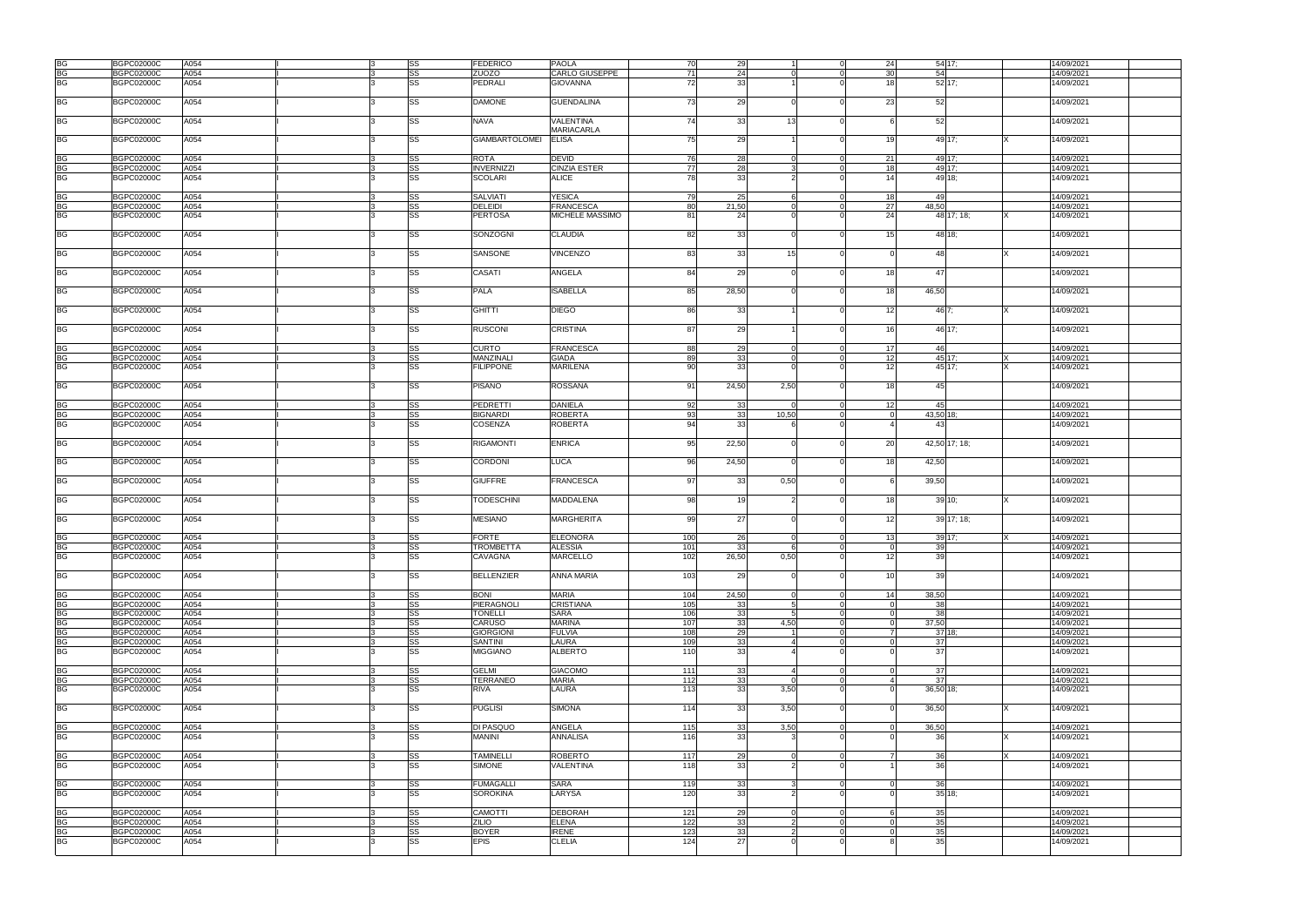|                                   | <b>BGPC02000C</b> | A054 |  | <b>SS</b> | <b>FEDERICO</b>       | <b>PAOLA</b>      | 70    | 29    |        |                | 54 17;<br>24            | 14/09/2021 |
|-----------------------------------|-------------------|------|--|-----------|-----------------------|-------------------|-------|-------|--------|----------------|-------------------------|------------|
|                                   |                   |      |  |           |                       |                   | 71    |       |        |                |                         |            |
|                                   | <b>BGPC02000C</b> | A054 |  | SS        | ZUOZO                 | CARLO GIUSEPPE    |       | 24    |        |                | 30<br>54                | 14/09/2021 |
| BG<br>BG<br>BG                    | <b>BGPC02000C</b> | A054 |  | <b>SS</b> | <b>PEDRALI</b>        | <b>GIOVANNA</b>   | 72    | 33    |        |                | 52 17:<br>18            | 14/09/2021 |
|                                   |                   |      |  |           |                       |                   |       |       |        |                |                         |            |
| <b>BG</b>                         | <b>BGPC02000C</b> | A054 |  | <b>SS</b> | <b>DAMONE</b>         | <b>GUENDALINA</b> | 73    | 29    |        |                | 23<br>52                | 14/09/2021 |
|                                   |                   |      |  |           |                       |                   |       |       |        |                |                         |            |
| <b>BG</b>                         | <b>BGPC02000C</b> | A054 |  | <b>SS</b> | NAVA                  | VALENTINA         | 74    | 33    | 13     | $\Omega$       | 52                      | 14/09/2021 |
|                                   |                   |      |  |           |                       |                   |       |       |        |                |                         |            |
|                                   |                   |      |  |           |                       | <b>MARIACARLA</b> |       |       |        |                |                         |            |
| <b>BG</b>                         | <b>BGPC02000C</b> | A054 |  | <b>SS</b> | <b>GIAMBARTOLOMEI</b> | <b>ELISA</b>      | 75    | 29    |        |                | 49 17:<br>19            | 14/09/2021 |
|                                   |                   |      |  |           |                       |                   |       |       |        |                |                         |            |
| <b>BG</b>                         | <b>BGPC02000C</b> | A054 |  | <b>SS</b> | <b>ROTA</b>           | <b>DEVID</b>      | 76    | 28    |        | $\Omega$       | 49 17;<br>21            | 14/09/2021 |
|                                   |                   |      |  | <b>SS</b> |                       |                   | 77    | 28    | વ      | $\overline{0}$ |                         | 14/09/2021 |
| <b>BG</b>                         | <b>BGPC02000C</b> | A054 |  |           | <b>INVERNIZZI</b>     | CINZIA ESTER      |       |       |        |                | 18<br>49 17;            |            |
| <b>BG</b>                         | <b>BGPC02000C</b> | A054 |  | SS        | <b>SCOLARI</b>        | <b>ALICE</b>      | 78    | 33    |        |                | 49 18:<br>14            | 14/09/2021 |
|                                   |                   |      |  |           |                       |                   |       |       |        |                |                         |            |
| <b>BG</b>                         | <b>BGPC02000C</b> | A054 |  | SS        | <b>SALVIATI</b>       | <b>YESICA</b>     | 79    | 25    |        | $\Omega$       | 18<br>49                | 14/09/2021 |
| <b>BG</b>                         | <b>BGPC02000C</b> | A054 |  | SS        | <b>DELEIDI</b>        | <b>FRANCESCA</b>  | 80    | 21,50 |        | $\Omega$       | 27<br>48,50             | 14/09/2021 |
|                                   |                   |      |  |           |                       |                   |       |       |        |                |                         |            |
| <b>BG</b>                         | <b>BGPC02000C</b> | A054 |  | SS        | <b>PERTOSA</b>        | MICHELE MASSIMO   | 81    | 24    |        | $\Omega$       | 24<br>48 17; 18;        | 14/09/2021 |
|                                   |                   |      |  |           |                       |                   |       |       |        |                |                         |            |
| <b>BG</b>                         | <b>BGPC02000C</b> | A054 |  | SS        | SONZOGNI              | <b>CLAUDIA</b>    | 82    | 33    |        |                | 15<br>48 18:            | 14/09/2021 |
|                                   |                   |      |  |           |                       |                   |       |       |        |                |                         |            |
| <b>BG</b>                         | <b>BGPC02000C</b> | A054 |  | <b>SS</b> | SANSONE               | <b>VINCENZO</b>   | 83    | 33    | 15     | $\Omega$       | 48                      |            |
|                                   |                   |      |  |           |                       |                   |       |       |        |                |                         | 14/09/2021 |
|                                   |                   |      |  |           |                       |                   |       |       |        |                |                         |            |
| <b>BG</b>                         | <b>BGPC02000C</b> | A054 |  | SS        | CASATI                | ANGELA            | 84    | 29    |        | $\Omega$       | 47<br>18                | 14/09/2021 |
|                                   |                   |      |  |           |                       |                   |       |       |        |                |                         |            |
| <b>BG</b>                         | <b>BGPC02000C</b> | A054 |  | SS        | <b>PALA</b>           | <b>ISABELLA</b>   | 85    | 28,50 |        |                | 18<br>46,50             | 14/09/2021 |
|                                   |                   |      |  |           |                       |                   |       |       |        |                |                         |            |
|                                   |                   |      |  |           |                       |                   |       |       |        |                |                         |            |
| <b>BG</b>                         | <b>BGPC02000C</b> | A054 |  | SS        | <b>GHITTI</b>         | <b>DIEGO</b>      | 86    | 33    |        |                | 12<br>46 7:             | 14/09/2021 |
|                                   |                   |      |  |           |                       |                   |       |       |        |                |                         |            |
| <b>BG</b>                         | <b>BGPC02000C</b> | A054 |  | SS        | <b>RUSCONI</b>        | <b>CRISTINA</b>   | 87    | 29    |        | $\Omega$       | 46 17:<br>16            | 14/09/2021 |
|                                   |                   |      |  |           |                       |                   |       |       |        |                |                         |            |
|                                   |                   |      |  |           |                       |                   |       |       |        |                |                         |            |
| <b>BG</b>                         | <b>BGPC02000C</b> | A054 |  | SS        | <b>CURTO</b>          | <b>FRANCESCA</b>  | 88    | 29    |        | $\Omega$       | 46<br>17                | 14/09/2021 |
| <b>BG</b>                         | <b>BGPC02000C</b> | A054 |  | SS        | MANZINALI             | <b>GIADA</b>      | 89    | 33    |        | $\Omega$       | 12<br>45 17:            | 14/09/2021 |
| <b>BG</b>                         | <b>BGPC02000C</b> | A054 |  | <b>SS</b> | <b>FILIPPONE</b>      | <b>MARILENA</b>   | 90    | 33    |        | $\Omega$       | 12<br>45 17:            | 14/09/2021 |
|                                   |                   |      |  |           |                       |                   |       |       |        |                |                         |            |
| <b>BG</b>                         | <b>BGPC02000C</b> | A054 |  | SS        | <b>PISANO</b>         | ROSSANA           | 91    | 24,50 | 2,50   | $\Omega$       | 18<br>45                | 14/09/2021 |
|                                   |                   |      |  |           |                       |                   |       |       |        |                |                         |            |
|                                   |                   |      |  |           |                       |                   |       |       |        |                |                         |            |
| BG                                | <b>BGPC02000C</b> | A054 |  | <b>SS</b> | <b>PEDRETTI</b>       | <b>DANIELA</b>    | 92    | 33    |        | $\overline{0}$ | 12<br>45                | 14/09/2021 |
| <b>BG</b>                         | <b>BGPC02000C</b> | A054 |  | <b>SS</b> | <b>BIGNARDI</b>       | <b>ROBERTA</b>    | 93    | 33    | 10,50  | $\Omega$       | 43,50 18;<br>$\Omega$   | 14/09/2021 |
| <b>BG</b>                         | <b>BGPC02000C</b> | A054 |  | SS        | <b>COSENZA</b>        | <b>ROBERTA</b>    | 94    | 33    |        |                | 43                      | 14/09/2021 |
|                                   |                   |      |  |           |                       |                   |       |       |        |                |                         |            |
|                                   |                   |      |  |           |                       |                   |       |       |        |                |                         |            |
| <b>BG</b>                         | <b>BGPC02000C</b> | A054 |  | <b>SS</b> | <b>RIGAMONTI</b>      | <b>ENRICA</b>     | 95    | 22,50 |        | $\Omega$       | 20<br>42,50 17; 18;     | 14/09/2021 |
|                                   |                   |      |  |           |                       |                   |       |       |        |                |                         |            |
| <b>BG</b>                         | <b>BGPC02000C</b> | A054 |  | <b>SS</b> | <b>CORDONI</b>        | <b>LUCA</b>       | 96    | 24,50 |        |                | 18<br>42,50             | 14/09/2021 |
|                                   |                   |      |  |           |                       |                   |       |       |        |                |                         |            |
| <b>BG</b>                         | <b>BGPC02000C</b> | A054 |  | <b>SS</b> | <b>GIUFFRE</b>        | <b>FRANCESCA</b>  | 97    | 33    | 0,50   | $\Omega$       | 39,50                   | 14/09/2021 |
|                                   |                   |      |  |           |                       |                   |       |       |        |                |                         |            |
|                                   |                   |      |  |           |                       |                   |       |       |        |                |                         |            |
| <b>BG</b>                         | <b>BGPC02000C</b> | A054 |  | <b>SS</b> | <b>TODESCHINI</b>     | MADDALENA         | 98    | 19    |        | $\Omega$       | 18<br>39 10;            | 14/09/2021 |
|                                   |                   |      |  |           |                       |                   |       |       |        |                |                         |            |
| <b>BG</b>                         | <b>BGPC02000C</b> | A054 |  | <b>SS</b> | <b>MESIANO</b>        | <b>MARGHERITA</b> | 99    | 27    |        | $\Omega$       | 12<br>39 17; 18;        | 14/09/2021 |
|                                   |                   |      |  |           |                       |                   |       |       |        |                |                         |            |
|                                   |                   |      |  |           |                       |                   |       |       |        |                |                         |            |
| $rac{BG}{BG}$                     | <b>BGPC02000C</b> | A054 |  | SS        | <b>FORTE</b>          | <b>ELEONORA</b>   | 100   | 26    |        |                | 39 17;<br>13            | 14/09/2021 |
|                                   | <b>BGPC02000C</b> | A054 |  | <b>SS</b> | <b>TROMBETTA</b>      | <b>ALESSIA</b>    | 101   | 33    |        |                | 39                      | 14/09/2021 |
| <b>BG</b>                         | <b>BGPC02000C</b> | A054 |  | <b>SS</b> | CAVAGNA               | <b>MARCELLO</b>   | 102   | 26,50 | 0,50   |                | 12<br>39                | 14/09/2021 |
|                                   |                   |      |  |           |                       |                   |       |       |        |                |                         |            |
| <b>BG</b>                         |                   |      |  |           |                       |                   |       |       |        |                |                         |            |
|                                   | <b>BGPC02000C</b> | A054 |  | SS        | <b>BELLENZIER</b>     | <b>ANNA MARIA</b> | 103   | 29    |        |                | 10<br>39                | 14/09/2021 |
|                                   |                   |      |  |           |                       |                   |       |       |        |                |                         |            |
| <b>BG</b>                         | <b>BGPC02000C</b> | A054 |  | <b>SS</b> | <b>BONI</b>           | <b>MARIA</b>      | 104   | 24,50 |        | $\overline{0}$ | 14<br>38,50             | 14/09/2021 |
| <b>BG</b>                         | <b>BGPC02000C</b> | A054 |  | <b>SS</b> | <b>PIERAGNOLI</b>     | <b>CRISTIANA</b>  | 105   | 33    | -5     | $\overline{0}$ | 38<br>$\Omega$          | 14/09/2021 |
| <b>BG</b>                         | <b>BGPC02000C</b> | A054 |  | <b>SS</b> | <b>TONELLI</b>        | <b>SARA</b>       | 106   | 33    | -5     | $\Omega$       | 38                      | 14/09/2021 |
|                                   |                   |      |  |           |                       |                   |       |       |        |                |                         |            |
| BG<br>BG                          | <b>BGPC02000C</b> | A054 |  | <b>SS</b> | <b>CARUSO</b>         | <b>MARINA</b>     | 107   | 33    | 4,50   | $\Omega$       | 37,50<br>$\Omega$       | 14/09/2021 |
|                                   | <b>BGPC02000C</b> | A054 |  | <b>SS</b> | <b>GIORGIONI</b>      | <b>FULVIA</b>     | 108   | 29    |        | $\Omega$       | 37'18<br>$\overline{7}$ | 14/09/2021 |
| <b>BG</b>                         | <b>BGPC02000C</b> | A054 |  | <b>SS</b> | <b>SANTINI</b>        | LAURA             | 109   | 33    |        | $\overline{0}$ | 37<br>$\overline{0}$    | 14/09/2021 |
| <b>BG</b>                         | <b>BGPC02000C</b> | A054 |  | <b>SS</b> | <b>MIGGIANO</b>       | <b>ALBERTO</b>    | 110   | 33    |        |                | 37                      | 14/09/2021 |
|                                   |                   |      |  |           |                       |                   |       |       |        |                |                         |            |
|                                   |                   |      |  |           |                       |                   |       |       |        |                |                         |            |
| <b>BG</b>                         | <b>BGPC02000C</b> | A054 |  | SS        | <b>GELMI</b>          | <b>GIACOMO</b>    | 111   | 33    |        | $\Omega$       | 37<br>$\Omega$          | 14/09/2021 |
| <b>BG</b>                         | <b>BGPC02000C</b> | A054 |  | <b>SS</b> | <b>TERRANEO</b>       | <b>MARIA</b>      | 112   | 33    |        | $\Omega$       | 37<br>$\mathbf{A}$      | 14/09/2021 |
| <b>BG</b>                         | <b>BGPC02000C</b> | A054 |  | <b>SS</b> | RIVA                  | LAURA             | 113   | 33    | 3,50   | $\Omega$       | 36,50 18;               | 14/09/2021 |
|                                   |                   |      |  |           |                       |                   |       |       |        |                |                         |            |
| <b>BG</b>                         | <b>BGPC02000C</b> | A054 |  | <b>SS</b> | <b>PUGLISI</b>        | <b>SIMONA</b>     | 114   | 33    | 3,50   | $\Omega$       | 36,50                   | 14/09/2021 |
|                                   |                   |      |  |           |                       |                   |       |       |        |                |                         |            |
|                                   |                   |      |  |           |                       |                   |       |       |        |                |                         |            |
| BG<br>BG                          | <b>BGPC02000C</b> | A054 |  | <b>SS</b> | DI PASQUO             | ANGELA            | 115   | 33    | 3,50   | $\overline{0}$ | 36,50<br>$\Omega$       | 14/09/2021 |
|                                   | <b>BGPC02000C</b> | A054 |  | <b>SS</b> | <b>MANINI</b>         | <b>ANNALISA</b>   | 116   | 33    |        |                | 36                      | 14/09/2021 |
|                                   |                   |      |  |           |                       |                   |       |       |        |                |                         |            |
|                                   | <b>BGPC02000C</b> | A054 |  | <b>SS</b> | <b>TAMINELLI</b>      | <b>ROBERTO</b>    | 117   | 29    |        | $\Omega$       | 36<br>7                 | 14/09/2021 |
| <b>BG</b>                         |                   |      |  |           |                       |                   |       |       |        |                |                         |            |
| <b>BG</b>                         | <b>BGPC02000C</b> | A054 |  | <b>SS</b> | <b>SIMONE</b>         | VALENTINA         | 118   | 33    |        | $\Omega$       | 36                      | 14/09/2021 |
|                                   |                   |      |  |           |                       |                   |       |       |        |                |                         |            |
| <b>BG</b>                         | <b>BGPC02000C</b> | A054 |  | <b>SS</b> | <b>FUMAGALLI</b>      | <b>SARA</b>       | 119   | 33    |        | $\Omega$       | 36                      | 14/09/2021 |
| $\overline{\mathsf{B}\mathsf{G}}$ | <b>BGPC02000C</b> | A054 |  | <b>SS</b> | <b>SOROKINA</b>       | LARYSA            | 120   | 33    |        |                | 35 18:                  | 14/09/2021 |
|                                   |                   |      |  |           |                       |                   |       |       |        |                |                         |            |
|                                   |                   |      |  |           |                       |                   |       |       |        |                |                         |            |
| <b>BG</b>                         | <b>BGPC02000C</b> | A054 |  | <b>SS</b> | <b>CAMOTTI</b>        | <b>DEBORAH</b>    | $121$ | 29    | $\cap$ | $\Omega$       | 35<br>6                 | 14/09/2021 |
| <b>BG</b>                         | <b>BGPC02000C</b> | A054 |  | SS        | <b>ZILIO</b>          | <b>ELENA</b>      | 122   | 33    |        | $\Omega$       | 35<br>$\Omega$          | 14/09/2021 |
| <b>BG</b>                         | <b>BGPC02000C</b> | A054 |  | SS        | <b>BOYER</b>          | <b>IRENE</b>      | 123   | 33    |        | $\Omega$       | 35<br>$\Omega$          | 14/09/2021 |
| <b>BG</b>                         | <b>BGPC02000C</b> | A054 |  | <b>SS</b> | <b>EPIS</b>           | CLELIA            | 124   | 27    |        | $\Omega$       | 35                      | 14/09/2021 |
|                                   |                   |      |  |           |                       |                   |       |       |        |                |                         |            |
|                                   |                   |      |  |           |                       |                   |       |       |        |                |                         |            |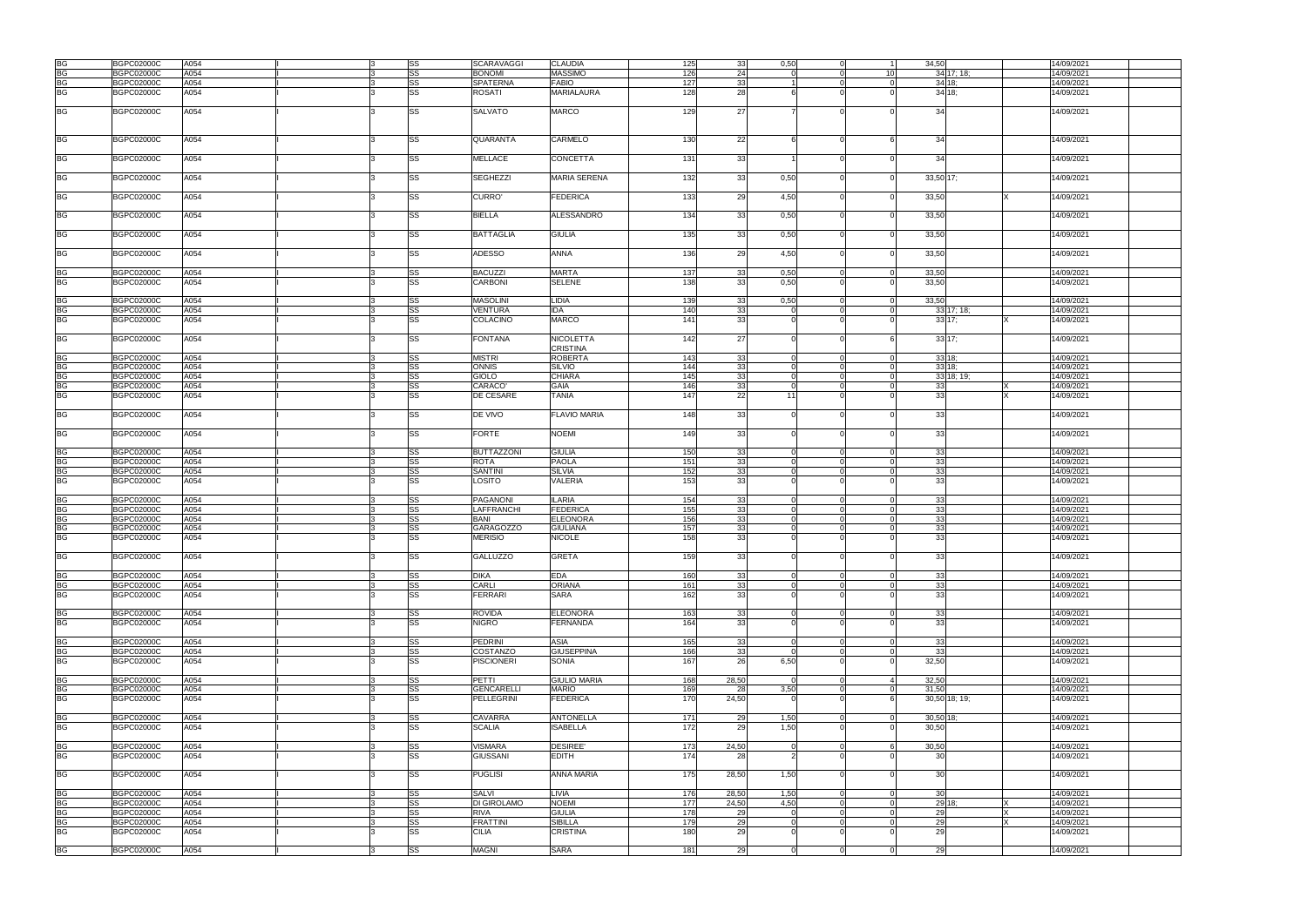|           |                   | A054 |  |           |
|-----------|-------------------|------|--|-----------|
| <b>BG</b> | <b>BGPC02000C</b> |      |  | <b>SS</b> |
| <b>BG</b> | <b>BGPC02000C</b> | A054 |  | SS        |
|           |                   |      |  |           |
| <b>BG</b> | <b>BGPC02000C</b> | A054 |  | <b>SS</b> |
| <b>BG</b> | <b>BGPC02000C</b> | A054 |  | <b>SS</b> |
|           |                   |      |  |           |
|           |                   |      |  |           |
|           |                   |      |  |           |
| <b>BG</b> | <b>BGPC02000C</b> | A054 |  | <b>SS</b> |
|           |                   |      |  |           |
|           |                   |      |  |           |
|           |                   |      |  |           |
|           |                   |      |  |           |
| <b>BG</b> | <b>BGPC02000C</b> | A054 |  | <b>SS</b> |
|           |                   |      |  |           |
|           |                   |      |  |           |
|           |                   |      |  |           |
| <b>BG</b> | <b>BGPC02000C</b> | A054 |  | SS        |
|           |                   |      |  |           |
|           |                   |      |  |           |
| BG        | <b>BGPC02000C</b> | A054 |  | SS        |
|           |                   |      |  |           |
|           |                   |      |  |           |
| BG        | <b>BGPC02000C</b> | A054 |  | SS        |
|           |                   |      |  |           |
|           |                   |      |  |           |
|           |                   |      |  |           |
| BG        | <b>BGPC02000C</b> | A054 |  | <b>SS</b> |
|           |                   |      |  |           |
|           |                   |      |  |           |
| BG        | <b>BGPC02000C</b> | A054 |  | SS        |
|           |                   |      |  |           |
|           |                   |      |  |           |
| <b>BG</b> | <b>BGPC02000C</b> | A054 |  | <b>SS</b> |
|           |                   |      |  |           |
|           |                   |      |  |           |
|           |                   | A054 |  |           |
| BG        | <b>BGPC02000C</b> |      |  | <b>SS</b> |
| <b>BG</b> | <b>BGPC02000C</b> | A054 |  | <b>SS</b> |
|           |                   |      |  |           |
|           |                   |      |  |           |
| <b>BG</b> | <b>BGPC02000C</b> | A054 |  | <b>SS</b> |
|           |                   |      |  |           |
| <b>BG</b> | <b>BGPC02000C</b> | A054 |  | SS        |
|           |                   |      |  |           |
| BG        | <b>BGPC02000C</b> | A054 |  | <b>SS</b> |
|           |                   |      |  |           |
|           |                   |      |  |           |
| <b>BG</b> | <b>BGPC02000C</b> | A054 |  | <b>SS</b> |
|           |                   |      |  |           |
|           |                   |      |  |           |
| <b>BG</b> | <b>BGPC02000C</b> | A054 |  | <b>SS</b> |
|           |                   |      |  |           |
| <b>BG</b> | <b>BGPC02000C</b> | A054 |  | <b>SS</b> |
|           |                   |      |  |           |
| <b>BG</b> | <b>BGPC02000C</b> | A054 |  | <b>SS</b> |
| <b>BG</b> | <b>BGPC02000C</b> | A054 |  | <b>SS</b> |
|           |                   |      |  |           |
| <b>BG</b> | <b>BGPC02000C</b> | A054 |  | <b>SS</b> |
|           |                   |      |  |           |
|           |                   |      |  |           |
| <b>BG</b> | <b>BGPC02000C</b> | A054 |  | SS        |
|           |                   |      |  |           |
|           |                   |      |  |           |
|           |                   |      |  |           |
| BG        | <b>BGPC02000C</b> | A054 |  | SS        |
|           |                   |      |  |           |
|           |                   |      |  |           |
| BG        | <b>BGPC02000C</b> | A054 |  | <b>SS</b> |
|           |                   |      |  |           |
| <b>BG</b> | <b>BGPC02000C</b> | A054 |  | <b>SS</b> |
| <b>BG</b> | <b>BGPC02000C</b> | A054 |  | SS        |
|           |                   |      |  |           |
| <b>BG</b> | <b>BGPC02000C</b> | A054 |  | <b>SS</b> |
|           |                   |      |  |           |
|           |                   |      |  |           |
| <b>BG</b> | <b>BGPC02000C</b> | A054 |  | <b>SS</b> |
|           |                   |      |  |           |
| <b>BG</b> | <b>BGPC02000C</b> | A054 |  | <b>SS</b> |
|           |                   |      |  |           |
| <b>BG</b> | <b>BGPC02000C</b> | A054 |  | <b>SS</b> |
| <b>BG</b> | <b>BGPC02000C</b> | A054 |  | <b>SS</b> |
|           |                   |      |  |           |
| <b>BG</b> | <b>BGPC02000C</b> | A054 |  | <b>SS</b> |
|           |                   |      |  |           |
|           |                   |      |  |           |
| <b>BG</b> |                   | A054 |  | <b>SS</b> |
|           | <b>BGPC02000C</b> |      |  |           |
|           |                   |      |  |           |
|           |                   |      |  |           |
| <b>BG</b> | <b>BGPC02000C</b> | A054 |  | <b>SS</b> |
| <b>BG</b> |                   |      |  |           |
|           | <b>BGPC02000C</b> | A054 |  | <b>SS</b> |
| <b>BG</b> | <b>BGPC02000C</b> | A054 |  | <b>SS</b> |
|           |                   |      |  |           |
|           |                   |      |  |           |
| <b>BG</b> | <b>BGPC02000C</b> | A054 |  | <b>SS</b> |
|           |                   |      |  |           |
| <b>BG</b> | <b>BGPC02000C</b> | A054 |  | <b>SS</b> |
|           |                   |      |  |           |
|           |                   |      |  |           |
| BG        | <b>BGPC02000C</b> | A054 |  | <b>SS</b> |
|           |                   |      |  |           |
| <b>BG</b> | <b>BGPC02000C</b> | A054 |  | <b>SS</b> |
|           |                   |      |  |           |
| <b>BG</b> | <b>BGPC02000C</b> | A054 |  | <b>SS</b> |
|           |                   |      |  |           |
|           |                   |      |  |           |
| <b>BG</b> | <b>BGPC02000C</b> | A054 |  | <b>SS</b> |
|           |                   |      |  |           |
| <b>BG</b> | <b>BGPC02000C</b> | A054 |  | <b>SS</b> |
| <b>BG</b> | <b>BGPC02000C</b> | A054 |  | <b>SS</b> |
|           |                   |      |  |           |
|           |                   |      |  |           |
|           |                   |      |  |           |
| <b>BG</b> | <b>BGPC02000C</b> | A054 |  | <b>SS</b> |
| <b>BG</b> |                   |      |  | <b>SS</b> |
|           | <b>BGPC02000C</b> | A054 |  |           |
|           |                   |      |  |           |
|           |                   |      |  |           |
| <b>BG</b> | <b>BGPC02000C</b> | A054 |  | <b>SS</b> |
| <b>BG</b> |                   |      |  |           |
|           | <b>BGPC02000C</b> | A054 |  | <b>SS</b> |
|           |                   |      |  |           |
|           |                   |      |  |           |
| <b>BG</b> | <b>BGPC02000C</b> | A054 |  | SS        |
|           |                   |      |  |           |
|           |                   |      |  |           |
| <b>BG</b> | <b>BGPC02000C</b> | A054 |  | <b>SS</b> |
|           |                   |      |  |           |
| <b>BG</b> | <b>BGPC02000C</b> | A054 |  | <b>SS</b> |
|           |                   |      |  |           |
| <b>BG</b> | <b>BGPC02000C</b> | A054 |  | <b>SS</b> |
| <b>BG</b> | <b>BGPC02000C</b> | A054 |  | <b>SS</b> |
|           |                   |      |  |           |
|           |                   |      |  | SS        |
| <b>BG</b> | <b>BGPC02000C</b> | A054 |  |           |
|           |                   |      |  |           |
|           |                   |      |  |           |
| <b>BG</b> | <b>BGPC02000C</b> | A054 |  | SS        |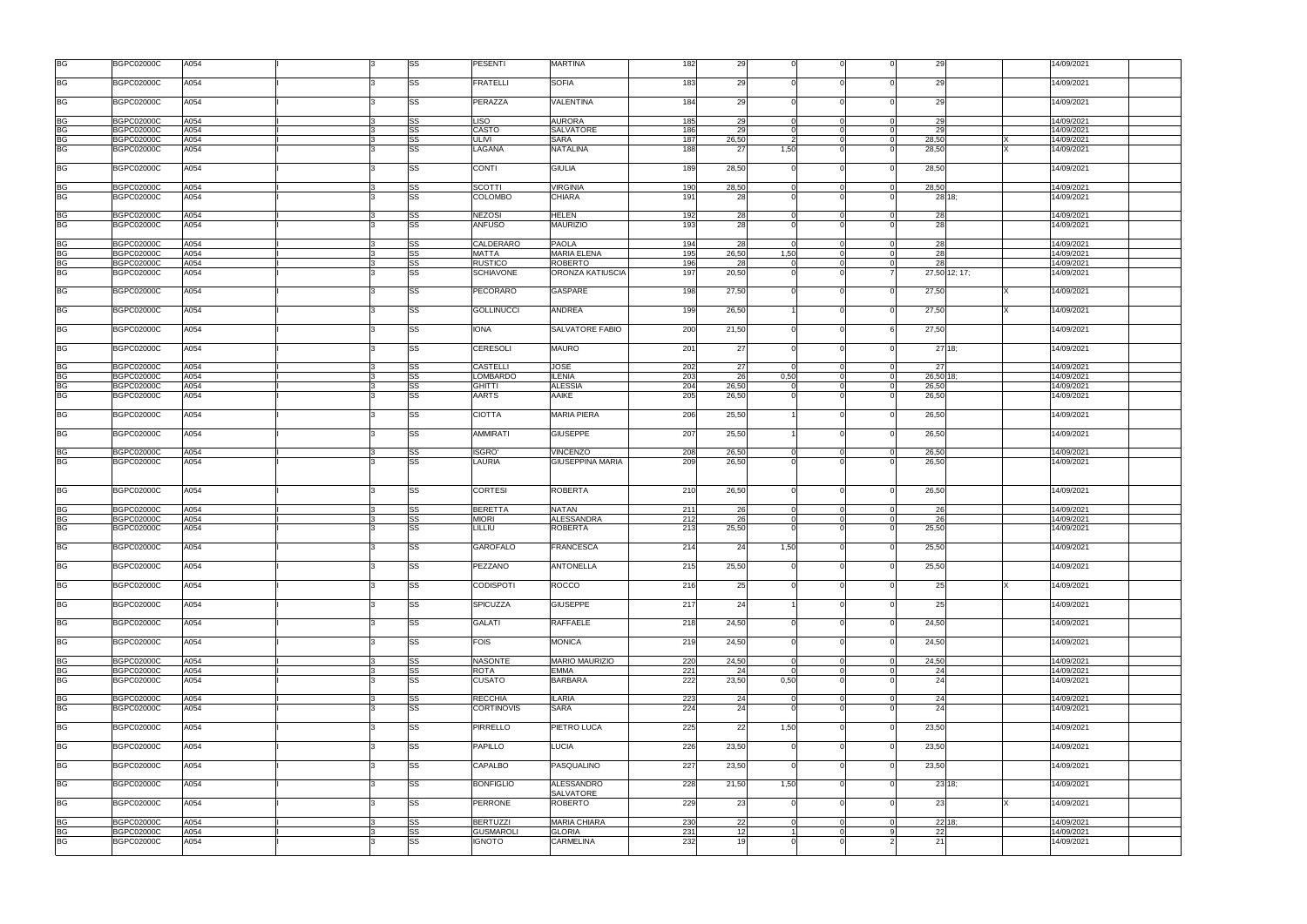| <b>BG</b>              | <b>BGPC02000C</b>                      | A054         |  | SS                     | PESENTI                        | <b>MARTINA</b>                  | 182        | 29       |      |                |                | 29            | 14/09/2021               |
|------------------------|----------------------------------------|--------------|--|------------------------|--------------------------------|---------------------------------|------------|----------|------|----------------|----------------|---------------|--------------------------|
| <b>BG</b>              | <b>BGPC02000C</b>                      | A054         |  | <b>SS</b>              | <b>FRATELLI</b>                | <b>SOFIA</b>                    | 183        | 29       |      |                |                | 29            | 14/09/2021               |
| <b>BG</b>              | <b>BGPC02000C</b>                      | A054         |  | <b>SS</b>              | PERAZZA                        | VALENTINA                       | 184        | 29       |      |                |                | 29            | 14/09/2021               |
| <b>BG</b>              | <b>BGPC02000C</b>                      | A054         |  | SS                     | <b>LISO</b>                    | <b>AURORA</b>                   | 185        | 29       |      |                |                | 29            | 14/09/2021               |
| BG                     | BGPC02000C                             | A054         |  | <b>SS</b>              | <b>CASTO</b>                   | <b>SALVATORE</b>                | 186        | 29       |      | $\Omega$       | $\Omega$       | 29            | 14/09/2021               |
| <b>BG</b>              | <b>BGPC02000C</b>                      | A054         |  | <b>SS</b>              | <b>ULIVI</b>                   | <b>SARA</b>                     | 187        | 26,50    | ່າ   | $\Omega$       | $\Omega$       | 28,50         | 14/09/2021               |
| <b>BG</b>              | <b>BGPC02000C</b>                      | A054         |  | <b>SS</b>              | LAGANA                         | <b>NATALINA</b>                 | 188        | 27       | 1,50 |                |                | 28,50         | 14/09/2021               |
| <b>BG</b>              | <b>BGPC02000C</b>                      | A054         |  | SS                     | <b>CONTI</b>                   | <b>GIULIA</b>                   | 189        | 28,50    |      | $\Omega$       |                | 28,50         | 14/09/2021               |
| <b>BG</b>              | <b>BGPC02000C</b>                      | A054         |  | SS                     | <b>SCOTTI</b>                  | <b>VIRGINIA</b>                 | 190        | 28,50    |      | $\overline{0}$ | $\Omega$       | 28,50         | 14/09/2021               |
| <b>BG</b>              | <b>BGPC02000C</b>                      | A054         |  | <b>SS</b>              | <b>COLOMBO</b>                 | <b>CHIARA</b>                   | 191        | 28       |      | $\Omega$       |                | 28 18:        | 14/09/2021               |
| <b>BG</b><br><b>BG</b> | <b>BGPC02000C</b><br><b>BGPC02000C</b> | A054<br>A054 |  | <b>SS</b><br><b>SS</b> | <b>NEZOSI</b><br><b>ANFUSO</b> | <b>HELEN</b><br><b>MAURIZIO</b> | 192<br>193 | 28<br>28 |      | $\Omega$       |                | 28<br>28      | 14/09/2021<br>14/09/2021 |
|                        |                                        |              |  |                        |                                |                                 |            |          |      |                |                |               |                          |
| <b>BG</b>              | <b>BGPC02000C</b>                      | A054         |  | SS                     | CALDERARO                      | <b>PAOLA</b>                    | 194        | 28       |      | $\Omega$       | $\Omega$       | 28            | 14/09/2021               |
| <b>BG</b>              | <b>BGPC02000C</b>                      | A054         |  | SS                     | <b>MATTA</b>                   | <b>MARIA ELENA</b>              | 195        | 26,50    | 1,50 | $\Omega$       | $\Omega$       | 28            | 14/09/2021               |
| <b>BG</b>              | <b>BGPC02000C</b>                      | A054         |  | <b>SS</b>              | <b>RUSTICO</b>                 | <b>ROBERTO</b>                  | 196        | -28      |      | $\Omega$       | $\Omega$       | 28            | 14/09/2021               |
| <b>BG</b>              | <b>BGPC02000C</b>                      | A054         |  | <b>SS</b>              | <b>SCHIAVONE</b>               | ORONZA KATIUSCIA                | 197        | 20,50    |      |                |                | 27,50 12; 17; | 14/09/2021               |
| <b>BG</b>              | <b>BGPC02000C</b>                      | A054         |  | SS                     | PECORARO                       | GASPARE                         | 198        | 27,50    |      |                |                | 27,50         | 14/09/2021               |
| <b>BG</b>              | <b>BGPC02000C</b>                      | A054         |  | SS                     | <b>GOLLINUCCI</b>              | ANDREA                          | 199        | 26,50    |      | $\Omega$       | $\Omega$       | 27,50         | 14/09/2021               |
| <b>BG</b>              | <b>BGPC02000C</b>                      | A054         |  | SS                     | <b>IONA</b>                    | SALVATORE FABIO                 | 200        | 21,50    |      | $\Omega$       |                | 27,50         | 4/09/2021                |
| <b>BG</b>              | <b>BGPC02000C</b>                      | A054         |  | <b>SS</b>              | <b>CERESOLI</b>                | <b>MAURO</b>                    | 201        | 27       |      | $\Omega$       |                | 27 18:        | 14/09/2021               |
|                        |                                        |              |  |                        |                                |                                 |            |          |      |                |                |               |                          |
| <b>BG</b>              | <b>BGPC02000C</b>                      | A054         |  | SS                     | <b>CASTELLI</b>                | <b>JOSE</b>                     | 202        | 27       |      | $\Omega$       | $\Omega$       | 27            | 14/09/2021               |
| <b>BG</b>              | <b>BGPC02000C</b>                      | A054         |  | SS                     | <b>LOMBARDO</b>                | <b>ILENIA</b>                   | 203        | 26       | 0,50 | $\Omega$       | $\Omega$       | 26,50 18;     | 14/09/2021               |
| <b>BG</b>              | <b>BGPC02000C</b>                      | A054         |  | <b>SS</b>              | <b>GHITTI</b>                  | <b>ALESSIA</b>                  | 204        | 26,50    |      | $\Omega$       | $\overline{0}$ | 26,50         | 14/09/2021               |
| <b>BG</b>              | <b>BGPC02000C</b>                      | A054         |  | SS                     | <b>AARTS</b>                   | AAIKE                           | 205        | 26,50    |      |                |                | 26,50         | 14/09/2021               |
| <b>BG</b>              | <b>BGPC02000C</b>                      | A054         |  | SS                     | <b>CIOTTA</b>                  | <b>MARIA PIERA</b>              | 206        | 25,50    |      | $\Omega$       |                | 26,50         | 14/09/2021               |
| <b>BG</b>              | <b>BGPC02000C</b>                      | A054         |  | SS                     | <b>AMMIRATI</b>                | <b>GIUSEPPE</b>                 | 207        | 25,50    |      | $\Omega$       |                | 26,50         | 14/09/2021               |
|                        | <b>BGPC02000C</b>                      | A054         |  | SS                     | <b>ISGRO</b>                   | <b>VINCENZO</b>                 | 208        | 26,50    |      |                |                | 26,50         | 14/09/2021               |
| $rac{BG}{BG}$          | <b>BGPC02000C</b>                      | A054         |  | <b>SS</b>              | LAURIA                         | <b>GIUSEPPINA MARIA</b>         | 209        | 26,50    |      |                |                | 26,50         | 14/09/2021               |
| <b>BG</b>              | <b>BGPC02000C</b>                      | A054         |  | SS                     | <b>CORTESI</b>                 | <b>ROBERTA</b>                  | 210        | 26,50    |      | $\Omega$       |                | 26,50         | 14/09/2021               |
| <b>BG</b>              | <b>BGPC02000C</b>                      | A054         |  | SS                     | <b>BERETTA</b>                 | <b>NATAN</b>                    | 211        | 26       |      | $\Omega$       |                | 26            | 14/09/2021               |
| BG                     | BGPC02000C                             | A054         |  | <b>SS</b>              | <b>MIORI</b>                   | <b>ALESSANDRA</b>               | 212        | 26       |      |                |                | 26            | 14/09/2021               |
| <b>BG</b>              | BGPC02000C                             | A054         |  | SS                     | LILLIU                         | ROBERTA                         | 213        | 25,50    |      |                |                | 25,50         | 14/09/2021               |
| <b>BG</b>              | <b>BGPC02000C</b>                      | A054         |  | <b>SS</b>              | <b>GAROFALO</b>                | <b>FRANCESCA</b>                | 214        | 24       | 1,50 | $\Omega$       | $\Omega$       | 25,50         | 14/09/2021               |
| <b>BG</b>              | <b>BGPC02000C</b>                      | A054         |  | SS                     | PEZZANO                        | ANTONELLA                       | 215        | 25,50    |      | $\Omega$       |                | 25,50         | 4/09/2021                |
| <b>BG</b>              | <b>BGPC02000C</b>                      | A054         |  | <b>SS</b>              | <b>CODISPOTI</b>               | <b>ROCCO</b>                    | 216        | 25       |      | $\overline{0}$ |                | 25            | 14/09/2021               |
|                        |                                        |              |  |                        |                                |                                 |            |          |      |                |                |               |                          |
| <b>BG</b>              | <b>BGPC02000C</b>                      | A054         |  | SS                     | <b>SPICUZZA</b>                | <b>GIUSEPPE</b>                 | 217        | 24       |      | $\Omega$       |                | 25            | 14/09/2021               |
| <b>BG</b>              | <b>BGPC02000C</b>                      | A054         |  | <b>SS</b>              | <b>GALATI</b>                  | <b>RAFFAELE</b>                 | 218        | 24,50    |      | $\Omega$       |                | 24,50         | 14/09/2021               |
| <b>BG</b>              | <b>BGPC02000C</b>                      | A054         |  | SS                     | <b>FOIS</b>                    | <b>MONICA</b>                   | 219        | 24,50    |      | $\Omega$       |                | 24,50         | 14/09/2021               |
| <b>BG</b>              | <b>BGPC02000C</b>                      | A054         |  | SS                     | <b>NASONTE</b>                 | <b>MARIO MAURIZIO</b>           | 220        | 24,50    |      | $\Omega$       | $\Omega$       | 24,50         | 14/09/2021               |
| <b>BG</b>              | <b>BGPC02000C</b>                      | A054         |  | <b>SS</b>              | <b>ROTA</b>                    | <b>EMMA</b>                     | 221        | -24      |      | $\Omega$       |                | -24           | 14/09/2021               |
| <b>BG</b>              | <b>BGPC02000C</b>                      | A054         |  | <b>SS</b>              | <b>CUSATO</b>                  | <b>BARBARA</b>                  | 222        | 23,50    | 0,50 |                |                | 24            | 14/09/2021               |
| <b>BG</b>              | <b>BGPC02000C</b>                      | A054         |  | SS                     | <b>RECCHIA</b>                 | <b>ILARIA</b>                   | 223        | 24       |      | $\Omega$       | $\Omega$       | 24            | 14/09/2021               |
| <b>BG</b>              | <b>BGPC02000C</b>                      | A054         |  | <b>SS</b>              | <b>CORTINOVIS</b>              | <b>SARA</b>                     | 224        | 24       |      |                |                | 24            | 14/09/2021               |
| <b>BG</b>              | <b>BGPC02000C</b>                      | A054         |  | SS                     | <b>PIRRELLO</b>                | PIETRO LUCA                     | 225        | 22       | 1,50 | $\Omega$       |                | 23,50         | 14/09/2021               |
| <b>BG</b>              | <b>BGPC02000C</b>                      | A054         |  | <b>SS</b>              | <b>PAPILLO</b>                 | <b>LUCIA</b>                    | 226        | 23,50    |      | $\Omega$       |                | 23,50         | 14/09/2021               |
| <b>BG</b>              | <b>BGPC02000C</b>                      | A054         |  | SS                     | <b>CAPALBO</b>                 | PASQUALINO                      | 227        | 23,50    |      | $\Omega$       |                | 23,50         | 14/09/2021               |
| <b>BG</b>              | <b>BGPC02000C</b>                      | A054         |  | <b>SS</b>              | <b>BONFIGLIO</b>               | ALESSANDRO<br><b>SALVATORE</b>  | 228        | 21,50    | 1,50 | $\Omega$       |                | 23 18;        | 14/09/2021               |
| <b>BG</b>              | <b>BGPC02000C</b>                      | A054         |  | SS                     | <b>PERRONE</b>                 | <b>ROBERTO</b>                  | 229        | 23       |      | $\Omega$       | $\Omega$       | 23            | 14/09/2021               |
| <b>BG</b>              | <b>BGPC02000C</b>                      | A054         |  | <b>SS</b>              | <b>BERTUZZI</b>                | <b>MARIA CHIARA</b>             | 230        | 22       |      | $\Omega$       | $\Omega$       | 22 18:        | 14/09/2021               |
| <b>BG</b>              | <b>BGPC02000C</b>                      | A054         |  | SS                     | <b>GUSMAROLI</b>               | <b>GLORIA</b>                   | 231        | 12       |      | $\Omega$       |                | 22            | 14/09/2021               |
| <b>BG</b>              | <b>BGPC02000C</b>                      | A054         |  | SS                     | <b>IGNOTO</b>                  | CARMELINA                       | 232        | 19       |      | $\Omega$       |                | 21            | 14/09/2021               |
|                        |                                        |              |  |                        |                                |                                 |            |          |      |                |                |               |                          |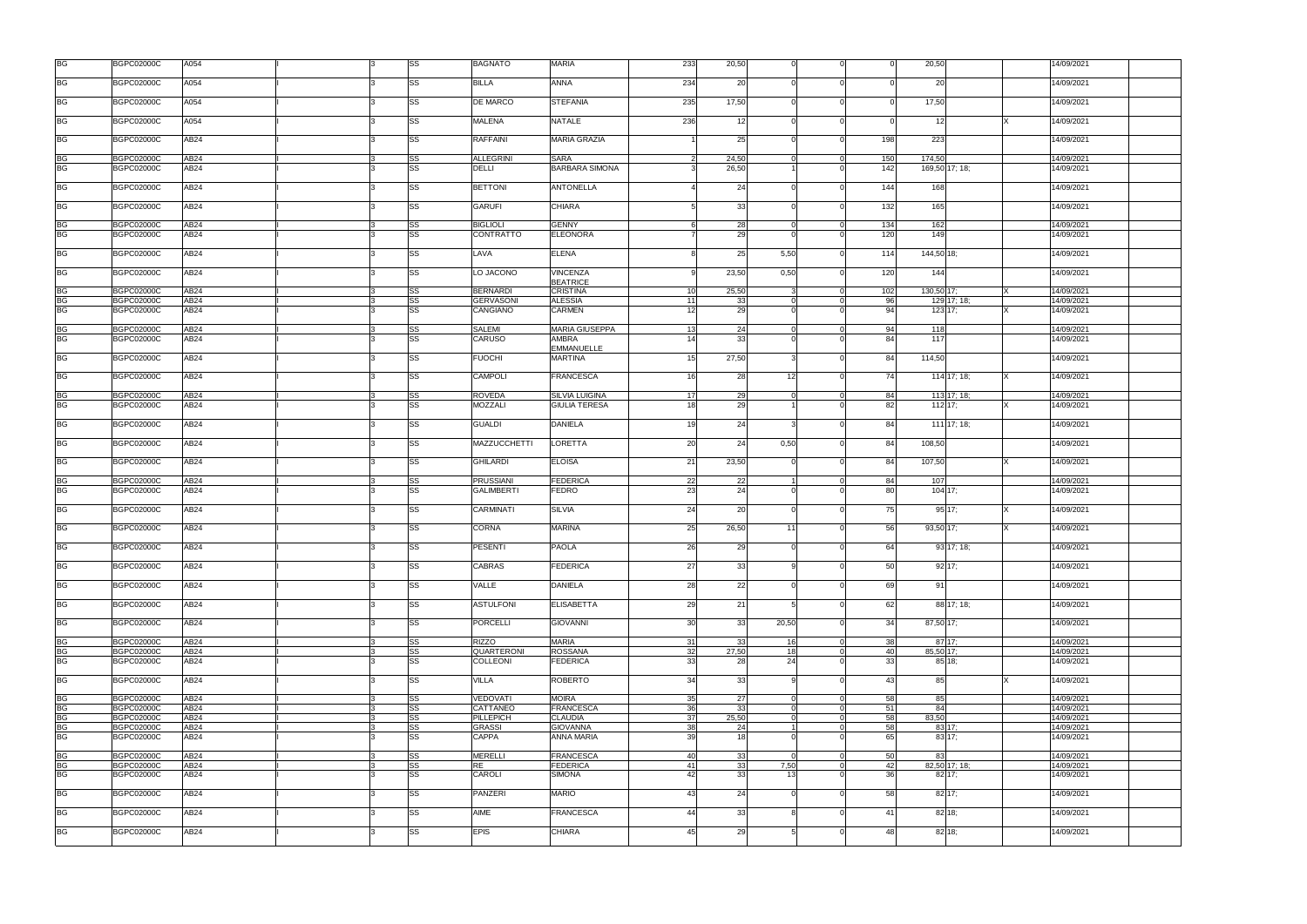| <b>BG</b>                         | <b>BGPC02000C</b>                      | A054                     |  | SS                     | <b>BAGNATO</b>                    | <b>MARIA</b>                                  | 233            | 20,50    |                 |                      |                 | 20,50                    | 14/09/2021               |
|-----------------------------------|----------------------------------------|--------------------------|--|------------------------|-----------------------------------|-----------------------------------------------|----------------|----------|-----------------|----------------------|-----------------|--------------------------|--------------------------|
| <b>BG</b>                         | <b>BGPC02000C</b>                      | A054                     |  | SS                     | <b>BILLA</b>                      | <b>ANNA</b>                                   | 234            | 20       |                 |                      |                 | 20                       | 14/09/2021               |
| <b>BG</b>                         | <b>BGPC02000C</b>                      | A054                     |  | SS                     | DE MARCO                          | <b>STEFANIA</b>                               | 235            | 17,50    |                 |                      |                 | 17,50                    | 14/09/2021               |
| <b>BG</b>                         | <b>BGPC02000C</b>                      | A054                     |  | SS                     | <b>MALENA</b>                     | <b>NATALE</b>                                 | 236            | 12       |                 |                      |                 | 12                       | 14/09/2021               |
| <b>BG</b>                         | <b>BGPC02000C</b>                      | AB24                     |  | SS                     | <b>RAFFAINI</b>                   | <b>MARIA GRAZIA</b>                           |                | 25       |                 | $\Omega$             | 198             | 223                      | 14/09/2021               |
| <b>BG</b>                         | <b>BGPC02000C</b>                      | AB <sub>24</sub>         |  | SS                     | <b>ALLEGRINI</b>                  | <b>SARA</b>                                   | $\overline{2}$ | 24,50    |                 | $\overline{0}$       | 150             | 174,50                   | 14/09/2021               |
| <b>BG</b>                         | <b>BGPC02000C</b>                      | AB24                     |  | <b>SS</b>              | DELLI                             | <b>BARBARA SIMONA</b>                         |                | 26,50    |                 | $\Omega$             | 142             | 169,50 17; 18;           | 14/09/2021               |
| <b>BG</b>                         | <b>BGPC02000C</b>                      | AB24                     |  | <b>SS</b>              | <b>BETTONI</b>                    | <b>ANTONELLA</b>                              |                | 24       |                 | $\Omega$             | 144             | 168                      | 14/09/2021               |
| <b>BG</b>                         | <b>BGPC02000C</b>                      | AB24                     |  | SS                     | <b>GARUFI</b>                     | <b>CHIARA</b>                                 | 51             | 33       |                 |                      | $132$           | 165                      | 14/09/2021               |
| <b>BG</b>                         | <b>BGPC02000C</b>                      | AB24                     |  | SS                     | <b>BIGLIOLI</b>                   | <b>GENNY</b>                                  | 6              | 28       |                 | $\overline{0}$       | 134             | 162                      | 14/09/2021               |
| <b>BG</b>                         | <b>BGPC02000C</b>                      | AB24                     |  | SS                     | <b>CONTRATTO</b>                  | <b>ELEONORA</b>                               |                | 29       |                 |                      | 120             | 149                      | 14/09/2021               |
| <b>BG</b>                         | <b>BGPC02000C</b>                      | AB24                     |  | SS                     | LAVA                              | <b>ELENA</b>                                  |                | 25       | 5,50            | $\Omega$             | 114             | 144,50 18;               | 14/09/2021               |
| <b>BG</b>                         | <b>BGPC02000C</b>                      | AB <sub>24</sub>         |  | SS                     | LO JACONO                         | <b>VINCENZA</b><br><b>BEATRICE</b>            | q              | 23,50    | 0,50            | $\Omega$             | 120             | 144                      | 14/09/2021               |
| <b>BG</b>                         | <b>BGPC02000C</b>                      | AB24                     |  | SS                     | <b>BERNARDI</b>                   | <b>CRISTINA</b>                               | 10             | 25,50    |                 |                      | 102             | 130,50 17;               | 14/09/2021               |
| <b>BG</b>                         | <b>BGPC02000C</b>                      | AB24                     |  | SS                     | <b>GERVASONI</b>                  | <b>ALESSIA</b>                                | 11             | 33       |                 | $\Omega$             | 96              | 129 17; 18;              | 14/09/2021               |
| <b>BG</b>                         | <b>BGPC02000C</b>                      | AB24                     |  | SS                     | <b>CANGIANO</b>                   | <b>CARMEN</b>                                 | 12             | 29       |                 |                      | 94              | $123$ 17;                | 14/09/2021               |
| <b>BG</b>                         | <b>BGPC02000C</b>                      | AB24                     |  | SS                     | SALEMI                            | <b>MARIA GIUSEPPA</b>                         | 13             | 24       |                 | $\Omega$             | 94              | 118                      | 14/09/2021               |
| <b>BG</b>                         | <b>BGPC02000C</b>                      | AB24                     |  | <b>SS</b>              | CARUSO                            | <b>AMBRA</b>                                  | 14             | 33       |                 |                      | 84              | 117                      | 14/09/2021               |
| <b>BG</b>                         | <b>BGPC02000C</b>                      | AB24                     |  | SS                     | <b>FUOCHI</b>                     | <b>EMMANUELLE</b><br><b>MARTINA</b>           | 15             | 27,50    |                 |                      | 84              | 114,50                   | 14/09/2021               |
| <b>BG</b>                         | <b>BGPC02000C</b>                      | AB24                     |  | SS                     | CAMPOLI                           | <b>FRANCESCA</b>                              | 16             | 28       | 12 <sup>1</sup> |                      | 74              | $114$ 17; 18;            | 14/09/2021               |
|                                   |                                        |                          |  |                        |                                   |                                               |                |          |                 |                      |                 |                          |                          |
| <b>BG</b><br><b>BG</b>            | <b>BGPC02000C</b><br><b>BGPC02000C</b> | AB <sub>24</sub><br>AB24 |  | SS<br><b>SS</b>        | <b>ROVEDA</b><br><b>MOZZALI</b>   | <b>SILVIA LUIGINA</b><br><b>GIULIA TERESA</b> | 17<br>18       | 29<br>29 |                 | $\mathbf 0$          | 84<br>82        | 113 17; 18;<br>$112$ 17; | 14/09/2021<br>14/09/2021 |
| <b>BG</b>                         | <b>BGPC02000C</b>                      | AB24                     |  | <b>SS</b>              | <b>GUALDI</b>                     | <b>DANIELA</b>                                | 19             | 24       |                 | $\Omega$             | 84              | 111 17; 18;              | 14/09/2021               |
| <b>BG</b>                         | <b>BGPC02000C</b>                      | AB24                     |  | <b>SS</b>              | MAZZUCCHETTI                      | <b>LORETTA</b>                                | 20             | 24       | 0,50            |                      | 84              | 108,50                   | 14/09/2021               |
| <b>BG</b>                         | <b>BGPC02000C</b>                      | AB24                     |  | <b>SS</b>              | <b>GHILARDI</b>                   | <b>ELOISA</b>                                 | 21             | 23,50    |                 |                      | 84              | 107,50                   | 14/09/2021               |
|                                   | <b>BGPC02000C</b>                      | AB <sub>24</sub>         |  | SS                     | PRUSSIANI                         | <b>FEDERICA</b>                               | 22             | 22       |                 | $\Omega$             | 84              | 107                      | 14/09/2021               |
| BG<br>BG                          | <b>BGPC02000C</b>                      | AB <sub>24</sub>         |  | SS                     | <b>GALIMBERTI</b>                 | FEDRO                                         | 23             | 24       |                 |                      | 80              | $104$ 17;                | 14/09/2021               |
| <b>BG</b>                         | <b>BGPC02000C</b>                      | AB24                     |  | <b>SS</b>              | CARMINATI                         | <b>SILVIA</b>                                 | 24             | 20       |                 | $\Omega$             | 75              | 95 17;                   | 14/09/2021               |
| <b>BG</b>                         | <b>BGPC02000C</b>                      | AB24                     |  | <b>SS</b>              | CORNA                             | <b>MARINA</b>                                 | 25             | 26,50    | 11              |                      | 56              | 93,50 17;                | 14/09/2021               |
| <b>BG</b>                         | <b>BGPC02000C</b>                      | AB24                     |  | <b>SS</b>              | <b>PESENTI</b>                    | <b>PAOLA</b>                                  | 26             | 29       | $\Omega$        | $\Omega$             | 64              | 93 17; 18;               | 14/09/2021               |
| <b>BG</b>                         | <b>BGPC02000C</b>                      | AB24                     |  | SS                     | <b>CABRAS</b>                     | <b>FEDERICA</b>                               | 27             | 33       |                 | $\Omega$             | 50              | 92 17;                   | 4/09/2021                |
| <b>BG</b>                         | <b>BGPC02000C</b>                      | AB24                     |  | <b>SS</b>              | VALLE                             | <b>DANIELA</b>                                | 28             | 22       |                 | $\Omega$             | 69              | 91                       | 14/09/2021               |
| <b>BG</b>                         | <b>BGPC02000C</b>                      | AB <sub>24</sub>         |  | SS                     | <b>ASTULFONI</b>                  | <b>ELISABETTA</b>                             | 29             | 21       |                 | $\Omega$             | 62              | 88 17; 18;               | 14/09/2021               |
| <b>BG</b>                         | <b>BGPC02000C</b>                      | AB24                     |  | <b>SS</b>              | <b>PORCELLI</b>                   | <b>GIOVANNI</b>                               | 30             | 33       | 20,50           | $\Omega$             | 34              | 87,50 17;                | 14/09/2021               |
| <b>BG</b>                         | <b>BGPC02000C</b>                      | AB24                     |  | <b>SS</b>              | <b>RIZZO</b>                      | <b>MARIA</b>                                  | 31             | 33       | 16              | $\overline{0}$       | 38              | 87 17:                   | 14/09/2021               |
| <b>BG</b>                         | <b>BGPC02000C</b>                      | AB <sub>24</sub>         |  | <b>SS</b>              | QUARTERONI                        | <b>ROSSANA</b>                                | 32             | 27,50    | 18I             | $\Omega$             | 40              | 85,50 17:                | 14/09/2021               |
| <b>BG</b>                         | <b>BGPC02000C</b>                      | AB24                     |  | <b>SS</b>              | <b>COLLEONI</b>                   | <b>FEDERICA</b>                               | 33             | 28       | 24              |                      | 33 <sup>1</sup> | 85 18:                   | 14/09/2021               |
| <b>BG</b>                         | <b>BGPC02000C</b>                      | AB <sub>24</sub>         |  | <b>SS</b>              | <b>VILLA</b>                      | <b>ROBERTO</b>                                | 34             | 33       |                 |                      | 43              | 85                       | 14/09/2021               |
| <b>BG</b>                         | <b>BGPC02000C</b>                      | AB24                     |  | <b>SS</b>              | <b>VEDOVATI</b>                   | <b>MOIRA</b>                                  | 35             | 27       |                 | $\Omega$             | 58              | 85                       | 14/09/2021               |
| <b>BG</b>                         | <b>BGPC02000C</b>                      | AB24                     |  | <b>SS</b>              | CATTANEO                          | <b>FRANCESCA</b>                              | 36             | 33       |                 | $\Omega$             | 51              | 84                       | 14/09/2021               |
| <b>BG</b>                         | <b>BGPC02000C</b>                      | AB24                     |  | <b>SS</b><br><b>SS</b> | <b>PILLEPICH</b><br><b>GRASSI</b> | <b>CLAUDIA</b><br><b>GIOVANNA</b>             | 37<br>38       | 25,50    |                 | $\Omega$<br>$\Omega$ | 58              | 83,50                    | 14/09/2021               |
| <b>BG</b><br><b>BG</b>            | <b>BGPC02000C</b><br><b>BGPC02000C</b> | AB24<br>AB24             |  | <b>SS</b>              | <b>CAPPA</b>                      | <b>ANNA MARIA</b>                             | 39             | 24<br>18 |                 | $\Omega$             | 58<br>65        | 83 17;<br>83 17:         | 14/09/2021<br>14/09/2021 |
| <b>BG</b>                         | <b>BGPC02000C</b>                      | AB24                     |  | <b>SS</b>              | <b>MERELLI</b>                    | <b>FRANCESCA</b>                              | 40             | 33       |                 | $\Omega$             | 50              | 83                       | 14/09/2021               |
| <b>BG</b>                         | <b>BGPC02000C</b>                      | AB24                     |  | <b>SS</b>              | <b>RE</b>                         | <b>FEDERICA</b>                               | 41             | 33       | 7,50            | $\Omega$             | 42              | 82,50 17; 18;            | 14/09/2021               |
| $\overline{\mathsf{B}\mathsf{G}}$ | <b>BGPC02000C</b>                      | AB24                     |  | <b>SS</b>              | <b>CAROLI</b>                     | <b>SIMONA</b>                                 | 42             | 33       | 13              |                      | 36              | $82$ 17;                 | 14/09/2021               |
| <b>BG</b>                         | <b>BGPC02000C</b>                      | AB24                     |  | SS                     | <b>PANZERI</b>                    | <b>MARIO</b>                                  | 43             | 24       |                 | $\Omega$             | 58              | 82 17;                   | 14/09/2021               |
| <b>BG</b>                         | <b>BGPC02000C</b>                      | AB24                     |  | SS                     | AIME                              | <b>FRANCESCA</b>                              | 44             | 33       |                 |                      | 41              | 82 18:                   | 14/09/2021               |
| <b>BG</b>                         | <b>BGPC02000C</b>                      | AB24                     |  | <b>SS</b>              | <b>EPIS</b>                       | <b>CHIARA</b>                                 | 45             | 29       |                 |                      | 48              | $82$ 18;                 | 14/09/2021               |
|                                   |                                        |                          |  |                        |                                   |                                               |                |          |                 |                      |                 |                          |                          |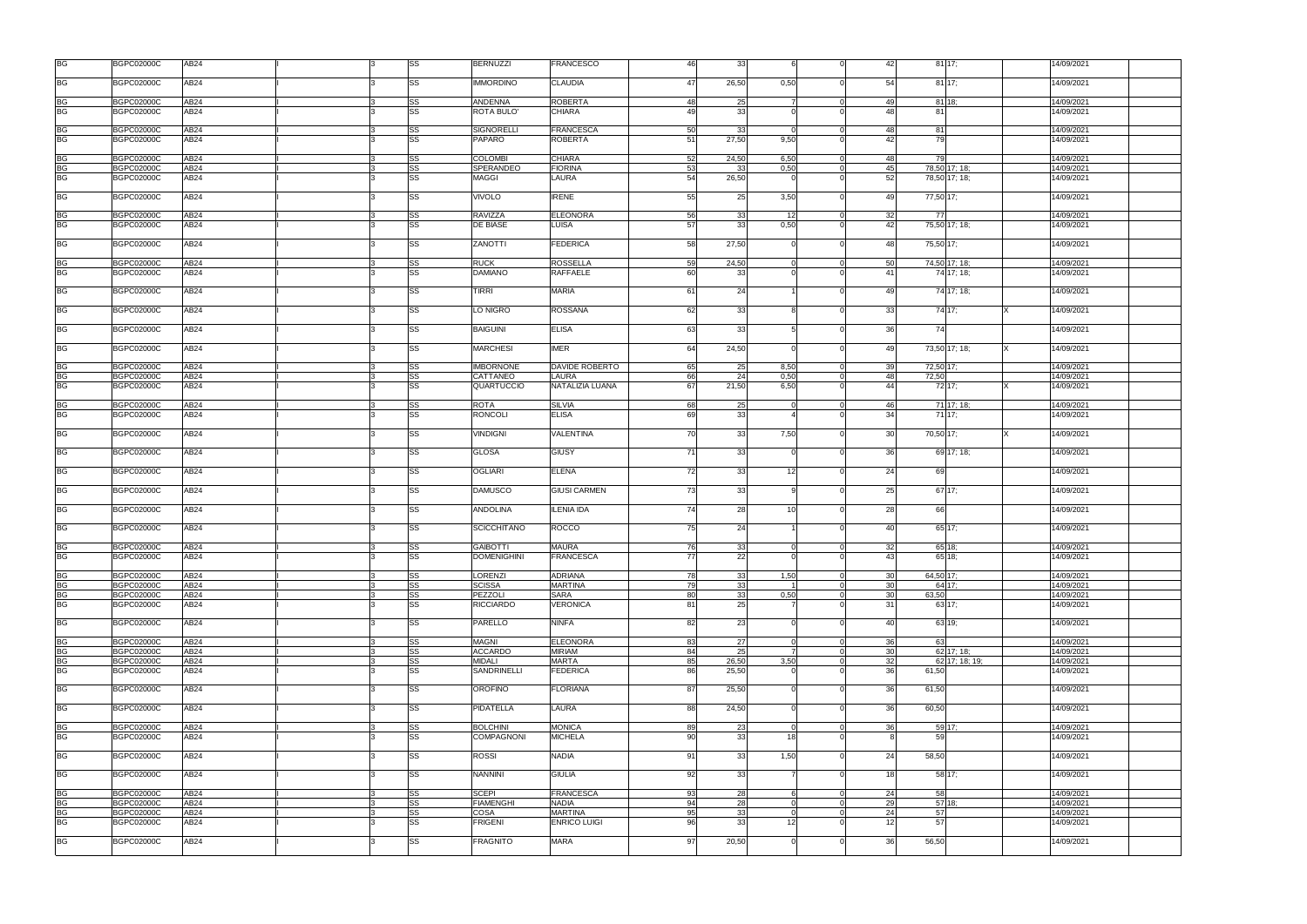| <b>BG</b> | <b>BGPC02000C</b> | AB24             |  | SS        | <b>BERNUZZI</b>    | <b>FRANCESCO</b>    | 46 | 33    |                 | $\Omega$       | 42              | 8117;          | 14/09/2021 |  |
|-----------|-------------------|------------------|--|-----------|--------------------|---------------------|----|-------|-----------------|----------------|-----------------|----------------|------------|--|
| <b>BG</b> | <b>BGPC02000C</b> | AB24             |  | <b>SS</b> | <b>IMMORDINO</b>   | <b>CLAUDIA</b>      | 47 | 26,50 | 0,50            | $\Omega$       | 54              | $81$ 17;       | 14/09/2021 |  |
|           |                   |                  |  |           |                    |                     |    |       |                 |                |                 |                |            |  |
| <b>BG</b> | <b>BGPC02000C</b> | AB <sub>24</sub> |  | SS        | <b>ANDENNA</b>     | <b>ROBERTA</b>      | 48 | 25    |                 | $\Omega$       | 49              | 81 18:         | 14/09/2021 |  |
| <b>BG</b> | <b>BGPC02000C</b> | AB24             |  | <b>SS</b> | <b>ROTA BULO'</b>  | <b>CHIARA</b>       | 49 | 33    |                 | $\Omega$       | 48              | 81             | 14/09/2021 |  |
| BG<br>BG  | <b>BGPC02000C</b> | AB24             |  | SS        | <b>SIGNORELLI</b>  | <b>FRANCESCA</b>    | 50 | 33    |                 | $\Omega$       | 48              | 81             | 14/09/2021 |  |
|           | <b>BGPC02000C</b> | AB24             |  | <b>SS</b> | <b>PAPARO</b>      | <b>ROBERTA</b>      | 51 | 27,50 | 9,50            | $\Omega$       | 42              | 79             | 14/09/2021 |  |
| <b>BG</b> | <b>BGPC02000C</b> | <b>AB24</b>      |  | SS        | <b>COLOMBI</b>     | <b>CHIARA</b>       | 52 | 24,50 | 6,50            | $\overline{0}$ | 48              | 79             | 14/09/2021 |  |
| BG        | <b>BGPC02000C</b> | AB24             |  | SS        | SPERANDEO          | <b>FIORINA</b>      | 53 | 33    | 0,50            | $\overline{0}$ | 45              | 78,50 17; 18;  | 14/09/2021 |  |
| <b>BG</b> | <b>BGPC02000C</b> | AB24             |  | <b>SS</b> | <b>MAGGI</b>       | LAURA               | 54 | 26,50 |                 | $\Omega$       | 52              | 78,50 17; 18;  | 14/09/2021 |  |
| BG        |                   | <b>AB24</b>      |  | SS        |                    | <b>IRENE</b>        |    |       | 3,50            | $\Omega$       | 49              |                |            |  |
|           | <b>BGPC02000C</b> |                  |  |           | <b>VIVOLO</b>      |                     | 55 | 25    |                 |                |                 | 77,50 17;      | 14/09/2021 |  |
| BG        | <b>BGPC02000C</b> | AB24             |  | <b>SS</b> | <b>RAVIZZA</b>     | <b>ELEONORA</b>     | 56 | 33    | 12              | $\Omega$       | 32              | 77             | 14/09/2021 |  |
| <b>BG</b> | <b>BGPC02000C</b> | AB24             |  | SS        | <b>DE BIASE</b>    | LUISA               | 57 | 33    | 0,50            | $\Omega$       | 42              | 75,50 17; 18;  | 14/09/2021 |  |
| <b>BG</b> | <b>BGPC02000C</b> | AB <sub>24</sub> |  | SS        | ZANOTTI            | <b>FEDERICA</b>     | 58 | 27,50 |                 | $\Omega$       | 48              | 75,50 17;      | 14/09/2021 |  |
| BG        | <b>BGPC02000C</b> | AB24             |  | <b>SS</b> | <b>RUCK</b>        | <b>ROSSELLA</b>     | 59 | 24.50 |                 | $\Omega$       | 50              | 74,50 17; 18;  | 14/09/2021 |  |
| <b>BG</b> | <b>BGPC02000C</b> | AB24             |  | <b>SS</b> | <b>DAMIANO</b>     | <b>RAFFAELE</b>     | 60 | 33    |                 | $\Omega$       | 41              | 74 17: 18:     | 14/09/2021 |  |
|           |                   |                  |  |           |                    |                     |    |       |                 |                |                 |                |            |  |
| <b>BG</b> | <b>BGPC02000C</b> | AB <sub>24</sub> |  | SS        | TIRRI              | <b>MARIA</b>        | 61 | 24    |                 |                | 49              | 74 17; 18;     | 14/09/2021 |  |
| <b>BG</b> | <b>BGPC02000C</b> | AB24             |  | <b>SS</b> | LO NIGRO           | <b>ROSSANA</b>      | 62 | 33    |                 | $\Omega$       | 33              | 74 17;         | 14/09/2021 |  |
| <b>BG</b> | <b>BGPC02000C</b> | AB24             |  | SS        | <b>BAIGUINI</b>    | <b>ELISA</b>        | 63 | 33    |                 | $\Omega$       | 36              | 74             | 14/09/2021 |  |
| <b>BG</b> | <b>BGPC02000C</b> | AB <sub>24</sub> |  | SS        | <b>MARCHESI</b>    | <b>IMER</b>         | 64 | 24,50 |                 | $\Omega$       | 49              | 73.50 17: 18:  | 14/09/2021 |  |
|           |                   |                  |  |           |                    |                     |    |       |                 |                |                 |                |            |  |
| BG<br>BG  | <b>BGPC02000C</b> | AB24             |  | SS        | <b>IMBORNONE</b>   | DAVIDE ROBERTO      | 65 | 25    | 8,50            | $\Omega$       | 39              | 72,50 17;      | 14/09/2021 |  |
|           | <b>BGPC02000C</b> | AB24             |  | <b>SS</b> | CATTANEO           | LAURA               | 66 | 24    | 0,50            | $\Omega$       | 48              | 72,50          | 14/09/2021 |  |
| <b>BG</b> | <b>BGPC02000C</b> | AB24             |  | <b>SS</b> | QUARTUCCIO         | NATALIZIA LUANA     | 67 | 21,50 | 6,50            |                | 44              | 72 17;         | 14/09/2021 |  |
| BG        | <b>BGPC02000C</b> | AB24             |  | SS        | <b>ROTA</b>        | <b>SILVIA</b>       | 68 | 25    | $\Omega$        | $\overline{0}$ | 46              | 71 17; 18;     | 14/09/2021 |  |
| <b>BG</b> | <b>BGPC02000C</b> | AB24             |  | <b>SS</b> | <b>RONCOLI</b>     | <b>ELISA</b>        | 69 | 33    |                 | $\Omega$       | 34              | 71 17:         | 14/09/2021 |  |
| BG        | <b>BGPC02000C</b> | <b>AB24</b>      |  | SS        | <b>VINDIGNI</b>    | <b>VALENTINA</b>    | 70 | 33    | 7,50            | $\Omega$       | 30              | 70,50 17;      | 14/09/2021 |  |
| <b>BG</b> | <b>BGPC02000C</b> | AB <sub>24</sub> |  | SS        | <b>GLOSA</b>       | <b>GIUSY</b>        | 71 | 33    |                 | $\Omega$       | 36              | 69 17; 18;     | 14/09/2021 |  |
| <b>BG</b> | <b>BGPC02000C</b> | AB24             |  | SS        | <b>OGLIARI</b>     | <b>ELENA</b>        | 72 | 33    | 12 <sup>1</sup> | $\Omega$       | 24              | 69             | 14/09/2021 |  |
| <b>BG</b> | <b>BGPC02000C</b> | AB24             |  | SS        | <b>DAMUSCO</b>     | <b>GIUSI CARMEN</b> | 73 | 33    |                 | $\Omega$       | 25              | 67 17:         | 14/09/2021 |  |
| <b>BG</b> | <b>BGPC02000C</b> | AB24             |  | SS        | <b>ANDOLINA</b>    | <b>ILENIA IDA</b>   | 74 | 28    | 10              | $\Omega$       | 28              | 66             | 14/09/2021 |  |
| <b>BG</b> | <b>BGPC02000C</b> | AB24             |  | SS        | <b>SCICCHITANO</b> | <b>ROCCO</b>        | 75 | 24    |                 |                | 40              | 65 17:         | 14/09/2021 |  |
|           |                   |                  |  |           |                    |                     |    |       |                 |                |                 |                |            |  |
| <b>BG</b> | <b>BGPC02000C</b> | AB24             |  | <b>SS</b> | <b>GAIBOTTI</b>    | <b>MAURA</b>        | 76 | 33    | $\Omega$        | $\Omega$       | 32              | 65 18;         | 14/09/2021 |  |
| <b>BG</b> | <b>BGPC02000C</b> | AB24             |  | SS        | <b>DOMENIGHINI</b> | <b>FRANCESCA</b>    | 77 | 22    | $\Omega$        | $\Omega$       | 43              | 65 18;         | 14/09/2021 |  |
|           |                   |                  |  |           |                    |                     |    |       |                 |                |                 |                |            |  |
| <b>BG</b> | <b>BGPC02000C</b> | <b>AB24</b>      |  | SS        | <b>LORENZI</b>     | ADRIANA             | 78 | 33    | 1,50            | $\overline{0}$ | 30              | 64,50 17:      | 14/09/2021 |  |
| BG        | <b>BGPC02000C</b> | AB24             |  | SS        | <b>SCISSA</b>      | <b>MARTINA</b>      | 79 | 33    |                 | $\Omega$       | 30              | 64 17:         | 14/09/2021 |  |
| <b>BG</b> | <b>BGPC02000C</b> | AB24             |  | SS        | PEZZOLI            | SARA                | 80 | 33    | 0,50            | $\Omega$       | 30 <sup>1</sup> | 63,50          | 14/09/2021 |  |
| <b>BG</b> | <b>BGPC02000C</b> | AB24             |  | SS        | <b>RICCIARDO</b>   | VERONICA            | 81 | 25    |                 | $\Omega$       | 31              | 63 17;         | 14/09/2021 |  |
| <b>BG</b> | <b>BGPC02000C</b> | AB24             |  | <b>SS</b> | <b>PARELLO</b>     | <b>NINFA</b>        | 82 | 23    |                 | $\Omega$       | 40              | 63 19:         | 14/09/2021 |  |
| <b>BG</b> | <b>BGPC02000C</b> | AB <sub>24</sub> |  | SS        | <b>MAGNI</b>       | <b>ELEONORA</b>     | 83 | 27    | $\Omega$        | $\overline{0}$ | 36              | 63             | 14/09/2021 |  |
| <b>BG</b> | <b>BGPC02000C</b> | AB <sub>24</sub> |  | SS        | <b>ACCARDO</b>     | <b>MIRIAM</b>       | 84 | 25    | $\overline{7}$  | $\Omega$       | 30 <sup>1</sup> | 62 17; 18;     | 14/09/2021 |  |
| <b>BG</b> | <b>BGPC02000C</b> | AB24             |  | <b>SS</b> | <b>MIDALI</b>      | <b>MARTA</b>        | 85 | 26,50 | 3,50            | $\Omega$       | 32              | 62 17; 18; 19; | 14/09/2021 |  |
| BG        | <b>BGPC02000C</b> | AB <sub>24</sub> |  | <b>SS</b> | <b>SANDRINELLI</b> | <b>FEDERICA</b>     | 86 | 25,50 |                 | $\Omega$       | 36              | 61,50          | 14/09/2021 |  |
| <b>BG</b> | <b>BGPC02000C</b> | AB <sub>24</sub> |  | SS        | <b>OROFINO</b>     | <b>FLORIANA</b>     | 87 | 25,50 |                 | $\Omega$       | 36              | 61,50          | 14/09/2021 |  |
| BG        | <b>BGPC02000C</b> | AB24             |  | <b>SS</b> | <b>PIDATELLA</b>   | LAURA               | 88 | 24,50 |                 | $\Omega$       | 36              | 60,50          | 14/09/2021 |  |
|           | <b>BGPC02000C</b> | AB <sub>24</sub> |  | SS        | <b>BOLCHINI</b>    | <b>MONICA</b>       | 89 | 23    | $\cap$          | $\Omega$       | 36              | 59 17:         | 14/09/2021 |  |
| <b>BG</b> |                   |                  |  |           |                    |                     |    |       |                 |                |                 |                |            |  |
| <b>BG</b> | <b>BGPC02000C</b> | AB24             |  | <b>SS</b> | <b>COMPAGNONI</b>  | <b>MICHELA</b>      | 90 | 33    | 18 <sup>1</sup> | $\Omega$       |                 | 59             | 14/09/2021 |  |
| <b>BG</b> | <b>BGPC02000C</b> | AB24             |  | SS        | <b>ROSSI</b>       | <b>NADIA</b>        | 91 | 33    | 1,50            | $\Omega$       | 24              | 58,50          | 14/09/2021 |  |
| BG        | <b>BGPC02000C</b> | AB24             |  | <b>SS</b> | <b>NANNINI</b>     | <b>GIULIA</b>       | 92 | 33    |                 |                | 18              | 58 17;         | 14/09/2021 |  |
| <b>BG</b> | <b>BGPC02000C</b> | AB24             |  | <b>SS</b> | <b>SCEPI</b>       | FRANCESCA           | 93 | 28    | <b>6</b>        | $\overline{0}$ | 24              | 58             | 14/09/2021 |  |
| <b>BG</b> | <b>BGPC02000C</b> | AB24             |  | <b>SS</b> | <b>FIAMENGHI</b>   | <b>NADIA</b>        | 94 | 28    |                 | $\Omega$       | 29              | 57 18:         | 14/09/2021 |  |
| <b>BG</b> | <b>BGPC02000C</b> | AB24             |  | SS        | <b>COSA</b>        | <b>MARTINA</b>      | 95 | 33    |                 | $\Omega$       | 24              | 57             | 14/09/2021 |  |
| BG        | <b>BGPC02000C</b> | AB24             |  | <b>SS</b> | <b>FRIGENI</b>     | <b>ENRICO LUIGI</b> | 96 | 33    | 12 <sup>1</sup> | $\Omega$       | 12              | 57             | 14/09/2021 |  |
|           |                   |                  |  |           |                    |                     |    |       |                 |                |                 |                |            |  |
| <b>BG</b> | <b>BGPC02000C</b> | AB24             |  | SS        | <b>FRAGNITO</b>    | <b>MARA</b>         | 97 | 20,50 |                 | $\Omega$       | 36              | 56,50          | 14/09/2021 |  |
|           |                   |                  |  |           |                    |                     |    |       |                 |                |                 |                |            |  |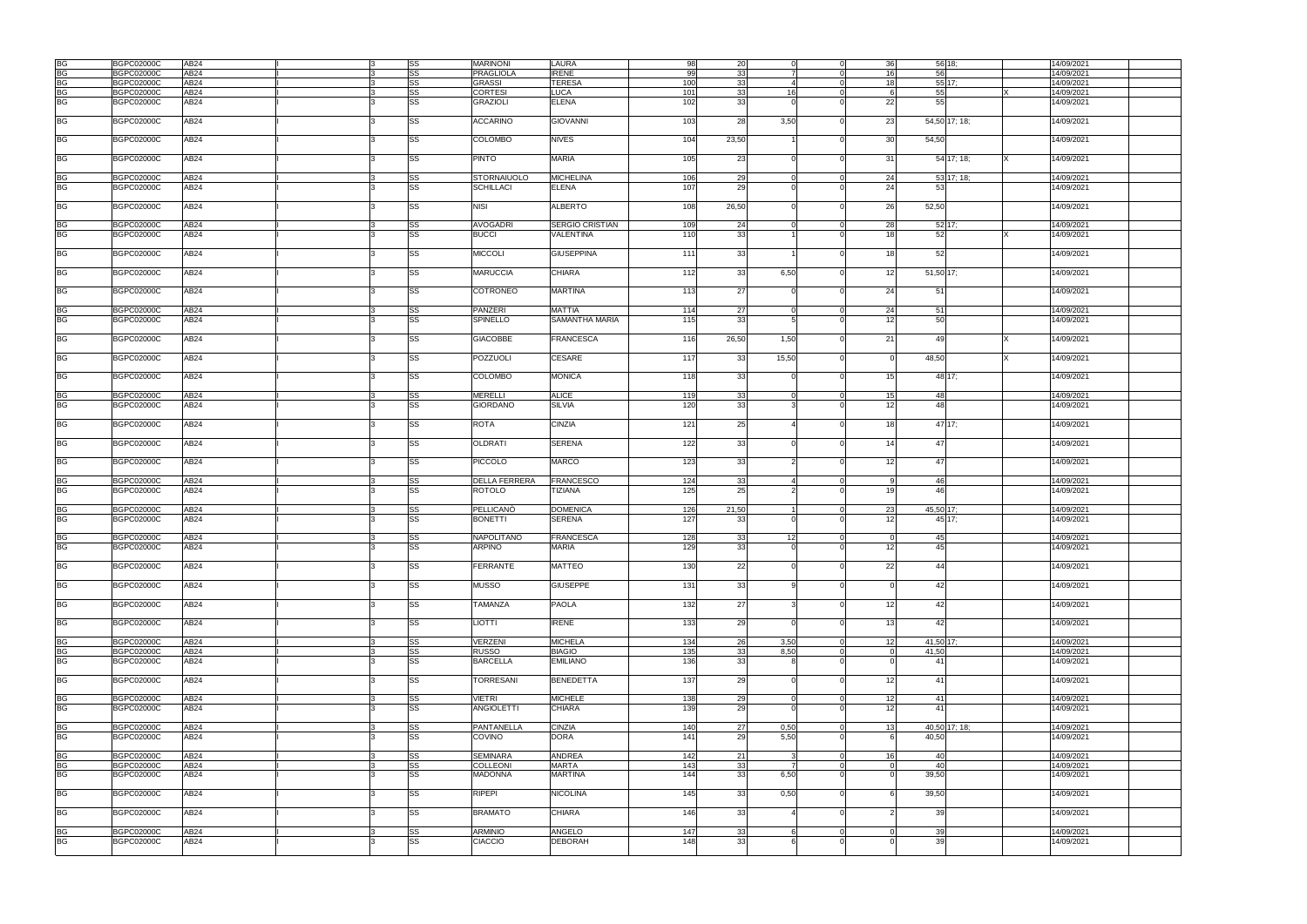| <b>BG</b> | <b>BGPC02000C</b> | AB24             | SS | <b>MARINONI</b>      | LAURA                  | 98  | 20              |       | 36<br>$\overline{0}$             | 56 18;    |               | 14/09/2021 |
|-----------|-------------------|------------------|----|----------------------|------------------------|-----|-----------------|-------|----------------------------------|-----------|---------------|------------|
| <b>BG</b> | <b>BGPC02000C</b> | AB24             | SS | <b>PRAGLIOLA</b>     | <b>IRENE</b>           | 99  | 33              |       | 16                               | 56        |               | 14/09/2021 |
|           |                   |                  |    |                      |                        |     |                 |       |                                  |           |               |            |
| <b>BG</b> | <b>BGPC02000C</b> | AB <sub>24</sub> | SS | <b>GRASSI</b>        | <b>TERESA</b>          | 100 | 33              |       | 18<br>$\Omega$                   | $55$ 17;  |               | 14/09/2021 |
| <b>BG</b> | <b>BGPC02000C</b> | AB24             | SS | <b>CORTESI</b>       | <b>LUCA</b>            | 101 | 33              | 16    | $\Omega$<br>- 6                  | 55        |               | 14/09/2021 |
| <b>BG</b> | <b>BGPC02000C</b> | AB <sub>24</sub> | SS | <b>GRAZIOLI</b>      | <b>ELENA</b>           | 102 | 33              |       | 22                               | 55        |               |            |
|           |                   |                  |    |                      |                        |     |                 |       |                                  |           |               | 14/09/2021 |
|           |                   |                  |    |                      |                        |     |                 |       |                                  |           |               |            |
| <b>BG</b> | <b>BGPC02000C</b> | AB24             | SS | <b>ACCARINO</b>      | <b>GIOVANNI</b>        | 103 | 28              | 3,50  | $\Omega$<br>23                   |           | 54,50 17; 18; | 14/09/2021 |
|           |                   |                  |    |                      |                        |     |                 |       |                                  |           |               |            |
|           |                   |                  |    |                      |                        |     |                 |       |                                  |           |               |            |
| <b>BG</b> | <b>BGPC02000C</b> | AB24             | SS | COLOMBO              | <b>NIVES</b>           | 104 | 23,50           |       | 30                               | 54,50     |               | 14/09/2021 |
|           |                   |                  |    |                      |                        |     |                 |       |                                  |           |               |            |
|           |                   |                  |    |                      |                        |     |                 |       |                                  |           |               |            |
| <b>BG</b> | <b>BGPC02000C</b> | AB24             | SS | <b>PINTO</b>         | <b>MARIA</b>           | 105 | 23              |       | 31                               |           | 54 17; 18;    | 14/09/2021 |
|           |                   |                  |    |                      |                        |     |                 |       |                                  |           |               |            |
|           |                   |                  |    |                      |                        |     |                 |       |                                  |           |               |            |
| <b>BG</b> | <b>BGPC02000C</b> | AB <sub>24</sub> | SS | <b>STORNAIUOLO</b>   | <b>MICHELINA</b>       | 106 | 29              |       | 24<br>$\Omega$                   |           | 53 17; 18;    | 14/09/2021 |
| <b>BG</b> |                   | AB <sub>24</sub> | SS |                      |                        | 107 | 29              |       |                                  | 53        |               |            |
|           | <b>BGPC02000C</b> |                  |    | <b>SCHILLACI</b>     | <b>ELENA</b>           |     |                 |       | 24                               |           |               | 14/09/2021 |
|           |                   |                  |    |                      |                        |     |                 |       |                                  |           |               |            |
| BG        | <b>BGPC02000C</b> | AB24             | SS | <b>NISI</b>          | <b>ALBERTO</b>         | 108 | 26,50           |       | 26<br>$\Omega$                   | 52,50     |               | 14/09/2021 |
|           |                   |                  |    |                      |                        |     |                 |       |                                  |           |               |            |
|           |                   |                  |    |                      |                        |     |                 |       |                                  |           |               |            |
| <b>BG</b> | <b>BGPC02000C</b> | AB24             | SS | <b>AVOGADRI</b>      | <b>SERGIO CRISTIAN</b> | 109 | 24              |       | 28<br>$\Omega$                   | $52$ 17;  |               | 14/09/2021 |
| <b>BG</b> |                   |                  |    |                      |                        |     |                 |       |                                  |           |               |            |
|           | <b>BGPC02000C</b> | AB24             | SS | <b>BUCCI</b>         | VALENTINA              | 110 | 33              |       | 18                               | 52        |               | 14/09/2021 |
|           |                   |                  |    |                      |                        |     |                 |       |                                  |           |               |            |
| <b>BG</b> | <b>BGPC02000C</b> | AB24             | SS | <b>MICCOLI</b>       | <b>GIUSEPPINA</b>      | 111 | 33              |       | 18<br>$\Omega$                   | 52        |               | 14/09/2021 |
|           |                   |                  |    |                      |                        |     |                 |       |                                  |           |               |            |
|           |                   |                  |    |                      |                        |     |                 |       |                                  |           |               |            |
| <b>BG</b> | <b>BGPC02000C</b> | AB <sub>24</sub> | SS | <b>MARUCCIA</b>      | <b>CHIARA</b>          | 112 | 33              | 6,50  | 12<br>$\Omega$                   | 51,50 17; |               | 14/09/2021 |
|           |                   |                  |    |                      |                        |     |                 |       |                                  |           |               |            |
|           |                   |                  |    |                      |                        |     |                 |       |                                  |           |               |            |
| <b>BG</b> | <b>BGPC02000C</b> | AB24             | SS | <b>COTRONEO</b>      | <b>MARTINA</b>         | 113 | 27              |       | 24<br>$\Omega$                   | 51        |               | 14/09/2021 |
|           |                   |                  |    |                      |                        |     |                 |       |                                  |           |               |            |
|           |                   |                  |    |                      |                        |     |                 |       |                                  |           |               |            |
| <b>BG</b> | <b>BGPC02000C</b> | AB24             | SS | <b>PANZERI</b>       | <b>MATTIA</b>          | 114 | 27              |       | 24<br>$\Omega$                   | 51        |               | 14/09/2021 |
| <b>BG</b> | <b>BGPC02000C</b> | AB24             | SS | <b>SPINELLO</b>      | <b>SAMANTHA MARIA</b>  | 115 | 33              |       | 12                               | 50        |               | 14/09/2021 |
|           |                   |                  |    |                      |                        |     |                 |       |                                  |           |               |            |
|           |                   |                  |    |                      |                        |     |                 |       |                                  |           |               |            |
| <b>BG</b> | <b>BGPC02000C</b> | AB24             | SS | <b>GIACOBBE</b>      | <b>FRANCESCA</b>       | 116 | 26,50           | 1,50  | 21<br>$\Omega$                   | 49        |               | 14/09/2021 |
|           |                   |                  |    |                      |                        |     |                 |       |                                  |           |               |            |
|           |                   |                  |    |                      |                        |     |                 |       |                                  |           |               |            |
| <b>BG</b> | <b>BGPC02000C</b> | AB <sub>24</sub> | SS | POZZUOLI             | CESARE                 | 117 | 33              | 15,50 | $\Omega$<br>$\Omega$             | 48,50     |               | 14/09/2021 |
|           |                   |                  |    |                      |                        |     |                 |       |                                  |           |               |            |
|           |                   |                  |    |                      |                        |     |                 |       |                                  |           |               |            |
| BG        | <b>BGPC02000C</b> | AB <sub>24</sub> | SS | <b>COLOMBO</b>       | <b>MONICA</b>          | 118 | 33              |       | 15<br>$\Omega$                   |           | 48 17;        | 14/09/2021 |
|           |                   |                  |    |                      |                        |     |                 |       |                                  |           |               |            |
|           |                   |                  |    |                      |                        |     |                 |       |                                  |           |               |            |
| <b>BG</b> | <b>BGPC02000C</b> | AB24             | SS | <b>MERELLI</b>       | <b>ALICE</b>           | 119 | 33              |       | 15<br>$\Omega$                   | 48        |               | 14/09/2021 |
| <b>BG</b> | <b>BGPC02000C</b> | AB24             | SS | <b>GIORDANO</b>      | <b>SILVIA</b>          | 120 | 33 <sup>1</sup> |       | 12                               | 48        |               | 14/09/2021 |
|           |                   |                  |    |                      |                        |     |                 |       |                                  |           |               |            |
|           |                   |                  |    |                      |                        |     |                 |       |                                  |           |               |            |
| <b>BG</b> | <b>BGPC02000C</b> | AB <sub>24</sub> | SS | <b>ROTA</b>          | <b>CINZIA</b>          | 121 | 25              |       | 18                               |           | 47 17;        | 14/09/2021 |
|           |                   |                  |    |                      |                        |     |                 |       |                                  |           |               |            |
|           |                   |                  |    |                      |                        |     |                 |       |                                  |           |               |            |
| BG        | <b>BGPC02000C</b> | AB24             | SS | <b>OLDRATI</b>       | <b>SERENA</b>          | 122 | 33              |       | 14<br>$\Omega$                   | 47        |               | 14/09/2021 |
|           |                   |                  |    |                      |                        |     |                 |       |                                  |           |               |            |
|           |                   |                  |    |                      |                        |     |                 |       |                                  |           |               |            |
| <b>BG</b> | <b>BGPC02000C</b> | AB24             | SS | <b>PICCOLO</b>       | <b>MARCO</b>           | 123 | 33              |       | 12                               | 47        |               | 14/09/2021 |
|           |                   |                  |    |                      |                        |     |                 |       |                                  |           |               |            |
|           |                   |                  |    |                      |                        |     |                 |       |                                  |           |               |            |
| <b>BG</b> | <b>BGPC02000C</b> | AB <sub>24</sub> | SS | <b>DELLA FERRERA</b> | <b>FRANCESCO</b>       | 124 | 33              |       | $\Omega$<br>9                    | 46        |               | 14/09/2021 |
| <b>BG</b> | <b>BGPC02000C</b> | AB <sub>24</sub> | SS | <b>ROTOLO</b>        | <b>TIZIANA</b>         | 125 | 25              |       | 19                               | 46        |               | 14/09/2021 |
|           |                   |                  |    |                      |                        |     |                 |       |                                  |           |               |            |
|           |                   |                  |    |                      |                        |     |                 |       |                                  |           |               |            |
| <b>BG</b> | <b>BGPC02000C</b> | AB24             | SS | PELLICANO            | <b>DOMENICA</b>        | 126 | 21,50           |       | $\Omega$<br>23                   | 45,50 17; |               | 14/09/2021 |
| <b>BG</b> | <b>BGPC02000C</b> | AB24             |    | <b>BONETTI</b>       | <b>SERENA</b>          |     |                 |       | $\Omega$                         |           | 45 17:        |            |
|           |                   |                  | SS |                      |                        | 127 | 33              |       | 12                               |           |               | 14/09/2021 |
|           |                   |                  |    |                      |                        |     |                 |       |                                  |           |               |            |
| <b>BG</b> | <b>BGPC02000C</b> | AB24             | SS | <b>NAPOLITANO</b>    | <b>FRANCESCA</b>       | 128 | 33              | 12    | $\Omega$                         | 45        |               | 14/09/2021 |
|           |                   |                  |    |                      |                        |     |                 |       |                                  |           |               |            |
| <b>BG</b> | <b>BGPC02000C</b> | AB24             | SS | <b>ARPINO</b>        | <b>MARIA</b>           | 129 |                 |       |                                  | 45        |               | 14/09/2021 |
|           |                   |                  |    |                      |                        |     | 33              |       | 12                               |           |               |            |
|           |                   |                  | SS |                      |                        |     |                 |       |                                  |           |               |            |
| <b>BG</b> | <b>BGPC02000C</b> | AB24             |    |                      |                        |     |                 |       |                                  |           |               |            |
|           |                   |                  |    | <b>FERRANTE</b>      | <b>MATTEO</b>          | 130 | 22              |       | 22<br>$\Omega$                   | 44        |               | 14/09/2021 |
| <b>BG</b> | <b>BGPC02000C</b> |                  |    |                      |                        |     |                 |       |                                  |           |               |            |
|           |                   |                  |    |                      |                        |     |                 |       |                                  |           |               |            |
|           |                   | AB <sub>24</sub> | SS | <b>MUSSO</b>         | <b>GIUSEPPE</b>        | 131 | 33              |       | $\Omega$<br>$\Omega$             | 42        |               | 14/09/2021 |
|           |                   |                  |    |                      |                        |     |                 |       |                                  |           |               |            |
|           |                   |                  |    |                      |                        |     |                 |       |                                  |           |               |            |
| BG        | <b>BGPC02000C</b> | AB24             | SS | <b>TAMANZA</b>       | <b>PAOLA</b>           | 132 | 27              |       | 12<br>$\Omega$                   | 42        |               | 14/09/2021 |
|           |                   |                  |    |                      |                        |     |                 |       |                                  |           |               |            |
|           |                   |                  |    |                      |                        |     |                 |       | $\Omega$                         | 42        |               |            |
| <b>BG</b> | <b>BGPC02000C</b> | AB <sub>24</sub> | SS | <b>LIOTTI</b>        | <b>IRENE</b>           | 133 | 29              |       | 13                               |           |               | 14/09/2021 |
|           |                   |                  |    |                      |                        |     |                 |       |                                  |           |               |            |
| <b>BG</b> | <b>BGPC02000C</b> | AB24             | SS | <b>VERZENI</b>       | <b>MICHELA</b>         | 134 | 26              | 3,50  | $\overline{0}$<br>12             | 41,50 17; |               | 14/09/2021 |
|           |                   |                  |    |                      |                        |     |                 |       |                                  |           |               |            |
| <b>BG</b> | <b>BGPC02000C</b> | AB24             | SS | <b>RUSSO</b>         | <b>BIAGIO</b>          | 135 | 33              | 8.50  | $\overline{0}$<br>$\overline{0}$ | 41,50     |               | 14/09/2021 |
| <b>BG</b> | <b>BGPC02000C</b> | AB24             | SS | <b>BARCELLA</b>      | <b>EMILIANO</b>        | 136 | 33              |       | $\Omega$<br>$\Omega$             | 41        |               | 14/09/2021 |
|           |                   |                  |    |                      |                        |     |                 |       |                                  |           |               |            |
|           |                   |                  |    |                      |                        |     |                 |       |                                  |           |               |            |
| <b>BG</b> | <b>BGPC02000C</b> | AB <sub>24</sub> | SS | <b>TORRESANI</b>     | <b>BENEDETTA</b>       | 137 | 29              |       | 12<br>$\Omega$                   | 41        |               | 14/09/2021 |
|           |                   |                  |    |                      |                        |     |                 |       |                                  |           |               |            |
|           |                   |                  |    |                      |                        |     |                 |       |                                  |           |               |            |
| <b>BG</b> | <b>BGPC02000C</b> | AB24             | SS | <b>VIETRI</b>        | <b>MICHELE</b>         | 138 | 29              |       | 12<br>$\Omega$                   | 41        |               | 14/09/2021 |
| <b>BG</b> | BGPC02000C        | AB <sub>24</sub> | SS | <b>ANGIOLETTI</b>    | <b>CHIARA</b>          | 139 | 29              |       | 12<br>$\Omega$                   | 41        |               | 14/09/2021 |
|           |                   |                  |    |                      |                        |     |                 |       |                                  |           |               |            |
|           |                   |                  |    |                      |                        |     |                 |       |                                  |           |               |            |
| <b>BG</b> | <b>BGPC02000C</b> | AB24             | SS | PANTANELLA           | <b>CINZIA</b>          | 140 | 27              | 0,50  | $\overline{0}$<br>13             |           | 40,50 17; 18; | 14/09/2021 |
|           |                   |                  |    |                      |                        |     |                 |       | $\Omega$<br>-6                   |           |               |            |
| <b>BG</b> | <b>BGPC02000C</b> | AB24             | SS | <b>COVINO</b>        | <b>DORA</b>            | 141 | 29              | 5,50  |                                  | 40,50     |               | 14/09/2021 |
|           |                   |                  |    |                      |                        |     |                 |       |                                  |           |               |            |
| <b>BG</b> | <b>BGPC02000C</b> | AB24             | SS | <b>SEMINARA</b>      | <b>ANDREA</b>          | 142 |                 |       | $\overline{0}$<br>16             | 40        |               | 14/09/2021 |
|           |                   |                  |    |                      |                        |     | 21              |       |                                  |           |               |            |
| BG        | <b>BGPC02000C</b> | AB24             | SS | <b>COLLEONI</b>      | <b>MARTA</b>           | 143 | 33              |       | $\Omega$<br>$\Omega$             | -40       |               | 14/09/2021 |
| <b>BG</b> | <b>BGPC02000C</b> | AB24             | SS | <b>MADONNA</b>       | <b>MARTINA</b>         | 144 | 33              | 6,50  | $\Omega$                         | 39,50     |               | 14/09/2021 |
|           |                   |                  |    |                      |                        |     |                 |       |                                  |           |               |            |
|           |                   |                  |    |                      |                        |     |                 |       |                                  |           |               |            |
| <b>BG</b> | <b>BGPC02000C</b> | AB24             | SS | <b>RIPEPI</b>        | <b>NICOLINA</b>        | 145 | 33              | 0,50  |                                  | 39,50     |               | 14/09/2021 |
|           |                   |                  |    |                      |                        |     |                 |       |                                  |           |               |            |
|           |                   |                  |    |                      |                        |     |                 |       |                                  |           |               |            |
| BG        | <b>BGPC02000C</b> | AB24             | SS | <b>BRAMATO</b>       | <b>CHIARA</b>          | 146 | 33              |       | $\Omega$                         | 39        |               | 14/09/2021 |
|           |                   |                  |    |                      |                        |     |                 |       |                                  |           |               |            |
|           |                   |                  |    |                      |                        |     |                 |       |                                  |           |               |            |
| <b>BG</b> | <b>BGPC02000C</b> | AB24             | SS | <b>ARMINIO</b>       | ANGELO                 | 147 | 33              |       | $\overline{0}$<br>$\Omega$       | 39        |               | 14/09/2021 |
|           |                   |                  |    |                      |                        |     |                 |       | $\Omega$                         |           |               |            |
| <b>BG</b> | <b>BGPC02000C</b> | AB24             | SS | <b>CIACCIO</b>       | <b>DEBORAH</b>         | 148 | 33              |       |                                  | 39        |               | 14/09/2021 |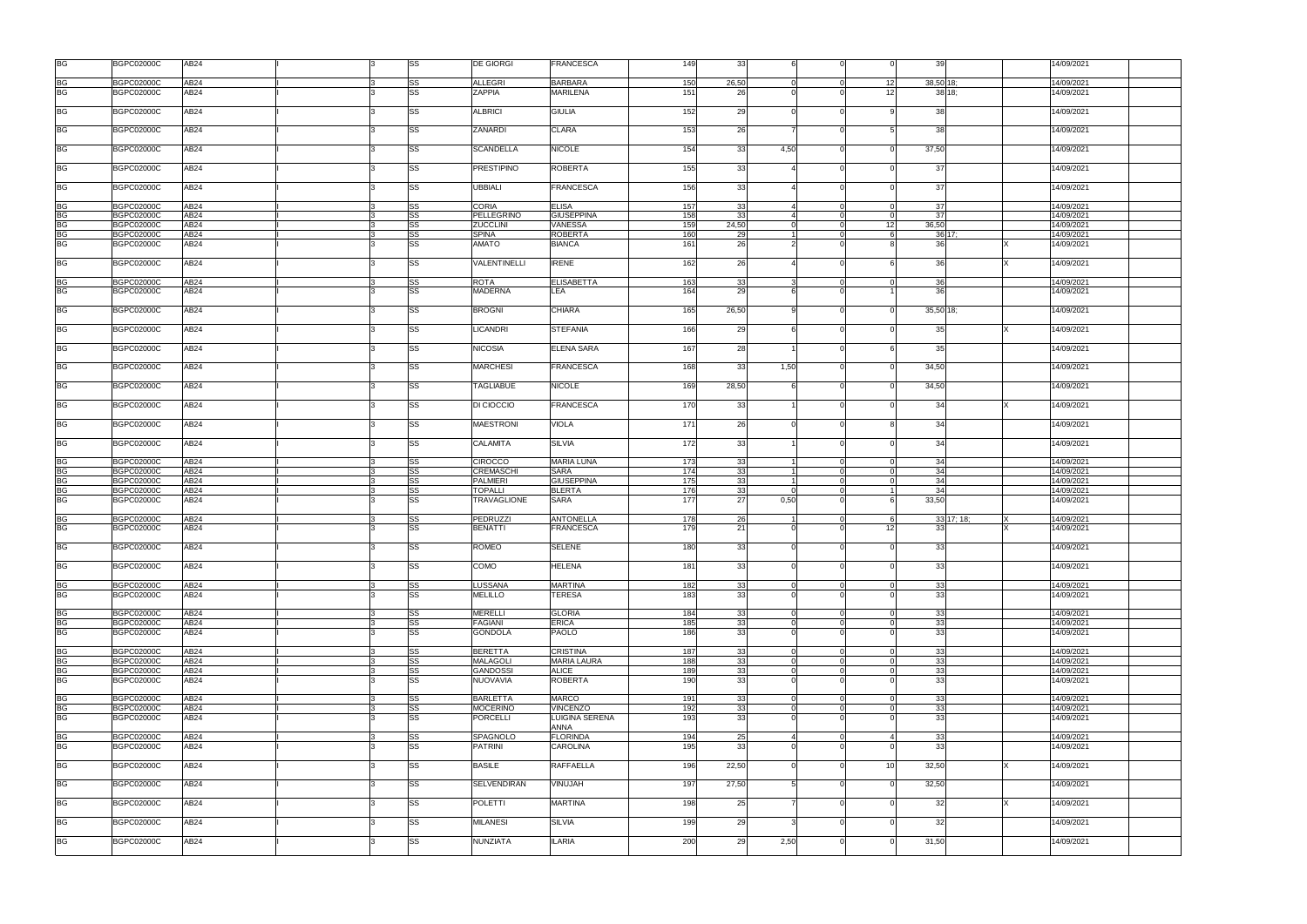| <b>BG</b>              | <b>BGPC02000C</b><br>AB24                       | <b>SS</b>              | <b>DE GIORGI</b>            | <b>FRANCESCA</b>                     | 149              | 33       |                      |                             | 39               | 14/09/2021               |  |
|------------------------|-------------------------------------------------|------------------------|-----------------------------|--------------------------------------|------------------|----------|----------------------|-----------------------------|------------------|--------------------------|--|
| <b>BG</b>              | <b>BGPC02000C</b><br>AB24                       | <b>SS</b>              | <b>ALLEGRI</b>              | <b>BARBARA</b>                       | 150              | 26,50    | $\Omega$             | 12<br>$\Omega$              | 38,50 18;        | 14/09/2021               |  |
| <b>BG</b>              | <b>BGPC02000C</b><br>AB24                       | <b>SS</b>              | <b>ZAPPIA</b>               | <b>MARILENA</b>                      | 151              | 26       |                      | 12 <sup>1</sup>             | 38 18;           | 14/09/2021               |  |
| <b>BG</b>              | <b>BGPC02000C</b><br>AB24                       | <b>SS</b>              | <b>ALBRICI</b>              | <b>GIULIA</b>                        | 152              | 29       |                      | $\Omega$                    | 38               | 14/09/2021               |  |
| <b>BG</b>              | <b>BGPC02000C</b><br>AB24                       | <b>SS</b>              | ZANARDI                     | <b>CLARA</b>                         | 153              | 26       |                      |                             | 38               | 14/09/2021               |  |
| <b>BG</b>              | AB <sub>24</sub><br><b>BGPC02000C</b>           | <b>SS</b>              | <b>SCANDELLA</b>            | <b>NICOLE</b>                        | 154              | 33       | 4,50                 | $\Omega$                    | 37,50            | 14/09/2021               |  |
| <b>BG</b>              | <b>BGPC02000C</b><br>AB24                       | <b>SS</b>              | <b>PRESTIPINO</b>           | <b>ROBERTA</b>                       | 155              | 33       |                      | $\Omega$                    | 37               | 14/09/2021               |  |
| <b>BG</b>              | <b>BGPC02000C</b><br>AB24                       | <b>SS</b>              | UBBIALI                     | <b>FRANCESCA</b>                     | 156              | 33       |                      | $\Omega$                    | 37               | 14/09/2021               |  |
| <b>BG</b>              | <b>BGPC02000C</b><br>AB24                       | <b>SS</b>              | <b>CORIA</b>                | <b>ELISA</b>                         | 157              | 33       |                      | $\Omega$                    | 37               | 14/09/2021               |  |
| <b>BG</b>              | <b>BGPC02000C</b><br>AB24                       | <b>SS</b>              | PELLEGRINO                  | <b>GIUSEPPINA</b>                    | 158              | 33       |                      | $\Omega$                    | 37               | 14/09/2021               |  |
| <b>BG</b>              | <b>BGPC02000C</b><br>AB24                       | SS                     | <b>ZUCCLINI</b>             | VANESSA                              | 159              | 24,50    | $\Omega$             | 12<br>$\Omega$              | 36,50            | 14/09/2021               |  |
| <b>BG</b>              | <b>BGPC02000C</b><br>AB24                       | <b>SS</b>              | <b>SPINA</b>                | <b>ROBERTA</b>                       | 160              | 29       |                      | $\Omega$                    | 3617;            | 14/09/2021               |  |
| <b>BG</b>              | <b>BGPC02000C</b><br>AB24                       | SS                     | <b>AMATO</b>                | <b>BIANCA</b>                        | 161              | 26       |                      | $\Omega$                    | -36              | 14/09/2021               |  |
| <b>BG</b>              | <b>BGPC02000C</b><br>AB24                       | <b>SS</b>              | VALENTINELLI                | <b>IRENE</b>                         | 162              | 26       |                      | $\Omega$                    | 36               | 14/09/2021               |  |
|                        | <b>BGPC02000C</b><br>AB24                       | <b>SS</b>              | <b>ROTA</b>                 | <b>ELISABETTA</b>                    |                  |          |                      |                             | 36               | 14/09/2021               |  |
| $rac{BG}{BG}$          | AB24<br><b>BGPC02000C</b>                       | <b>SS</b>              | <b>MADERNA</b>              | LEA                                  | 163<br>164       | 33<br>29 |                      |                             | 36               | 14/09/2021               |  |
|                        |                                                 |                        |                             |                                      |                  |          |                      |                             |                  |                          |  |
| <b>BG</b>              | <b>BGPC02000C</b><br>AB24                       | SS                     | <b>BROGNI</b>               | <b>CHIARA</b>                        | 165              | 26,50    |                      | $\Omega$                    | 35,50 18;        | 14/09/2021               |  |
| <b>BG</b>              | <b>BGPC02000C</b><br>AB24                       | <b>SS</b>              | <b>LICANDRI</b>             | <b>STEFANIA</b>                      | 166              | 29       |                      | $\Omega$                    | 35               | 14/09/2021               |  |
| <b>BG</b>              | <b>BGPC02000C</b><br>AB24                       | <b>SS</b>              | <b>NICOSIA</b>              | <b>ELENA SARA</b>                    | 167              | 28       |                      | $\Omega$                    | 35               | 14/09/2021               |  |
| <b>BG</b>              | AB <sub>24</sub><br><b>BGPC02000C</b>           | <b>SS</b>              | <b>MARCHESI</b>             | <b>FRANCESCA</b>                     | 168              | 33       | 1,50                 | $\Omega$                    | 34,50            | 14/09/2021               |  |
| <b>BG</b>              | <b>BGPC02000C</b><br>AB24                       | <b>SS</b>              | <b>TAGLIABUE</b>            | <b>NICOLE</b>                        | 169              | 28,50    |                      | $\Omega$                    | 34,50            | 14/09/2021               |  |
| <b>BG</b>              | <b>BGPC02000C</b><br>AB24                       | <b>SS</b>              | DI CIOCCIO                  | <b>FRANCESCA</b>                     | 170              | 33       |                      | $\Omega$                    | 34               | 14/09/2021               |  |
| <b>BG</b>              | <b>BGPC02000C</b><br>AB24                       | <b>SS</b>              | <b>MAESTRONI</b>            | <b>VIOLA</b>                         | 171              | 26       |                      | $\Omega$                    | 34               | 14/09/2021               |  |
| <b>BG</b>              | AB24<br><b>BGPC02000C</b>                       | <b>SS</b>              | CALAMITA                    | <b>SILVIA</b>                        | $\overline{172}$ | 33       |                      |                             | 34               | 14/09/2021               |  |
|                        |                                                 |                        |                             |                                      |                  |          |                      |                             |                  |                          |  |
|                        |                                                 |                        |                             |                                      |                  |          |                      | $\Omega$                    |                  |                          |  |
| <b>BG</b>              | <b>BGPC02000C</b><br>AB24                       | <b>SS</b>              | <b>CIROCCO</b>              | <b>MARIA LUNA</b>                    | 173              | 33       |                      | $\Omega$                    | 34               | 14/09/2021               |  |
| <b>BG</b>              | <b>BGPC02000C</b><br>AB24                       | <b>SS</b>              | <b>CREMASCHI</b>            | <b>SARA</b>                          | 174              | 33       |                      | $\Omega$                    | 34               | 14/09/2021               |  |
| <b>BG</b>              | AB24<br>BGPC02000C                              | <b>SS</b>              | <b>PALMIERI</b>             | <b>GIUSEPPINA</b>                    | 175              | 33       | $\Omega$             |                             | 34               | 14/09/2021               |  |
|                        | <b>BGPC02000C</b><br>AB24                       | <b>SS</b>              | <b>TOPALLI</b>              | <b>BLERTA</b>                        | 176              | 33       |                      | $\Omega$                    | 34               | 14/09/2021               |  |
| BG<br>BG               | AB24<br><b>BGPC02000C</b>                       | <b>SS</b>              | TRAVAGLIONE                 | <b>SARA</b>                          | 177              | 27       | 0,50                 | $\Omega$                    | 33,50            | 14/09/2021               |  |
|                        |                                                 |                        |                             |                                      |                  |          |                      |                             |                  |                          |  |
| <b>BG</b><br><b>BG</b> | <b>BGPC02000C</b><br>AB24<br>AB24<br>BGPC02000C | SS<br>SS               | PEDRUZZI<br><b>BENATTI</b>  | <b>ANTONELLA</b><br><b>FRANCESCA</b> | 178<br>179       | 26<br>21 |                      | $\Omega$<br>12              | 33 17; 18;<br>33 | 14/09/2021<br>14/09/2021 |  |
| <b>BG</b>              | <b>BGPC02000C</b><br>AB24                       | <b>SS</b>              | ROMEO                       | <b>SELENE</b>                        | 180              | 33       | $\Omega$             | $\Omega$                    | 33<br>$\Omega$   | 14/09/2021               |  |
| <b>BG</b>              | <b>BGPC02000C</b><br>AB24                       | SS                     | COMO                        | <b>HELENA</b>                        | 181              | 33       | $\Omega$             | ∩                           | 33               | 14/09/2021               |  |
|                        |                                                 |                        |                             |                                      |                  |          |                      |                             |                  |                          |  |
| <b>BG</b>              | <b>BGPC02000C</b><br>AB24                       | <b>SS</b>              | LUSSANA                     | <b>MARTINA</b>                       | 182              | 33       | $\Omega$             | $\Omega$                    | 33               | 14/09/2021               |  |
| BG                     | <b>BGPC02000C</b><br>AB24                       | <b>SS</b>              | <b>MELILLO</b>              | TERESA                               | 183              | 33       |                      |                             | 33               | 14/09/2021               |  |
|                        |                                                 |                        |                             |                                      |                  |          | $\Omega$             |                             |                  |                          |  |
| <b>BG</b>              | <b>BGPC02000C</b><br>AB24                       | <b>SS</b>              | <b>MERELLI</b>              | <b>GLORIA</b>                        | 184              | 33       |                      | $\Omega$<br>$\Omega$        | 33               | 14/09/2021               |  |
| <b>BG</b>              | <b>BGPC02000C</b><br>AB24                       | <b>SS</b>              | <b>FAGIANI</b>              | <b>ERICA</b>                         | 185              | 33       | $\Omega$<br>$\Omega$ | $\Omega$                    | 33               | 14/09/2021               |  |
| <b>BG</b>              | <b>BGPC02000C</b><br>AB24                       | <b>SS</b>              | <b>GONDOLA</b>              | <b>PAOLO</b>                         | 186              | 33       |                      |                             | 33               | 14/09/2021               |  |
|                        |                                                 |                        |                             |                                      |                  |          | $\Omega$             | $\Omega$                    |                  |                          |  |
| <b>BG</b>              | <b>BGPC02000C</b><br>AB <sub>24</sub>           | <b>SS</b>              | <b>BERETTA</b>              | <b>CRISTINA</b>                      | 187              | 33       | $\Omega$             | $\Omega$                    | 33               | 14/09/2021               |  |
| <b>BG</b>              | <b>BGPC02000C</b><br>AB24<br><b>BGPC02000C</b>  | <b>SS</b>              | <b>MALAGOLI</b>             | <b>MARIA LAURA</b>                   | 188              | 33       |                      | ∩                           | 33               | 14/09/2021               |  |
| BG<br>BG               | AB24<br>AB24<br><b>BGPC02000C</b>               | <b>SS</b><br><b>SS</b> | <b>GANDOSSI</b><br>NUOVAVIA | <b>ALICE</b><br><b>ROBERTA</b>       | 189<br>190       | 33<br>33 |                      |                             | 33<br>33         | 14/09/2021<br>14/09/2021 |  |
|                        |                                                 |                        |                             |                                      |                  |          | $\Omega$             | $\Omega$                    |                  |                          |  |
| <b>BG</b>              | <b>BGPC02000C</b><br>AB24                       | <b>SS</b>              | <b>BARLETTA</b>             | <b>MARCO</b>                         | 191              | 33       | $\Omega$             | $\Omega$<br>$\Omega$        | 33               | 14/09/2021               |  |
|                        | <b>BGPC02000C</b><br>AB24                       | <b>SS</b>              | <b>MOCERINO</b>             | <b>VINCENZO</b>                      | 192              | 33       |                      |                             | 33               | 14/09/2021               |  |
| BG<br>BG               | <b>BGPC02000C</b><br>AB24                       | <b>SS</b>              | <b>PORCELLI</b>             | LUIGINA SERENA<br>ANNA               | 193              | 33       |                      |                             | 33               | 14/09/2021               |  |
|                        | <b>BGPC02000C</b>                               | <b>SS</b>              | SPAGNOLO                    | <b>FLORINDA</b>                      | 194              |          | $\mathbf 4$          | $\Omega$                    | 33               |                          |  |
| <b>BG</b><br><b>BG</b> | AB <sub>24</sub><br>AB24<br><b>BGPC02000C</b>   | <b>SS</b>              | <b>PATRINI</b>              | <b>CAROLINA</b>                      | 195              | 25<br>33 |                      |                             | 33               | 14/09/2021<br>14/09/2021 |  |
| <b>BG</b>              | <b>BGPC02000C</b><br>AB <sub>24</sub>           | <b>SS</b>              | <b>BASILE</b>               | <b>RAFFAELLA</b>                     | 196              | 22,50    |                      | 10 <sup>1</sup><br>$\Omega$ | 32,50            | 14/09/2021               |  |
| <b>BG</b>              | <b>BGPC02000C</b><br>AB24                       | <b>SS</b>              | SELVENDIRAN                 | VINUJAH                              | 197              | 27,50    | 5                    | $\Omega$                    | 32,50            | 14/09/2021               |  |
| <b>BG</b>              | <b>BGPC02000C</b><br>AB24                       | SS                     | POLETTI                     | <b>MARTINA</b>                       | 198              | 25       |                      | $\Omega$                    | 32               | 14/09/2021               |  |
| <b>BG</b>              | AB24<br><b>BGPC02000C</b>                       | <b>SS</b>              | <b>MILANESI</b>             | <b>SILVIA</b>                        | 199              | 29       | $\mathbf{B}$         | $\Omega$                    | 32               | 14/09/2021               |  |
| <b>BG</b>              | <b>BGPC02000C</b><br>AB <sub>24</sub>           | SS                     | NUNZIATA                    | <b>ILARIA</b>                        | 200              | 29       | 2,50                 | $\Omega$                    | 31,50            | 14/09/2021               |  |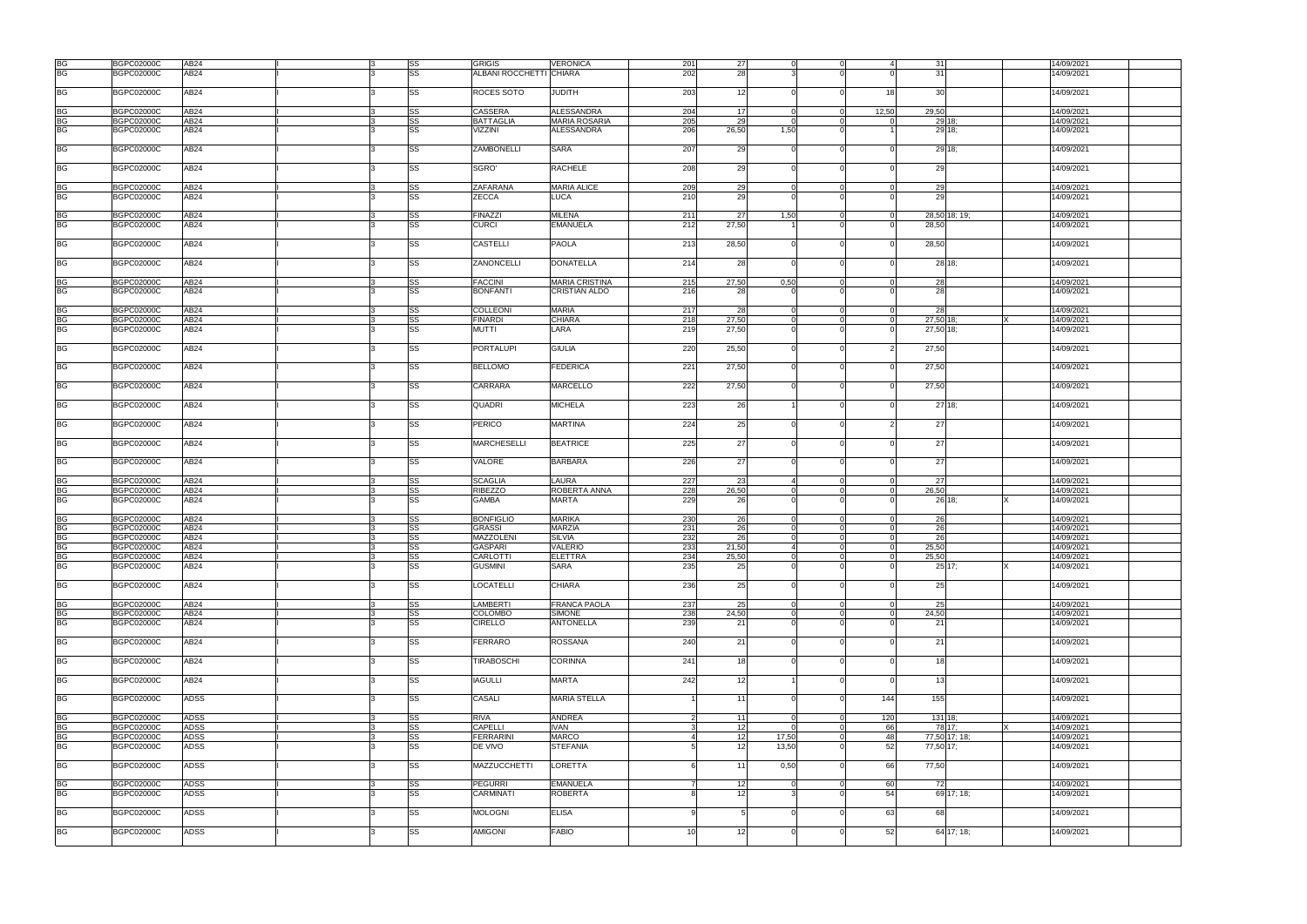| BG              | <b>BGPC02000C</b> | AB24             |   | SS        | <b>GRIGIS</b>           | <b>VERONICA</b>       | 201             | 27    |          | $\Omega$       |          | 31            | 14/09/2021 |
|-----------------|-------------------|------------------|---|-----------|-------------------------|-----------------------|-----------------|-------|----------|----------------|----------|---------------|------------|
|                 |                   |                  |   |           |                         |                       |                 |       |          |                |          |               |            |
| <b>BG</b>       | <b>BGPC02000C</b> | AB24             |   | SS        | ALBANI ROCCHETTI CHIARA |                       | 202             | 28    |          |                |          | 31            | 14/09/2021 |
|                 |                   |                  |   |           |                         |                       |                 |       |          |                |          |               |            |
| <b>BG</b>       | <b>BGPC02000C</b> | AB24             |   | SS        | ROCES SOTO              | JUDITH                | 203             | 12    |          | $\Omega$       | 18       | 30            | 14/09/2021 |
|                 |                   |                  |   |           |                         |                       |                 |       |          |                |          |               |            |
|                 |                   |                  |   |           |                         |                       |                 |       |          |                |          |               |            |
| BG              | <b>BGPC02000C</b> | AB24             |   | SS        | <b>CASSERA</b>          | <b>ALESSANDRA</b>     | 204             | 17    |          | $\Omega$       | 12.50    | 29.50         | 14/09/2021 |
| <b>BG</b>       | <b>BGPC02000C</b> | AB24             |   | SS        | <b>BATTAGLIA</b>        | <b>MARIA ROSARIA</b>  | 205             | 29    |          | $\Omega$       |          | 29 18:        | 14/09/2021 |
|                 |                   |                  |   |           |                         |                       |                 |       |          |                |          |               |            |
| <b>BG</b>       | <b>BGPC02000C</b> | AB24             |   | SS        | VIZZINI                 | <b>ALESSANDRA</b>     | 206             | 26,50 | 1,50     | $\Omega$       |          | 29 18:        | 14/09/2021 |
|                 |                   |                  |   |           |                         |                       |                 |       |          |                |          |               |            |
|                 |                   |                  |   |           |                         |                       |                 |       |          |                |          |               |            |
| <b>BG</b>       | <b>BGPC02000C</b> | AB24             |   | SS        | ZAMBONELLI              | <b>SARA</b>           | 207             | 29    |          | $\Omega$       |          | 29 18:        | 14/09/2021 |
|                 |                   |                  |   |           |                         |                       |                 |       |          |                |          |               |            |
| <b>BG</b>       | <b>BGPC02000C</b> | AB24             |   | SS        | SGRO'                   | <b>RACHELE</b>        | 208             | 29    |          | $\Omega$       |          | 29            | 14/09/2021 |
|                 |                   |                  |   |           |                         |                       |                 |       |          |                |          |               |            |
|                 |                   |                  |   |           |                         |                       |                 |       |          |                |          |               |            |
| <b>BG</b>       | <b>BGPC02000C</b> | AB24             |   | SS        | ZAFARANA                | <b>MARIA ALICE</b>    | 209             | 29    |          | $\Omega$       | $\Omega$ | 29            | 14/09/2021 |
|                 |                   |                  |   |           |                         |                       |                 |       |          | $\Omega$       |          |               |            |
| <b>BG</b>       | <b>BGPC02000C</b> | AB24             |   | SS        | <b>ZECCA</b>            | LUCA                  | 210             | 29    |          |                |          | 29            | 14/09/2021 |
|                 |                   |                  |   |           |                         |                       |                 |       |          |                |          |               |            |
| <b>BG</b>       | <b>BGPC02000C</b> | AB24             |   | SS        | <b>FINAZZI</b>          | <b>MILENA</b>         | 211             | 27    | 1,50     | $\Omega$       |          | 28,50 18; 19; | 14/09/2021 |
|                 |                   |                  |   |           |                         |                       |                 |       |          |                |          |               |            |
| <b>BG</b>       | <b>BGPC02000C</b> | AB24             |   | SS        | <b>CURCI</b>            | <b>EMANUELA</b>       | 212             | 27,50 |          |                |          | 28,50         | 14/09/2021 |
|                 |                   |                  |   |           |                         |                       |                 |       |          |                |          |               |            |
|                 |                   |                  |   |           | CASTELLI                |                       |                 |       |          | ി'             |          |               |            |
| <b>BG</b>       | <b>BGPC02000C</b> | AB24             |   | SS        |                         | <b>PAOLA</b>          | 213             | 28,50 |          |                |          | 28,50         | 14/09/2021 |
|                 |                   |                  |   |           |                         |                       |                 |       |          |                |          |               |            |
| <b>BG</b>       | <b>BGPC02000C</b> | AB <sub>24</sub> |   | SS        | ZANONCELLI              | <b>DONATELLA</b>      | 214             | 28    |          | $\Omega$       |          | 28 18:        | 14/09/2021 |
|                 |                   |                  |   |           |                         |                       |                 |       |          |                |          |               |            |
|                 |                   |                  |   |           |                         |                       |                 |       |          |                |          |               |            |
| <b>BG</b>       | <b>BGPC02000C</b> | AB24             |   | SS        | <b>FACCINI</b>          | <b>MARIA CRISTINA</b> | 215             | 27,50 | 0.50     | $\Omega$       |          | 28            | 14/09/2021 |
| <b>BG</b>       |                   | AB24             |   | <b>SS</b> |                         |                       | 216             |       |          |                |          | 28            |            |
|                 | <b>BGPC02000C</b> |                  |   |           | <b>BONFANTI</b>         | <b>CRISTIAN ALDO</b>  |                 | 28    |          |                |          |               | 14/09/2021 |
|                 |                   |                  |   |           |                         |                       |                 |       |          |                |          |               |            |
| <b>BG</b>       | <b>BGPC02000C</b> | AB24             |   | SS        | <b>COLLEONI</b>         | <b>MARIA</b>          | 217             | 28    | $\Omega$ | $\overline{0}$ | $\Omega$ | 28            | 14/09/2021 |
|                 |                   |                  |   |           |                         |                       |                 |       |          |                |          |               |            |
| <b>BG</b>       | <b>BGPC02000C</b> | AB24             |   | SS        | <b>FINARDI</b>          | <b>CHIARA</b>         | 218             | 27.50 | $\Omega$ | $\Omega$       | $\Omega$ | 27,50 18:     | 14/09/2021 |
| <b>BG</b>       | <b>BGPC02000C</b> | AB24             |   | SS        | <b>MUTTI</b>            | LARA                  | 219             | 27,50 |          |                |          | 27,50 18;     | 14/09/2021 |
|                 |                   |                  |   |           |                         |                       |                 |       |          |                |          |               |            |
|                 |                   |                  |   |           |                         |                       |                 |       |          |                |          |               |            |
| <b>BG</b>       | <b>BGPC02000C</b> | AB <sub>24</sub> |   | SS        | <b>PORTALUPI</b>        | <b>GIULIA</b>         | 220             | 25,50 |          | $\Omega$       |          | 27,50         | 14/09/2021 |
|                 |                   |                  |   |           |                         |                       |                 |       |          |                |          |               |            |
|                 |                   |                  |   |           |                         |                       |                 |       |          | $\Omega$       |          |               |            |
| <b>BG</b>       | <b>BGPC02000C</b> | AB24             |   | SS        | <b>BELLOMO</b>          | <b>FEDERICA</b>       | 221             | 27,50 |          |                |          | 27,50         | 14/09/2021 |
|                 |                   |                  |   |           |                         |                       |                 |       |          |                |          |               |            |
| <b>BG</b>       | <b>BGPC02000C</b> | AB24             |   | SS        | CARRARA                 | <b>MARCELLO</b>       | 222             | 27,50 |          |                |          | 27,50         | 14/09/2021 |
|                 |                   |                  |   |           |                         |                       |                 |       |          |                |          |               |            |
|                 |                   |                  |   |           |                         |                       |                 |       |          |                |          |               |            |
| <b>BG</b>       | <b>BGPC02000C</b> | AB24             |   | SS        | <b>QUADRI</b>           | <b>MICHELA</b>        | 223             | 26    |          | $\Omega$       |          | 27'18;        | 14/09/2021 |
|                 |                   |                  |   |           |                         |                       |                 |       |          |                |          |               |            |
|                 |                   |                  |   |           |                         |                       |                 |       |          |                |          |               |            |
| <b>BG</b>       | <b>BGPC02000C</b> | AB <sub>24</sub> |   | SS        | <b>PERICO</b>           | <b>MARTINA</b>        | 224             | 25    |          |                |          | 27            | 14/09/2021 |
|                 |                   |                  |   |           |                         |                       |                 |       |          |                |          |               |            |
|                 |                   |                  |   |           |                         |                       |                 |       |          |                |          |               |            |
| <b>BG</b>       | <b>BGPC02000C</b> | AB24             |   | SS        | <b>MARCHESELLI</b>      | <b>BEATRICE</b>       | 225             | 27    |          |                |          | 27            | 14/09/2021 |
|                 |                   |                  |   |           |                         |                       |                 |       |          |                |          |               |            |
|                 |                   |                  |   |           | <b>VALORE</b>           |                       |                 |       |          |                |          |               |            |
| <b>BG</b>       | <b>BGPC02000C</b> | AB <sub>24</sub> |   | SS        |                         | <b>BARBARA</b>        | 226             | 27    |          |                |          | 27            | 14/09/2021 |
|                 |                   |                  |   |           |                         |                       |                 |       |          |                |          |               |            |
| BG              | <b>BGPC02000C</b> | AB24             |   | SS        | <b>SCAGLIA</b>          | <b>LAURA</b>          | 227             | 23    |          | $\Omega$       | $\Omega$ | -271          | 14/09/2021 |
|                 |                   |                  |   |           |                         |                       |                 |       |          |                |          |               |            |
| <b>BG</b>       | <b>BGPC02000C</b> | AB24             |   | SS        | <b>RIBEZZO</b>          | ROBERTA ANNA          | 228             | 26,50 |          | $\Omega$       | $\Omega$ | 26,50         | 14/09/2021 |
| <b>BG</b>       | <b>BGPC02000C</b> | AB24             |   | SS        | <b>GAMBA</b>            | <b>MARTA</b>          | 229             | 26    |          | $\Omega$       |          | 26 18:        | 14/09/2021 |
|                 |                   |                  |   |           |                         |                       |                 |       |          |                |          |               |            |
|                 |                   |                  |   |           |                         |                       |                 |       |          |                |          |               |            |
| BG              | <b>BGPC02000C</b> | AB24             |   | SS        | <b>BONFIGLIO</b>        | <b>MARIKA</b>         | 230             | 26    |          | $\Omega$       |          | 26            | 14/09/2021 |
| <b>BG</b>       | <b>BGPC02000C</b> | AB24             |   | SS        | <b>GRASSI</b>           | <b>MARZIA</b>         | 231             | 26    |          | $\Omega$       |          | 26            | 14/09/2021 |
|                 |                   |                  |   |           |                         |                       |                 |       |          |                |          |               |            |
| <b>BG</b>       | <b>BGPC02000C</b> | AB24             |   | SS        | MAZZOLENI               | <b>SILVIA</b>         | 232             | 26    |          | $\Omega$       |          | 26            | 14/09/2021 |
| <b>BG</b>       | BGPC02000C        | AB24             |   | <b>SS</b> | <b>GASPARI</b>          | <b>VALERIO</b>        | 233             | 21,50 | $\Delta$ | $\Omega$       | $\Omega$ | 25.50         | 14/09/2021 |
|                 |                   |                  |   |           |                         |                       |                 |       |          |                |          |               |            |
| <b>BG</b>       | <b>BGPC02000C</b> | AB24             | 3 | <b>SS</b> | CARLOTTI                | <b>ELETTRA</b>        | 234             | 25,50 | $\Omega$ | $\overline{0}$ | $\Omega$ | 25,50         | 14/09/2021 |
| <b>BG</b>       | <b>BGPC02000C</b> | AB24             |   | SS        | <b>GUSMINI</b>          | <b>SARA</b>           | 235             | 25    |          |                |          | $25$ 17;      | 14/09/2021 |
|                 |                   |                  |   |           |                         |                       |                 |       |          |                |          |               |            |
|                 |                   |                  |   |           |                         |                       |                 |       |          |                |          |               |            |
| <b>BG</b>       | <b>BGPC02000C</b> | AB <sub>24</sub> |   | SS        | <b>LOCATELLI</b>        | <b>CHIARA</b>         | 236             | 25    |          | $\Omega$       |          | 25            | 14/09/2021 |
|                 |                   |                  |   |           |                         |                       |                 |       |          |                |          |               |            |
| <b>BG</b>       | <b>BGPC02000C</b> | AB24             |   | SS        | <b>LAMBERTI</b>         | <b>FRANCA PAOLA</b>   | 237             | 25    |          | $\Omega$       |          | 25            | 14/09/2021 |
|                 |                   |                  |   |           |                         |                       |                 |       |          |                |          |               |            |
| <b>BG</b>       | <b>BGPC02000C</b> | AB24             |   | SS        | <b>COLOMBO</b>          | <b>SIMONE</b>         | 238             | 24,50 |          | $\Omega$       |          | 24,50         | 14/09/2021 |
| $\overline{BG}$ | <b>BGPC02000C</b> | AB24             |   | SS        | <b>CIRELLO</b>          | <b>ANTONELLA</b>      | 239             | 21    |          |                |          | 21            | 14/09/2021 |
|                 |                   |                  |   |           |                         |                       |                 |       |          |                |          |               |            |
|                 |                   |                  |   |           |                         |                       |                 |       |          |                |          |               |            |
| <b>BG</b>       | <b>BGPC02000C</b> | <b>AB24</b>      |   | SS        | <b>FERRARO</b>          | ROSSANA               | 240             | 21    |          | $\Omega$       |          | 21            | 14/09/2021 |
|                 |                   |                  |   |           |                         |                       |                 |       |          |                |          |               |            |
|                 |                   |                  |   |           |                         |                       |                 |       |          |                |          |               |            |
| <b>BG</b>       | <b>BGPC02000C</b> | AB <sub>24</sub> |   | SS        | <b>TIRABOSCHI</b>       | <b>CORINNA</b>        | 241             | 18    |          | $\Omega$       |          | 18            | 14/09/2021 |
|                 |                   |                  |   |           |                         |                       |                 |       |          |                |          |               |            |
| <b>BG</b>       | <b>BGPC02000C</b> | AB24             |   | SS        | <b>IAGULLI</b>          | <b>MARTA</b>          | 242             | 12    |          | $\Omega$       |          | 13            | 14/09/2021 |
|                 |                   |                  |   |           |                         |                       |                 |       |          |                |          |               |            |
|                 |                   |                  |   |           |                         |                       |                 |       |          |                |          |               |            |
| <b>BG</b>       | <b>BGPC02000C</b> | <b>ADSS</b>      |   | SS        | CASALI                  | <b>MARIA STELLA</b>   |                 | 11    |          | $\Omega$       | 144      | 155           | 14/09/2021 |
|                 |                   |                  |   |           |                         |                       |                 |       |          |                |          |               |            |
|                 |                   |                  |   |           |                         |                       |                 |       |          |                |          |               |            |
| <b>BG</b>       | <b>BGPC02000C</b> | <b>ADSS</b>      |   | SS        | <b>RIVA</b>             | <b>ANDREA</b>         | $\overline{2}$  | 11    | $\Omega$ | $\mathbf 0$    | 120      | 131 18:       | 14/09/2021 |
|                 |                   |                  |   |           | <b>CAPELLI</b>          | <b>IVAN</b>           |                 |       |          |                |          |               | 14/09/2021 |
| <b>BG</b>       | <b>BGPC02000C</b> | <b>ADSS</b>      |   | SS        |                         |                       | 3               | 12    |          | $\overline{0}$ | 66       | 78 17:        |            |
| <b>BG</b>       | <b>BGPC02000C</b> | <b>ADSS</b>      |   | SS        | <b>FERRARINI</b>        | <b>MARCO</b>          | 4               | 12    | 17,50    | $\Omega$       | 48       | 77,50 17; 18; | 14/09/2021 |
| <b>BG</b>       | <b>BGPC02000C</b> | <b>ADSS</b>      |   | SS        | DE VIVO                 | <b>STEFANIA</b>       |                 | 12    | 13,50    | $\Omega$       | 52       | 77,50 17;     | 14/09/2021 |
|                 |                   |                  |   |           |                         |                       |                 |       |          |                |          |               |            |
|                 |                   |                  |   |           |                         |                       |                 |       |          |                |          |               |            |
| <b>BG</b>       | <b>BGPC02000C</b> | <b>ADSS</b>      |   | SS        | MAZZUCCHETTI            | LORETTA               | 6               | 11    | 0,50     | $\Omega$       | 66       | 77,50         | 14/09/2021 |
|                 |                   |                  |   |           |                         |                       |                 |       |          |                |          |               |            |
|                 |                   |                  |   |           |                         |                       |                 |       |          |                |          |               |            |
| <b>BG</b>       | <b>BGPC02000C</b> | <b>ADSS</b>      |   | SS        | <b>PEGURRI</b>          | <b>EMANUELA</b>       |                 | 12    |          | $\Omega$       | 60       | 72            | 14/09/2021 |
| BG              | <b>BGPC02000C</b> | ADSS             |   | SS        | CARMINATI               | <b>ROBERTA</b>        |                 | 12    |          | $\Omega$       | 54       | 69 17; 18;    | 14/09/2021 |
|                 |                   |                  |   |           |                         |                       |                 |       |          |                |          |               |            |
|                 |                   |                  |   |           |                         |                       |                 |       |          |                |          |               |            |
| <b>BG</b>       | <b>BGPC02000C</b> | <b>ADSS</b>      |   | SS        | <b>MOLOGNI</b>          | <b>ELISA</b>          | q               |       |          | $\Omega$       | 63       | 68            | 14/09/2021 |
|                 |                   |                  |   |           |                         |                       |                 |       |          |                |          |               |            |
|                 |                   |                  |   |           |                         |                       |                 |       |          |                |          |               |            |
| <b>BG</b>       | <b>BGPC02000C</b> | <b>ADSS</b>      |   | SS        | <b>AMIGONI</b>          | <b>FABIO</b>          | 10 <sup>1</sup> | 12    |          |                | 52       | 64 17; 18;    | 14/09/2021 |
|                 |                   |                  |   |           |                         |                       |                 |       |          |                |          |               |            |